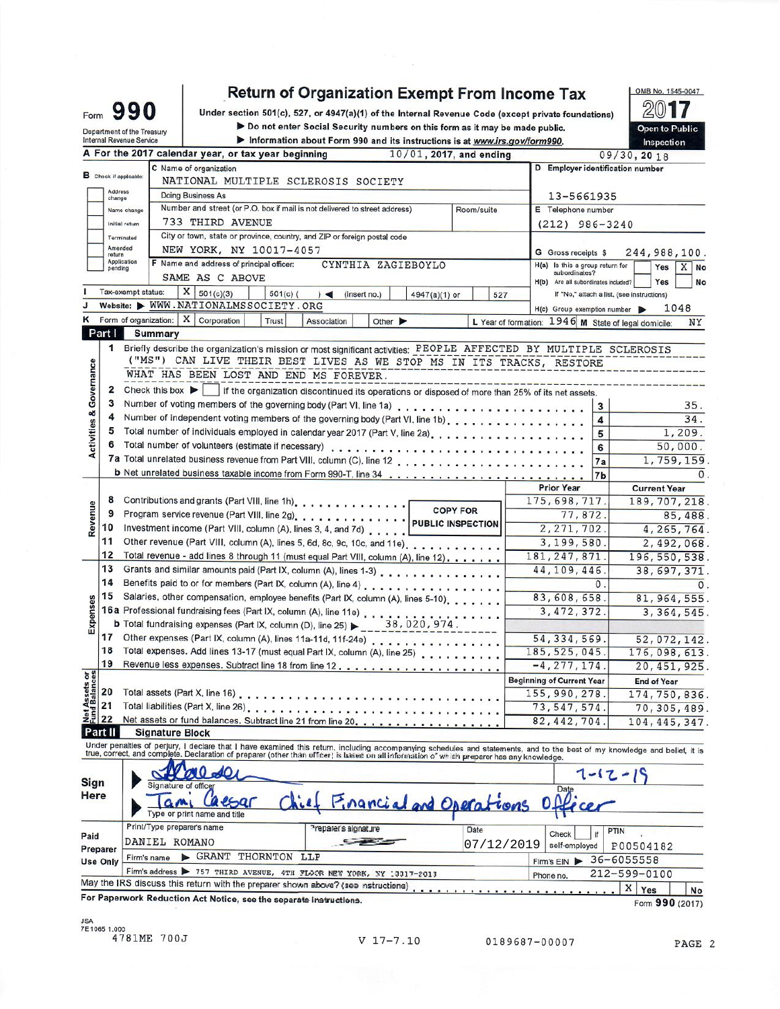Under section 501(c), 527, or 4947(a)(1) of the Internal Revenue Code (except private foundations)

ightharpoonup Do not enter Social Security numbers on this form as it may be made public.<br>■ Information about Form 890 and its instructions is at usus its souffarm999

|                                    | Internal Revenue Service      | ▶ Information about Form 990 and its instructions is at <u>www.irs.gov/form990.</u><br>A For the 2017 calendar year, or tax year beginning                                                                                                                                                                               |     |                                                      | Inspection          |
|------------------------------------|-------------------------------|--------------------------------------------------------------------------------------------------------------------------------------------------------------------------------------------------------------------------------------------------------------------------------------------------------------------------|-----|------------------------------------------------------|---------------------|
|                                    |                               | 10/01, 2017, and ending                                                                                                                                                                                                                                                                                                  |     | D Employer identification number                     | 09/30, 20 18        |
|                                    | <b>B</b> Check if applicable: | C Name of organization<br>NATIONAL MULTIPLE SCLEROSIS SOCIETY                                                                                                                                                                                                                                                            |     |                                                      |                     |
|                                    | Address                       |                                                                                                                                                                                                                                                                                                                          |     |                                                      |                     |
|                                    | change                        | <b>Doing Business As</b>                                                                                                                                                                                                                                                                                                 |     | 13-5661935                                           |                     |
|                                    | Name change                   | Number and street (or P.O. box if mail is not delivered to street address)<br>Room/suite                                                                                                                                                                                                                                 |     | E Telephone number                                   |                     |
|                                    | Initial return                | 733 THIRD AVENUE                                                                                                                                                                                                                                                                                                         |     | $(212)$ 986-3240                                     |                     |
|                                    | Terminated<br>Amended         | City or town, state or province, country, and ZIP or foreign postal code                                                                                                                                                                                                                                                 |     |                                                      |                     |
|                                    | return                        | NEW YORK, NY 10017-4057                                                                                                                                                                                                                                                                                                  |     | G Gross receipts \$                                  | 244,988,100.        |
|                                    | Application<br>pending        | F Name and address of principal officer:<br>CYNTHIA ZAGIEBOYLO                                                                                                                                                                                                                                                           |     | Is this a group return for<br>H(a)<br>subordinates?  | Yes<br>$X$ No       |
|                                    |                               | SAME AS C ABOVE                                                                                                                                                                                                                                                                                                          |     | H(b)<br>Are all subordinates included?               | Yes<br>No           |
|                                    | Tax-exempt status:            | X   501(c)(3)<br>$501(c)$ (<br>$\rightarrow$<br>(insert no.)<br>4947(a)(1) or                                                                                                                                                                                                                                            | 527 | If "No," attach a list, (see instructions)           |                     |
|                                    |                               | Website: WWW.NATIONALMSSOCIETY.ORG                                                                                                                                                                                                                                                                                       |     | H(c) Group exemption number                          | 1048                |
|                                    |                               | Form of organization: $X \mid$ Corporation<br>Trust<br>Association<br>Other $\blacktriangleright$                                                                                                                                                                                                                        |     | L Year of formation: 1946 M State of legal domicile: | ΝY                  |
|                                    | Part I                        | <b>Summary</b>                                                                                                                                                                                                                                                                                                           |     |                                                      |                     |
|                                    |                               | 1 Briefly describe the organization's mission or most significant activities: PEOPLE AFFECTED BY MULTIPLE SCLEROSIS                                                                                                                                                                                                      |     |                                                      |                     |
|                                    |                               | ("MS") CAN LIVE THEIR BEST LIVES AS WE STOP MS IN ITS TRACKS, RESTORE                                                                                                                                                                                                                                                    |     |                                                      |                     |
|                                    |                               | WHAT HAS BEEN LOST AND END MS FOREVER.                                                                                                                                                                                                                                                                                   |     |                                                      |                     |
| <b>Activities &amp; Governance</b> | 2                             | Check this box $\blacktriangleright$   if the organization discontinued its operations or disposed of more than 25% of its net assets.                                                                                                                                                                                   |     |                                                      |                     |
|                                    | 3                             |                                                                                                                                                                                                                                                                                                                          |     | 3                                                    | 35.                 |
|                                    | 4                             | Number of independent voting members of the governing body (Part VI, line 1b)                                                                                                                                                                                                                                            |     | 4                                                    | 34.                 |
|                                    | 5                             | Total number of individuals employed in calendar year 2017 (Part V, line 2a).                                                                                                                                                                                                                                            |     | 5                                                    | 1,209.              |
|                                    | 6                             |                                                                                                                                                                                                                                                                                                                          |     |                                                      |                     |
|                                    |                               |                                                                                                                                                                                                                                                                                                                          |     | 6                                                    | 50,000.             |
|                                    |                               |                                                                                                                                                                                                                                                                                                                          |     | 7a                                                   | 1,759,159           |
|                                    |                               |                                                                                                                                                                                                                                                                                                                          |     | 7 <sub>b</sub>                                       |                     |
|                                    |                               |                                                                                                                                                                                                                                                                                                                          |     | <b>Prior Year</b>                                    | <b>Current Year</b> |
|                                    | 8                             | Contributions and grants (Part VIII, line 1h).                                                                                                                                                                                                                                                                           |     | 175, 698, 717.                                       | 189, 707, 218       |
| Revenue                            | 9                             |                                                                                                                                                                                                                                                                                                                          |     | 77,872.                                              | 85,488              |
|                                    | 10                            | Investment income (Part VIII, column (A), lines 3, 4, and 7d)                                                                                                                                                                                                                                                            |     | 2, 271, 702.                                         | 4,265,764           |
|                                    | 11                            | Other revenue (Part VIII, column (A), lines 5, 6d, 8c, 9c, 10c, and 11e).                                                                                                                                                                                                                                                |     | 3,199,580.                                           | 2,492,068           |
|                                    | 12                            | Total revenue - add lines 8 through 11 (must equal Part VIII, column (A), line 12).                                                                                                                                                                                                                                      |     | 181, 247, 871.                                       | 196, 550, 538       |
|                                    | 13                            | Grants and similar amounts paid (Part IX, column (A), lines 1-3)                                                                                                                                                                                                                                                         |     | 44,109,446                                           | 38, 697, 371        |
|                                    | 14                            | Benefits paid to or for members (Part IX, column (A), line 4)                                                                                                                                                                                                                                                            |     | $\mathbf{0}$ .                                       |                     |
|                                    | 15                            | Salaries, other compensation, employee benefits (Part IX, column (A), lines 5-10).                                                                                                                                                                                                                                       |     | 83,608,658.                                          | 81, 964, 555        |
| Expenses                           |                               |                                                                                                                                                                                                                                                                                                                          |     | 3, 472, 372.                                         | 3, 364, 545         |
|                                    |                               | <b>b</b> Total fundraising expenses (Part IX, column (D), line 25) $\triangleright$ 38, 020, 974.                                                                                                                                                                                                                        |     |                                                      |                     |
|                                    | 17                            | Other expenses (Part IX, column (A), lines 11a-11d, 11f-24e)                                                                                                                                                                                                                                                             |     | 54, 334, 569.                                        | 52,072,142          |
|                                    | 18                            | Total expenses. Add lines 13-17 (must equal Part IX, column (A), line 25)                                                                                                                                                                                                                                                |     | 185, 525, 045.                                       | 176,098,613         |
|                                    | 19                            |                                                                                                                                                                                                                                                                                                                          |     | $-4, 277, 174.$                                      | 20, 451, 925        |
|                                    |                               |                                                                                                                                                                                                                                                                                                                          |     | <b>Beginning of Current Year</b>                     | <b>End of Year</b>  |
|                                    | 20                            |                                                                                                                                                                                                                                                                                                                          |     | 155, 990, 278.                                       | 174,750,836         |
| t Assets or                        | 21                            |                                                                                                                                                                                                                                                                                                                          |     | 73, 547, 574.                                        | 70,305,489          |
| 22                                 |                               |                                                                                                                                                                                                                                                                                                                          |     | 82, 442, 704.                                        | 104, 445, 347       |
| Part II                            |                               | <b>Signature Block</b>                                                                                                                                                                                                                                                                                                   |     |                                                      |                     |
|                                    |                               | Under penalties of perjury, I declare that I have examined this return. including accompanying schedules and statements, and to the best of my knowledge and belief, it is<br>true, correct, and complete. Declaration of preparer (other than officer) is based on all information of which preparer has any knowledge. |     |                                                      |                     |

| Sign<br>Here                | Signature of officer<br>aesar<br>Type or print name and title                                                                                            | Chief Financial and Operations Officer |                    | $7 - 12 - 1$<br>Date                               |
|-----------------------------|----------------------------------------------------------------------------------------------------------------------------------------------------------|----------------------------------------|--------------------|----------------------------------------------------|
| Paid                        | Print/Type preparer's name<br>DANIEL ROMANO                                                                                                              | Preparer's signature                   | Date<br>07/12/2019 | <b>PTIN</b><br>Check<br>self-employed<br>P00504182 |
| Preparer<br><b>Use Only</b> | GRANT THORNTON LLP<br>Firm's name                                                                                                                        |                                        |                    | $36 - 6055558$<br>Firm's EIN                       |
|                             | Firm's address > 757 THIRD AVENUE, 4TH FLOOR NEW YORK, NY 13317-2013<br>May the IRS discuss this return with the preparer shown above? (see nstructions) |                                        |                    | $212 - 599 - 0100$<br>Phone no.<br>Yes<br>No       |
|                             | For Paperwork Reduction Act Notice, see the separate instructions.                                                                                       |                                        |                    | Form 990 (2017)                                    |

JSA<br>7E1065 1.000<br>4781ME 700J

Form 990

Department of the Treasury

OMB No. 1545-0047 2017

Open to Public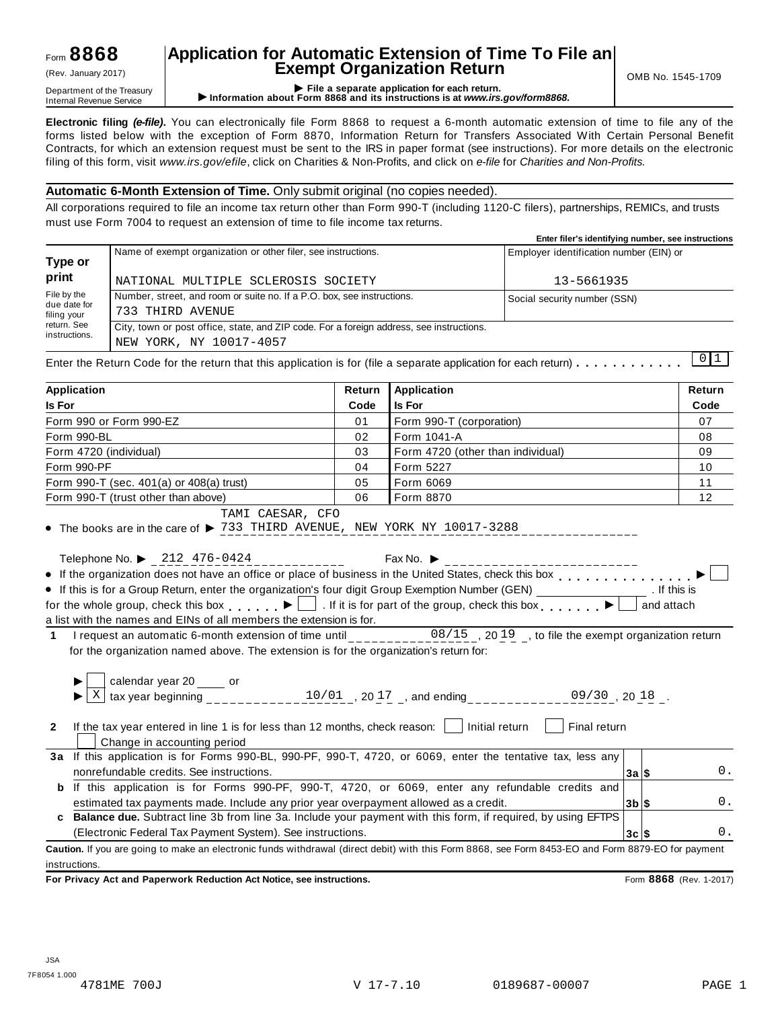## Form **8868**

## **Application for Automatic Extension of Time To File an Exempt Organization Return** (Rev. January 2017) OMB No. 1545-1709

Department of the Treasury<br>Department of the Treasury<br>Internal Revenue Service **CONFICE 1999 File a separate application for each return.**<br>Internal Revenue Service **CONFICE 1999 File a separate application for each return.** 

**Electronic filing** *(e-file)***.** You can electronically file Form 8868 to request a 6-month automatic extension of time to file any of the forms listed below with the exception of Form 8870, Information Return for Transfers Associated With Certain Personal Benefit Contracts, for which an extension request must be sent to the IRS in paper format (see instructions). For more details on the electronic filing of this form, visit *www.irs.gov/efile*, click on Charities & Non-Profits, and click on *e-file* for *Charities and Non-Profits.*

## **Automatic 6-Month Extension of Time.** Only submit original (no copies needed).

All corporations required to file an income tax return other than Form 990-T (including 1120-C filers), partnerships, REMICs, and trusts must use Form 7004 to request an extension of time to file income tax returns.

|                             |                                                                                          | Enter filer's identifying number, see instructions |  |  |  |  |
|-----------------------------|------------------------------------------------------------------------------------------|----------------------------------------------------|--|--|--|--|
| Type or                     | Name of exempt organization or other filer, see instructions.                            | Employer identification number (EIN) or            |  |  |  |  |
| print                       | NATIONAL MULTIPLE SCLEROSIS SOCIETY                                                      | 13-5661935                                         |  |  |  |  |
| File by the                 | Number, street, and room or suite no. If a P.O. box, see instructions.                   | Social security number (SSN)                       |  |  |  |  |
| due date for<br>filing your | 733 THIRD AVENUE                                                                         |                                                    |  |  |  |  |
| return. See                 | City, town or post office, state, and ZIP code. For a foreign address, see instructions. |                                                    |  |  |  |  |
| instructions.               | NEW YORK, NY 10017-4057                                                                  |                                                    |  |  |  |  |
|                             |                                                                                          |                                                    |  |  |  |  |

| Application                                                                                                                                                                                                                                                                                                                                                                                                                                                                                                                                                                                                                                                                                                                                                                                   | Return | <b>Application</b>                                                                                                                        |          | Return     |
|-----------------------------------------------------------------------------------------------------------------------------------------------------------------------------------------------------------------------------------------------------------------------------------------------------------------------------------------------------------------------------------------------------------------------------------------------------------------------------------------------------------------------------------------------------------------------------------------------------------------------------------------------------------------------------------------------------------------------------------------------------------------------------------------------|--------|-------------------------------------------------------------------------------------------------------------------------------------------|----------|------------|
| <b>Is For</b>                                                                                                                                                                                                                                                                                                                                                                                                                                                                                                                                                                                                                                                                                                                                                                                 | Code   | <b>Is For</b>                                                                                                                             |          | Code       |
| Form 990 or Form 990-EZ                                                                                                                                                                                                                                                                                                                                                                                                                                                                                                                                                                                                                                                                                                                                                                       | 01     | Form 990-T (corporation)                                                                                                                  |          | 07         |
| Form 990-BL                                                                                                                                                                                                                                                                                                                                                                                                                                                                                                                                                                                                                                                                                                                                                                                   | 02     | Form 1041-A                                                                                                                               |          | 08         |
| Form 4720 (individual)                                                                                                                                                                                                                                                                                                                                                                                                                                                                                                                                                                                                                                                                                                                                                                        | 03     | Form 4720 (other than individual)                                                                                                         |          | 09         |
| Form 990-PF                                                                                                                                                                                                                                                                                                                                                                                                                                                                                                                                                                                                                                                                                                                                                                                   | 04     | Form 5227                                                                                                                                 |          | 10         |
| Form 990-T (sec. 401(a) or 408(a) trust)                                                                                                                                                                                                                                                                                                                                                                                                                                                                                                                                                                                                                                                                                                                                                      | 05     | Form 6069                                                                                                                                 |          | 11         |
| Form 990-T (trust other than above)                                                                                                                                                                                                                                                                                                                                                                                                                                                                                                                                                                                                                                                                                                                                                           | 06     | Form 8870                                                                                                                                 |          | 12         |
| • The books are in the care of $\blacktriangleright$ 733 THIRD AVENUE, NEW YORK NY 10017-3288<br>Telephone No. ▶ 212 476-0424<br>• If the organization does not have an office or place of business in the United States, check this box<br>• If this is for a Group Return, enter the organization's four digit Group Exemption Number (GEN) __________________. If this is<br>for the whole group, check this box $\Box$ . If it is for part of the group, check this box $\Box$<br>a list with the names and EINs of all members the extension is for.<br>I request an automatic 6-month extension of time until ___________08/15_, 2019_, to file the exempt organization return<br>$\mathbf{1}$<br>for the organization named above. The extension is for the organization's return for: |        | Fax No. $\blacktriangleright$                                                                                                             |          | and attach |
| If the tax year entered in line 1 is for less than 12 months, check reason: $\lfloor \ \rfloor$ Initial return<br>$\mathbf{2}$                                                                                                                                                                                                                                                                                                                                                                                                                                                                                                                                                                                                                                                                |        | calendar year 20 _____ or<br>tax year beginning ______________10/01 _, 20 17 _, and ending _____________09/30 _, 20 18 _.<br>Final return |          |            |
| Change in accounting period                                                                                                                                                                                                                                                                                                                                                                                                                                                                                                                                                                                                                                                                                                                                                                   |        |                                                                                                                                           |          |            |
| 3a If this application is for Forms 990-BL, 990-PF, 990-T, 4720, or 6069, enter the tentative tax, less any                                                                                                                                                                                                                                                                                                                                                                                                                                                                                                                                                                                                                                                                                   |        |                                                                                                                                           |          |            |
| nonrefundable credits. See instructions.                                                                                                                                                                                                                                                                                                                                                                                                                                                                                                                                                                                                                                                                                                                                                      |        |                                                                                                                                           | 3a S     | 0.         |
| If this application is for Forms 990-PF, 990-T, 4720, or 6069, enter any refundable credits and<br>b                                                                                                                                                                                                                                                                                                                                                                                                                                                                                                                                                                                                                                                                                          |        |                                                                                                                                           |          |            |
| estimated tax payments made. Include any prior year overpayment allowed as a credit.                                                                                                                                                                                                                                                                                                                                                                                                                                                                                                                                                                                                                                                                                                          |        |                                                                                                                                           | $3b$ \$  | 0.         |
| c Balance due. Subtract line 3b from line 3a. Include your payment with this form, if required, by using EFTPS                                                                                                                                                                                                                                                                                                                                                                                                                                                                                                                                                                                                                                                                                |        |                                                                                                                                           |          |            |
| (Electronic Federal Tax Payment System). See instructions.                                                                                                                                                                                                                                                                                                                                                                                                                                                                                                                                                                                                                                                                                                                                    |        |                                                                                                                                           | $3c$ $s$ | $0$ .      |
| Caution. If you are going to make an electronic funds withdrawal (direct debit) with this Form 8868, see Form 8453-EO and Form 8879-EO for payment                                                                                                                                                                                                                                                                                                                                                                                                                                                                                                                                                                                                                                            |        |                                                                                                                                           |          |            |
| instructions.                                                                                                                                                                                                                                                                                                                                                                                                                                                                                                                                                                                                                                                                                                                                                                                 |        |                                                                                                                                           |          |            |

**For Privacy Act and Paperwork Reduction Act Notice, see instructions.** Form **8868** (Rev. 1-2017)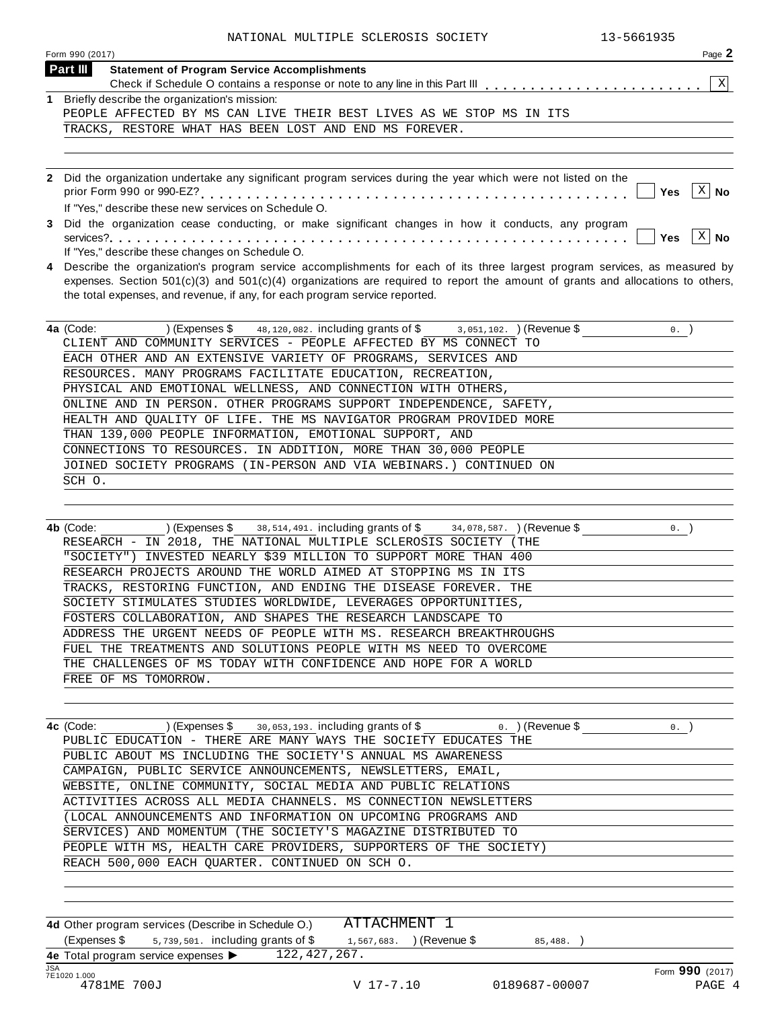| NATIONAL MULTIPLE SCLEROSIS SOCIETY<br>13-5661935                                                                                  |
|------------------------------------------------------------------------------------------------------------------------------------|
| Page 2<br>Form 990 (2017)                                                                                                          |
| Part III<br><b>Statement of Program Service Accomplishments</b>                                                                    |
| $\mathbf{x}$                                                                                                                       |
| 1 Briefly describe the organization's mission:                                                                                     |
| PEOPLE AFFECTED BY MS CAN LIVE THEIR BEST LIVES AS WE STOP MS IN ITS                                                               |
| TRACKS, RESTORE WHAT HAS BEEN LOST AND END MS FOREVER.                                                                             |
|                                                                                                                                    |
|                                                                                                                                    |
| 2 Did the organization undertake any significant program services during the year which were not listed on the                     |
| $\left\lceil x \right\rceil$ No<br>Yes                                                                                             |
| If "Yes," describe these new services on Schedule O.                                                                               |
| 3 Did the organization cease conducting, or make significant changes in how it conducts, any program                               |
| $\vert x \vert$<br><b>No</b><br>Yes                                                                                                |
| If "Yes," describe these changes on Schedule O.                                                                                    |
| 4 Describe the organization's program service accomplishments for each of its three largest program services, as measured by       |
| expenses. Section $501(c)(3)$ and $501(c)(4)$ organizations are required to report the amount of grants and allocations to others, |
| the total expenses, and revenue, if any, for each program service reported.                                                        |
|                                                                                                                                    |
| 4a (Code: ) (Expenses $\frac{1}{48,120,082}$ . including grants of $\frac{1}{48}$ 3, 051, 102. ) (Revenue \$<br>0.                 |
| CLIENT AND COMMUNITY SERVICES - PEOPLE AFFECTED BY MS CONNECT TO                                                                   |
| EACH OTHER AND AN EXTENSIVE VARIETY OF PROGRAMS, SERVICES AND                                                                      |
| RESOURCES. MANY PROGRAMS FACILITATE EDUCATION, RECREATION,                                                                         |
| PHYSICAL AND EMOTIONAL WELLNESS, AND CONNECTION WITH OTHERS,                                                                       |
| ONLINE AND IN PERSON. OTHER PROGRAMS SUPPORT INDEPENDENCE, SAFETY,                                                                 |
| HEALTH AND QUALITY OF LIFE. THE MS NAVIGATOR PROGRAM PROVIDED MORE                                                                 |
| THAN 139,000 PEOPLE INFORMATION, EMOTIONAL SUPPORT, AND                                                                            |
| CONNECTIONS TO RESOURCES. IN ADDITION, MORE THAN 30,000 PEOPLE                                                                     |
| JOINED SOCIETY PROGRAMS (IN-PERSON AND VIA WEBINARS.) CONTINUED ON                                                                 |
| SCH O.                                                                                                                             |
|                                                                                                                                    |
|                                                                                                                                    |
| $0.$ )<br>) (Expenses $\$$ 38, 514, 491. including grants of $\$$ 34, 078, 587. ) (Revenue $\$$<br>4b (Code:                       |
| RESEARCH - IN 2018, THE NATIONAL MULTIPLE SCLEROSIS SOCIETY (THE                                                                   |
| "SOCIETY") INVESTED NEARLY \$39 MILLION TO SUPPORT MORE THAN 400                                                                   |
| RESEARCH PROJECTS AROUND THE WORLD AIMED AT STOPPING MS IN ITS                                                                     |
| TRACKS, RESTORING FUNCTION, AND ENDING THE DISEASE FOREVER. THE                                                                    |
|                                                                                                                                    |
| SOCIETY STIMULATES STUDIES WORLDWIDE, LEVERAGES OPPORTUNITIES,                                                                     |
| FOSTERS COLLABORATION, AND SHAPES THE RESEARCH LANDSCAPE TO                                                                        |
| ADDRESS THE URGENT NEEDS OF PEOPLE WITH MS. RESEARCH BREAKTHROUGHS                                                                 |
| FUEL THE TREATMENTS AND SOLUTIONS PEOPLE WITH MS NEED TO OVERCOME                                                                  |

| 4c (Code:<br>$(1.5)$ (Expenses \$ 30,053,193, including grants of \$ 0. ) (Revenue \$ | $\mathbf 0$ . |
|---------------------------------------------------------------------------------------|---------------|
| PUBLIC EDUCATION - THERE ARE MANY WAYS THE SOCIETY EDUCATES THE                       |               |
| PUBLIC ABOUT MS INCLUDING THE SOCIETY'S ANNUAL MS AWARENESS                           |               |
| CAMPAIGN, PUBLIC SERVICE ANNOUNCEMENTS, NEWSLETTERS, EMAIL,                           |               |
| WEBSITE, ONLINE COMMUNITY, SOCIAL MEDIA AND PUBLIC RELATIONS                          |               |
| ACTIVITIES ACROSS ALL MEDIA CHANNELS. MS CONNECTION NEWSLETTERS                       |               |
| (LOCAL ANNOUNCEMENTS AND INFORMATION ON UPCOMING PROGRAMS AND                         |               |
| SERVICES) AND MOMENTUM (THE SOCIETY'S MAGAZINE DISTRIBUTED TO                         |               |
| PEOPLE WITH MS, HEALTH CARE PROVIDERS, SUPPORTERS OF THE SOCIETY)                     |               |
| REACH 500,000 EACH QUARTER. CONTINUED ON SCH O.                                       |               |

THE CHALLENGES OF MS TODAY WITH CONFIDENCE AND HOPE FOR A WORLD

**4d** Other program services (Describe in Schedule O.) (Expenses \$  $_5$ ,  $_7$ 39,  $501$ . including grants of \$  $_1$ ,  $_5$ 67, 683. ) (Revenue \$  $_8$   $_8$ ,  $_4$ 88. ) **4e** Total program service expenses ▶ The Text Provision Service Structure of Provision Control of Text Provision Control of Text Provision Control of<br>
TE1020 1.000<br>
4781ME 700J V 17-7.10 0189687-00007 PAGE 4 [ATTACHMENT 1](#page-75-0) 122,427,267.

FREE OF MS TOMORROW.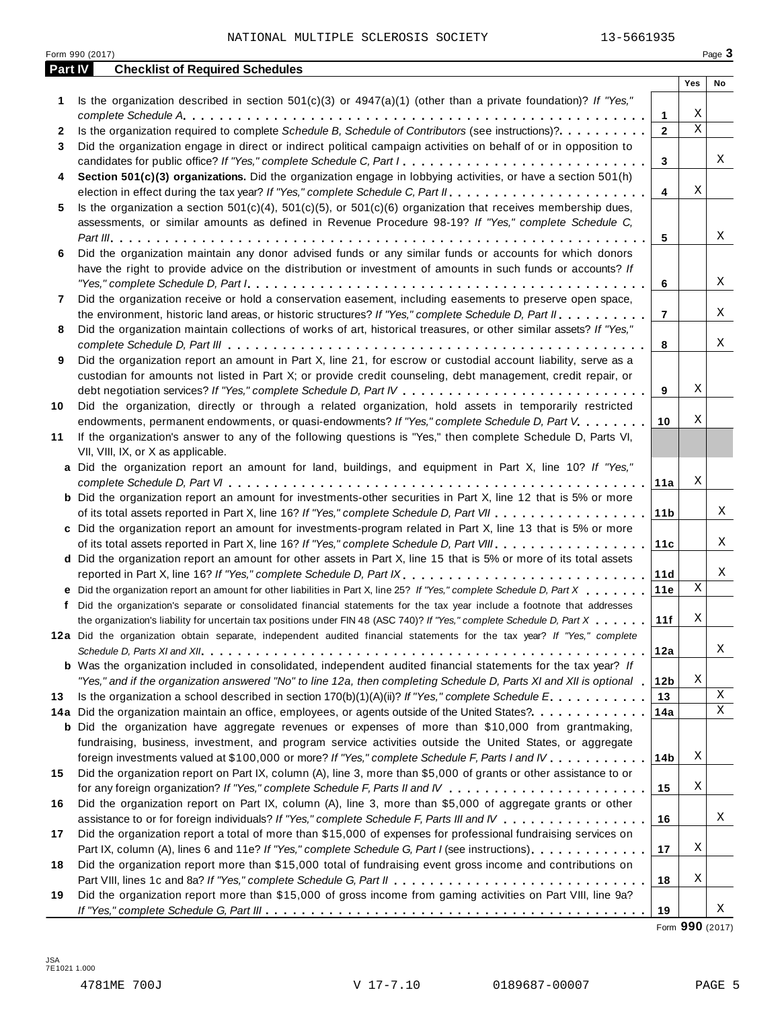|         | Form 990 (2017)                                                                                                                                                                                                                                                                                                                                                                               |                   |             | Page 3 |
|---------|-----------------------------------------------------------------------------------------------------------------------------------------------------------------------------------------------------------------------------------------------------------------------------------------------------------------------------------------------------------------------------------------------|-------------------|-------------|--------|
| Part IV | <b>Checklist of Required Schedules</b>                                                                                                                                                                                                                                                                                                                                                        |                   |             |        |
|         |                                                                                                                                                                                                                                                                                                                                                                                               |                   | Yes         | No     |
| 1.      | Is the organization described in section $501(c)(3)$ or $4947(a)(1)$ (other than a private foundation)? If "Yes,"                                                                                                                                                                                                                                                                             |                   | Χ           |        |
|         | Is the organization required to complete Schedule B, Schedule of Contributors (see instructions)?.                                                                                                                                                                                                                                                                                            | 1<br>$\mathbf{2}$ | $\mathbf X$ |        |
| 2<br>3  | Did the organization engage in direct or indirect political campaign activities on behalf of or in opposition to                                                                                                                                                                                                                                                                              |                   |             |        |
|         | candidates for public office? If "Yes," complete Schedule C, Part I.                                                                                                                                                                                                                                                                                                                          | 3                 |             | Χ      |
| 4       | Section 501(c)(3) organizations. Did the organization engage in lobbying activities, or have a section 501(h)                                                                                                                                                                                                                                                                                 |                   |             |        |
|         |                                                                                                                                                                                                                                                                                                                                                                                               | $\overline{4}$    | Χ           |        |
| 5       | Is the organization a section $501(c)(4)$ , $501(c)(5)$ , or $501(c)(6)$ organization that receives membership dues,                                                                                                                                                                                                                                                                          |                   |             |        |
|         | assessments, or similar amounts as defined in Revenue Procedure 98-19? If "Yes," complete Schedule C,                                                                                                                                                                                                                                                                                         |                   |             |        |
|         |                                                                                                                                                                                                                                                                                                                                                                                               | 5                 |             | Χ      |
| 6       | Did the organization maintain any donor advised funds or any similar funds or accounts for which donors                                                                                                                                                                                                                                                                                       |                   |             |        |
|         | have the right to provide advice on the distribution or investment of amounts in such funds or accounts? If                                                                                                                                                                                                                                                                                   |                   |             |        |
|         | "Yes," complete Schedule D, Part $l_1, \ldots, l_k, \ldots, l_k, \ldots, l_k, \ldots, l_k, \ldots, l_k, \ldots, l_k, \ldots, l_k, \ldots, l_k, \ldots, l_k, \ldots, l_k, \ldots, l_k, \ldots, l_k, \ldots, l_k, \ldots, l_k, \ldots, l_k, \ldots, l_k, \ldots, l_k, \ldots, l_k, \ldots, l_k, \ldots, l_k, \ldots, l_k, \ldots, l_k, \ldots, l_k, \ldots, l_k, \ldots, l_k, \ldots, l_k, \ld$ | 6                 |             | Χ      |
| 7       | Did the organization receive or hold a conservation easement, including easements to preserve open space,                                                                                                                                                                                                                                                                                     |                   |             |        |
|         | the environment, historic land areas, or historic structures? If "Yes," complete Schedule D, Part II.                                                                                                                                                                                                                                                                                         | $\overline{7}$    |             | Χ      |
| 8       | Did the organization maintain collections of works of art, historical treasures, or other similar assets? If "Yes,"                                                                                                                                                                                                                                                                           |                   |             |        |
|         |                                                                                                                                                                                                                                                                                                                                                                                               | 8                 |             | Χ      |
| 9       | Did the organization report an amount in Part X, line 21, for escrow or custodial account liability, serve as a                                                                                                                                                                                                                                                                               |                   |             |        |
|         | custodian for amounts not listed in Part X; or provide credit counseling, debt management, credit repair, or                                                                                                                                                                                                                                                                                  |                   |             |        |
|         |                                                                                                                                                                                                                                                                                                                                                                                               | 9                 | Χ           |        |
| 10      | Did the organization, directly or through a related organization, hold assets in temporarily restricted                                                                                                                                                                                                                                                                                       |                   |             |        |
|         | endowments, permanent endowments, or quasi-endowments? If "Yes," complete Schedule D, Part V.                                                                                                                                                                                                                                                                                                 | 10                | Χ           |        |
| 11      | If the organization's answer to any of the following questions is "Yes," then complete Schedule D, Parts VI,                                                                                                                                                                                                                                                                                  |                   |             |        |
|         | VII, VIII, IX, or X as applicable.                                                                                                                                                                                                                                                                                                                                                            |                   |             |        |
|         | a Did the organization report an amount for land, buildings, and equipment in Part X, line 10? If "Yes,"                                                                                                                                                                                                                                                                                      |                   |             |        |
|         |                                                                                                                                                                                                                                                                                                                                                                                               | 11a               | Χ           |        |
|         | <b>b</b> Did the organization report an amount for investments-other securities in Part X, line 12 that is 5% or more                                                                                                                                                                                                                                                                         |                   |             |        |
|         |                                                                                                                                                                                                                                                                                                                                                                                               | 11 <sub>b</sub>   |             | Χ      |
|         | c Did the organization report an amount for investments-program related in Part X, line 13 that is 5% or more                                                                                                                                                                                                                                                                                 |                   |             |        |
|         |                                                                                                                                                                                                                                                                                                                                                                                               | 11c               |             | Χ      |
|         | d Did the organization report an amount for other assets in Part X, line 15 that is 5% or more of its total assets                                                                                                                                                                                                                                                                            |                   |             |        |
|         | reported in Part X, line 16? If "Yes," complete Schedule D, Part IX.                                                                                                                                                                                                                                                                                                                          | 11d               |             | Χ      |
|         | e Did the organization report an amount for other liabilities in Part X, line 25? If "Yes," complete Schedule D, Part X                                                                                                                                                                                                                                                                       | 11e               | Χ           |        |
|         | f Did the organization's separate or consolidated financial statements for the tax year include a footnote that addresses                                                                                                                                                                                                                                                                     |                   |             |        |
|         | the organization's liability for uncertain tax positions under FIN 48 (ASC 740)? If "Yes," complete Schedule D, Part X                                                                                                                                                                                                                                                                        | 11f               | Χ           |        |
|         | 12a Did the organization obtain separate, independent audited financial statements for the tax year? If "Yes," complete                                                                                                                                                                                                                                                                       |                   |             |        |
|         |                                                                                                                                                                                                                                                                                                                                                                                               | 12a               |             | Χ      |
|         | <b>b</b> Was the organization included in consolidated, independent audited financial statements for the tax year? If                                                                                                                                                                                                                                                                         |                   |             |        |
|         | "Yes," and if the organization answered "No" to line 12a, then completing Schedule D, Parts XI and XII is optional 1                                                                                                                                                                                                                                                                          | 12 <sub>b</sub>   | Χ           |        |
| 13      | Is the organization a school described in section 170(b)(1)(A)(ii)? If "Yes," complete Schedule E.                                                                                                                                                                                                                                                                                            | 13                |             | X      |
|         | 14a Did the organization maintain an office, employees, or agents outside of the United States?.                                                                                                                                                                                                                                                                                              | 14a               |             | X      |
|         | <b>b</b> Did the organization have aggregate revenues or expenses of more than \$10,000 from grantmaking,                                                                                                                                                                                                                                                                                     |                   |             |        |
|         | fundraising, business, investment, and program service activities outside the United States, or aggregate                                                                                                                                                                                                                                                                                     |                   |             |        |
|         | foreign investments valued at \$100,000 or more? If "Yes," complete Schedule F, Parts I and IV                                                                                                                                                                                                                                                                                                | 14 <sub>b</sub>   | Χ           |        |
| 15      | Did the organization report on Part IX, column (A), line 3, more than \$5,000 of grants or other assistance to or                                                                                                                                                                                                                                                                             |                   |             |        |
|         |                                                                                                                                                                                                                                                                                                                                                                                               | 15                | Χ           |        |
| 16      | Did the organization report on Part IX, column (A), line 3, more than \$5,000 of aggregate grants or other                                                                                                                                                                                                                                                                                    |                   |             |        |
|         | assistance to or for foreign individuals? If "Yes," complete Schedule F, Parts III and IV                                                                                                                                                                                                                                                                                                     | 16                |             | Χ      |
| 17      | Did the organization report a total of more than \$15,000 of expenses for professional fundraising services on                                                                                                                                                                                                                                                                                |                   |             |        |
|         | Part IX, column (A), lines 6 and 11e? If "Yes," complete Schedule G, Part I (see instructions)                                                                                                                                                                                                                                                                                                | 17                | Χ           |        |
| 18      | Did the organization report more than \$15,000 total of fundraising event gross income and contributions on                                                                                                                                                                                                                                                                                   |                   |             |        |
|         |                                                                                                                                                                                                                                                                                                                                                                                               | 18                | Χ           |        |
| 19      | Did the organization report more than \$15,000 of gross income from gaming activities on Part VIII, line 9a?                                                                                                                                                                                                                                                                                  |                   |             |        |
|         |                                                                                                                                                                                                                                                                                                                                                                                               | 19                |             | Χ      |

Form **990** (2017)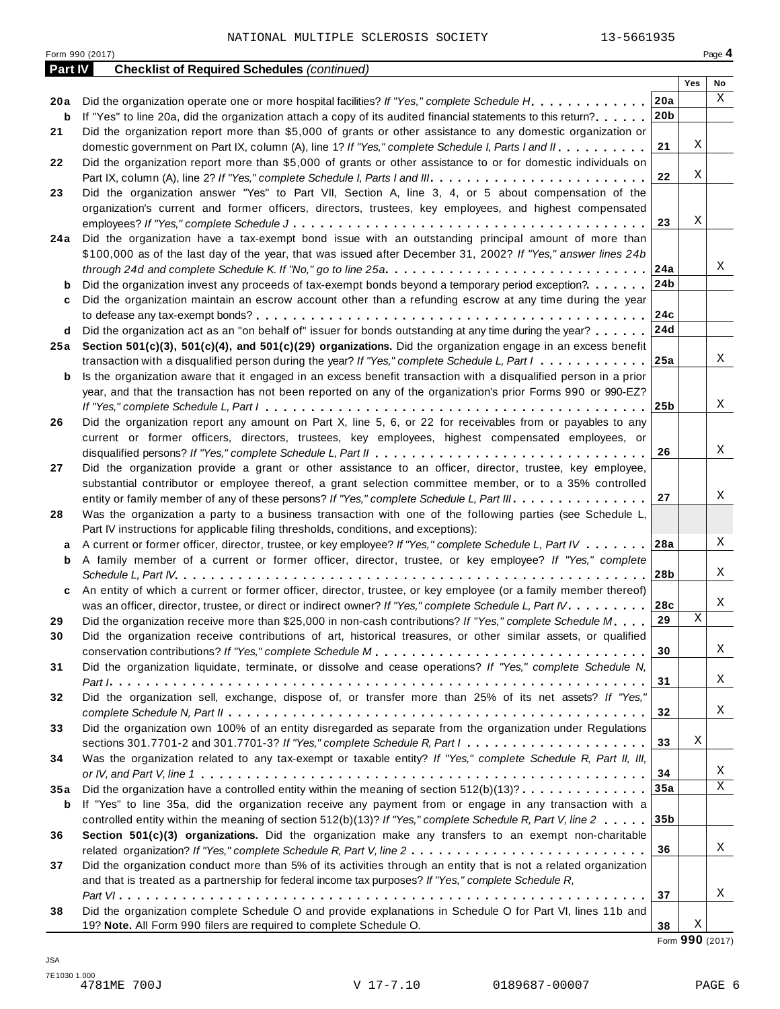| Form 990 (2017)<br>Page 4 |                                                                                                                             |                 |     |    |  |
|---------------------------|-----------------------------------------------------------------------------------------------------------------------------|-----------------|-----|----|--|
| Part IV                   | <b>Checklist of Required Schedules (continued)</b>                                                                          |                 |     |    |  |
|                           |                                                                                                                             |                 | Yes | No |  |
| 20 a                      | Did the organization operate one or more hospital facilities? If "Yes," complete Schedule H.                                | 20a             |     | X  |  |
| b                         | If "Yes" to line 20a, did the organization attach a copy of its audited financial statements to this return?                | 20 <sub>b</sub> |     |    |  |
| 21                        | Did the organization report more than \$5,000 of grants or other assistance to any domestic organization or                 |                 |     |    |  |
|                           | domestic government on Part IX, column (A), line 1? If "Yes," complete Schedule I, Parts I and II.                          | 21              | Χ   |    |  |
| 22                        | Did the organization report more than \$5,000 of grants or other assistance to or for domestic individuals on               |                 |     |    |  |
|                           |                                                                                                                             | 22              | Χ   |    |  |
| 23                        | Did the organization answer "Yes" to Part VII, Section A, line 3, 4, or 5 about compensation of the                         |                 |     |    |  |
|                           | organization's current and former officers, directors, trustees, key employees, and highest compensated                     |                 |     |    |  |
|                           |                                                                                                                             | 23              | Χ   |    |  |
| 24 a                      | Did the organization have a tax-exempt bond issue with an outstanding principal amount of more than                         |                 |     |    |  |
|                           | \$100,000 as of the last day of the year, that was issued after December 31, 2002? If "Yes," answer lines 24b               |                 |     |    |  |
|                           |                                                                                                                             | 24a             |     | Χ  |  |
| b                         | Did the organization invest any proceeds of tax-exempt bonds beyond a temporary period exception?                           | 24b             |     |    |  |
| c                         | Did the organization maintain an escrow account other than a refunding escrow at any time during the year                   |                 |     |    |  |
|                           |                                                                                                                             | 24c             |     |    |  |
| d                         | Did the organization act as an "on behalf of" issuer for bonds outstanding at any time during the year?                     | 24d             |     |    |  |
| 25 a                      | Section 501(c)(3), 501(c)(4), and 501(c)(29) organizations. Did the organization engage in an excess benefit                |                 |     |    |  |
|                           | transaction with a disqualified person during the year? If "Yes," complete Schedule L, Part I                               | 25a             |     | Χ  |  |
| b                         | Is the organization aware that it engaged in an excess benefit transaction with a disqualified person in a prior            |                 |     |    |  |
|                           | year, and that the transaction has not been reported on any of the organization's prior Forms 990 or 990-EZ?                |                 |     |    |  |
|                           |                                                                                                                             | 25 <sub>b</sub> |     | X  |  |
|                           | Did the organization report any amount on Part X, line 5, 6, or 22 for receivables from or payables to any                  |                 |     |    |  |
| 26                        |                                                                                                                             |                 |     |    |  |
|                           | current or former officers, directors, trustees, key employees, highest compensated employees, or                           | 26              |     | Χ  |  |
|                           |                                                                                                                             |                 |     |    |  |
| 27                        | Did the organization provide a grant or other assistance to an officer, director, trustee, key employee,                    |                 |     |    |  |
|                           | substantial contributor or employee thereof, a grant selection committee member, or to a 35% controlled                     |                 |     | Χ  |  |
|                           | entity or family member of any of these persons? If "Yes," complete Schedule L, Part III.                                   | 27              |     |    |  |
| 28                        | Was the organization a party to a business transaction with one of the following parties (see Schedule L,                   |                 |     |    |  |
|                           | Part IV instructions for applicable filing thresholds, conditions, and exceptions):                                         |                 |     |    |  |
| а                         | A current or former officer, director, trustee, or key employee? If "Yes," complete Schedule L, Part IV                     | 28a             |     | Χ  |  |
| b                         | A family member of a current or former officer, director, trustee, or key employee? If "Yes," complete                      |                 |     |    |  |
|                           |                                                                                                                             | 28b             |     | Χ  |  |
| c                         | An entity of which a current or former officer, director, trustee, or key employee (or a family member thereof)             |                 |     |    |  |
|                           | was an officer, director, trustee, or direct or indirect owner? If "Yes," complete Schedule L, Part IV.                     | 28c             |     | Χ  |  |
| 29                        | Did the organization receive more than \$25,000 in non-cash contributions? If "Yes," complete Schedule M                    | 29              | Χ   |    |  |
| 30                        | Did the organization receive contributions of art, historical treasures, or other similar assets, or qualified              |                 |     |    |  |
|                           |                                                                                                                             | 30              |     | Χ  |  |
| 31                        | Did the organization liquidate, terminate, or dissolve and cease operations? If "Yes," complete Schedule N,                 |                 |     |    |  |
|                           |                                                                                                                             | 31              |     | Χ  |  |
| 32                        | Did the organization sell, exchange, dispose of, or transfer more than 25% of its net assets? If "Yes,"                     |                 |     |    |  |
|                           |                                                                                                                             | 32              |     | Χ  |  |
| 33                        | Did the organization own 100% of an entity disregarded as separate from the organization under Regulations                  |                 |     |    |  |
|                           | sections 301.7701-2 and 301.7701-3? If "Yes," complete Schedule R, Part $1, \ldots, \ldots, \ldots, \ldots, \ldots, \ldots$ | 33              | Χ   |    |  |
| 34                        | Was the organization related to any tax-exempt or taxable entity? If "Yes," complete Schedule R, Part II, III,              |                 |     |    |  |
|                           |                                                                                                                             | 34              |     | Χ  |  |
| 35a                       | Did the organization have a controlled entity within the meaning of section $512(b)(13)? \ldots \ldots \ldots \ldots$       | 35a             |     | X  |  |
| b                         | If "Yes" to line 35a, did the organization receive any payment from or engage in any transaction with a                     |                 |     |    |  |
|                           | controlled entity within the meaning of section 512(b)(13)? If "Yes," complete Schedule R, Part V, line 2                   | 35 <sub>b</sub> |     |    |  |
|                           |                                                                                                                             |                 |     |    |  |
| 36                        | Section 501(c)(3) organizations. Did the organization make any transfers to an exempt non-charitable                        |                 |     | Χ  |  |
|                           |                                                                                                                             | 36              |     |    |  |
| 37                        | Did the organization conduct more than 5% of its activities through an entity that is not a related organization            |                 |     |    |  |
|                           | and that is treated as a partnership for federal income tax purposes? If "Yes," complete Schedule R,                        |                 |     |    |  |
|                           |                                                                                                                             | 37              |     | Χ  |  |
| 38                        | Did the organization complete Schedule O and provide explanations in Schedule O for Part VI, lines 11b and                  |                 |     |    |  |
|                           | 19? Note. All Form 990 filers are required to complete Schedule O.                                                          | 38              | Χ   |    |  |

Form **990** (2017)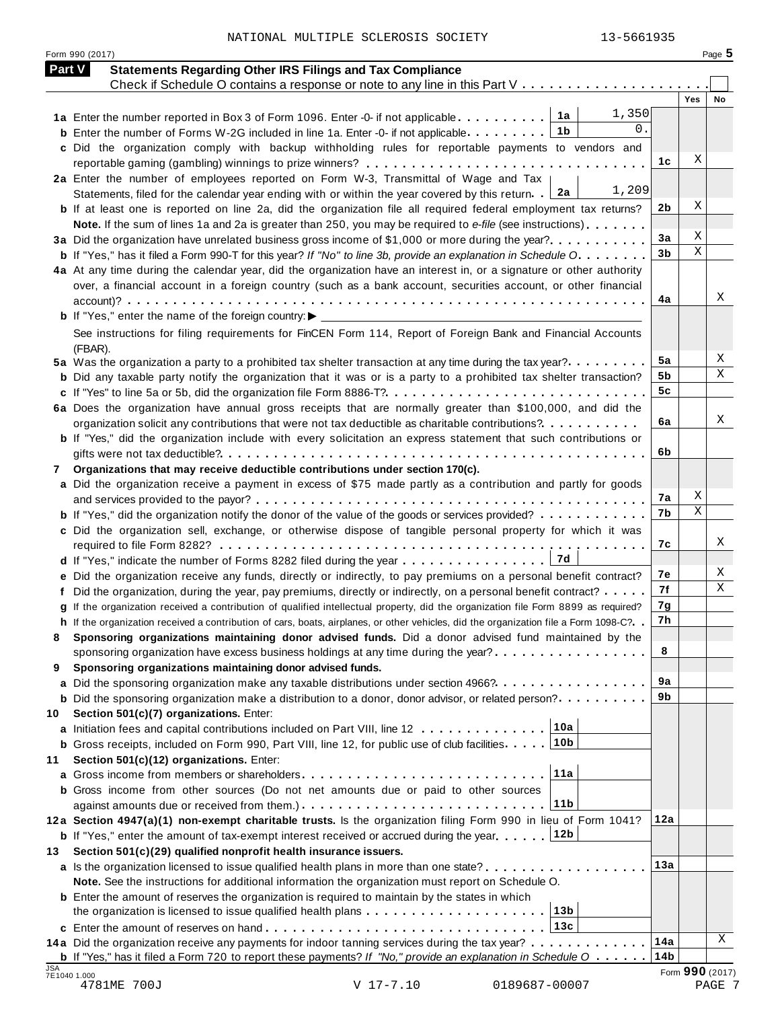NATIONAL MULTIPLE SCLEROSIS SOCIETY 13-5661935

|    | <b>Part V</b><br><b>Statements Regarding Other IRS Filings and Tax Compliance</b>                                                                                                                                                           |                 |     |     |
|----|---------------------------------------------------------------------------------------------------------------------------------------------------------------------------------------------------------------------------------------------|-----------------|-----|-----|
|    | Check if Schedule O contains a response or note to any line in this Part $V_1, \ldots, V_k, \ldots, V_k, \ldots$                                                                                                                            |                 | Yes | No. |
|    | 1,350<br>1a Enter the number reported in Box 3 of Form 1096. Enter -0- if not applicable 1a                                                                                                                                                 |                 |     |     |
|    | 0.<br>1b<br><b>b</b> Enter the number of Forms W-2G included in line 1a. Enter -0- if not applicable $\ldots$ ,,,,,,                                                                                                                        |                 |     |     |
|    | c Did the organization comply with backup withholding rules for reportable payments to vendors and                                                                                                                                          |                 |     |     |
|    |                                                                                                                                                                                                                                             | 1с              | Χ   |     |
|    | 2a Enter the number of employees reported on Form W-3, Transmittal of Wage and Tax                                                                                                                                                          |                 |     |     |
|    | 1,209<br>2a<br>Statements, filed for the calendar year ending with or within the year covered by this return.                                                                                                                               |                 |     |     |
|    | <b>b</b> If at least one is reported on line 2a, did the organization file all required federal employment tax returns?                                                                                                                     | 2 <sub>b</sub>  | Χ   |     |
|    | Note. If the sum of lines 1a and 2a is greater than 250, you may be required to e-file (see instructions)                                                                                                                                   |                 |     |     |
|    | 3a Did the organization have unrelated business gross income of \$1,000 or more during the year?                                                                                                                                            | 3a              | Χ   |     |
|    | <b>b</b> If "Yes," has it filed a Form 990-T for this year? If "No" to line 3b, provide an explanation in Schedule O.                                                                                                                       | 3 <sub>b</sub>  | X   |     |
|    | 4a At any time during the calendar year, did the organization have an interest in, or a signature or other authority                                                                                                                        |                 |     |     |
|    | over, a financial account in a foreign country (such as a bank account, securities account, or other financial                                                                                                                              |                 |     |     |
|    |                                                                                                                                                                                                                                             | 4a              |     | Χ   |
|    |                                                                                                                                                                                                                                             |                 |     |     |
|    | See instructions for filing requirements for FinCEN Form 114, Report of Foreign Bank and Financial Accounts                                                                                                                                 |                 |     |     |
|    | (FBAR).                                                                                                                                                                                                                                     |                 |     |     |
|    | 5a Was the organization a party to a prohibited tax shelter transaction at any time during the tax year?                                                                                                                                    | 5a              |     | Х   |
|    | <b>b</b> Did any taxable party notify the organization that it was or is a party to a prohibited tax shelter transaction?                                                                                                                   | 5b              |     | Χ   |
|    |                                                                                                                                                                                                                                             | 5 <sub>c</sub>  |     |     |
|    | 6a Does the organization have annual gross receipts that are normally greater than \$100,000, and did the                                                                                                                                   |                 |     |     |
|    | organization solicit any contributions that were not tax deductible as charitable contributions?                                                                                                                                            | 6a              |     | Χ   |
|    | <b>b</b> If "Yes," did the organization include with every solicitation an express statement that such contributions or                                                                                                                     |                 |     |     |
|    |                                                                                                                                                                                                                                             | 6b              |     |     |
| 7  | Organizations that may receive deductible contributions under section 170(c).                                                                                                                                                               |                 |     |     |
|    | a Did the organization receive a payment in excess of \$75 made partly as a contribution and partly for goods                                                                                                                               |                 |     |     |
|    |                                                                                                                                                                                                                                             | 7a              | Χ   |     |
|    | <b>b</b> If "Yes," did the organization notify the donor of the value of the goods or services provided?                                                                                                                                    | 7b              | X   |     |
|    | c Did the organization sell, exchange, or otherwise dispose of tangible personal property for which it was                                                                                                                                  |                 |     |     |
|    |                                                                                                                                                                                                                                             | 7c              |     | Χ   |
|    |                                                                                                                                                                                                                                             |                 |     |     |
|    | e Did the organization receive any funds, directly or indirectly, to pay premiums on a personal benefit contract?                                                                                                                           | 7e              |     | X   |
|    | f Did the organization, during the year, pay premiums, directly or indirectly, on a personal benefit contract?                                                                                                                              | 7f              |     | Χ   |
|    | g If the organization received a contribution of qualified intellectual property, did the organization file Form 8899 as required?                                                                                                          | 7g              |     |     |
|    | h If the organization received a contribution of cars, boats, airplanes, or other vehicles, did the organization file a Form 1098-C?. .                                                                                                     | 7h              |     |     |
| 8  | Sponsoring organizations maintaining donor advised funds. Did a donor advised fund maintained by the                                                                                                                                        |                 |     |     |
|    | sponsoring organization have excess business holdings at any time during the year?                                                                                                                                                          | 8               |     |     |
| 9  | Sponsoring organizations maintaining donor advised funds.                                                                                                                                                                                   |                 |     |     |
|    | a Did the sponsoring organization make any taxable distributions under section 4966?                                                                                                                                                        | 9а              |     |     |
|    | <b>b</b> Did the sponsoring organization make a distribution to a donor, donor advisor, or related person?                                                                                                                                  | 9b              |     |     |
| 10 | Section 501(c)(7) organizations. Enter:                                                                                                                                                                                                     |                 |     |     |
|    | 10a<br>a Initiation fees and capital contributions included on Part VIII, line 12                                                                                                                                                           |                 |     |     |
|    | 10 <sub>b</sub><br><b>b</b> Gross receipts, included on Form 990, Part VIII, line 12, for public use of club facilities.                                                                                                                    |                 |     |     |
| 11 | Section 501(c)(12) organizations. Enter:                                                                                                                                                                                                    |                 |     |     |
|    | 11a                                                                                                                                                                                                                                         |                 |     |     |
|    | b Gross income from other sources (Do not net amounts due or paid to other sources                                                                                                                                                          |                 |     |     |
|    | 11b                                                                                                                                                                                                                                         |                 |     |     |
|    | 12a Section 4947(a)(1) non-exempt charitable trusts. Is the organization filing Form 990 in lieu of Form 1041?                                                                                                                              | 12a             |     |     |
|    | 12b<br><b>b</b> If "Yes," enter the amount of tax-exempt interest received or accrued during the year                                                                                                                                       |                 |     |     |
| 13 | Section 501(c)(29) qualified nonprofit health insurance issuers.                                                                                                                                                                            |                 |     |     |
|    | a Is the organization licensed to issue qualified health plans in more than one state?                                                                                                                                                      | 13a             |     |     |
|    | Note. See the instructions for additional information the organization must report on Schedule O.                                                                                                                                           |                 |     |     |
|    | <b>b</b> Enter the amount of reserves the organization is required to maintain by the states in which<br>13 <sub>b</sub><br>the organization is licensed to issue qualified health plans $\ldots \ldots \ldots \ldots \ldots \ldots \ldots$ |                 |     |     |
|    | 13c                                                                                                                                                                                                                                         |                 |     |     |
|    | 14a Did the organization receive any payments for indoor tanning services during the tax year?                                                                                                                                              | 14a             |     | Χ   |
|    | <b>b</b> If "Yes," has it filed a Form 720 to report these payments? If "No," provide an explanation in Schedule $0 \ldots \ldots$                                                                                                          | 14 <sub>b</sub> |     |     |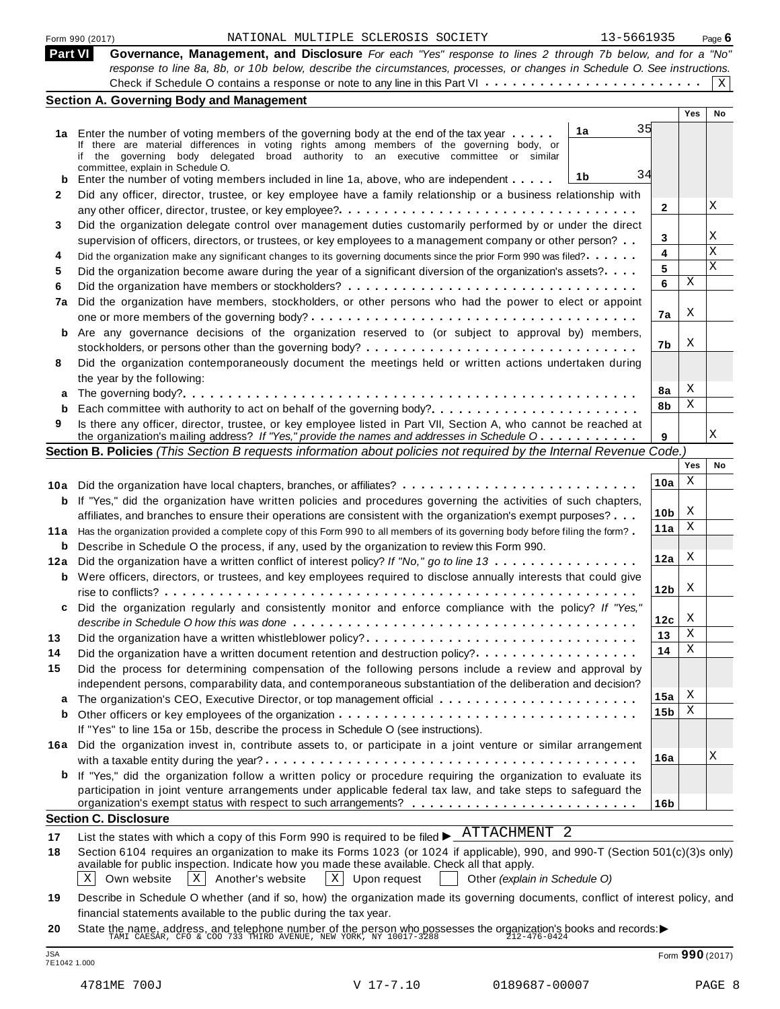Part VI Governance, Management, and Disclosure For each "Yes" response to lines 2 through 7b below, and for a "No" response to line 8a, 8b, or 10b below, describe the circumstances, processes, or changes in Schedule O. See instructions. Check if Schedule O contains a response or note to any line in this Part VI  $\dots \dots \dots \dots \dots \dots \dots \dots \dots$  $|X|$ 

|      |                                                                                                                                                                                                                                 |                 | Yes        | No          |
|------|---------------------------------------------------------------------------------------------------------------------------------------------------------------------------------------------------------------------------------|-----------------|------------|-------------|
|      | 35<br>1a<br>1a Enter the number of voting members of the governing body at the end of the tax year                                                                                                                              |                 |            |             |
|      | If there are material differences in voting rights among members of the governing body, or                                                                                                                                      |                 |            |             |
|      | if the governing body delegated broad authority to an executive committee or similar<br>committee, explain in Schedule O.                                                                                                       |                 |            |             |
| b    | 34<br>1b<br>Enter the number of voting members included in line 1a, above, who are independent                                                                                                                                  |                 |            |             |
|      | Did any officer, director, trustee, or key employee have a family relationship or a business relationship with                                                                                                                  |                 |            |             |
|      |                                                                                                                                                                                                                                 | 2               |            | Χ           |
|      | Did the organization delegate control over management duties customarily performed by or under the direct                                                                                                                       |                 |            |             |
|      | supervision of officers, directors, or trustees, or key employees to a management company or other person?                                                                                                                      | 3               |            | Χ           |
|      | Did the organization make any significant changes to its governing documents since the prior Form 990 was filed?                                                                                                                | 4               |            | $\mathbf x$ |
|      | Did the organization become aware during the year of a significant diversion of the organization's assets?                                                                                                                      | 5               |            | X           |
|      |                                                                                                                                                                                                                                 | 6               | Χ          |             |
|      | Did the organization have members, stockholders, or other persons who had the power to elect or appoint                                                                                                                         |                 |            |             |
|      |                                                                                                                                                                                                                                 | 7a              | X          |             |
| b    | Are any governance decisions of the organization reserved to (or subject to approval by) members,                                                                                                                               |                 |            |             |
|      | stockholders, or persons other than the governing body? $\dots \dots \dots \dots \dots \dots \dots \dots \dots \dots \dots \dots$                                                                                               | 7b              | Χ          |             |
|      | Did the organization contemporaneously document the meetings held or written actions undertaken during                                                                                                                          |                 |            |             |
|      | the year by the following:                                                                                                                                                                                                      |                 |            |             |
|      |                                                                                                                                                                                                                                 | 8а              | X          |             |
|      |                                                                                                                                                                                                                                 | 8b              | Χ          |             |
|      | Is there any officer, director, trustee, or key employee listed in Part VII, Section A, who cannot be reached at                                                                                                                |                 |            |             |
|      | the organization's mailing address? If "Yes," provide the names and addresses in Schedule O                                                                                                                                     | 9               |            | X           |
|      | Section B. Policies (This Section B requests information about policies not required by the Internal Revenue Code.)                                                                                                             |                 |            |             |
|      |                                                                                                                                                                                                                                 |                 | <b>Yes</b> | No          |
|      |                                                                                                                                                                                                                                 | 10a             | Χ          |             |
| b    | If "Yes," did the organization have written policies and procedures governing the activities of such chapters,                                                                                                                  |                 |            |             |
|      | affiliates, and branches to ensure their operations are consistent with the organization's exempt purposes?                                                                                                                     | 10 <sub>b</sub> | X          |             |
| 11 a | Has the organization provided a complete copy of this Form 990 to all members of its governing body before filing the form?                                                                                                     | 11a             | Χ          |             |
| b    | Describe in Schedule O the process, if any, used by the organization to review this Form 990.                                                                                                                                   |                 |            |             |
|      | Did the organization have a written conflict of interest policy? If "No," go to line 13                                                                                                                                         | 12a             | Χ          |             |
| b    | Were officers, directors, or trustees, and key employees required to disclose annually interests that could give                                                                                                                |                 |            |             |
|      |                                                                                                                                                                                                                                 | 12 <sub>b</sub> | X          |             |
|      | Did the organization regularly and consistently monitor and enforce compliance with the policy? If "Yes,"                                                                                                                       |                 |            |             |
|      |                                                                                                                                                                                                                                 | 12c             | X          |             |
|      |                                                                                                                                                                                                                                 | 13              | Χ          |             |
|      | Did the organization have a written document retention and destruction policy?                                                                                                                                                  | 14              | Χ          |             |
|      | Did the process for determining compensation of the following persons include a review and approval by                                                                                                                          |                 |            |             |
|      | independent persons, comparability data, and contemporaneous substantiation of the deliberation and decision?                                                                                                                   |                 |            |             |
| a    |                                                                                                                                                                                                                                 | 15a             | X          |             |
| b    |                                                                                                                                                                                                                                 | 15 <sub>b</sub> | Χ          |             |
|      | If "Yes" to line 15a or 15b, describe the process in Schedule O (see instructions).                                                                                                                                             |                 |            |             |
|      | 16a Did the organization invest in, contribute assets to, or participate in a joint venture or similar arrangement                                                                                                              |                 |            |             |
|      |                                                                                                                                                                                                                                 | 16a             |            | Χ           |
|      | b If "Yes," did the organization follow a written policy or procedure requiring the organization to evaluate its                                                                                                                |                 |            |             |
|      | participation in joint venture arrangements under applicable federal tax law, and take steps to safeguard the                                                                                                                   |                 |            |             |
|      |                                                                                                                                                                                                                                 | 16 <sub>b</sub> |            |             |
|      | <b>Section C. Disclosure</b>                                                                                                                                                                                                    |                 |            |             |
|      | List the states with which a copy of this Form 990 is required to be filed $\blacktriangleright$ ATTACHMENT 2                                                                                                                   |                 |            |             |
|      |                                                                                                                                                                                                                                 |                 |            |             |
|      | Section 6104 requires an organization to make its Forms 1023 (or 1024 if applicable), 990, and 990-T (Section 501(c)(3)s only)<br>available for public inspection. Indicate how you made these available. Check all that apply. |                 |            |             |

 $\boxed{X}$  Own website  $\boxed{X}$  Another's website  $\boxed{X}$  Upon request  $\boxed{X}$  Other *(explain in Schedule O)*  $\boxed{\text{X}}$  Another's website

**19** Describe in Schedule O whether (and if so, how) the organization made its governing documents, conflict of interest policy, and financial statements available to the public during the tax year.

**20** nnancial statements available to the public during the tax year.<br>State the name, address, and telephone number of the person who possesses the organization's books and records:<br>TAMI CAESAR, CFO & COO 733 THIRD AVENUE, NEW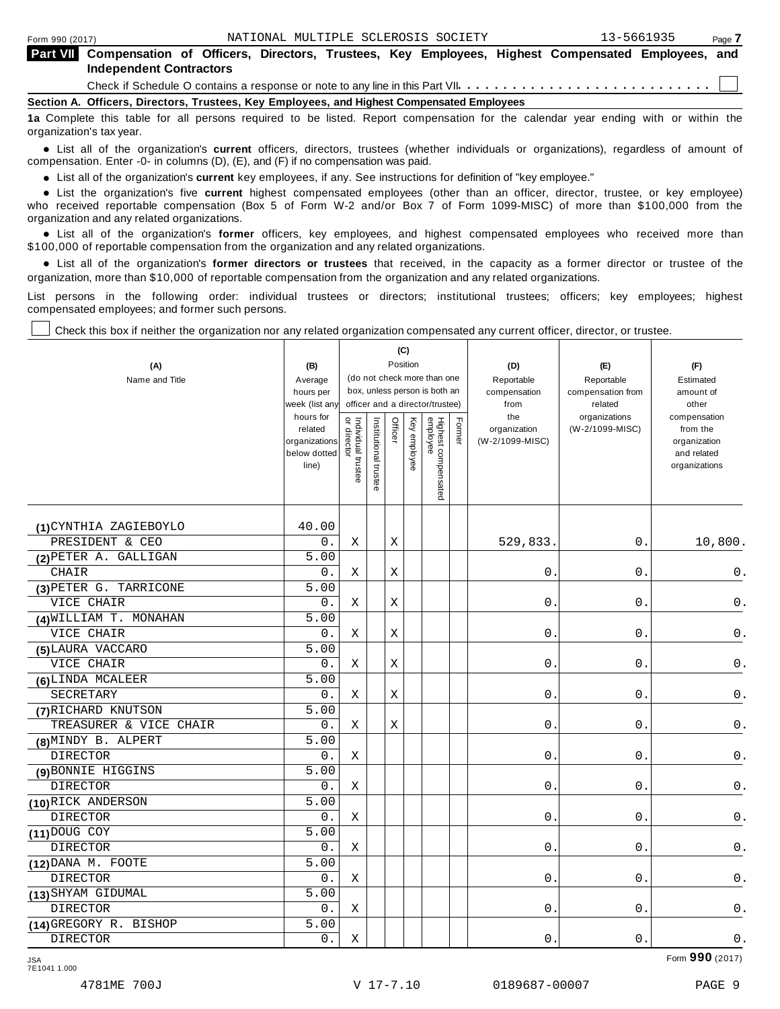| <b>Part VII</b> Compensation of Officers, Directors, Trustees, Key Employees, Highest Compensated Employees, and<br><b>Independent Contractors</b> |
|----------------------------------------------------------------------------------------------------------------------------------------------------|
|                                                                                                                                                    |
| Section A. Officers, Directors, Trustees, Key Employees, and Highest Compensated Employees                                                         |
| 1a Complete this table for all persons required to be listed. Report compensation for the calendar year ending with or within the                  |

10 be listed. Report compensation for the calendar year ending with or within the organization's tax year.

anization's lax year.<br>● List all of the organization's **current** officers, directors, trustees (whether individuals or organizations), regardless of amount of<br>nnensation Enter -0- in columns (D) (E) and (E) if no compensa compensation. Enter -0- in columns (D), (E), and (F) if no compensation was paid.

• List all of the organization's **current** key employees, if any. See instructions for definition of "key employee."<br>● List the experientials five expect highest expressed explores (other than an efficer director of

**Example in the organization's current** key employees, if any. See instructions for definition of key employee.<br>• List the organization's five **current** highest compensated employees (other than an officer, director, trust who received reportable compensation (Box 5 of Form W-2 and/or Box 7 of Form 1099-MISC) of more than \$100,000 from the

organization and any related organizations.<br>• List all of the organization's **former** officers, key employees, and highest compensated employees who received more than<br>\$1.00.000 of reportable componention from the erganiza \$100,000 of reportable compensation from the organization and any related organizations.

% List all of the organization's **former directors or trustees** that received, in the capacity as a former director or trustee of the organization, more than \$10,000 of reportable compensation from the organization and any related organizations.

List persons in the following order: individual trustees or directors; institutional trustees; officers; key employees; highest compensated employees; and former such persons.

┯

Τ

Check this box if neither the organization nor any related organization compensated any current officer, director, or trustee.

Т

| (A)<br>Name and Title  | (B)<br>Average<br>hours per<br>week (list any<br>hours for<br>related<br>organizations<br>below dotted<br>line) | Individual trustee<br>or director | Institutional trustee | Officer | (C)<br>Position<br>Key employee | (do not check more than one<br>box, unless person is both an<br>officer and a director/trustee)<br>Highest compensated<br>employee | Former | (D)<br>Reportable<br>compensation<br>from<br>the<br>organization<br>(W-2/1099-MISC) | (E)<br>Reportable<br>compensation from<br>related<br>organizations<br>(W-2/1099-MISC) | (F)<br>Estimated<br>amount of<br>other<br>compensation<br>from the<br>organization<br>and related<br>organizations |
|------------------------|-----------------------------------------------------------------------------------------------------------------|-----------------------------------|-----------------------|---------|---------------------------------|------------------------------------------------------------------------------------------------------------------------------------|--------|-------------------------------------------------------------------------------------|---------------------------------------------------------------------------------------|--------------------------------------------------------------------------------------------------------------------|
|                        |                                                                                                                 |                                   |                       |         |                                 |                                                                                                                                    |        |                                                                                     |                                                                                       |                                                                                                                    |
| (1) CYNTHIA ZAGIEBOYLO | 40.00                                                                                                           |                                   |                       |         |                                 |                                                                                                                                    |        |                                                                                     |                                                                                       |                                                                                                                    |
| PRESIDENT & CEO        | 0.                                                                                                              | Χ                                 |                       | Χ       |                                 |                                                                                                                                    |        | 529,833.                                                                            | 0.                                                                                    | 10,800.                                                                                                            |
| (2) PETER A. GALLIGAN  | 5.00                                                                                                            |                                   |                       |         |                                 |                                                                                                                                    |        |                                                                                     |                                                                                       |                                                                                                                    |
| CHAIR                  | 0.                                                                                                              | X                                 |                       | Χ       |                                 |                                                                                                                                    |        | 0.                                                                                  | $0$ .                                                                                 | 0.                                                                                                                 |
| (3) PETER G. TARRICONE | 5.00                                                                                                            |                                   |                       |         |                                 |                                                                                                                                    |        |                                                                                     |                                                                                       |                                                                                                                    |
| VICE CHAIR             | 0.                                                                                                              | Χ                                 |                       | X       |                                 |                                                                                                                                    |        | $0$ .                                                                               | $0$ .                                                                                 | $\mathsf 0$ .                                                                                                      |
| (4) WILLIAM T. MONAHAN | 5.00                                                                                                            |                                   |                       |         |                                 |                                                                                                                                    |        |                                                                                     |                                                                                       |                                                                                                                    |
| VICE CHAIR             | 0.                                                                                                              | Χ                                 |                       | Χ       |                                 |                                                                                                                                    |        | 0.                                                                                  | 0.                                                                                    | 0.                                                                                                                 |
| (5) LAURA VACCARO      | 5.00                                                                                                            |                                   |                       |         |                                 |                                                                                                                                    |        |                                                                                     |                                                                                       |                                                                                                                    |
| VICE CHAIR             | 0.                                                                                                              | Χ                                 |                       | Χ       |                                 |                                                                                                                                    |        | 0.                                                                                  | 0.                                                                                    | $\mathsf 0$ .                                                                                                      |
| (6) LINDA MCALEER      | 5.00                                                                                                            |                                   |                       |         |                                 |                                                                                                                                    |        |                                                                                     |                                                                                       |                                                                                                                    |
| SECRETARY              | 0.                                                                                                              | Χ                                 |                       | Χ       |                                 |                                                                                                                                    |        | $0$ .                                                                               | $0$ .                                                                                 | $0$ .                                                                                                              |
| (7) RICHARD KNUTSON    | 5.00                                                                                                            |                                   |                       |         |                                 |                                                                                                                                    |        |                                                                                     |                                                                                       |                                                                                                                    |
| TREASURER & VICE CHAIR | 0.                                                                                                              | Χ                                 |                       | Χ       |                                 |                                                                                                                                    |        | 0.                                                                                  | 0.                                                                                    | 0.                                                                                                                 |
| (8) MINDY B. ALPERT    | 5.00                                                                                                            |                                   |                       |         |                                 |                                                                                                                                    |        |                                                                                     |                                                                                       |                                                                                                                    |
| DIRECTOR               | $0$ .                                                                                                           | Χ                                 |                       |         |                                 |                                                                                                                                    |        | $0$ .                                                                               | 0.                                                                                    | 0.                                                                                                                 |
| (9) BONNIE HIGGINS     | 5.00                                                                                                            |                                   |                       |         |                                 |                                                                                                                                    |        |                                                                                     |                                                                                       |                                                                                                                    |
| DIRECTOR               | 0.                                                                                                              | Χ                                 |                       |         |                                 |                                                                                                                                    |        | $0$ .                                                                               | $0$ .                                                                                 | $\mathsf 0$ .                                                                                                      |
| (10) RICK ANDERSON     | 5.00                                                                                                            |                                   |                       |         |                                 |                                                                                                                                    |        |                                                                                     |                                                                                       |                                                                                                                    |
| <b>DIRECTOR</b>        | 0.                                                                                                              | Χ                                 |                       |         |                                 |                                                                                                                                    |        | 0.                                                                                  | 0.                                                                                    | $0$ .                                                                                                              |
| $(11)$ DOUG COY        | 5.00                                                                                                            |                                   |                       |         |                                 |                                                                                                                                    |        |                                                                                     |                                                                                       |                                                                                                                    |
| DIRECTOR               | 0.                                                                                                              | Χ                                 |                       |         |                                 |                                                                                                                                    |        | 0.                                                                                  | $0$ .                                                                                 | 0.                                                                                                                 |
| $(12)$ DANA M. FOOTE   | $\overline{5.00}$                                                                                               |                                   |                       |         |                                 |                                                                                                                                    |        |                                                                                     |                                                                                       |                                                                                                                    |
| <b>DIRECTOR</b>        | 0.                                                                                                              | Χ                                 |                       |         |                                 |                                                                                                                                    |        | 0.                                                                                  | 0.                                                                                    | 0.                                                                                                                 |
| (13) SHYAM GIDUMAL     | 5.00                                                                                                            |                                   |                       |         |                                 |                                                                                                                                    |        |                                                                                     |                                                                                       |                                                                                                                    |
| DIRECTOR               | 0.                                                                                                              | Χ                                 |                       |         |                                 |                                                                                                                                    |        | 0.                                                                                  | $0$ .                                                                                 | 0.                                                                                                                 |
| (14) GREGORY R. BISHOP | 5.00                                                                                                            |                                   |                       |         |                                 |                                                                                                                                    |        |                                                                                     |                                                                                       |                                                                                                                    |
| DIRECTOR               | 0.                                                                                                              | Χ                                 |                       |         |                                 |                                                                                                                                    |        | 0.                                                                                  | 0.                                                                                    | $0$ .                                                                                                              |

Form **990** (2017) JSA 7E1041 1.000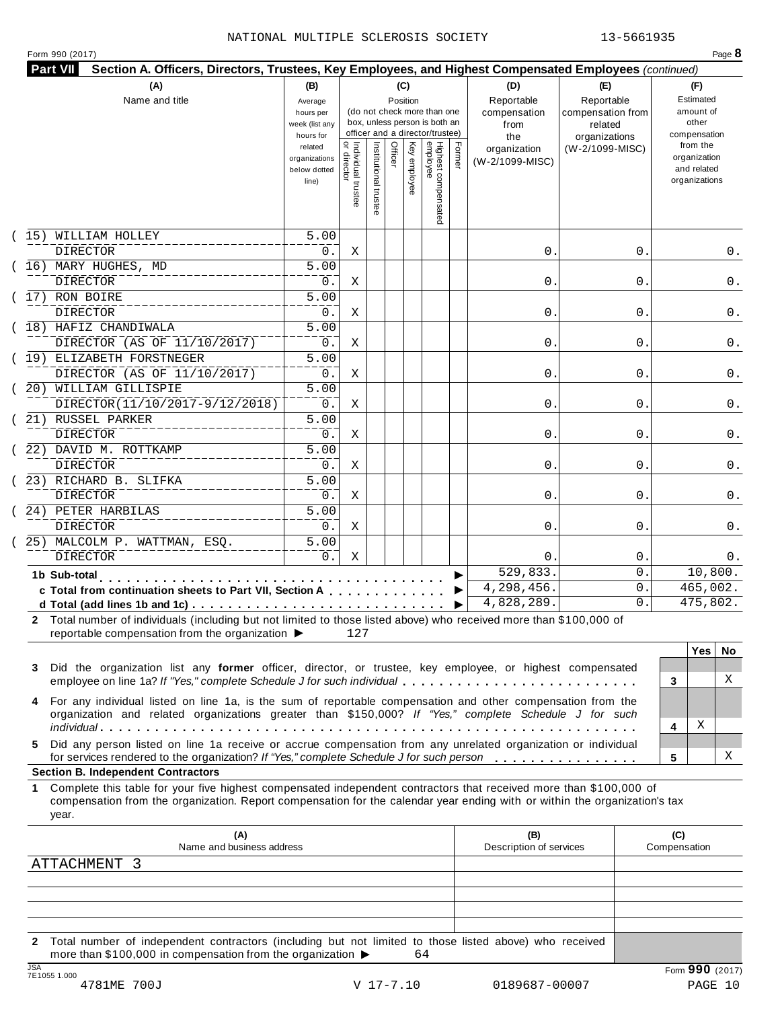|                    | <b>Part VII</b><br>Section A. Officers, Directors, Trustees, Key Employees, and Highest Compensated Employees (continued)<br>(A) | (B)                      |                                     |                       |         | (C)          |                                 |        |                         |                   |                          |
|--------------------|----------------------------------------------------------------------------------------------------------------------------------|--------------------------|-------------------------------------|-----------------------|---------|--------------|---------------------------------|--------|-------------------------|-------------------|--------------------------|
|                    | Name and title                                                                                                                   | Average                  |                                     |                       |         | Position     |                                 |        | (D)<br>Reportable       | (E)<br>Reportable | (F)<br>Estimated         |
|                    |                                                                                                                                  | hours per                |                                     |                       |         |              | (do not check more than one     |        | compensation            | compensation from | amount of                |
|                    |                                                                                                                                  | week (list any           |                                     |                       |         |              | box, unless person is both an   |        | from                    | related           | other                    |
|                    |                                                                                                                                  | hours for                |                                     |                       |         |              | officer and a director/trustee) |        | the                     | organizations     | compensation<br>from the |
|                    |                                                                                                                                  | related<br>organizations |                                     |                       | Officer |              |                                 | Former | organization            | (W-2/1099-MISC)   | organization             |
|                    |                                                                                                                                  | below dotted             |                                     |                       |         |              |                                 |        | (W-2/1099-MISC)         |                   | and related              |
|                    |                                                                                                                                  | line)                    |                                     |                       |         | Key employee |                                 |        |                         |                   | organizations            |
|                    |                                                                                                                                  |                          | Individual trustee<br>  or director | Institutional trustee |         |              |                                 |        |                         |                   |                          |
|                    |                                                                                                                                  |                          |                                     |                       |         |              | Highest compensated<br>employee |        |                         |                   |                          |
| 15)                | WILLIAM HOLLEY                                                                                                                   | 5.00                     |                                     |                       |         |              |                                 |        |                         |                   |                          |
|                    | <b>DIRECTOR</b>                                                                                                                  | 0.                       | Χ                                   |                       |         |              |                                 |        | 0.                      | 0                 | 0.                       |
|                    | (16) MARY HUGHES, MD                                                                                                             | $\overline{5.00}$        |                                     |                       |         |              |                                 |        |                         |                   |                          |
|                    | <b>DIRECTOR</b>                                                                                                                  | 0.                       | Χ                                   |                       |         |              |                                 |        | 0.                      | 0                 | 0.                       |
|                    | 17) RON BOIRE                                                                                                                    | $\overline{5.00}$        |                                     |                       |         |              |                                 |        |                         |                   |                          |
|                    | <b>DIRECTOR</b>                                                                                                                  | 0.                       | Χ                                   |                       |         |              |                                 |        | 0.                      | 0                 | 0.                       |
|                    | (18) HAFIZ CHANDIWALA                                                                                                            | $\overline{5.00}$        |                                     |                       |         |              |                                 |        |                         |                   |                          |
|                    | DIRECTOR (AS OF 11/10/2017)                                                                                                      | 0.                       | Χ                                   |                       |         |              |                                 |        | 0.                      | 0                 | 0.                       |
|                    | (19) ELIZABETH FORSTNEGER                                                                                                        | $\overline{5.00}$        |                                     |                       |         |              |                                 |        |                         |                   |                          |
|                    | DIRECTOR (AS OF 11/10/2017)                                                                                                      |                          |                                     |                       |         |              |                                 |        | 0.                      |                   |                          |
|                    | 20) WILLIAM GILLISPIE                                                                                                            | 0.                       | Χ                                   |                       |         |              |                                 |        |                         | 0                 | 0.                       |
|                    |                                                                                                                                  | 5.00                     |                                     |                       |         |              |                                 |        |                         |                   |                          |
|                    | DIRECTOR(11/10/2017-9/12/2018)                                                                                                   | 0.                       | Χ                                   |                       |         |              |                                 |        | 0.                      | 0                 | 0.                       |
|                    | 21) RUSSEL PARKER                                                                                                                | $\overline{5.00}$        |                                     |                       |         |              |                                 |        |                         |                   |                          |
|                    | <b>DIRECTOR</b>                                                                                                                  | 0.                       | Χ                                   |                       |         |              |                                 |        | 0.                      | 0                 | 0.                       |
|                    | 22) DAVID M. ROTTKAMP                                                                                                            | $\overline{5.00}$        |                                     |                       |         |              |                                 |        |                         |                   |                          |
|                    | DIRECTOR                                                                                                                         | 0.                       | Χ                                   |                       |         |              |                                 |        | 0.                      | 0                 | 0.                       |
|                    | 23) RICHARD B. SLIFKA                                                                                                            | $\overline{5.00}$        |                                     |                       |         |              |                                 |        |                         |                   |                          |
|                    | DIRECTOR                                                                                                                         | 0.                       | Χ                                   |                       |         |              |                                 |        | 0.                      | 0                 | 0.                       |
|                    | 24) PETER HARBILAS                                                                                                               | 5.00                     |                                     |                       |         |              |                                 |        |                         |                   |                          |
|                    | <b>DIRECTOR</b>                                                                                                                  | 0.                       | Χ                                   |                       |         |              |                                 |        | 0.                      | 0                 | 0.                       |
|                    | 25) MALCOLM P. WATTMAN, ESQ.                                                                                                     | 5.00                     |                                     |                       |         |              |                                 |        |                         |                   |                          |
|                    | <b>DIRECTOR</b>                                                                                                                  | 0.                       | Χ                                   |                       |         |              |                                 |        | 0                       | 0                 | 0.                       |
|                    | 1b Sub-total                                                                                                                     |                          |                                     |                       |         |              |                                 |        | 529,833.                | $\mathbf 0$ .     | 10,800.                  |
|                    | c Total from continuation sheets to Part VII, Section A                                                                          |                          |                                     |                       |         |              |                                 |        | 4,298,456.              | $\mathbf 0$ .     | 465,002.                 |
|                    | d Total (add lines 1b and 1c) $\ldots \ldots \ldots \ldots \ldots \ldots \ldots \ldots \ldots \ldots$                            |                          |                                     |                       |         |              |                                 | ▶      | 4,828,289.              | 0.                | 475,802.                 |
|                    | 2 Total number of individuals (including but not limited to those listed above) who received more than \$100,000 of              |                          |                                     |                       |         |              |                                 |        |                         |                   |                          |
|                    | reportable compensation from the organization $\blacktriangleright$                                                              |                          | 127                                 |                       |         |              |                                 |        |                         |                   |                          |
|                    |                                                                                                                                  |                          |                                     |                       |         |              |                                 |        |                         |                   | <b>Yes</b><br>No.        |
|                    | Did the organization list any former officer, director, or trustee, key employee, or highest compensated                         |                          |                                     |                       |         |              |                                 |        |                         |                   |                          |
|                    |                                                                                                                                  |                          |                                     |                       |         |              |                                 |        |                         |                   | X<br>3                   |
|                    | employee on line 1a? If "Yes," complete Schedule J for such individual                                                           |                          |                                     |                       |         |              |                                 |        |                         |                   |                          |
|                    | For any individual listed on line 1a, is the sum of reportable compensation and other compensation from the                      |                          |                                     |                       |         |              |                                 |        |                         |                   |                          |
|                    | organization and related organizations greater than \$150,000? If "Yes," complete Schedule J for such                            |                          |                                     |                       |         |              |                                 |        |                         |                   |                          |
|                    |                                                                                                                                  |                          |                                     |                       |         |              |                                 |        |                         |                   | Χ<br>4                   |
|                    | Did any person listed on line 1a receive or accrue compensation from any unrelated organization or individual                    |                          |                                     |                       |         |              |                                 |        |                         |                   |                          |
|                    | for services rendered to the organization? If "Yes," complete Schedule J for such person                                         |                          |                                     |                       |         |              |                                 |        |                         |                   | 5                        |
|                    | <b>Section B. Independent Contractors</b>                                                                                        |                          |                                     |                       |         |              |                                 |        |                         |                   | х                        |
| 3<br>4<br>5.<br>1. | Complete this table for your five highest compensated independent contractors that received more than \$100,000 of               |                          |                                     |                       |         |              |                                 |        |                         |                   |                          |
|                    | compensation from the organization. Report compensation for the calendar year ending with or within the organization's tax       |                          |                                     |                       |         |              |                                 |        |                         |                   |                          |
|                    | year.                                                                                                                            |                          |                                     |                       |         |              |                                 |        |                         |                   |                          |
|                    | (A)                                                                                                                              |                          |                                     |                       |         |              |                                 |        | (B)                     |                   | (C)                      |
|                    | Name and business address<br>ATTACHMENT 3                                                                                        |                          |                                     |                       |         |              |                                 |        | Description of services |                   | Compensation             |

**2** Total number of independent contractors (including but not limited to those listed above) who received<br>more than \$100,000 in compensation from the organization  $\triangleright$  64 TE1055 1.000<br>
TE1055 1.000<br>
4781ME 700J<br>
4781ME 700J<br>
20189687-00007<br>
20189687-00007<br>
20189687-00007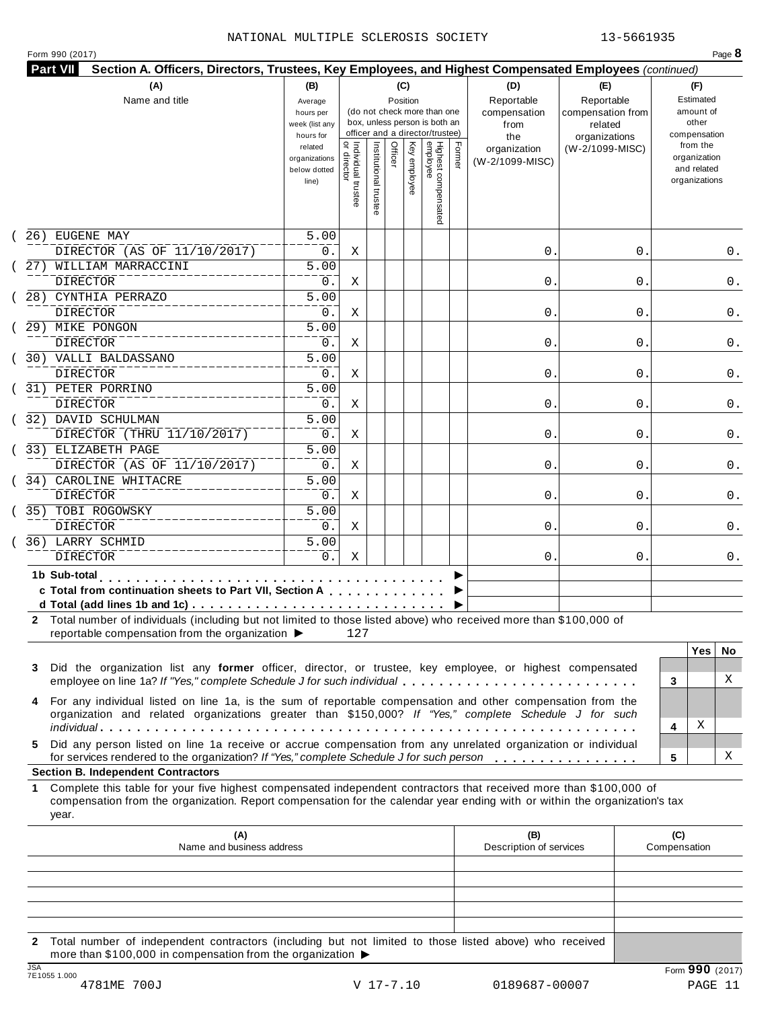|  | Form 990 (2017) |  |
|--|-----------------|--|
|  |                 |  |

| <b>Part VII</b><br>Section A. Officers, Directors, Trustees, Key Employees, and Highest Compensated Employees (continued)<br>(A)                                                                                                                                                                                                                           | (B)                                                            |                                     |                       |         | (C)          |                                                                    |        |                                           |                                                   |   |                                                                          |     |
|------------------------------------------------------------------------------------------------------------------------------------------------------------------------------------------------------------------------------------------------------------------------------------------------------------------------------------------------------------|----------------------------------------------------------------|-------------------------------------|-----------------------|---------|--------------|--------------------------------------------------------------------|--------|-------------------------------------------|---------------------------------------------------|---|--------------------------------------------------------------------------|-----|
| Name and title                                                                                                                                                                                                                                                                                                                                             | Average<br>hours per<br>week (list any                         |                                     |                       |         | Position     | (do not check more than one<br>box, unless person is both an       |        | (D)<br>Reportable<br>compensation<br>from | (E)<br>Reportable<br>compensation from<br>related |   | (F)<br>Estimated<br>amount of<br>other                                   |     |
|                                                                                                                                                                                                                                                                                                                                                            | hours for<br>related<br>organizations<br>below dotted<br>line) | Individual trustee<br>  or director | Institutional trustee | Officer | Key employee | officer and a director/trustee)<br>Highest compensated<br>employee | Former | the<br>organization<br>(W-2/1099-MISC)    | organizations<br>(W-2/1099-MISC)                  |   | compensation<br>from the<br>organization<br>and related<br>organizations |     |
| 26) EUGENE MAY                                                                                                                                                                                                                                                                                                                                             | 5.00                                                           |                                     |                       |         |              |                                                                    |        |                                           |                                                   |   |                                                                          |     |
| DIRECTOR (AS OF 11/10/2017)                                                                                                                                                                                                                                                                                                                                | 0.                                                             | Χ                                   |                       |         |              |                                                                    |        | 0.                                        |                                                   | 0 |                                                                          | 0.  |
| 27) WILLIAM MARRACCINI<br><b>DIRECTOR</b>                                                                                                                                                                                                                                                                                                                  | 5.00<br>0.                                                     | Χ                                   |                       |         |              |                                                                    |        | 0.                                        |                                                   | 0 |                                                                          | 0.  |
| 28) CYNTHIA PERRAZO                                                                                                                                                                                                                                                                                                                                        | $\overline{5.00}$                                              |                                     |                       |         |              |                                                                    |        |                                           |                                                   |   |                                                                          |     |
| <b>DIRECTOR</b>                                                                                                                                                                                                                                                                                                                                            | 0.<br>$\overline{5.00}$                                        | Χ                                   |                       |         |              |                                                                    |        | 0.                                        |                                                   | 0 |                                                                          | 0.  |
| 29) MIKE PONGON<br><b>DIRECTOR</b>                                                                                                                                                                                                                                                                                                                         | 0.                                                             | Χ                                   |                       |         |              |                                                                    |        | 0.                                        |                                                   | 0 |                                                                          | 0.  |
| 30) VALLI BALDASSANO                                                                                                                                                                                                                                                                                                                                       | $\overline{5.00}$                                              |                                     |                       |         |              |                                                                    |        |                                           |                                                   |   |                                                                          |     |
| DIRECTOR                                                                                                                                                                                                                                                                                                                                                   | 0.                                                             | Χ                                   |                       |         |              |                                                                    |        | 0.                                        |                                                   | 0 |                                                                          | 0.  |
| 31) PETER PORRINO                                                                                                                                                                                                                                                                                                                                          | 5.00                                                           |                                     |                       |         |              |                                                                    |        |                                           |                                                   |   |                                                                          |     |
| <b>DIRECTOR</b>                                                                                                                                                                                                                                                                                                                                            | 0.                                                             | Χ                                   |                       |         |              |                                                                    |        | 0.                                        |                                                   | 0 |                                                                          | 0.  |
| 32) DAVID SCHULMAN                                                                                                                                                                                                                                                                                                                                         | $\overline{5.00}$                                              |                                     |                       |         |              |                                                                    |        |                                           |                                                   |   |                                                                          |     |
| DIRECTOR (THRU 11/10/2017)                                                                                                                                                                                                                                                                                                                                 | $0$ .                                                          | Χ                                   |                       |         |              |                                                                    |        | 0.                                        |                                                   | 0 |                                                                          | 0.  |
| 33) ELIZABETH PAGE                                                                                                                                                                                                                                                                                                                                         | $\overline{5.00}$                                              |                                     |                       |         |              |                                                                    |        |                                           |                                                   |   |                                                                          |     |
| DIRECTOR (AS OF 11/10/2017)                                                                                                                                                                                                                                                                                                                                | 0.                                                             | Χ                                   |                       |         |              |                                                                    |        | 0.                                        |                                                   | 0 |                                                                          | 0.  |
| 34) CAROLINE WHITACRE                                                                                                                                                                                                                                                                                                                                      | 5.00                                                           |                                     |                       |         |              |                                                                    |        |                                           |                                                   |   |                                                                          |     |
| <b>DIRECTOR</b>                                                                                                                                                                                                                                                                                                                                            | 0.                                                             | Χ                                   |                       |         |              |                                                                    |        | 0.                                        |                                                   | 0 |                                                                          | 0.  |
| 35) TOBI ROGOWSKY                                                                                                                                                                                                                                                                                                                                          | 5.00                                                           |                                     |                       |         |              |                                                                    |        |                                           |                                                   |   |                                                                          |     |
| <b>DIRECTOR</b>                                                                                                                                                                                                                                                                                                                                            | 0.                                                             | Χ                                   |                       |         |              |                                                                    |        | 0.                                        |                                                   | 0 |                                                                          | 0.  |
| 36) LARRY SCHMID                                                                                                                                                                                                                                                                                                                                           | $\overline{5.00}$                                              |                                     |                       |         |              |                                                                    |        |                                           |                                                   |   |                                                                          |     |
| <b>DIRECTOR</b>                                                                                                                                                                                                                                                                                                                                            | 0.                                                             | Χ                                   |                       |         |              |                                                                    |        | 0.                                        |                                                   | 0 |                                                                          | 0.  |
| 1b Sub-total<br>c Total from continuation sheets to Part VII, Section A<br>d Total (add lines 1b and 1c) $\ldots \ldots \ldots \ldots \ldots \ldots \ldots \ldots \ldots \ldots$<br>2 Total number of individuals (including but not limited to those listed above) who received more than \$100,000 of<br>reportable compensation from the organization ▶ |                                                                | 127                                 |                       |         |              |                                                                    |        |                                           |                                                   |   |                                                                          |     |
|                                                                                                                                                                                                                                                                                                                                                            |                                                                |                                     |                       |         |              |                                                                    |        |                                           |                                                   |   | <b>Yes</b>                                                               | No. |
| Did the organization list any former officer, director, or trustee, key employee, or highest compensated<br>3<br>employee on line 1a? If "Yes," complete Schedule J for such individual                                                                                                                                                                    |                                                                |                                     |                       |         |              |                                                                    |        |                                           |                                                   | 3 |                                                                          | X   |
| For any individual listed on line 1a, is the sum of reportable compensation and other compensation from the<br>4<br>organization and related organizations greater than \$150,000? If "Yes," complete Schedule J for such                                                                                                                                  |                                                                |                                     |                       |         |              |                                                                    |        |                                           |                                                   |   |                                                                          |     |
|                                                                                                                                                                                                                                                                                                                                                            |                                                                |                                     |                       |         |              |                                                                    |        |                                           |                                                   | 4 | Χ                                                                        |     |
| Did any person listed on line 1a receive or accrue compensation from any unrelated organization or individual<br>5.<br>for services rendered to the organization? If "Yes," complete Schedule J for such person                                                                                                                                            |                                                                |                                     |                       |         |              |                                                                    |        |                                           |                                                   | 5 |                                                                          | X   |
| <b>Section B. Independent Contractors</b>                                                                                                                                                                                                                                                                                                                  |                                                                |                                     |                       |         |              |                                                                    |        |                                           |                                                   |   |                                                                          |     |
| Complete this table for your five highest compensated independent contractors that received more than \$100,000 of<br>1.<br>compensation from the organization. Report compensation for the calendar year ending with or within the organization's tax<br>year.                                                                                            |                                                                |                                     |                       |         |              |                                                                    |        |                                           |                                                   |   |                                                                          |     |
| (A)<br>Name and business address                                                                                                                                                                                                                                                                                                                           |                                                                |                                     |                       |         |              |                                                                    |        | (B)<br>Description of services            |                                                   |   | (C)<br>Compensation                                                      |     |
|                                                                                                                                                                                                                                                                                                                                                            |                                                                |                                     |                       |         |              |                                                                    |        |                                           |                                                   |   |                                                                          |     |
|                                                                                                                                                                                                                                                                                                                                                            |                                                                |                                     |                       |         |              |                                                                    |        |                                           |                                                   |   |                                                                          |     |
|                                                                                                                                                                                                                                                                                                                                                            |                                                                |                                     |                       |         |              |                                                                    |        |                                           |                                                   |   |                                                                          |     |
|                                                                                                                                                                                                                                                                                                                                                            |                                                                |                                     |                       |         |              |                                                                    |        |                                           |                                                   |   |                                                                          |     |
|                                                                                                                                                                                                                                                                                                                                                            |                                                                |                                     |                       |         |              |                                                                    |        |                                           |                                                   |   |                                                                          |     |

**2** Total number of independent contractors (including but not limited to those listed above) who received more than \$100,000 in compensation from the organization  $\blacktriangleright$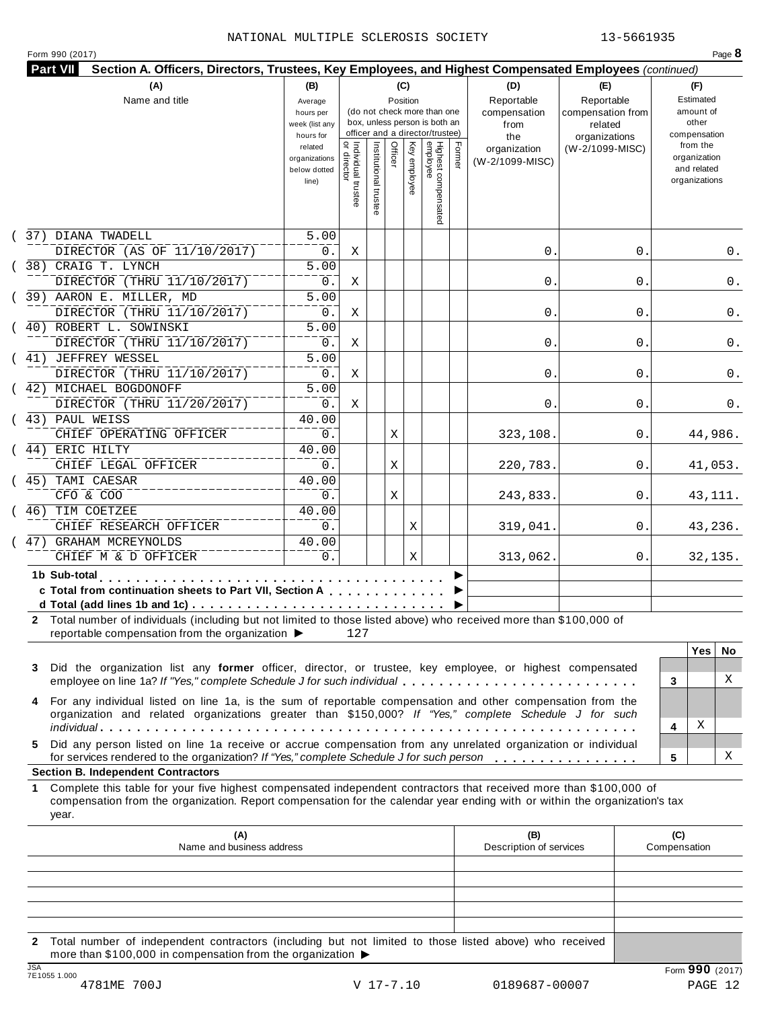| (A)<br>Name and title                                                                                                                                                                                                                                           | (B)<br>Average<br>hours per<br>week (list any<br>hours for |                                     |                       | (C)<br>Position |              | (do not check more than one<br>box, unless person is both an<br>officer and a director/trustee) |        | (D)<br>Reportable<br>compensation<br>from<br>the | (E)<br>Reportable<br>compensation from<br>related<br>organizations | (F)<br>Estimated<br>amount of<br>other<br>compensation   |                   |
|-----------------------------------------------------------------------------------------------------------------------------------------------------------------------------------------------------------------------------------------------------------------|------------------------------------------------------------|-------------------------------------|-----------------------|-----------------|--------------|-------------------------------------------------------------------------------------------------|--------|--------------------------------------------------|--------------------------------------------------------------------|----------------------------------------------------------|-------------------|
|                                                                                                                                                                                                                                                                 | related<br>organizations<br>below dotted<br>line)          | Individual trustee<br>  or director | Institutional trustee | Officer         | Key employee | Highest compensated<br>employee                                                                 | Former | organization<br>(W-2/1099-MISC)                  | (W-2/1099-MISC)                                                    | from the<br>organization<br>and related<br>organizations |                   |
| 37) DIANA TWADELL                                                                                                                                                                                                                                               | 5.00                                                       |                                     |                       |                 |              |                                                                                                 |        |                                                  |                                                                    |                                                          |                   |
| DIRECTOR (AS OF 11/10/2017)                                                                                                                                                                                                                                     | 0.                                                         | Χ                                   |                       |                 |              |                                                                                                 |        | 0.                                               | 0.                                                                 |                                                          | 0.                |
| 38) CRAIG T. LYNCH                                                                                                                                                                                                                                              | 5.00                                                       |                                     |                       |                 |              |                                                                                                 |        |                                                  |                                                                    |                                                          |                   |
| DIRECTOR (THRU 11/10/2017)<br>39) AARON E. MILLER, MD                                                                                                                                                                                                           | $0$ .<br>$\overline{5.00}$                                 | Χ                                   |                       |                 |              |                                                                                                 |        | 0.                                               | 0                                                                  |                                                          | 0.                |
| DIRECTOR (THRU 11/10/2017)                                                                                                                                                                                                                                      | $0$ .                                                      | Χ                                   |                       |                 |              |                                                                                                 |        | 0.                                               | 0                                                                  |                                                          | 0.                |
| 40) ROBERT L. SOWINSKI                                                                                                                                                                                                                                          | $\overline{5.00}$                                          |                                     |                       |                 |              |                                                                                                 |        |                                                  |                                                                    |                                                          |                   |
| DIRECTOR (THRU 11/10/2017)                                                                                                                                                                                                                                      | $0$ .                                                      | Χ                                   |                       |                 |              |                                                                                                 |        | 0.                                               | 0                                                                  |                                                          | 0.                |
| ( 41) JEFFREY WESSEL                                                                                                                                                                                                                                            | $\overline{5.00}$                                          |                                     |                       |                 |              |                                                                                                 |        |                                                  |                                                                    |                                                          |                   |
| DIRECTOR (THRU 11/10/2017)                                                                                                                                                                                                                                      | $0$ .                                                      | Χ                                   |                       |                 |              |                                                                                                 |        | 0.                                               | 0                                                                  |                                                          | 0.                |
| ( 42) MICHAEL BOGDONOFF                                                                                                                                                                                                                                         | 5.00                                                       |                                     |                       |                 |              |                                                                                                 |        |                                                  |                                                                    |                                                          |                   |
| DIRECTOR (THRU 11/20/2017)                                                                                                                                                                                                                                      | $0$ .                                                      | Χ                                   |                       |                 |              |                                                                                                 |        | 0.                                               | 0                                                                  |                                                          | 0.                |
| (43) PAUL WEISS                                                                                                                                                                                                                                                 | 40.00                                                      |                                     |                       |                 |              |                                                                                                 |        |                                                  |                                                                    |                                                          |                   |
| CHIEF OPERATING OFFICER                                                                                                                                                                                                                                         | 0.                                                         |                                     |                       | Χ               |              |                                                                                                 |        | 323,108.                                         | 0.                                                                 |                                                          | 44,986.           |
| (44) ERIC HILTY                                                                                                                                                                                                                                                 | 40.00                                                      |                                     |                       |                 |              |                                                                                                 |        |                                                  |                                                                    |                                                          |                   |
| CHIEF LEGAL OFFICER                                                                                                                                                                                                                                             | 0.                                                         |                                     |                       | Χ               |              |                                                                                                 |        | 220,783.                                         | 0.                                                                 |                                                          | 41,053.           |
| TAMI CAESAR<br>45)                                                                                                                                                                                                                                              | 40.00                                                      |                                     |                       |                 |              |                                                                                                 |        |                                                  |                                                                    |                                                          |                   |
| CFO & COO                                                                                                                                                                                                                                                       | 0.                                                         |                                     |                       | Χ               |              |                                                                                                 |        | 243,833.                                         | 0.                                                                 |                                                          | 43,111.           |
| TIM COETZEE<br>46)                                                                                                                                                                                                                                              | 40.00                                                      |                                     |                       |                 |              |                                                                                                 |        |                                                  |                                                                    |                                                          |                   |
| CHIEF RESEARCH OFFICER                                                                                                                                                                                                                                          | 0.                                                         |                                     |                       |                 | Χ            |                                                                                                 |        | 319,041.                                         | 0.                                                                 |                                                          | 43,236.           |
| 47) GRAHAM MCREYNOLDS<br>CHIEF M & D OFFICER                                                                                                                                                                                                                    | 40.00<br>0.                                                |                                     |                       |                 | Χ            |                                                                                                 |        | 313,062.                                         | 0.                                                                 |                                                          | 32,135.           |
|                                                                                                                                                                                                                                                                 |                                                            |                                     |                       |                 |              |                                                                                                 |        |                                                  |                                                                    |                                                          |                   |
| 1b Sub-total<br>c Total from continuation sheets to Part VII, Section A                                                                                                                                                                                         |                                                            |                                     |                       |                 |              |                                                                                                 |        |                                                  |                                                                    |                                                          |                   |
|                                                                                                                                                                                                                                                                 |                                                            |                                     |                       |                 |              |                                                                                                 |        |                                                  |                                                                    |                                                          |                   |
| 2 Total number of individuals (including but not limited to those listed above) who received more than \$100,000 of                                                                                                                                             |                                                            |                                     |                       |                 |              |                                                                                                 |        |                                                  |                                                                    |                                                          |                   |
| reportable compensation from the organization ▶                                                                                                                                                                                                                 |                                                            | 127                                 |                       |                 |              |                                                                                                 |        |                                                  |                                                                    |                                                          |                   |
|                                                                                                                                                                                                                                                                 |                                                            |                                     |                       |                 |              |                                                                                                 |        |                                                  |                                                                    |                                                          | <b>Yes</b><br>No. |
| Did the organization list any former officer, director, or trustee, key employee, or highest compensated<br>3                                                                                                                                                   |                                                            |                                     |                       |                 |              |                                                                                                 |        |                                                  |                                                                    |                                                          |                   |
| employee on line 1a? If "Yes," complete Schedule J for such individual                                                                                                                                                                                          |                                                            |                                     |                       |                 |              |                                                                                                 |        |                                                  |                                                                    | 3                                                        | X                 |
| For any individual listed on line 1a, is the sum of reportable compensation and other compensation from the<br>4                                                                                                                                                |                                                            |                                     |                       |                 |              |                                                                                                 |        |                                                  |                                                                    |                                                          |                   |
| organization and related organizations greater than \$150,000? If "Yes," complete Schedule J for such                                                                                                                                                           |                                                            |                                     |                       |                 |              |                                                                                                 |        |                                                  |                                                                    |                                                          | Χ                 |
|                                                                                                                                                                                                                                                                 |                                                            |                                     |                       |                 |              |                                                                                                 |        |                                                  |                                                                    | 4                                                        |                   |
| Did any person listed on line 1a receive or accrue compensation from any unrelated organization or individual<br>5.<br>for services rendered to the organization? If "Yes," complete Schedule J for such person                                                 |                                                            |                                     |                       |                 |              |                                                                                                 |        |                                                  |                                                                    | 5                                                        | X                 |
| <b>Section B. Independent Contractors</b>                                                                                                                                                                                                                       |                                                            |                                     |                       |                 |              |                                                                                                 |        |                                                  |                                                                    |                                                          |                   |
| Complete this table for your five highest compensated independent contractors that received more than \$100,000 of<br>1.<br>compensation from the organization. Report compensation for the calendar year ending with or within the organization's tax<br>year. |                                                            |                                     |                       |                 |              |                                                                                                 |        |                                                  |                                                                    |                                                          |                   |
| (A)                                                                                                                                                                                                                                                             |                                                            |                                     |                       |                 |              |                                                                                                 |        | (B)                                              |                                                                    | (C)                                                      |                   |
| Name and business address                                                                                                                                                                                                                                       |                                                            |                                     |                       |                 |              |                                                                                                 |        | Description of services                          |                                                                    | Compensation                                             |                   |
|                                                                                                                                                                                                                                                                 |                                                            |                                     |                       |                 |              |                                                                                                 |        |                                                  |                                                                    |                                                          |                   |
|                                                                                                                                                                                                                                                                 |                                                            |                                     |                       |                 |              |                                                                                                 |        |                                                  |                                                                    |                                                          |                   |
|                                                                                                                                                                                                                                                                 |                                                            |                                     |                       |                 |              |                                                                                                 |        |                                                  |                                                                    |                                                          |                   |

**2** Total number of independent contractors (including but not limited to those listed above) who received more than \$100,000 in compensation from the organization  $\blacktriangleright$ TO THE UNITE UNITE UNITE UNITE UNITE UNITE UNITE UNITE UNITE UNITE UNITE UNITE UNITE UNITE UNITE UNITE UNITE UNITE<br>
TENSIS 1.000<br>
4781ME 700J V 17-7.10 0189687-00007 PAGE 12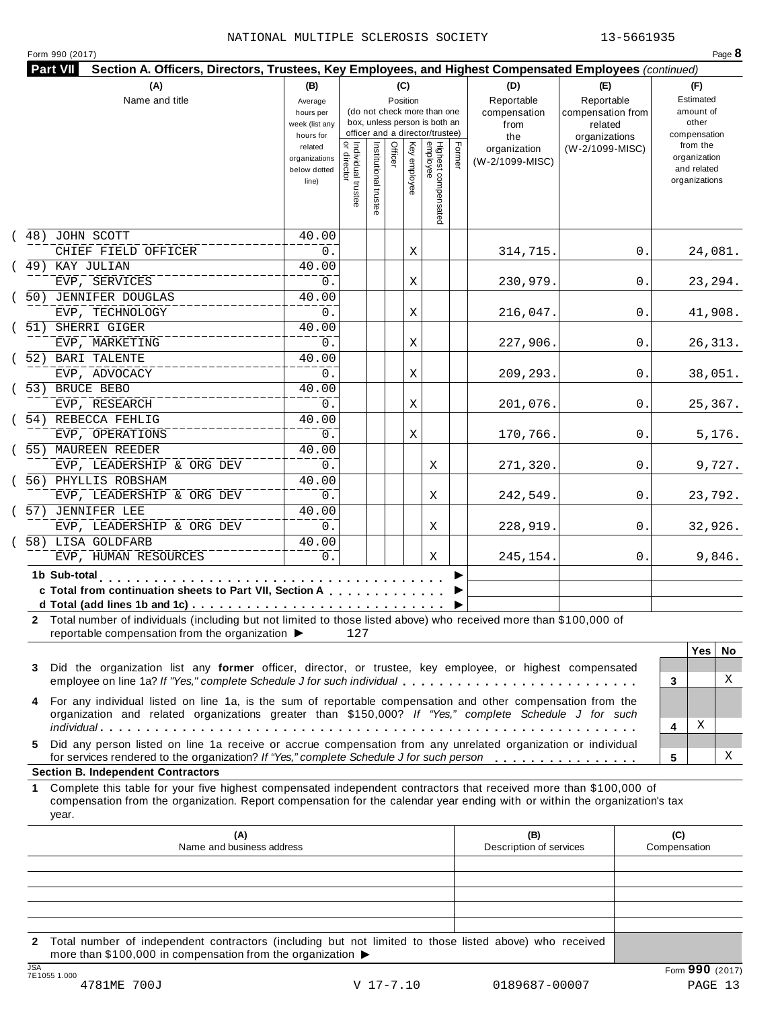| (B)<br>Average            |                                                                                                                                                                        |                                      | (C)                          |                                                                    |                                                         | (D)                                                                                                           | (E)                                                                                                | (F)                                                                                                                                                                                                                                                                                                                                                                                                                                                                                                                                                                                                                                                                                                                                                                                                                                                                                                                                                                                                                                                                  |
|---------------------------|------------------------------------------------------------------------------------------------------------------------------------------------------------------------|--------------------------------------|------------------------------|--------------------------------------------------------------------|---------------------------------------------------------|---------------------------------------------------------------------------------------------------------------|----------------------------------------------------------------------------------------------------|----------------------------------------------------------------------------------------------------------------------------------------------------------------------------------------------------------------------------------------------------------------------------------------------------------------------------------------------------------------------------------------------------------------------------------------------------------------------------------------------------------------------------------------------------------------------------------------------------------------------------------------------------------------------------------------------------------------------------------------------------------------------------------------------------------------------------------------------------------------------------------------------------------------------------------------------------------------------------------------------------------------------------------------------------------------------|
|                           |                                                                                                                                                                        |                                      | Position                     |                                                                    |                                                         | Reportable                                                                                                    | Reportable                                                                                         | Estimated                                                                                                                                                                                                                                                                                                                                                                                                                                                                                                                                                                                                                                                                                                                                                                                                                                                                                                                                                                                                                                                            |
| hours per                 |                                                                                                                                                                        |                                      |                              | (do not check more than one                                        |                                                         | compensation                                                                                                  | compensation from                                                                                  | amount of                                                                                                                                                                                                                                                                                                                                                                                                                                                                                                                                                                                                                                                                                                                                                                                                                                                                                                                                                                                                                                                            |
| week (list any            |                                                                                                                                                                        |                                      |                              |                                                                    |                                                         | from                                                                                                          | related                                                                                            | other                                                                                                                                                                                                                                                                                                                                                                                                                                                                                                                                                                                                                                                                                                                                                                                                                                                                                                                                                                                                                                                                |
|                           |                                                                                                                                                                        |                                      |                              |                                                                    |                                                         |                                                                                                               |                                                                                                    | compensation<br>from the                                                                                                                                                                                                                                                                                                                                                                                                                                                                                                                                                                                                                                                                                                                                                                                                                                                                                                                                                                                                                                             |
|                           |                                                                                                                                                                        |                                      |                              |                                                                    |                                                         |                                                                                                               |                                                                                                    | organization                                                                                                                                                                                                                                                                                                                                                                                                                                                                                                                                                                                                                                                                                                                                                                                                                                                                                                                                                                                                                                                         |
| below dotted              |                                                                                                                                                                        |                                      |                              |                                                                    |                                                         |                                                                                                               |                                                                                                    | and related                                                                                                                                                                                                                                                                                                                                                                                                                                                                                                                                                                                                                                                                                                                                                                                                                                                                                                                                                                                                                                                          |
| line)                     |                                                                                                                                                                        |                                      |                              |                                                                    |                                                         |                                                                                                               |                                                                                                    | organizations                                                                                                                                                                                                                                                                                                                                                                                                                                                                                                                                                                                                                                                                                                                                                                                                                                                                                                                                                                                                                                                        |
|                           |                                                                                                                                                                        |                                      |                              |                                                                    |                                                         |                                                                                                               |                                                                                                    |                                                                                                                                                                                                                                                                                                                                                                                                                                                                                                                                                                                                                                                                                                                                                                                                                                                                                                                                                                                                                                                                      |
|                           |                                                                                                                                                                        |                                      |                              |                                                                    |                                                         |                                                                                                               |                                                                                                    |                                                                                                                                                                                                                                                                                                                                                                                                                                                                                                                                                                                                                                                                                                                                                                                                                                                                                                                                                                                                                                                                      |
|                           |                                                                                                                                                                        |                                      |                              |                                                                    |                                                         |                                                                                                               |                                                                                                    |                                                                                                                                                                                                                                                                                                                                                                                                                                                                                                                                                                                                                                                                                                                                                                                                                                                                                                                                                                                                                                                                      |
| 40.00                     |                                                                                                                                                                        |                                      |                              |                                                                    |                                                         |                                                                                                               |                                                                                                    |                                                                                                                                                                                                                                                                                                                                                                                                                                                                                                                                                                                                                                                                                                                                                                                                                                                                                                                                                                                                                                                                      |
| 0.                        |                                                                                                                                                                        |                                      |                              |                                                                    |                                                         | 314,715.                                                                                                      | 0.                                                                                                 | 24,081.                                                                                                                                                                                                                                                                                                                                                                                                                                                                                                                                                                                                                                                                                                                                                                                                                                                                                                                                                                                                                                                              |
| 40.00                     |                                                                                                                                                                        |                                      |                              |                                                                    |                                                         |                                                                                                               |                                                                                                    |                                                                                                                                                                                                                                                                                                                                                                                                                                                                                                                                                                                                                                                                                                                                                                                                                                                                                                                                                                                                                                                                      |
| 0.                        |                                                                                                                                                                        |                                      |                              |                                                                    |                                                         | 230,979.                                                                                                      | 0.                                                                                                 | 23, 294.                                                                                                                                                                                                                                                                                                                                                                                                                                                                                                                                                                                                                                                                                                                                                                                                                                                                                                                                                                                                                                                             |
| 40.00                     |                                                                                                                                                                        |                                      |                              |                                                                    |                                                         |                                                                                                               |                                                                                                    |                                                                                                                                                                                                                                                                                                                                                                                                                                                                                                                                                                                                                                                                                                                                                                                                                                                                                                                                                                                                                                                                      |
| 0.                        |                                                                                                                                                                        |                                      |                              |                                                                    |                                                         | 216,047.                                                                                                      | 0.                                                                                                 | 41,908.                                                                                                                                                                                                                                                                                                                                                                                                                                                                                                                                                                                                                                                                                                                                                                                                                                                                                                                                                                                                                                                              |
|                           |                                                                                                                                                                        |                                      |                              |                                                                    |                                                         |                                                                                                               |                                                                                                    |                                                                                                                                                                                                                                                                                                                                                                                                                                                                                                                                                                                                                                                                                                                                                                                                                                                                                                                                                                                                                                                                      |
|                           |                                                                                                                                                                        |                                      |                              |                                                                    |                                                         |                                                                                                               |                                                                                                    | 26, 313.                                                                                                                                                                                                                                                                                                                                                                                                                                                                                                                                                                                                                                                                                                                                                                                                                                                                                                                                                                                                                                                             |
|                           |                                                                                                                                                                        |                                      |                              |                                                                    |                                                         |                                                                                                               |                                                                                                    |                                                                                                                                                                                                                                                                                                                                                                                                                                                                                                                                                                                                                                                                                                                                                                                                                                                                                                                                                                                                                                                                      |
|                           |                                                                                                                                                                        |                                      |                              |                                                                    |                                                         |                                                                                                               |                                                                                                    | 38,051.                                                                                                                                                                                                                                                                                                                                                                                                                                                                                                                                                                                                                                                                                                                                                                                                                                                                                                                                                                                                                                                              |
|                           |                                                                                                                                                                        |                                      |                              |                                                                    |                                                         |                                                                                                               |                                                                                                    |                                                                                                                                                                                                                                                                                                                                                                                                                                                                                                                                                                                                                                                                                                                                                                                                                                                                                                                                                                                                                                                                      |
|                           |                                                                                                                                                                        |                                      |                              |                                                                    |                                                         |                                                                                                               |                                                                                                    |                                                                                                                                                                                                                                                                                                                                                                                                                                                                                                                                                                                                                                                                                                                                                                                                                                                                                                                                                                                                                                                                      |
|                           |                                                                                                                                                                        |                                      |                              |                                                                    |                                                         |                                                                                                               |                                                                                                    | 25,367.                                                                                                                                                                                                                                                                                                                                                                                                                                                                                                                                                                                                                                                                                                                                                                                                                                                                                                                                                                                                                                                              |
|                           |                                                                                                                                                                        |                                      |                              |                                                                    |                                                         |                                                                                                               |                                                                                                    |                                                                                                                                                                                                                                                                                                                                                                                                                                                                                                                                                                                                                                                                                                                                                                                                                                                                                                                                                                                                                                                                      |
|                           |                                                                                                                                                                        |                                      |                              |                                                                    |                                                         |                                                                                                               |                                                                                                    | 5,176.                                                                                                                                                                                                                                                                                                                                                                                                                                                                                                                                                                                                                                                                                                                                                                                                                                                                                                                                                                                                                                                               |
|                           |                                                                                                                                                                        |                                      |                              |                                                                    |                                                         |                                                                                                               |                                                                                                    |                                                                                                                                                                                                                                                                                                                                                                                                                                                                                                                                                                                                                                                                                                                                                                                                                                                                                                                                                                                                                                                                      |
|                           |                                                                                                                                                                        |                                      |                              |                                                                    |                                                         |                                                                                                               |                                                                                                    | 9,727.                                                                                                                                                                                                                                                                                                                                                                                                                                                                                                                                                                                                                                                                                                                                                                                                                                                                                                                                                                                                                                                               |
| 40.00                     |                                                                                                                                                                        |                                      |                              |                                                                    |                                                         |                                                                                                               |                                                                                                    |                                                                                                                                                                                                                                                                                                                                                                                                                                                                                                                                                                                                                                                                                                                                                                                                                                                                                                                                                                                                                                                                      |
| 0.                        |                                                                                                                                                                        |                                      |                              | Χ                                                                  |                                                         | 242,549.                                                                                                      | 0.                                                                                                 | 23,792.                                                                                                                                                                                                                                                                                                                                                                                                                                                                                                                                                                                                                                                                                                                                                                                                                                                                                                                                                                                                                                                              |
| 40.00                     |                                                                                                                                                                        |                                      |                              |                                                                    |                                                         |                                                                                                               |                                                                                                    |                                                                                                                                                                                                                                                                                                                                                                                                                                                                                                                                                                                                                                                                                                                                                                                                                                                                                                                                                                                                                                                                      |
| 0.                        |                                                                                                                                                                        |                                      |                              | Χ                                                                  |                                                         | 228,919.                                                                                                      | 0.                                                                                                 | 32,926.                                                                                                                                                                                                                                                                                                                                                                                                                                                                                                                                                                                                                                                                                                                                                                                                                                                                                                                                                                                                                                                              |
| 40.00                     |                                                                                                                                                                        |                                      |                              |                                                                    |                                                         |                                                                                                               |                                                                                                    |                                                                                                                                                                                                                                                                                                                                                                                                                                                                                                                                                                                                                                                                                                                                                                                                                                                                                                                                                                                                                                                                      |
| 0.                        |                                                                                                                                                                        |                                      |                              | Χ                                                                  |                                                         | 245,154.                                                                                                      | 0.                                                                                                 | 9,846.                                                                                                                                                                                                                                                                                                                                                                                                                                                                                                                                                                                                                                                                                                                                                                                                                                                                                                                                                                                                                                                               |
|                           |                                                                                                                                                                        |                                      |                              |                                                                    |                                                         |                                                                                                               |                                                                                                    |                                                                                                                                                                                                                                                                                                                                                                                                                                                                                                                                                                                                                                                                                                                                                                                                                                                                                                                                                                                                                                                                      |
|                           |                                                                                                                                                                        |                                      |                              |                                                                    |                                                         |                                                                                                               |                                                                                                    |                                                                                                                                                                                                                                                                                                                                                                                                                                                                                                                                                                                                                                                                                                                                                                                                                                                                                                                                                                                                                                                                      |
|                           |                                                                                                                                                                        |                                      |                              |                                                                    |                                                         |                                                                                                               |                                                                                                    |                                                                                                                                                                                                                                                                                                                                                                                                                                                                                                                                                                                                                                                                                                                                                                                                                                                                                                                                                                                                                                                                      |
|                           |                                                                                                                                                                        |                                      |                              |                                                                    |                                                         |                                                                                                               |                                                                                                    |                                                                                                                                                                                                                                                                                                                                                                                                                                                                                                                                                                                                                                                                                                                                                                                                                                                                                                                                                                                                                                                                      |
|                           |                                                                                                                                                                        |                                      |                              |                                                                    |                                                         |                                                                                                               |                                                                                                    |                                                                                                                                                                                                                                                                                                                                                                                                                                                                                                                                                                                                                                                                                                                                                                                                                                                                                                                                                                                                                                                                      |
|                           |                                                                                                                                                                        |                                      |                              |                                                                    |                                                         |                                                                                                               |                                                                                                    |                                                                                                                                                                                                                                                                                                                                                                                                                                                                                                                                                                                                                                                                                                                                                                                                                                                                                                                                                                                                                                                                      |
|                           |                                                                                                                                                                        |                                      |                              |                                                                    |                                                         |                                                                                                               |                                                                                                    | <b>Yes</b><br>No.                                                                                                                                                                                                                                                                                                                                                                                                                                                                                                                                                                                                                                                                                                                                                                                                                                                                                                                                                                                                                                                    |
|                           |                                                                                                                                                                        |                                      |                              |                                                                    |                                                         |                                                                                                               |                                                                                                    |                                                                                                                                                                                                                                                                                                                                                                                                                                                                                                                                                                                                                                                                                                                                                                                                                                                                                                                                                                                                                                                                      |
|                           |                                                                                                                                                                        |                                      |                              |                                                                    |                                                         |                                                                                                               |                                                                                                    | X<br>3                                                                                                                                                                                                                                                                                                                                                                                                                                                                                                                                                                                                                                                                                                                                                                                                                                                                                                                                                                                                                                                               |
|                           |                                                                                                                                                                        |                                      |                              |                                                                    |                                                         |                                                                                                               |                                                                                                    |                                                                                                                                                                                                                                                                                                                                                                                                                                                                                                                                                                                                                                                                                                                                                                                                                                                                                                                                                                                                                                                                      |
|                           |                                                                                                                                                                        |                                      |                              |                                                                    |                                                         |                                                                                                               |                                                                                                    |                                                                                                                                                                                                                                                                                                                                                                                                                                                                                                                                                                                                                                                                                                                                                                                                                                                                                                                                                                                                                                                                      |
|                           |                                                                                                                                                                        |                                      |                              |                                                                    |                                                         |                                                                                                               |                                                                                                    | Χ<br>4                                                                                                                                                                                                                                                                                                                                                                                                                                                                                                                                                                                                                                                                                                                                                                                                                                                                                                                                                                                                                                                               |
|                           |                                                                                                                                                                        |                                      |                              |                                                                    |                                                         |                                                                                                               |                                                                                                    |                                                                                                                                                                                                                                                                                                                                                                                                                                                                                                                                                                                                                                                                                                                                                                                                                                                                                                                                                                                                                                                                      |
|                           |                                                                                                                                                                        |                                      |                              |                                                                    |                                                         |                                                                                                               |                                                                                                    | х<br>5                                                                                                                                                                                                                                                                                                                                                                                                                                                                                                                                                                                                                                                                                                                                                                                                                                                                                                                                                                                                                                                               |
|                           |                                                                                                                                                                        |                                      |                              |                                                                    |                                                         |                                                                                                               |                                                                                                    |                                                                                                                                                                                                                                                                                                                                                                                                                                                                                                                                                                                                                                                                                                                                                                                                                                                                                                                                                                                                                                                                      |
|                           |                                                                                                                                                                        |                                      |                              |                                                                    |                                                         |                                                                                                               |                                                                                                    |                                                                                                                                                                                                                                                                                                                                                                                                                                                                                                                                                                                                                                                                                                                                                                                                                                                                                                                                                                                                                                                                      |
|                           |                                                                                                                                                                        |                                      |                              |                                                                    |                                                         |                                                                                                               |                                                                                                    |                                                                                                                                                                                                                                                                                                                                                                                                                                                                                                                                                                                                                                                                                                                                                                                                                                                                                                                                                                                                                                                                      |
|                           |                                                                                                                                                                        |                                      |                              |                                                                    |                                                         |                                                                                                               |                                                                                                    |                                                                                                                                                                                                                                                                                                                                                                                                                                                                                                                                                                                                                                                                                                                                                                                                                                                                                                                                                                                                                                                                      |
|                           |                                                                                                                                                                        |                                      |                              |                                                                    |                                                         |                                                                                                               |                                                                                                    |                                                                                                                                                                                                                                                                                                                                                                                                                                                                                                                                                                                                                                                                                                                                                                                                                                                                                                                                                                                                                                                                      |
|                           |                                                                                                                                                                        |                                      |                              |                                                                    |                                                         |                                                                                                               |                                                                                                    |                                                                                                                                                                                                                                                                                                                                                                                                                                                                                                                                                                                                                                                                                                                                                                                                                                                                                                                                                                                                                                                                      |
| Name and business address |                                                                                                                                                                        |                                      |                              |                                                                    |                                                         | (B)<br>Description of services                                                                                |                                                                                                    | (C)<br>Compensation                                                                                                                                                                                                                                                                                                                                                                                                                                                                                                                                                                                                                                                                                                                                                                                                                                                                                                                                                                                                                                                  |
|                           |                                                                                                                                                                        |                                      |                              |                                                                    |                                                         |                                                                                                               |                                                                                                    |                                                                                                                                                                                                                                                                                                                                                                                                                                                                                                                                                                                                                                                                                                                                                                                                                                                                                                                                                                                                                                                                      |
|                           |                                                                                                                                                                        |                                      |                              |                                                                    |                                                         |                                                                                                               |                                                                                                    |                                                                                                                                                                                                                                                                                                                                                                                                                                                                                                                                                                                                                                                                                                                                                                                                                                                                                                                                                                                                                                                                      |
|                           | hours for<br>related<br>organizations<br>40.00<br>$0$ .<br>40.00<br>0.<br>40.00<br>0.<br>40.00<br>0.<br>40.00<br>0.<br>reportable compensation from the organization ▶ | Individual trustee<br>   or director | Institutional trustee<br>127 | Officer<br>c Total from continuation sheets to Part VII, Section A | Ķey<br>employee<br>Χ<br>Χ<br>Χ<br>Χ<br>Χ<br>Χ<br>Χ<br>Χ | box, unless person is both an<br>officer and a director/trustee)<br>Highest compensated<br>employee<br>Former | the<br>organization<br>(W-2/1099-MISC)<br>227,906.<br>209,293.<br>201,076.<br>170,766.<br>271,320. | organizations<br>(W-2/1099-MISC)<br>0.<br>0.<br>0.<br>0.<br>0.<br>2 Total number of individuals (including but not limited to those listed above) who received more than \$100,000 of<br>Did the organization list any former officer, director, or trustee, key employee, or highest compensated<br>employee on line 1a? If "Yes," complete Schedule J for such individual<br>For any individual listed on line 1a, is the sum of reportable compensation and other compensation from the<br>organization and related organizations greater than \$150,000? If "Yes," complete Schedule J for such<br>Did any person listed on line 1a receive or accrue compensation from any unrelated organization or individual<br>for services rendered to the organization? If "Yes," complete Schedule J for such person<br>Complete this table for your five highest compensated independent contractors that received more than \$100,000 of<br>compensation from the organization. Report compensation for the calendar year ending with or within the organization's tax |

**2** Total number of independent contractors (including but not limited to those listed above) who received more than \$100,000 in compensation from the organization  $\blacktriangleright$ TE1055 1.000<br>
TE1055 1.000<br>
4781ME 700J<br>
4781ME 700J<br>
TE1055 1.000<br>
4781ME 700J<br>
20189687-00007<br>
20189687-00007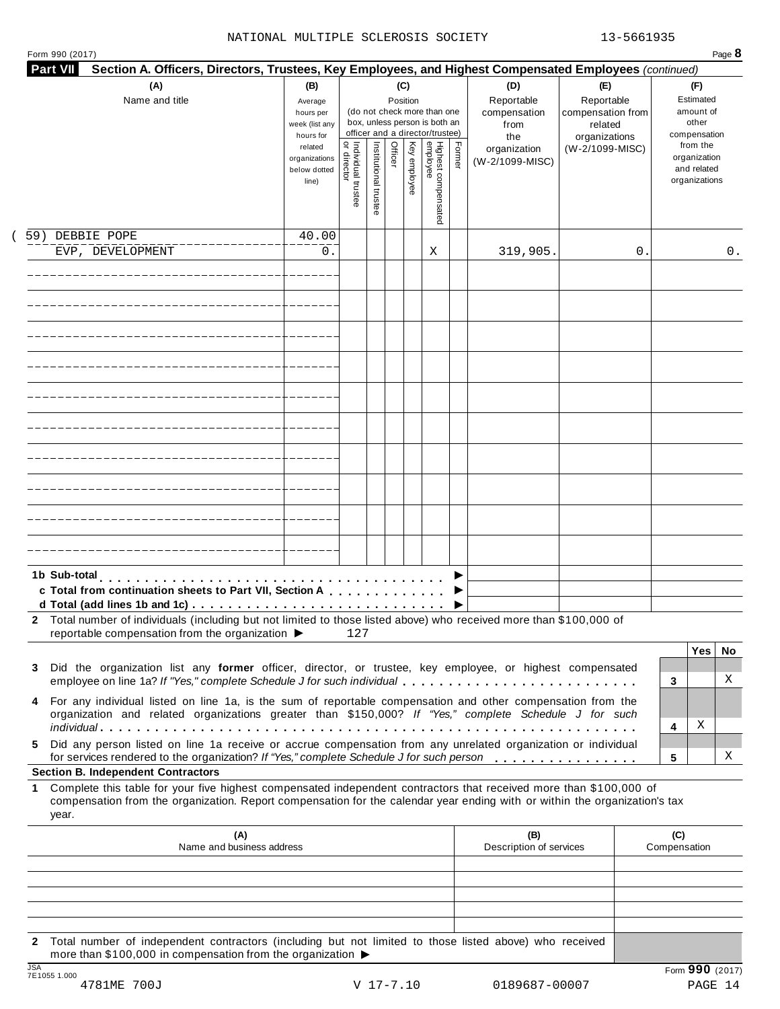### NATIONAL MULTIPLE SCLEROSIS SOCIETY 13-5661935

|        | (A)<br>Name and title                                                                                                                                                                                                                                                                                  | (B)<br>Average<br>hours per<br>week (list any<br>hours for |                                     |                       |         | (C)<br>Position | (do not check more than one<br>box, unless person is both an<br>officer and a director/trustee) |        | (D)<br>Reportable<br>compensation<br>from<br>the | (E)<br>Reportable<br>compensation from<br>related<br>organizations | (F)<br>Estimated<br>amount of<br>other<br>compensation   |
|--------|--------------------------------------------------------------------------------------------------------------------------------------------------------------------------------------------------------------------------------------------------------------------------------------------------------|------------------------------------------------------------|-------------------------------------|-----------------------|---------|-----------------|-------------------------------------------------------------------------------------------------|--------|--------------------------------------------------|--------------------------------------------------------------------|----------------------------------------------------------|
|        |                                                                                                                                                                                                                                                                                                        | related<br>organizations<br>below dotted<br>line)          | Individual trustee<br>  or director | Institutional trustee | Officer | Key employee    | Highest compensated<br>employee                                                                 | Former | organization<br>(W-2/1099-MISC)                  | (W-2/1099-MISC)                                                    | from the<br>organization<br>and related<br>organizations |
|        | 59) DEBBIE POPE                                                                                                                                                                                                                                                                                        | 40.00                                                      |                                     |                       |         |                 |                                                                                                 |        |                                                  |                                                                    |                                                          |
|        | EVP, DEVELOPMENT                                                                                                                                                                                                                                                                                       | 0.                                                         |                                     |                       |         |                 | Χ                                                                                               |        | 319,905.                                         | 0                                                                  | 0.                                                       |
|        |                                                                                                                                                                                                                                                                                                        |                                                            |                                     |                       |         |                 |                                                                                                 |        |                                                  |                                                                    |                                                          |
|        |                                                                                                                                                                                                                                                                                                        |                                                            |                                     |                       |         |                 |                                                                                                 |        |                                                  |                                                                    |                                                          |
|        |                                                                                                                                                                                                                                                                                                        |                                                            |                                     |                       |         |                 |                                                                                                 |        |                                                  |                                                                    |                                                          |
|        |                                                                                                                                                                                                                                                                                                        |                                                            |                                     |                       |         |                 |                                                                                                 |        |                                                  |                                                                    |                                                          |
|        |                                                                                                                                                                                                                                                                                                        |                                                            |                                     |                       |         |                 |                                                                                                 |        |                                                  |                                                                    |                                                          |
|        |                                                                                                                                                                                                                                                                                                        |                                                            |                                     |                       |         |                 |                                                                                                 |        |                                                  |                                                                    |                                                          |
|        |                                                                                                                                                                                                                                                                                                        |                                                            |                                     |                       |         |                 |                                                                                                 |        |                                                  |                                                                    |                                                          |
|        | 1b Sub-total<br>c Total from continuation sheets to Part VII, Section A                                                                                                                                                                                                                                |                                                            |                                     |                       |         |                 |                                                                                                 |        |                                                  |                                                                    |                                                          |
|        | 2 Total number of individuals (including but not limited to those listed above) who received more than \$100,000 of<br>reportable compensation from the organization ▶                                                                                                                                 |                                                            | 127                                 |                       |         |                 |                                                                                                 |        |                                                  |                                                                    |                                                          |
|        |                                                                                                                                                                                                                                                                                                        |                                                            |                                     |                       |         |                 |                                                                                                 |        |                                                  |                                                                    | <b>Yes</b><br>No.                                        |
| 3<br>4 | Did the organization list any former officer, director, or trustee, key employee, or highest compensated<br>employee on line 1a? If "Yes," complete Schedule J for such individual<br>For any individual listed on line 1a, is the sum of reportable compensation and other compensation from the      |                                                            |                                     |                       |         |                 |                                                                                                 |        |                                                  |                                                                    | X<br>3                                                   |
|        | organization and related organizations greater than \$150,000? If "Yes," complete Schedule J for such                                                                                                                                                                                                  |                                                            |                                     |                       |         |                 |                                                                                                 |        |                                                  |                                                                    | Χ<br>4                                                   |
| 5.     | Did any person listed on line 1a receive or accrue compensation from any unrelated organization or individual<br>for services rendered to the organization? If "Yes," complete Schedule J for such person                                                                                              |                                                            |                                     |                       |         |                 |                                                                                                 |        |                                                  |                                                                    | X<br>5                                                   |
| 1.     | <b>Section B. Independent Contractors</b><br>Complete this table for your five highest compensated independent contractors that received more than \$100,000 of<br>compensation from the organization. Report compensation for the calendar year ending with or within the organization's tax<br>year. |                                                            |                                     |                       |         |                 |                                                                                                 |        |                                                  |                                                                    |                                                          |
|        | (A)<br>Name and business address                                                                                                                                                                                                                                                                       |                                                            |                                     |                       |         |                 |                                                                                                 |        | (B)<br>Description of services                   |                                                                    | (C)<br>Compensation                                      |
|        |                                                                                                                                                                                                                                                                                                        |                                                            |                                     |                       |         |                 |                                                                                                 |        |                                                  |                                                                    |                                                          |
|        |                                                                                                                                                                                                                                                                                                        |                                                            |                                     |                       |         |                 |                                                                                                 |        |                                                  |                                                                    |                                                          |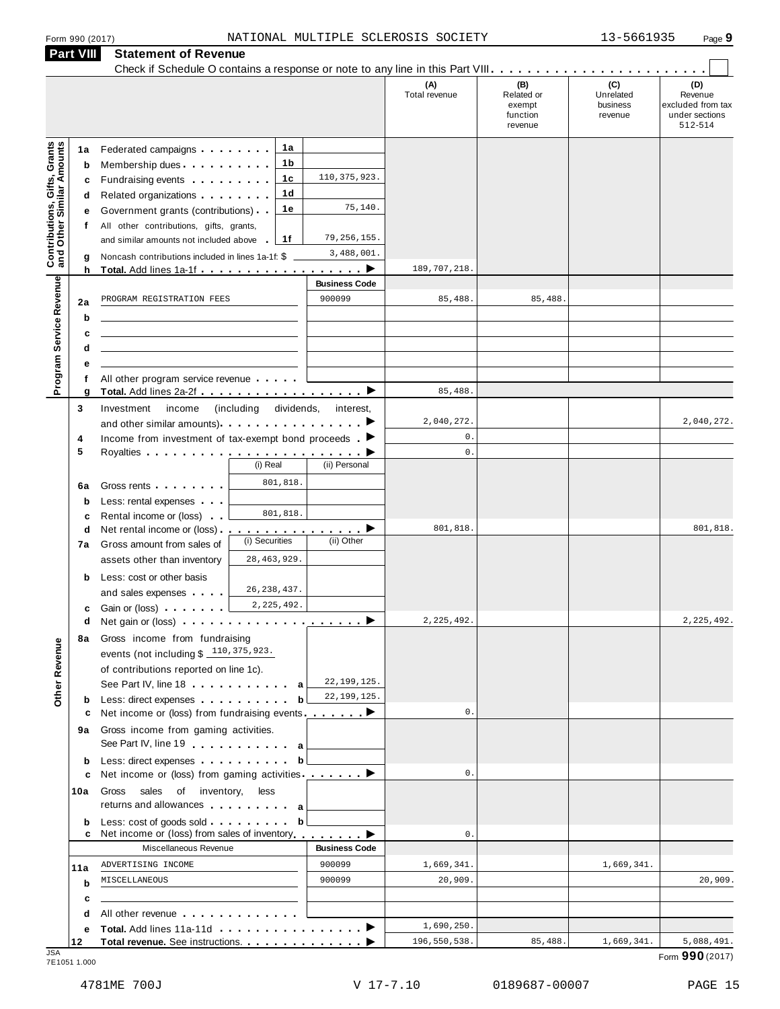| <b>Part VIII</b>                                                 |                                       | <b>Statement of Revenue</b>                                                                                                                                                                                                                                                                                                                                                                                                                                                                                                                                                                             |                                   |                                                                 |                                      |                                                    |                                         |                                                                  |
|------------------------------------------------------------------|---------------------------------------|---------------------------------------------------------------------------------------------------------------------------------------------------------------------------------------------------------------------------------------------------------------------------------------------------------------------------------------------------------------------------------------------------------------------------------------------------------------------------------------------------------------------------------------------------------------------------------------------------------|-----------------------------------|-----------------------------------------------------------------|--------------------------------------|----------------------------------------------------|-----------------------------------------|------------------------------------------------------------------|
|                                                                  |                                       |                                                                                                                                                                                                                                                                                                                                                                                                                                                                                                                                                                                                         |                                   |                                                                 | (A)<br>Total revenue                 | (B)<br>Related or<br>exempt<br>function<br>revenue | (C)<br>Unrelated<br>business<br>revenue | (D)<br>Revenue<br>excluded from tax<br>under sections<br>512-514 |
| <b>Contributions, Gifts, Grants</b><br>and Other Similar Amounts | 1a<br>b<br>c<br>d<br>е<br>f<br>g<br>h | Federated campaigns <b>Federated</b><br>Membership dues<br>Fundraising events <b>Fundraising</b><br>Related organizations <b>and the set of the set of the set of the set of the set of the set of the set of the set of the set of the set of the set of the set of the set of the set of the set of the set of the set of the set </b><br>Government grants (contributions)<br>All other contributions, gifts, grants,<br>and similar amounts not included above<br>Noncash contributions included in lines 1a-1f: \$<br><b>Total.</b> Add lines 1a-1f <b>contains the container of the container</b> | 1a<br>1 b<br>1c<br>1d<br>1е<br>1f | 110, 375, 923.<br>75,140.<br>79, 256, 155.<br>3,488,001.<br>. ▶ | 189, 707, 218                        |                                                    |                                         |                                                                  |
|                                                                  |                                       |                                                                                                                                                                                                                                                                                                                                                                                                                                                                                                                                                                                                         |                                   | <b>Business Code</b>                                            |                                      |                                                    |                                         |                                                                  |
| Program Service Revenue                                          | 2a<br>b<br>с<br>d                     | PROGRAM REGISTRATION FEES                                                                                                                                                                                                                                                                                                                                                                                                                                                                                                                                                                               |                                   | 900099                                                          | 85,488.                              | 85,488                                             |                                         |                                                                  |
|                                                                  | f                                     | All other program service revenue                                                                                                                                                                                                                                                                                                                                                                                                                                                                                                                                                                       |                                   |                                                                 |                                      |                                                    |                                         |                                                                  |
|                                                                  | g<br>3                                | Investment<br>income<br>and other similar amounts).                                                                                                                                                                                                                                                                                                                                                                                                                                                                                                                                                     | (including<br>dividends,          | interest,                                                       | 85,488<br>2,040,272<br>$\mathbf 0$ . |                                                    |                                         | 2,040,272.                                                       |
|                                                                  | 4<br>5                                | Income from investment of tax-exempt bond proceeds $\blacksquare$                                                                                                                                                                                                                                                                                                                                                                                                                                                                                                                                       | (i) Real                          | (ii) Personal                                                   | $\mathbf{0}$ .                       |                                                    |                                         |                                                                  |
|                                                                  | 6a<br>$\mathbf b$<br>c                | Gross rents<br>Less: rental expenses<br>Rental income or (loss)                                                                                                                                                                                                                                                                                                                                                                                                                                                                                                                                         | 801,818.<br>801,818.              |                                                                 |                                      |                                                    |                                         |                                                                  |
|                                                                  | d<br>7a<br>b                          | Net rental income or (loss).<br>Gross amount from sales of<br>assets other than inventory<br>Less: cost or other basis                                                                                                                                                                                                                                                                                                                                                                                                                                                                                  | (i) Securities<br>28, 463, 929.   | <u>.</u> ><br>(ii) Other                                        | 801,818                              |                                                    |                                         | 801,818.                                                         |
|                                                                  | с<br>d                                | and sales expenses<br>Gain or (loss)<br>Net gain or (loss) example and the set of the set of the set of the set of the set of the set of the set of the set of the set of the set of the set of the set of the set of the set of the set of the set of the set of the                                                                                                                                                                                                                                                                                                                                   | 26, 238, 437.<br>2, 225, 492.     |                                                                 | 2,225,492.                           |                                                    |                                         | 2, 225, 492.                                                     |
| Other Revenue                                                    | 8а                                    | Gross income from fundraising<br>events (not including $$110,375,923$ .<br>of contributions reported on line 1c).<br>See Part IV, line 18 <b>Construction</b>                                                                                                                                                                                                                                                                                                                                                                                                                                           | a                                 | 22, 199, 125.                                                   |                                      |                                                    |                                         |                                                                  |
|                                                                  | b                                     | Less: direct expenses                                                                                                                                                                                                                                                                                                                                                                                                                                                                                                                                                                                   | b                                 | 22, 199, 125.                                                   |                                      |                                                    |                                         |                                                                  |
|                                                                  | c<br>9а                               | Net income or (loss) from fundraising events $\ldots$<br>Gross income from gaming activities.<br>See Part IV, line 19 a                                                                                                                                                                                                                                                                                                                                                                                                                                                                                 |                                   |                                                                 | 0.                                   |                                                    |                                         |                                                                  |
|                                                                  | b                                     | Less: direct expenses                                                                                                                                                                                                                                                                                                                                                                                                                                                                                                                                                                                   | b                                 |                                                                 | $0$ .                                |                                                    |                                         |                                                                  |
|                                                                  | c<br>10a                              | Net income or (loss) from gaming activities ________<br>Gross<br>sales of inventory, less<br>returns and allowances and allowances                                                                                                                                                                                                                                                                                                                                                                                                                                                                      |                                   |                                                                 |                                      |                                                    |                                         |                                                                  |
|                                                                  | b<br>c                                | Less: cost of goods sold<br>Net income or (loss) from sales of inventory                                                                                                                                                                                                                                                                                                                                                                                                                                                                                                                                | b                                 |                                                                 | $\mathsf{0}$ .                       |                                                    |                                         |                                                                  |
|                                                                  |                                       | Miscellaneous Revenue                                                                                                                                                                                                                                                                                                                                                                                                                                                                                                                                                                                   |                                   | <b>Business Code</b>                                            |                                      |                                                    |                                         |                                                                  |
|                                                                  | 11a<br>b                              | ADVERTISING INCOME<br>MISCELLANEOUS                                                                                                                                                                                                                                                                                                                                                                                                                                                                                                                                                                     |                                   | 900099<br>900099                                                | 1,669,341.<br>20,909.                |                                                    | 1,669,341.                              | 20,909.                                                          |
|                                                                  | c<br>d                                | All other revenue entitled and a series of the series of the series of the series of the series of the series                                                                                                                                                                                                                                                                                                                                                                                                                                                                                           |                                   |                                                                 |                                      |                                                    |                                         |                                                                  |
|                                                                  | е                                     |                                                                                                                                                                                                                                                                                                                                                                                                                                                                                                                                                                                                         |                                   |                                                                 | 1,690,250.                           |                                                    |                                         |                                                                  |
| .ISA                                                             | 12                                    | Total revenue. See instructions.                                                                                                                                                                                                                                                                                                                                                                                                                                                                                                                                                                        |                                   |                                                                 | 196,550,538.                         | 85,488.                                            | 1,669,341.                              | 5,088,491.                                                       |

JSA Form **990** (2017) 7E1051 1.000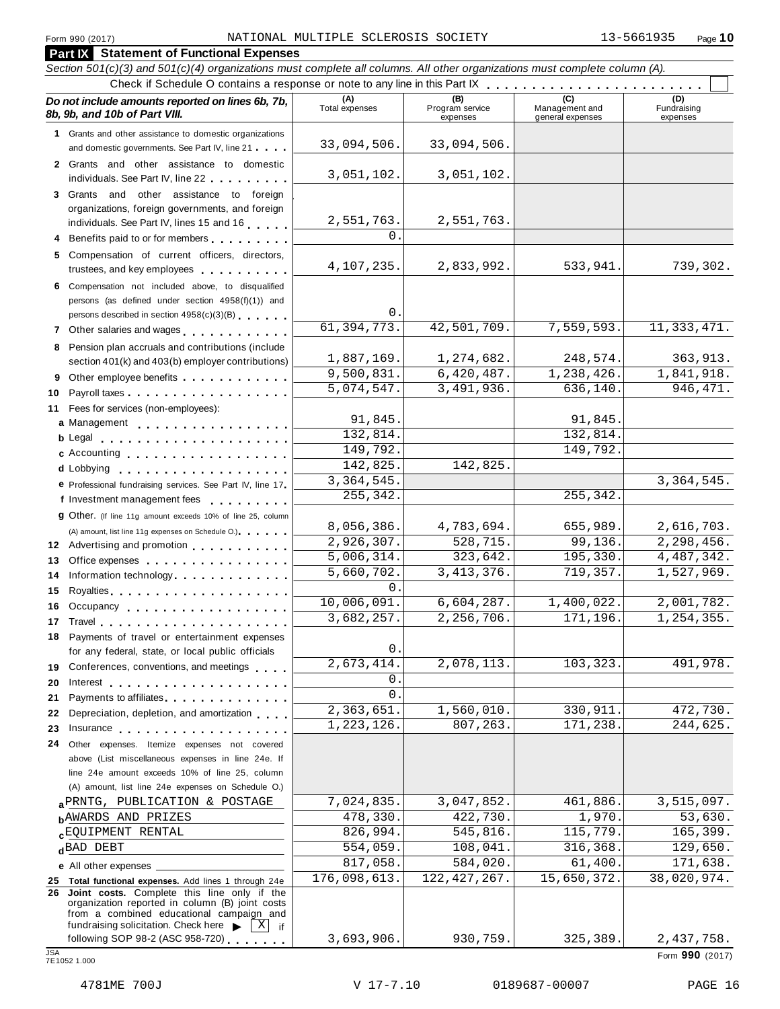| <b>Part IX</b> Statement of Functional Expenses                                                                                                                                                 |                       |                                    |                                    |                                |
|-------------------------------------------------------------------------------------------------------------------------------------------------------------------------------------------------|-----------------------|------------------------------------|------------------------------------|--------------------------------|
| Section 501(c)(3) and 501(c)(4) organizations must complete all columns. All other organizations must complete column (A).                                                                      |                       |                                    |                                    |                                |
|                                                                                                                                                                                                 |                       |                                    |                                    |                                |
| Do not include amounts reported on lines 6b, 7b,<br>8b, 9b, and 10b of Part VIII.                                                                                                               | (A)<br>Total expenses | (B)<br>Program service<br>expenses | Management and<br>general expenses | (D)<br>Fundraising<br>expenses |
| 1 Grants and other assistance to domestic organizations<br>and domestic governments. See Part IV, line 21                                                                                       | 33,094,506.           | 33,094,506.                        |                                    |                                |
| 2 Grants and other assistance to domestic<br>individuals. See Part IV, line 22                                                                                                                  | 3,051,102.            | 3,051,102.                         |                                    |                                |
| 3 Grants and other assistance to foreign                                                                                                                                                        |                       |                                    |                                    |                                |
| organizations, foreign governments, and foreign<br>individuals. See Part IV, lines 15 and 16                                                                                                    | 2,551,763.            | 2,551,763.                         |                                    |                                |
| 4 Benefits paid to or for members                                                                                                                                                               | 0.                    |                                    |                                    |                                |
| 5 Compensation of current officers, directors,                                                                                                                                                  |                       |                                    |                                    |                                |
| trustees, and key employees                                                                                                                                                                     | 4,107,235.            | 2,833,992.                         | 533,941.                           | 739,302.                       |
| 6 Compensation not included above, to disqualified<br>persons (as defined under section 4958(f)(1)) and                                                                                         |                       |                                    |                                    |                                |
| persons described in section 4958(c)(3)(B)                                                                                                                                                      | О.                    |                                    |                                    |                                |
|                                                                                                                                                                                                 | 61, 394, 773.         | 42,501,709.                        | 7,559,593.                         | 11, 333, 471.                  |
| 8 Pension plan accruals and contributions (include                                                                                                                                              | 1,887,169.            | 1,274,682.                         | 248,574.                           | 363,913.                       |
| section 401(k) and 403(b) employer contributions)                                                                                                                                               | 9,500,831.            | 6,420,487.                         | 1,238,426.                         | 1,841,918.                     |
| 9 Other employee benefits                                                                                                                                                                       | 5,074,547.            | 3,491,936.                         | 636,140.                           | 946, 471.                      |
| 10                                                                                                                                                                                              |                       |                                    |                                    |                                |
| 11 Fees for services (non-employees):<br>a Management                                                                                                                                           | 91,845.               |                                    | 91,845.                            |                                |
|                                                                                                                                                                                                 | 132,814.              |                                    | 132,814.                           |                                |
| c Accounting                                                                                                                                                                                    | 149,792.              |                                    | 149,792.                           |                                |
|                                                                                                                                                                                                 | 142,825.              | 142,825.                           |                                    |                                |
| e Professional fundraising services. See Part IV, line 17                                                                                                                                       | 3, 364, 545.          |                                    |                                    | 3, 364, 545.                   |
| f Investment management fees                                                                                                                                                                    | 255,342.              |                                    | 255,342.                           |                                |
| <b>g</b> Other. (If line 11g amount exceeds 10% of line 25, column                                                                                                                              |                       |                                    |                                    |                                |
| (A) amount, list line 11g expenses on Schedule O.). The manufacturer of                                                                                                                         | 8,056,386.            | 4,783,694.                         | 655,989.                           | 2,616,703.                     |
| 12 Advertising and promotion                                                                                                                                                                    | 2,926,307.            | $\overline{528, 715}$ .            | $\overline{99,136}$ .              | 2,298,456.                     |
| 13<br>Office expenses expenses and a series of the series of the series of the series of the series of the series of                                                                            | 5,006,314.            | 323,642.                           | 195, 330.                          | 4,487,342.                     |
| Information technology<br>14                                                                                                                                                                    | 5,660,702.            | 3, 413, 376.                       | 719,357.                           | 1,527,969.                     |
| 15                                                                                                                                                                                              | 0.                    |                                    |                                    |                                |
| 16 Occupancy                                                                                                                                                                                    | 10,006,091.           | 6,604,287.                         | 1,400,022.                         | 2,001,782.                     |
|                                                                                                                                                                                                 | 3,682,257             | 2,256,706.                         | 171,196.                           | 1,254,355.                     |
| 18 Payments of travel or entertainment expenses                                                                                                                                                 | 0.                    |                                    |                                    |                                |
| for any federal, state, or local public officials                                                                                                                                               | 2,673,414.            | 2,078,113.                         | 103, 323.                          | 491,978.                       |
| 19 Conferences, conventions, and meetings                                                                                                                                                       | 0.                    |                                    |                                    |                                |
| Payments to affiliates                                                                                                                                                                          | $\mathsf{O}$ .        |                                    |                                    |                                |
| 21<br>Depreciation, depletion, and amortization<br>22                                                                                                                                           | 2,363,651.            | 1,560,010.                         | 330,911.                           | 472,730.                       |
|                                                                                                                                                                                                 | 1,223,126.            | 807,263.                           | 171,238.                           | 244,625.                       |
| 24 Other expenses. Itemize expenses not covered                                                                                                                                                 |                       |                                    |                                    |                                |
| above (List miscellaneous expenses in line 24e. If                                                                                                                                              |                       |                                    |                                    |                                |
| line 24e amount exceeds 10% of line 25, column                                                                                                                                                  |                       |                                    |                                    |                                |
| (A) amount, list line 24e expenses on Schedule O.)                                                                                                                                              |                       |                                    |                                    |                                |
| a PRNTG, PUBLICATION & POSTAGE                                                                                                                                                                  | 7,024,835.            | 3,047,852.                         | 461,886.                           | 3,515,097.                     |
| <b>b</b> AWARDS AND PRIZES                                                                                                                                                                      | 478,330.              | 422,730.                           | 1,970.                             | 53,630.                        |
| <b>cEQUIPMENT RENTAL</b>                                                                                                                                                                        | 826,994.              | 545,816.                           | 115,779.                           | 165, 399.                      |
| dBAD DEBT                                                                                                                                                                                       | 554,059.              | 108,041.                           | 316,368.                           | 129,650.                       |
| e All other expenses ___                                                                                                                                                                        | 817,058.              | 584,020.                           | 61,400.                            | 171,638.                       |
| 25 Total functional expenses. Add lines 1 through 24e                                                                                                                                           | 176,098,613.          | 122, 427, 267.                     | 15,650,372.                        | 38,020,974.                    |
| 26 Joint costs. Complete this line only if the<br>organization reported in column (B) joint costs<br>from a combined educational campaign and<br>fundraising solicitation. Check here<br>$X$ if |                       |                                    |                                    |                                |
| following SOP 98-2 (ASC 958-720)                                                                                                                                                                | 3,693,906.            | 930,759.                           | 325,389.                           | 2,437,758.                     |
| <b>JSA</b><br>7E1052 1.000                                                                                                                                                                      |                       |                                    |                                    | Form 990 (2017)                |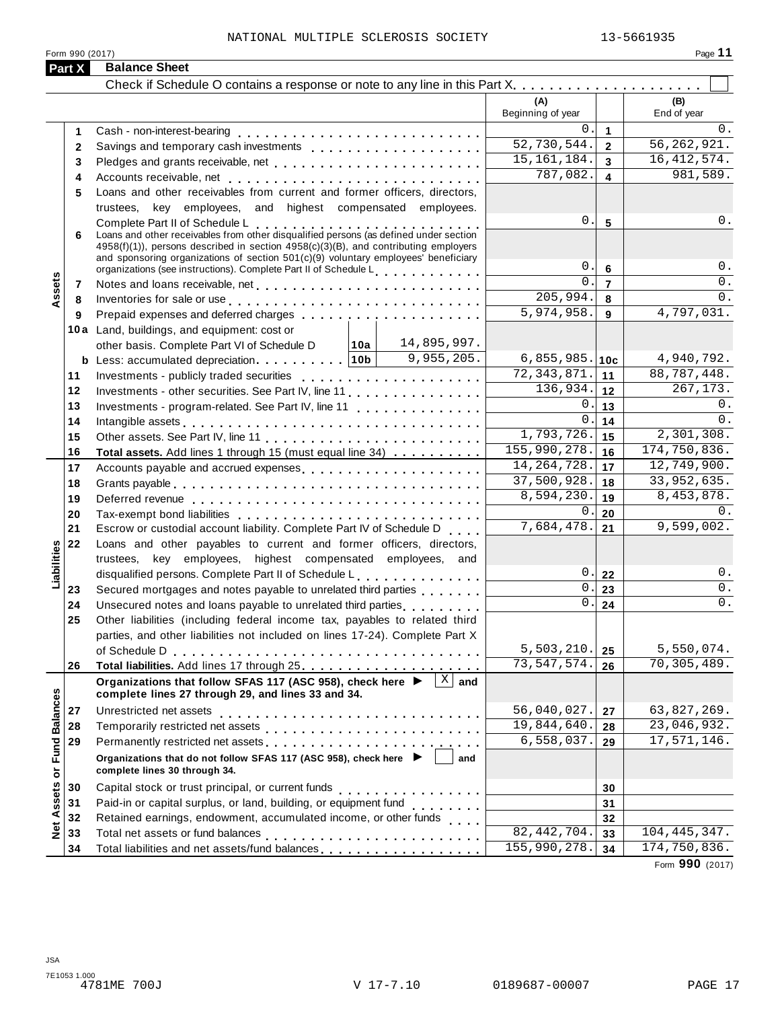| Form 990 (2017) | Page |
|-----------------|------|
|                 |      |

|                      | Part X   | <b>Balance Sheet</b>                                                                                                                                                                                                                                                                                                                                                                                          |                                 |                                   |                    |
|----------------------|----------|---------------------------------------------------------------------------------------------------------------------------------------------------------------------------------------------------------------------------------------------------------------------------------------------------------------------------------------------------------------------------------------------------------------|---------------------------------|-----------------------------------|--------------------|
|                      |          |                                                                                                                                                                                                                                                                                                                                                                                                               |                                 |                                   |                    |
|                      |          |                                                                                                                                                                                                                                                                                                                                                                                                               | (A)<br>Beginning of year        |                                   | (B)<br>End of year |
|                      | 1        |                                                                                                                                                                                                                                                                                                                                                                                                               | 0                               | $\mathbf{1}$                      | 0.                 |
|                      | 2        |                                                                                                                                                                                                                                                                                                                                                                                                               | 52,730,544.                     | $\overline{2}$                    | 56, 262, 921.      |
|                      | 3        | Pledges and grants receivable, net enterpresent resources and grants receivable, net enterpresent resources                                                                                                                                                                                                                                                                                                   | 15, 161, 184.                   | $\overline{3}$                    | 16, 412, 574.      |
|                      | 4        |                                                                                                                                                                                                                                                                                                                                                                                                               | 787,082.                        | $\overline{\mathbf{4}}$           | 981,589.           |
|                      | 5        | Loans and other receivables from current and former officers, directors,                                                                                                                                                                                                                                                                                                                                      |                                 |                                   |                    |
|                      |          | trustees, key employees, and highest compensated employees.                                                                                                                                                                                                                                                                                                                                                   |                                 |                                   |                    |
|                      | 6        | Complete Part II of Schedule L<br>Complete Part II of Schedule L<br>Loans and other receivables from other disqualified persons (as defined under section<br>4958(f)(1)), persons described in section 4958(c)(3)(B), and contributing employers<br>and sponsoring organizations of section $501(c)(9)$ voluntary employees' beneficiary<br>organizations (see instructions). Complete Part II of Schedule L. | $\mathbf 0$ .<br>$\mathsf{0}$ . | $5\phantom{1}$<br>$6\phantom{1}6$ | 0.<br>0.           |
|                      | 7        |                                                                                                                                                                                                                                                                                                                                                                                                               | $\Omega$ .                      | $\overline{7}$                    | 0.                 |
| Assets               | 8        | Inventories for sale or use enterpreteration of the contract of the sale or use of the contract of the contract of the contract of the contract of the contract of the contract of the contract of the contract of the contrac                                                                                                                                                                                | 205,994.                        | 8                                 | 0.                 |
|                      | 9        |                                                                                                                                                                                                                                                                                                                                                                                                               | 5,974,958.                      | 9                                 | 4,797,031.         |
|                      |          | 10a Land, buildings, and equipment: cost or                                                                                                                                                                                                                                                                                                                                                                   |                                 |                                   |                    |
|                      |          | 14,895,997.<br>│10a │<br>other basis. Complete Part VI of Schedule D                                                                                                                                                                                                                                                                                                                                          |                                 |                                   |                    |
|                      |          | 9, 955, 205.                                                                                                                                                                                                                                                                                                                                                                                                  | 6,855,985.                      | 10c                               | 4,940,792.         |
|                      | 11       |                                                                                                                                                                                                                                                                                                                                                                                                               | 72, 343, 871.                   | 11                                | 88,787,448.        |
|                      | 12       | Investments - other securities. See Part IV, line 11                                                                                                                                                                                                                                                                                                                                                          | 136,934.                        | 12                                | 267,173.           |
|                      | 13       | Investments - program-related. See Part IV, line 11                                                                                                                                                                                                                                                                                                                                                           | 0                               | 13                                | 0.                 |
|                      | 14       |                                                                                                                                                                                                                                                                                                                                                                                                               | 0                               | 14                                | $0$ .              |
|                      | 15       |                                                                                                                                                                                                                                                                                                                                                                                                               | 1,793,726.                      | 15                                | 2,301,308.         |
|                      | 16       | Total assets. Add lines 1 through 15 (must equal line 34)                                                                                                                                                                                                                                                                                                                                                     | 155,990,278.                    | 16                                | 174,750,836.       |
|                      | 17       | Accounts payable and accrued expenses                                                                                                                                                                                                                                                                                                                                                                         | 14, 264, 728.                   | 17                                | 12,749,900.        |
|                      | 18       |                                                                                                                                                                                                                                                                                                                                                                                                               | 37,500,928.                     | 18                                | 33,952,635.        |
|                      | 19       |                                                                                                                                                                                                                                                                                                                                                                                                               | 8,594,230.                      | 19                                | 8,453,878.         |
|                      | 20       |                                                                                                                                                                                                                                                                                                                                                                                                               | 0                               | 20                                | 0.                 |
|                      | 21       | Escrow or custodial account liability. Complete Part IV of Schedule D                                                                                                                                                                                                                                                                                                                                         | 7,684,478.                      | 21                                | 9,599,002.         |
| Liabilities          | 22       | Loans and other payables to current and former officers, directors,                                                                                                                                                                                                                                                                                                                                           |                                 |                                   |                    |
|                      |          | trustees, key employees, highest compensated employees, and                                                                                                                                                                                                                                                                                                                                                   | $0$ .                           |                                   | $0$ .              |
|                      |          | disqualified persons. Complete Part II of Schedule L                                                                                                                                                                                                                                                                                                                                                          | $\mathbf 0$ .                   | 22<br>23                          | 0.                 |
|                      | 23<br>24 | Secured mortgages and notes payable to unrelated third parties                                                                                                                                                                                                                                                                                                                                                | 0.                              | 24                                | $0$ .              |
|                      | 25       | Unsecured notes and loans payable to unrelated third parties<br>Other liabilities (including federal income tax, payables to related third                                                                                                                                                                                                                                                                    |                                 |                                   |                    |
|                      |          | parties, and other liabilities not included on lines 17-24). Complete Part X                                                                                                                                                                                                                                                                                                                                  |                                 |                                   |                    |
|                      |          |                                                                                                                                                                                                                                                                                                                                                                                                               | 5,503,210.                      | 25                                | 5,550,074.         |
|                      | 26       |                                                                                                                                                                                                                                                                                                                                                                                                               | 73,547,574.                     | 26                                | 70,305,489.        |
|                      |          | $\overline{X}$ and<br>Organizations that follow SFAS 117 (ASC 958), check here ▶                                                                                                                                                                                                                                                                                                                              |                                 |                                   |                    |
|                      |          | complete lines 27 through 29, and lines 33 and 34.                                                                                                                                                                                                                                                                                                                                                            |                                 |                                   |                    |
|                      | 27       | Unrestricted net assets                                                                                                                                                                                                                                                                                                                                                                                       | 56,040,027.                     | 27                                | 63,827,269.        |
| <b>Fund Balances</b> | 28       |                                                                                                                                                                                                                                                                                                                                                                                                               | 19,844,640.                     | 28                                | 23,046,932.        |
|                      | 29       | Permanently restricted net assets<br>intervals and intervals are not restricted in the set of assets<br>intervals and intervals are not restricted in the set of a set of a set of a set of an intervals are not restricted in the                                                                                                                                                                            | 6,558,037.                      | 29                                | 17,571,146.        |
| ŏ                    |          | Organizations that do not follow SFAS 117 (ASC 958), check here ▶<br>and<br>complete lines 30 through 34.                                                                                                                                                                                                                                                                                                     |                                 |                                   |                    |
|                      | 30       |                                                                                                                                                                                                                                                                                                                                                                                                               |                                 | 30                                |                    |
| Assets               | 31       | Paid-in or capital surplus, or land, building, or equipment fund<br>                                                                                                                                                                                                                                                                                                                                          |                                 | 31                                |                    |
|                      | 32       | Retained earnings, endowment, accumulated income, or other funds                                                                                                                                                                                                                                                                                                                                              |                                 | 32                                |                    |
| Net                  | 33       |                                                                                                                                                                                                                                                                                                                                                                                                               | $\overline{82, 442, 704}$ .     | 33                                | 104, 445, 347.     |
|                      | 34       |                                                                                                                                                                                                                                                                                                                                                                                                               | 155,990,278.                    | 34                                | 174,750,836.       |

Form **990** (2017)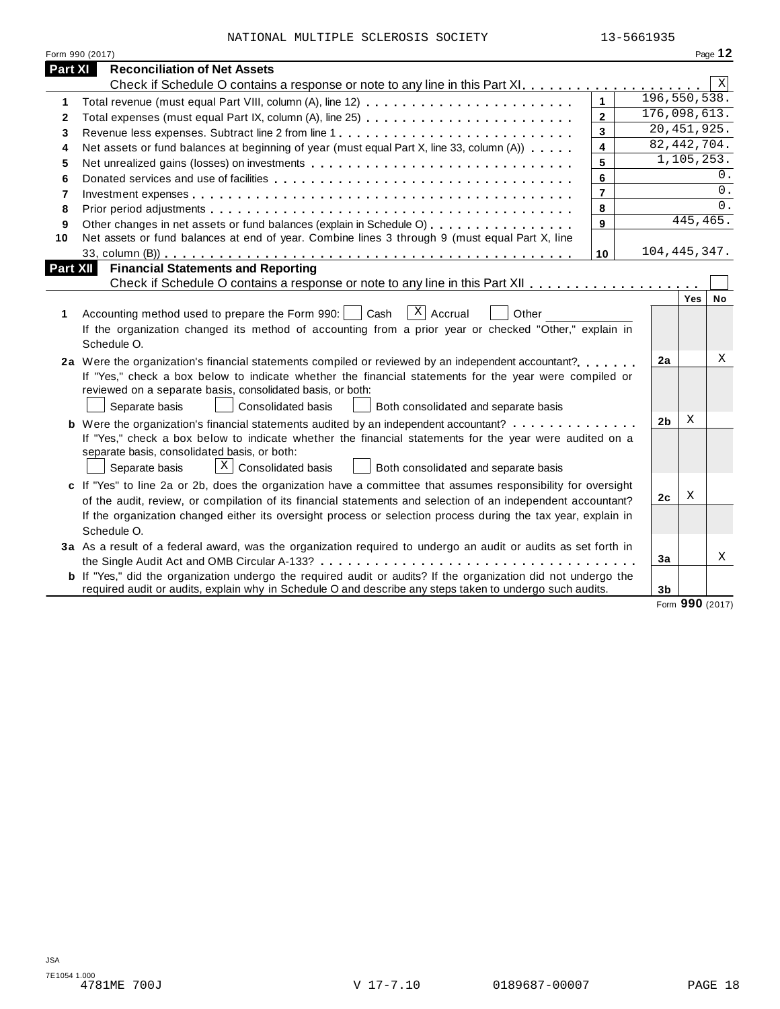| NATIONAL MULTIPLE SCLEROSIS SOCIETY |  | 13-5661935 |
|-------------------------------------|--|------------|

|          | Form 990 (2017)                                                                                                       |                |  |                |            | Page 12 |  |
|----------|-----------------------------------------------------------------------------------------------------------------------|----------------|--|----------------|------------|---------|--|
| Part XI  | <b>Reconciliation of Net Assets</b>                                                                                   |                |  |                |            |         |  |
|          |                                                                                                                       |                |  |                |            | X       |  |
| 1        | 196, 550, 538.<br>$\mathbf{1}$<br>Total revenue (must equal Part VIII, column (A), line 12)                           |                |  |                |            |         |  |
| 2        |                                                                                                                       | $\overline{2}$ |  | 176,098,613.   |            |         |  |
| 3        | Revenue less expenses. Subtract line 2 from line 1                                                                    | $\overline{3}$ |  | 20,451,925.    |            |         |  |
| 4        | Net assets or fund balances at beginning of year (must equal Part X, line 33, column (A))                             | 4              |  | 82, 442, 704.  |            |         |  |
| 5        | Net unrealized gains (losses) on investments                                                                          | 5              |  |                | 1,105,253. |         |  |
| 6        |                                                                                                                       | 6              |  |                |            | $0$ .   |  |
| 7        |                                                                                                                       | $\overline{7}$ |  |                |            | 0.      |  |
| 8        |                                                                                                                       | 8              |  |                |            | 0.      |  |
| 9        | Other changes in net assets or fund balances (explain in Schedule O)                                                  | 9              |  |                | 445,465.   |         |  |
| 10       | Net assets or fund balances at end of year. Combine lines 3 through 9 (must equal Part X, line                        |                |  |                |            |         |  |
|          |                                                                                                                       | 10             |  | 104, 445, 347. |            |         |  |
| Part XII | <b>Financial Statements and Reporting</b>                                                                             |                |  |                |            |         |  |
|          |                                                                                                                       |                |  |                |            |         |  |
| 1        | $ X $ Accrual<br>Accounting method used to prepare the Form 990:     Cash<br>Other                                    |                |  |                | Yes        | No      |  |
|          | If the organization changed its method of accounting from a prior year or checked "Other," explain in                 |                |  |                |            |         |  |
|          | Schedule O.                                                                                                           |                |  |                |            |         |  |
|          | 2a Were the organization's financial statements compiled or reviewed by an independent accountant?                    |                |  | 2a             |            | Χ       |  |
|          | If "Yes," check a box below to indicate whether the financial statements for the year were compiled or                |                |  |                |            |         |  |
|          | reviewed on a separate basis, consolidated basis, or both:                                                            |                |  |                |            |         |  |
|          | Separate basis<br><b>Consolidated basis</b><br>Both consolidated and separate basis                                   |                |  |                |            |         |  |
|          | X<br>2 <sub>b</sub><br><b>b</b> Were the organization's financial statements audited by an independent accountant?    |                |  |                |            |         |  |
|          | If "Yes," check a box below to indicate whether the financial statements for the year were audited on a               |                |  |                |            |         |  |
|          | separate basis, consolidated basis, or both:                                                                          |                |  |                |            |         |  |
|          | $X$ Consolidated basis<br>Both consolidated and separate basis<br>Separate basis                                      |                |  |                |            |         |  |
|          | c If "Yes" to line 2a or 2b, does the organization have a committee that assumes responsibility for oversight         |                |  |                |            |         |  |
|          | of the audit, review, or compilation of its financial statements and selection of an independent accountant?          |                |  | 2 <sub>c</sub> | Χ          |         |  |
|          | If the organization changed either its oversight process or selection process during the tax year, explain in         |                |  |                |            |         |  |
|          | Schedule O.                                                                                                           |                |  |                |            |         |  |
|          |                                                                                                                       |                |  |                |            |         |  |
|          | 3a As a result of a federal award, was the organization required to undergo an audit or audits as set forth in        |                |  | 3a             |            | Χ       |  |
|          | <b>b</b> If "Yes," did the organization undergo the required audit or audits? If the organization did not undergo the |                |  |                |            |         |  |
|          | required audit or audits, explain why in Schedule O and describe any steps taken to undergo such audits.              |                |  | 3b             |            |         |  |
|          |                                                                                                                       |                |  |                | 000        |         |  |

Form **990** (2017)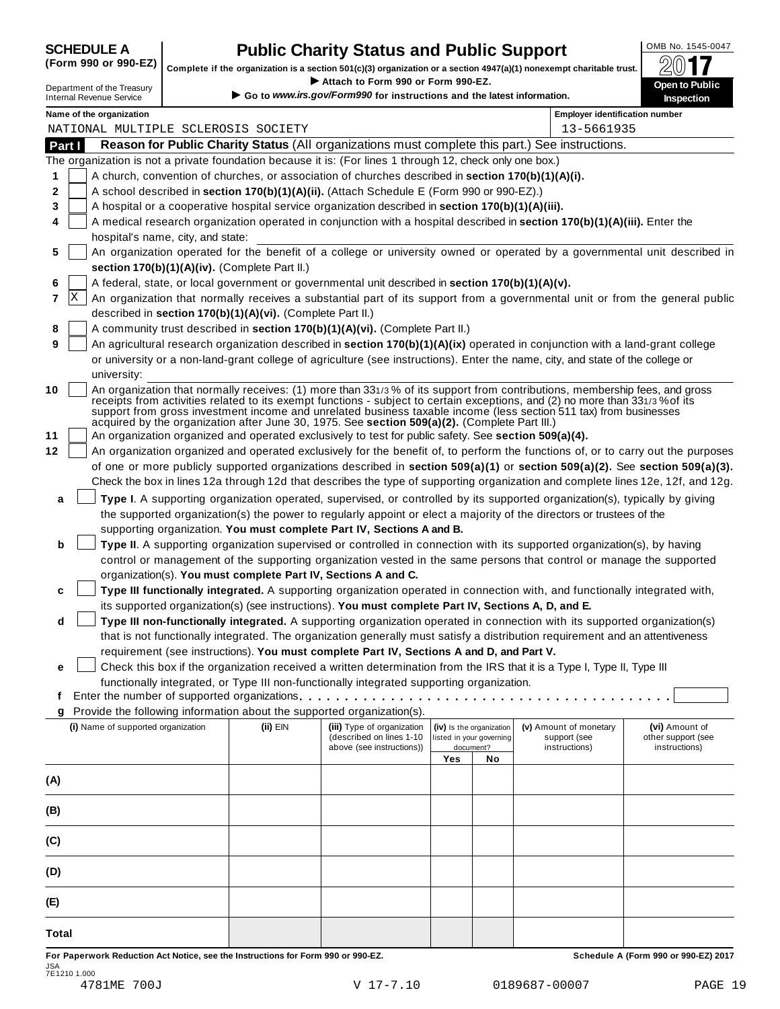## **SCHEDULE A Public Charity Status and Public Support**<br>(Form 990 or 990-EZ) complete if the organization is a section 501(c)(3) organization or a section 4947(a)(1) nonexempt charitable trust.

(Form 990 or 990-EZ) complete if the organization is a section 501(c)(3) organization or a section 4947(a)(1) nonexempt charitable trust.  $2017$ 

|          |                                                                                                                                                                                                 |  |                                                            | Complete if the organization is a section 501(c)(3) organization or a section $4947(a)(1)$ nonexempt charitable trust.                                                                                |     |                                                      |                                                                                                                                                                                                                                                                                                                                                                                 | ZV I I                                                                                                                           |
|----------|-------------------------------------------------------------------------------------------------------------------------------------------------------------------------------------------------|--|------------------------------------------------------------|-------------------------------------------------------------------------------------------------------------------------------------------------------------------------------------------------------|-----|------------------------------------------------------|---------------------------------------------------------------------------------------------------------------------------------------------------------------------------------------------------------------------------------------------------------------------------------------------------------------------------------------------------------------------------------|----------------------------------------------------------------------------------------------------------------------------------|
|          | Department of the Treasury<br><b>Internal Revenue Service</b>                                                                                                                                   |  |                                                            | Attach to Form 990 or Form 990-EZ.<br>Go to www.irs.gov/Form990 for instructions and the latest information.                                                                                          |     |                                                      |                                                                                                                                                                                                                                                                                                                                                                                 | Open to Public<br>Inspection                                                                                                     |
|          |                                                                                                                                                                                                 |  |                                                            |                                                                                                                                                                                                       |     |                                                      |                                                                                                                                                                                                                                                                                                                                                                                 |                                                                                                                                  |
|          | Name of the organization                                                                                                                                                                        |  | NATIONAL MULTIPLE SCLEROSIS SOCIETY                        |                                                                                                                                                                                                       |     |                                                      | <b>Employer identification number</b><br>13-5661935                                                                                                                                                                                                                                                                                                                             |                                                                                                                                  |
| Part I   |                                                                                                                                                                                                 |  |                                                            |                                                                                                                                                                                                       |     |                                                      | Reason for Public Charity Status (All organizations must complete this part.) See instructions.                                                                                                                                                                                                                                                                                 |                                                                                                                                  |
|          |                                                                                                                                                                                                 |  |                                                            | The organization is not a private foundation because it is: (For lines 1 through 12, check only one box.)                                                                                             |     |                                                      |                                                                                                                                                                                                                                                                                                                                                                                 |                                                                                                                                  |
| 1        |                                                                                                                                                                                                 |  |                                                            |                                                                                                                                                                                                       |     |                                                      |                                                                                                                                                                                                                                                                                                                                                                                 |                                                                                                                                  |
| 2        | A church, convention of churches, or association of churches described in section 170(b)(1)(A)(i).<br>A school described in section 170(b)(1)(A)(ii). (Attach Schedule E (Form 990 or 990-EZ).) |  |                                                            |                                                                                                                                                                                                       |     |                                                      |                                                                                                                                                                                                                                                                                                                                                                                 |                                                                                                                                  |
| 3        |                                                                                                                                                                                                 |  |                                                            | A hospital or a cooperative hospital service organization described in section 170(b)(1)(A)(iii).                                                                                                     |     |                                                      |                                                                                                                                                                                                                                                                                                                                                                                 |                                                                                                                                  |
| 4        |                                                                                                                                                                                                 |  |                                                            |                                                                                                                                                                                                       |     |                                                      | A medical research organization operated in conjunction with a hospital described in section 170(b)(1)(A)(iii). Enter the                                                                                                                                                                                                                                                       |                                                                                                                                  |
|          | hospital's name, city, and state:                                                                                                                                                               |  |                                                            |                                                                                                                                                                                                       |     |                                                      |                                                                                                                                                                                                                                                                                                                                                                                 |                                                                                                                                  |
| 5        |                                                                                                                                                                                                 |  |                                                            |                                                                                                                                                                                                       |     |                                                      |                                                                                                                                                                                                                                                                                                                                                                                 | An organization operated for the benefit of a college or university owned or operated by a governmental unit described in        |
|          |                                                                                                                                                                                                 |  | section 170(b)(1)(A)(iv). (Complete Part II.)              |                                                                                                                                                                                                       |     |                                                      |                                                                                                                                                                                                                                                                                                                                                                                 |                                                                                                                                  |
| 6        |                                                                                                                                                                                                 |  |                                                            | A federal, state, or local government or governmental unit described in section 170(b)(1)(A)(v).                                                                                                      |     |                                                      |                                                                                                                                                                                                                                                                                                                                                                                 |                                                                                                                                  |
| X<br>7   |                                                                                                                                                                                                 |  |                                                            |                                                                                                                                                                                                       |     |                                                      |                                                                                                                                                                                                                                                                                                                                                                                 | An organization that normally receives a substantial part of its support from a governmental unit or from the general public     |
|          |                                                                                                                                                                                                 |  | described in section 170(b)(1)(A)(vi). (Complete Part II.) |                                                                                                                                                                                                       |     |                                                      |                                                                                                                                                                                                                                                                                                                                                                                 |                                                                                                                                  |
| 8        |                                                                                                                                                                                                 |  |                                                            | A community trust described in section 170(b)(1)(A)(vi). (Complete Part II.)                                                                                                                          |     |                                                      |                                                                                                                                                                                                                                                                                                                                                                                 |                                                                                                                                  |
| 9        |                                                                                                                                                                                                 |  |                                                            |                                                                                                                                                                                                       |     |                                                      | An agricultural research organization described in section 170(b)(1)(A)(ix) operated in conjunction with a land-grant college                                                                                                                                                                                                                                                   |                                                                                                                                  |
|          |                                                                                                                                                                                                 |  |                                                            |                                                                                                                                                                                                       |     |                                                      | or university or a non-land-grant college of agriculture (see instructions). Enter the name, city, and state of the college or                                                                                                                                                                                                                                                  |                                                                                                                                  |
|          | university:                                                                                                                                                                                     |  |                                                            |                                                                                                                                                                                                       |     |                                                      |                                                                                                                                                                                                                                                                                                                                                                                 |                                                                                                                                  |
| 10<br>11 |                                                                                                                                                                                                 |  |                                                            | acquired by the organization after June 30, 1975. See section 509(a)(2). (Complete Part III.)<br>An organization organized and operated exclusively to test for public safety. See section 509(a)(4). |     |                                                      | An organization that normally receives: (1) more than 331/3% of its support from contributions, membership fees, and gross<br>receipts from activities related to its exempt functions - subject to certain exceptions, and (2) no more than 331/3% of its<br>support from gross investment income and unrelated business taxable income (less section 511 tax) from businesses |                                                                                                                                  |
| 12       |                                                                                                                                                                                                 |  |                                                            |                                                                                                                                                                                                       |     |                                                      |                                                                                                                                                                                                                                                                                                                                                                                 | An organization organized and operated exclusively for the benefit of, to perform the functions of, or to carry out the purposes |
|          |                                                                                                                                                                                                 |  |                                                            |                                                                                                                                                                                                       |     |                                                      |                                                                                                                                                                                                                                                                                                                                                                                 | of one or more publicly supported organizations described in section 509(a)(1) or section 509(a)(2). See section 509(a)(3).      |
|          |                                                                                                                                                                                                 |  |                                                            |                                                                                                                                                                                                       |     |                                                      |                                                                                                                                                                                                                                                                                                                                                                                 | Check the box in lines 12a through 12d that describes the type of supporting organization and complete lines 12e, 12f, and 12g.  |
| a        |                                                                                                                                                                                                 |  |                                                            |                                                                                                                                                                                                       |     |                                                      | Type I. A supporting organization operated, supervised, or controlled by its supported organization(s), typically by giving                                                                                                                                                                                                                                                     |                                                                                                                                  |
|          |                                                                                                                                                                                                 |  |                                                            |                                                                                                                                                                                                       |     |                                                      | the supported organization(s) the power to regularly appoint or elect a majority of the directors or trustees of the                                                                                                                                                                                                                                                            |                                                                                                                                  |
|          |                                                                                                                                                                                                 |  |                                                            | supporting organization. You must complete Part IV, Sections A and B.                                                                                                                                 |     |                                                      |                                                                                                                                                                                                                                                                                                                                                                                 |                                                                                                                                  |
| b        |                                                                                                                                                                                                 |  |                                                            |                                                                                                                                                                                                       |     |                                                      | Type II. A supporting organization supervised or controlled in connection with its supported organization(s), by having                                                                                                                                                                                                                                                         |                                                                                                                                  |
|          |                                                                                                                                                                                                 |  |                                                            |                                                                                                                                                                                                       |     |                                                      | control or management of the supporting organization vested in the same persons that control or manage the supported                                                                                                                                                                                                                                                            |                                                                                                                                  |
|          |                                                                                                                                                                                                 |  |                                                            | organization(s). You must complete Part IV, Sections A and C.                                                                                                                                         |     |                                                      |                                                                                                                                                                                                                                                                                                                                                                                 |                                                                                                                                  |
| c        |                                                                                                                                                                                                 |  |                                                            |                                                                                                                                                                                                       |     |                                                      | Type III functionally integrated. A supporting organization operated in connection with, and functionally integrated with,                                                                                                                                                                                                                                                      |                                                                                                                                  |
|          |                                                                                                                                                                                                 |  |                                                            | its supported organization(s) (see instructions). You must complete Part IV, Sections A, D, and E.                                                                                                    |     |                                                      |                                                                                                                                                                                                                                                                                                                                                                                 |                                                                                                                                  |
| d        |                                                                                                                                                                                                 |  |                                                            |                                                                                                                                                                                                       |     |                                                      | Type III non-functionally integrated. A supporting organization operated in connection with its supported organization(s)                                                                                                                                                                                                                                                       |                                                                                                                                  |
|          |                                                                                                                                                                                                 |  |                                                            |                                                                                                                                                                                                       |     |                                                      | that is not functionally integrated. The organization generally must satisfy a distribution requirement and an attentiveness                                                                                                                                                                                                                                                    |                                                                                                                                  |
|          |                                                                                                                                                                                                 |  |                                                            | requirement (see instructions). You must complete Part IV, Sections A and D, and Part V.                                                                                                              |     |                                                      |                                                                                                                                                                                                                                                                                                                                                                                 |                                                                                                                                  |
| е        |                                                                                                                                                                                                 |  |                                                            |                                                                                                                                                                                                       |     |                                                      | Check this box if the organization received a written determination from the IRS that it is a Type I, Type II, Type III                                                                                                                                                                                                                                                         |                                                                                                                                  |
|          |                                                                                                                                                                                                 |  |                                                            | functionally integrated, or Type III non-functionally integrated supporting organization.                                                                                                             |     |                                                      |                                                                                                                                                                                                                                                                                                                                                                                 |                                                                                                                                  |
| t        |                                                                                                                                                                                                 |  |                                                            |                                                                                                                                                                                                       |     |                                                      |                                                                                                                                                                                                                                                                                                                                                                                 |                                                                                                                                  |
| g        |                                                                                                                                                                                                 |  |                                                            | Provide the following information about the supported organization(s).                                                                                                                                |     |                                                      |                                                                                                                                                                                                                                                                                                                                                                                 |                                                                                                                                  |
|          | (i) Name of supported organization                                                                                                                                                              |  | (ii) EIN                                                   | (iii) Type of organization<br>(described on lines 1-10                                                                                                                                                |     | (iv) Is the organization<br>listed in your governing | (v) Amount of monetary<br>support (see                                                                                                                                                                                                                                                                                                                                          | (vi) Amount of<br>other support (see                                                                                             |
|          |                                                                                                                                                                                                 |  |                                                            | above (see instructions))                                                                                                                                                                             |     | document?                                            | instructions)                                                                                                                                                                                                                                                                                                                                                                   | instructions)                                                                                                                    |
|          |                                                                                                                                                                                                 |  |                                                            |                                                                                                                                                                                                       | Yes | No                                                   |                                                                                                                                                                                                                                                                                                                                                                                 |                                                                                                                                  |
| (A)      |                                                                                                                                                                                                 |  |                                                            |                                                                                                                                                                                                       |     |                                                      |                                                                                                                                                                                                                                                                                                                                                                                 |                                                                                                                                  |
| (B)      |                                                                                                                                                                                                 |  |                                                            |                                                                                                                                                                                                       |     |                                                      |                                                                                                                                                                                                                                                                                                                                                                                 |                                                                                                                                  |
| (C)      |                                                                                                                                                                                                 |  |                                                            |                                                                                                                                                                                                       |     |                                                      |                                                                                                                                                                                                                                                                                                                                                                                 |                                                                                                                                  |
|          |                                                                                                                                                                                                 |  |                                                            |                                                                                                                                                                                                       |     |                                                      |                                                                                                                                                                                                                                                                                                                                                                                 |                                                                                                                                  |
| (D)      |                                                                                                                                                                                                 |  |                                                            |                                                                                                                                                                                                       |     |                                                      |                                                                                                                                                                                                                                                                                                                                                                                 |                                                                                                                                  |
| (E)      |                                                                                                                                                                                                 |  |                                                            |                                                                                                                                                                                                       |     |                                                      |                                                                                                                                                                                                                                                                                                                                                                                 |                                                                                                                                  |

For Paperwork Reduction Act Notice, see the Instructions for Form 990 or 990-EZ. Schedule A (Form 990 or 990-EZ) 2017 JSA 7E1210 1.000

**Total**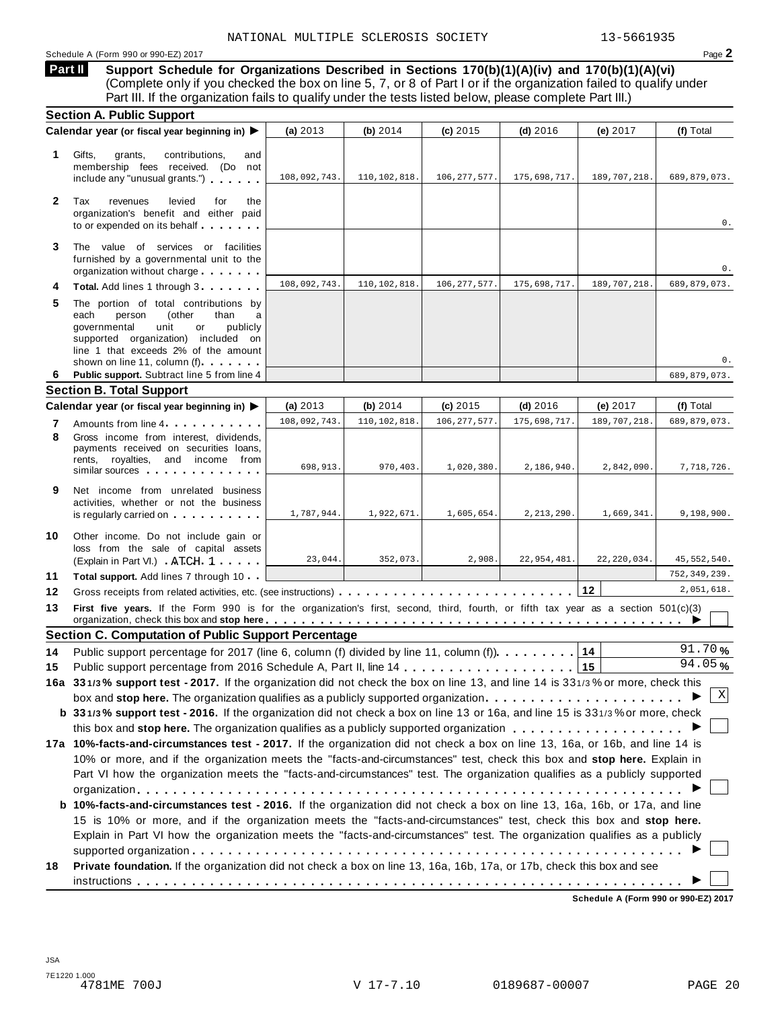**Support Schedule for Organizations Described in Sections 170(b)(1)(A)(iv) and 170(b)(1)(A)(vi)** (Complete only if you checked the box on line 5, 7, or 8 of Part I or if the organization failed to qualify under Part III. If the organization fails to qualify under the tests listed below, please complete Part III.) **Part II**

|              | <b>Section A. Public Support</b>                                                                                                                                                                                                         |              |                |                |               |                |                |  |
|--------------|------------------------------------------------------------------------------------------------------------------------------------------------------------------------------------------------------------------------------------------|--------------|----------------|----------------|---------------|----------------|----------------|--|
|              | Calendar year (or fiscal year beginning in)                                                                                                                                                                                              | (a) $2013$   | (b) 2014       | (c) 2015       | $(d)$ 2016    | (e) 2017       | (f) Total      |  |
| 1.           | Gifts,<br>contributions,<br>grants,<br>and<br>membership fees received. (Do not<br>include any "unusual grants.")                                                                                                                        | 108,092,743. | 110,102,818.   | 106, 277, 577. | 175,698,717.  | 189,707,218.   | 689,879,073.   |  |
| $\mathbf{2}$ | Tax<br>revenues<br>levied<br>for<br>the<br>organization's benefit and either paid<br>to or expended on its behalf                                                                                                                        |              |                |                |               |                | 0.             |  |
| 3            | The value of services or facilities<br>furnished by a governmental unit to the<br>organization without charge                                                                                                                            |              |                |                |               |                | 0.             |  |
| 4            | Total. Add lines 1 through 3.                                                                                                                                                                                                            | 108,092,743. | 110, 102, 818. | 106, 277, 577. | 175,698,717.  | 189, 707, 218. | 689,879,073.   |  |
| 5            | The portion of total contributions by<br>(other<br>than<br>each<br>person<br>a<br>governmental<br>unit<br>publicly<br>or<br>supported organization) included on<br>line 1 that exceeds 2% of the amount<br>shown on line 11, column (f). |              |                |                |               |                | 0.             |  |
| 6            | Public support. Subtract line 5 from line 4                                                                                                                                                                                              |              |                |                |               |                | 689,879,073.   |  |
|              | <b>Section B. Total Support</b>                                                                                                                                                                                                          |              |                |                |               |                |                |  |
|              | Calendar year (or fiscal year beginning in)                                                                                                                                                                                              | (a) $2013$   | (b) 2014       | $(c)$ 2015     | $(d)$ 2016    | (e) 2017       | (f) Total      |  |
| 7            | Amounts from line 4                                                                                                                                                                                                                      | 108,092,743. | 110,102,818.   | 106, 277, 577  | 175,698,717.  | 189, 707, 218  | 689,879,073.   |  |
| 8            | Gross income from interest, dividends,<br>payments received on securities loans,<br>rents, royalties, and income from<br>similar sources experiences                                                                                     | 698,913.     | 970,403.       | 1,020,380.     | 2,186,940.    | 2,842,090.     | 7,718,726.     |  |
| 9            | Net income from unrelated business<br>activities, whether or not the business<br>is regularly carried on with with with the set of the set of the set of the set of the set of the set of the s                                          | 1,787,944.   | 1,922,671.     | 1,605,654.     | 2, 213, 290.  | 1,669,341.     | 9,198,900.     |  |
| 10           | Other income. Do not include gain or<br>loss from the sale of capital assets<br>(Explain in Part VI.) ATCH 1                                                                                                                             | 23,044.      | 352,073.       | 2,908          | 22, 954, 481. | 22, 220, 034.  | 45,552,540.    |  |
| 11           | Total support. Add lines 7 through 10                                                                                                                                                                                                    |              |                |                |               |                | 752, 349, 239. |  |
| 12           |                                                                                                                                                                                                                                          |              |                |                |               | 12             | 2,051,618.     |  |
| 13           | First five years. If the Form 990 is for the organization's first, second, third, fourth, or fifth tax year as a section 501(c)(3)                                                                                                       |              |                |                |               |                |                |  |
|              | <b>Section C. Computation of Public Support Percentage</b>                                                                                                                                                                               |              |                |                |               |                |                |  |
| 14           | Public support percentage for 2017 (line 6, column (f) divided by line 11, column (f)).                                                                                                                                                  |              |                |                |               | 14             | 91.70%         |  |
| 15           |                                                                                                                                                                                                                                          |              |                |                |               | 15             | 94.05%         |  |
|              | 16a 331/3% support test - 2017. If the organization did not check the box on line 13, and line 14 is 331/3% or more, check this                                                                                                          |              |                |                |               |                |                |  |
|              | box and stop here. The organization qualifies as a publicly supported organization                                                                                                                                                       |              |                |                |               |                | X              |  |
|              | b 331/3% support test - 2016. If the organization did not check a box on line 13 or 16a, and line 15 is 331/3% or more, check                                                                                                            |              |                |                |               |                |                |  |
|              |                                                                                                                                                                                                                                          |              |                |                |               |                |                |  |
|              | 17a 10%-facts-and-circumstances test - 2017. If the organization did not check a box on line 13, 16a, or 16b, and line 14 is                                                                                                             |              |                |                |               |                |                |  |
|              | 10% or more, and if the organization meets the "facts-and-circumstances" test, check this box and stop here. Explain in                                                                                                                  |              |                |                |               |                |                |  |
|              | Part VI how the organization meets the "facts-and-circumstances" test. The organization qualifies as a publicly supported                                                                                                                |              |                |                |               |                |                |  |
|              |                                                                                                                                                                                                                                          |              |                |                |               |                |                |  |
|              | b 10%-facts-and-circumstances test - 2016. If the organization did not check a box on line 13, 16a, 16b, or 17a, and line                                                                                                                |              |                |                |               |                |                |  |
|              | 15 is 10% or more, and if the organization meets the "facts-and-circumstances" test, check this box and stop here.                                                                                                                       |              |                |                |               |                |                |  |
|              | Explain in Part VI how the organization meets the "facts-and-circumstances" test. The organization qualifies as a publicly                                                                                                               |              |                |                |               |                |                |  |
|              |                                                                                                                                                                                                                                          |              |                |                |               |                |                |  |
| 18           | Private foundation. If the organization did not check a box on line 13, 16a, 16b, 17a, or 17b, check this box and see                                                                                                                    |              |                |                |               |                |                |  |
|              |                                                                                                                                                                                                                                          |              |                |                |               |                |                |  |
|              |                                                                                                                                                                                                                                          |              |                |                |               |                |                |  |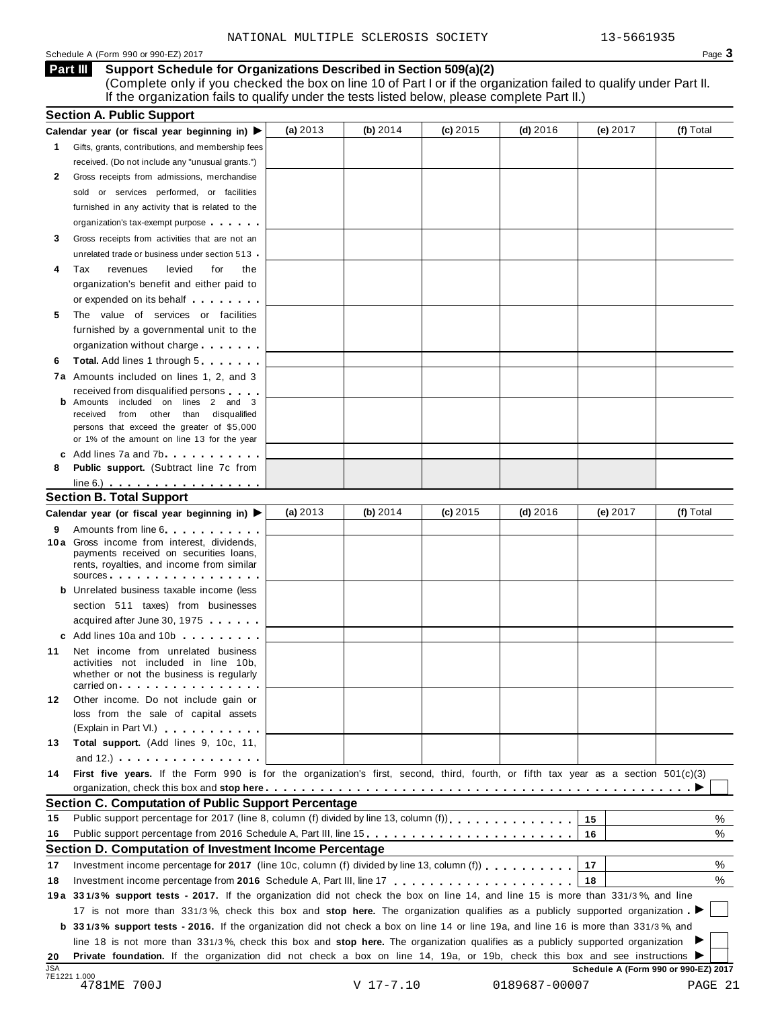### Schedule <sup>A</sup> (Form <sup>990</sup> or 990-EZ) <sup>2017</sup> Page **3**

**Support Schedule for Organizations Described in Section 509(a)(2) Part III**

(Complete only if you checked the box on line 10 of Part I or if the organization failed to qualify under Part II. If the organization fails to qualify under the tests listed below, please complete Part II.)

|                                                                                                                                                                                                                                                              | (a) $2013$                                                                                                                                                                                                                                                                                                                                                                                                                                                                                                                                                                                                                                                                                                                                                                                                                                                                                                                                                                                                                                                                                                                                                                                                                                                                                                                                                                                                                                                                                                                                                                                                                                                                                                                                                                                                                                                                                                                                                                      | (b) $2014$ | $(c)$ 2015                                                                                                    | $(d)$ 2016 | (e) 2017                                                           | (f) Total                                                                                                                          |
|--------------------------------------------------------------------------------------------------------------------------------------------------------------------------------------------------------------------------------------------------------------|---------------------------------------------------------------------------------------------------------------------------------------------------------------------------------------------------------------------------------------------------------------------------------------------------------------------------------------------------------------------------------------------------------------------------------------------------------------------------------------------------------------------------------------------------------------------------------------------------------------------------------------------------------------------------------------------------------------------------------------------------------------------------------------------------------------------------------------------------------------------------------------------------------------------------------------------------------------------------------------------------------------------------------------------------------------------------------------------------------------------------------------------------------------------------------------------------------------------------------------------------------------------------------------------------------------------------------------------------------------------------------------------------------------------------------------------------------------------------------------------------------------------------------------------------------------------------------------------------------------------------------------------------------------------------------------------------------------------------------------------------------------------------------------------------------------------------------------------------------------------------------------------------------------------------------------------------------------------------------|------------|---------------------------------------------------------------------------------------------------------------|------------|--------------------------------------------------------------------|------------------------------------------------------------------------------------------------------------------------------------|
|                                                                                                                                                                                                                                                              |                                                                                                                                                                                                                                                                                                                                                                                                                                                                                                                                                                                                                                                                                                                                                                                                                                                                                                                                                                                                                                                                                                                                                                                                                                                                                                                                                                                                                                                                                                                                                                                                                                                                                                                                                                                                                                                                                                                                                                                 |            |                                                                                                               |            |                                                                    |                                                                                                                                    |
| received. (Do not include any "unusual grants.")                                                                                                                                                                                                             |                                                                                                                                                                                                                                                                                                                                                                                                                                                                                                                                                                                                                                                                                                                                                                                                                                                                                                                                                                                                                                                                                                                                                                                                                                                                                                                                                                                                                                                                                                                                                                                                                                                                                                                                                                                                                                                                                                                                                                                 |            |                                                                                                               |            |                                                                    |                                                                                                                                    |
|                                                                                                                                                                                                                                                              |                                                                                                                                                                                                                                                                                                                                                                                                                                                                                                                                                                                                                                                                                                                                                                                                                                                                                                                                                                                                                                                                                                                                                                                                                                                                                                                                                                                                                                                                                                                                                                                                                                                                                                                                                                                                                                                                                                                                                                                 |            |                                                                                                               |            |                                                                    |                                                                                                                                    |
| or services performed, or facilities<br>sold                                                                                                                                                                                                                 |                                                                                                                                                                                                                                                                                                                                                                                                                                                                                                                                                                                                                                                                                                                                                                                                                                                                                                                                                                                                                                                                                                                                                                                                                                                                                                                                                                                                                                                                                                                                                                                                                                                                                                                                                                                                                                                                                                                                                                                 |            |                                                                                                               |            |                                                                    |                                                                                                                                    |
|                                                                                                                                                                                                                                                              |                                                                                                                                                                                                                                                                                                                                                                                                                                                                                                                                                                                                                                                                                                                                                                                                                                                                                                                                                                                                                                                                                                                                                                                                                                                                                                                                                                                                                                                                                                                                                                                                                                                                                                                                                                                                                                                                                                                                                                                 |            |                                                                                                               |            |                                                                    |                                                                                                                                    |
| organization's tax-exempt purpose                                                                                                                                                                                                                            |                                                                                                                                                                                                                                                                                                                                                                                                                                                                                                                                                                                                                                                                                                                                                                                                                                                                                                                                                                                                                                                                                                                                                                                                                                                                                                                                                                                                                                                                                                                                                                                                                                                                                                                                                                                                                                                                                                                                                                                 |            |                                                                                                               |            |                                                                    |                                                                                                                                    |
|                                                                                                                                                                                                                                                              |                                                                                                                                                                                                                                                                                                                                                                                                                                                                                                                                                                                                                                                                                                                                                                                                                                                                                                                                                                                                                                                                                                                                                                                                                                                                                                                                                                                                                                                                                                                                                                                                                                                                                                                                                                                                                                                                                                                                                                                 |            |                                                                                                               |            |                                                                    |                                                                                                                                    |
|                                                                                                                                                                                                                                                              |                                                                                                                                                                                                                                                                                                                                                                                                                                                                                                                                                                                                                                                                                                                                                                                                                                                                                                                                                                                                                                                                                                                                                                                                                                                                                                                                                                                                                                                                                                                                                                                                                                                                                                                                                                                                                                                                                                                                                                                 |            |                                                                                                               |            |                                                                    |                                                                                                                                    |
|                                                                                                                                                                                                                                                              |                                                                                                                                                                                                                                                                                                                                                                                                                                                                                                                                                                                                                                                                                                                                                                                                                                                                                                                                                                                                                                                                                                                                                                                                                                                                                                                                                                                                                                                                                                                                                                                                                                                                                                                                                                                                                                                                                                                                                                                 |            |                                                                                                               |            |                                                                    |                                                                                                                                    |
|                                                                                                                                                                                                                                                              |                                                                                                                                                                                                                                                                                                                                                                                                                                                                                                                                                                                                                                                                                                                                                                                                                                                                                                                                                                                                                                                                                                                                                                                                                                                                                                                                                                                                                                                                                                                                                                                                                                                                                                                                                                                                                                                                                                                                                                                 |            |                                                                                                               |            |                                                                    |                                                                                                                                    |
|                                                                                                                                                                                                                                                              |                                                                                                                                                                                                                                                                                                                                                                                                                                                                                                                                                                                                                                                                                                                                                                                                                                                                                                                                                                                                                                                                                                                                                                                                                                                                                                                                                                                                                                                                                                                                                                                                                                                                                                                                                                                                                                                                                                                                                                                 |            |                                                                                                               |            |                                                                    |                                                                                                                                    |
|                                                                                                                                                                                                                                                              |                                                                                                                                                                                                                                                                                                                                                                                                                                                                                                                                                                                                                                                                                                                                                                                                                                                                                                                                                                                                                                                                                                                                                                                                                                                                                                                                                                                                                                                                                                                                                                                                                                                                                                                                                                                                                                                                                                                                                                                 |            |                                                                                                               |            |                                                                    |                                                                                                                                    |
|                                                                                                                                                                                                                                                              |                                                                                                                                                                                                                                                                                                                                                                                                                                                                                                                                                                                                                                                                                                                                                                                                                                                                                                                                                                                                                                                                                                                                                                                                                                                                                                                                                                                                                                                                                                                                                                                                                                                                                                                                                                                                                                                                                                                                                                                 |            |                                                                                                               |            |                                                                    |                                                                                                                                    |
|                                                                                                                                                                                                                                                              |                                                                                                                                                                                                                                                                                                                                                                                                                                                                                                                                                                                                                                                                                                                                                                                                                                                                                                                                                                                                                                                                                                                                                                                                                                                                                                                                                                                                                                                                                                                                                                                                                                                                                                                                                                                                                                                                                                                                                                                 |            |                                                                                                               |            |                                                                    |                                                                                                                                    |
|                                                                                                                                                                                                                                                              |                                                                                                                                                                                                                                                                                                                                                                                                                                                                                                                                                                                                                                                                                                                                                                                                                                                                                                                                                                                                                                                                                                                                                                                                                                                                                                                                                                                                                                                                                                                                                                                                                                                                                                                                                                                                                                                                                                                                                                                 |            |                                                                                                               |            |                                                                    |                                                                                                                                    |
|                                                                                                                                                                                                                                                              |                                                                                                                                                                                                                                                                                                                                                                                                                                                                                                                                                                                                                                                                                                                                                                                                                                                                                                                                                                                                                                                                                                                                                                                                                                                                                                                                                                                                                                                                                                                                                                                                                                                                                                                                                                                                                                                                                                                                                                                 |            |                                                                                                               |            |                                                                    |                                                                                                                                    |
|                                                                                                                                                                                                                                                              |                                                                                                                                                                                                                                                                                                                                                                                                                                                                                                                                                                                                                                                                                                                                                                                                                                                                                                                                                                                                                                                                                                                                                                                                                                                                                                                                                                                                                                                                                                                                                                                                                                                                                                                                                                                                                                                                                                                                                                                 |            |                                                                                                               |            |                                                                    |                                                                                                                                    |
|                                                                                                                                                                                                                                                              |                                                                                                                                                                                                                                                                                                                                                                                                                                                                                                                                                                                                                                                                                                                                                                                                                                                                                                                                                                                                                                                                                                                                                                                                                                                                                                                                                                                                                                                                                                                                                                                                                                                                                                                                                                                                                                                                                                                                                                                 |            |                                                                                                               |            |                                                                    |                                                                                                                                    |
| from other than disqualified<br>received                                                                                                                                                                                                                     |                                                                                                                                                                                                                                                                                                                                                                                                                                                                                                                                                                                                                                                                                                                                                                                                                                                                                                                                                                                                                                                                                                                                                                                                                                                                                                                                                                                                                                                                                                                                                                                                                                                                                                                                                                                                                                                                                                                                                                                 |            |                                                                                                               |            |                                                                    |                                                                                                                                    |
| persons that exceed the greater of \$5,000                                                                                                                                                                                                                   |                                                                                                                                                                                                                                                                                                                                                                                                                                                                                                                                                                                                                                                                                                                                                                                                                                                                                                                                                                                                                                                                                                                                                                                                                                                                                                                                                                                                                                                                                                                                                                                                                                                                                                                                                                                                                                                                                                                                                                                 |            |                                                                                                               |            |                                                                    |                                                                                                                                    |
| or 1% of the amount on line 13 for the year                                                                                                                                                                                                                  |                                                                                                                                                                                                                                                                                                                                                                                                                                                                                                                                                                                                                                                                                                                                                                                                                                                                                                                                                                                                                                                                                                                                                                                                                                                                                                                                                                                                                                                                                                                                                                                                                                                                                                                                                                                                                                                                                                                                                                                 |            |                                                                                                               |            |                                                                    |                                                                                                                                    |
|                                                                                                                                                                                                                                                              |                                                                                                                                                                                                                                                                                                                                                                                                                                                                                                                                                                                                                                                                                                                                                                                                                                                                                                                                                                                                                                                                                                                                                                                                                                                                                                                                                                                                                                                                                                                                                                                                                                                                                                                                                                                                                                                                                                                                                                                 |            |                                                                                                               |            |                                                                    |                                                                                                                                    |
|                                                                                                                                                                                                                                                              |                                                                                                                                                                                                                                                                                                                                                                                                                                                                                                                                                                                                                                                                                                                                                                                                                                                                                                                                                                                                                                                                                                                                                                                                                                                                                                                                                                                                                                                                                                                                                                                                                                                                                                                                                                                                                                                                                                                                                                                 |            |                                                                                                               |            |                                                                    |                                                                                                                                    |
|                                                                                                                                                                                                                                                              |                                                                                                                                                                                                                                                                                                                                                                                                                                                                                                                                                                                                                                                                                                                                                                                                                                                                                                                                                                                                                                                                                                                                                                                                                                                                                                                                                                                                                                                                                                                                                                                                                                                                                                                                                                                                                                                                                                                                                                                 |            |                                                                                                               |            |                                                                    |                                                                                                                                    |
|                                                                                                                                                                                                                                                              |                                                                                                                                                                                                                                                                                                                                                                                                                                                                                                                                                                                                                                                                                                                                                                                                                                                                                                                                                                                                                                                                                                                                                                                                                                                                                                                                                                                                                                                                                                                                                                                                                                                                                                                                                                                                                                                                                                                                                                                 |            |                                                                                                               |            |                                                                    |                                                                                                                                    |
|                                                                                                                                                                                                                                                              | (a) $2013$                                                                                                                                                                                                                                                                                                                                                                                                                                                                                                                                                                                                                                                                                                                                                                                                                                                                                                                                                                                                                                                                                                                                                                                                                                                                                                                                                                                                                                                                                                                                                                                                                                                                                                                                                                                                                                                                                                                                                                      | (b) $2014$ | $(c)$ 2015                                                                                                    | $(d)$ 2016 | (e) $2017$                                                         | (f) Total                                                                                                                          |
|                                                                                                                                                                                                                                                              |                                                                                                                                                                                                                                                                                                                                                                                                                                                                                                                                                                                                                                                                                                                                                                                                                                                                                                                                                                                                                                                                                                                                                                                                                                                                                                                                                                                                                                                                                                                                                                                                                                                                                                                                                                                                                                                                                                                                                                                 |            |                                                                                                               |            |                                                                    |                                                                                                                                    |
|                                                                                                                                                                                                                                                              |                                                                                                                                                                                                                                                                                                                                                                                                                                                                                                                                                                                                                                                                                                                                                                                                                                                                                                                                                                                                                                                                                                                                                                                                                                                                                                                                                                                                                                                                                                                                                                                                                                                                                                                                                                                                                                                                                                                                                                                 |            |                                                                                                               |            |                                                                    |                                                                                                                                    |
|                                                                                                                                                                                                                                                              |                                                                                                                                                                                                                                                                                                                                                                                                                                                                                                                                                                                                                                                                                                                                                                                                                                                                                                                                                                                                                                                                                                                                                                                                                                                                                                                                                                                                                                                                                                                                                                                                                                                                                                                                                                                                                                                                                                                                                                                 |            |                                                                                                               |            |                                                                    |                                                                                                                                    |
|                                                                                                                                                                                                                                                              |                                                                                                                                                                                                                                                                                                                                                                                                                                                                                                                                                                                                                                                                                                                                                                                                                                                                                                                                                                                                                                                                                                                                                                                                                                                                                                                                                                                                                                                                                                                                                                                                                                                                                                                                                                                                                                                                                                                                                                                 |            |                                                                                                               |            |                                                                    |                                                                                                                                    |
|                                                                                                                                                                                                                                                              |                                                                                                                                                                                                                                                                                                                                                                                                                                                                                                                                                                                                                                                                                                                                                                                                                                                                                                                                                                                                                                                                                                                                                                                                                                                                                                                                                                                                                                                                                                                                                                                                                                                                                                                                                                                                                                                                                                                                                                                 |            |                                                                                                               |            |                                                                    |                                                                                                                                    |
|                                                                                                                                                                                                                                                              |                                                                                                                                                                                                                                                                                                                                                                                                                                                                                                                                                                                                                                                                                                                                                                                                                                                                                                                                                                                                                                                                                                                                                                                                                                                                                                                                                                                                                                                                                                                                                                                                                                                                                                                                                                                                                                                                                                                                                                                 |            |                                                                                                               |            |                                                                    |                                                                                                                                    |
|                                                                                                                                                                                                                                                              |                                                                                                                                                                                                                                                                                                                                                                                                                                                                                                                                                                                                                                                                                                                                                                                                                                                                                                                                                                                                                                                                                                                                                                                                                                                                                                                                                                                                                                                                                                                                                                                                                                                                                                                                                                                                                                                                                                                                                                                 |            |                                                                                                               |            |                                                                    |                                                                                                                                    |
|                                                                                                                                                                                                                                                              |                                                                                                                                                                                                                                                                                                                                                                                                                                                                                                                                                                                                                                                                                                                                                                                                                                                                                                                                                                                                                                                                                                                                                                                                                                                                                                                                                                                                                                                                                                                                                                                                                                                                                                                                                                                                                                                                                                                                                                                 |            |                                                                                                               |            |                                                                    |                                                                                                                                    |
|                                                                                                                                                                                                                                                              |                                                                                                                                                                                                                                                                                                                                                                                                                                                                                                                                                                                                                                                                                                                                                                                                                                                                                                                                                                                                                                                                                                                                                                                                                                                                                                                                                                                                                                                                                                                                                                                                                                                                                                                                                                                                                                                                                                                                                                                 |            |                                                                                                               |            |                                                                    |                                                                                                                                    |
|                                                                                                                                                                                                                                                              |                                                                                                                                                                                                                                                                                                                                                                                                                                                                                                                                                                                                                                                                                                                                                                                                                                                                                                                                                                                                                                                                                                                                                                                                                                                                                                                                                                                                                                                                                                                                                                                                                                                                                                                                                                                                                                                                                                                                                                                 |            |                                                                                                               |            |                                                                    |                                                                                                                                    |
| whether or not the business is regularly                                                                                                                                                                                                                     |                                                                                                                                                                                                                                                                                                                                                                                                                                                                                                                                                                                                                                                                                                                                                                                                                                                                                                                                                                                                                                                                                                                                                                                                                                                                                                                                                                                                                                                                                                                                                                                                                                                                                                                                                                                                                                                                                                                                                                                 |            |                                                                                                               |            |                                                                    |                                                                                                                                    |
| carried on the carried on the control of the care of the control of the control of the control of the control o                                                                                                                                              |                                                                                                                                                                                                                                                                                                                                                                                                                                                                                                                                                                                                                                                                                                                                                                                                                                                                                                                                                                                                                                                                                                                                                                                                                                                                                                                                                                                                                                                                                                                                                                                                                                                                                                                                                                                                                                                                                                                                                                                 |            |                                                                                                               |            |                                                                    |                                                                                                                                    |
|                                                                                                                                                                                                                                                              |                                                                                                                                                                                                                                                                                                                                                                                                                                                                                                                                                                                                                                                                                                                                                                                                                                                                                                                                                                                                                                                                                                                                                                                                                                                                                                                                                                                                                                                                                                                                                                                                                                                                                                                                                                                                                                                                                                                                                                                 |            |                                                                                                               |            |                                                                    |                                                                                                                                    |
| loss from the sale of capital assets                                                                                                                                                                                                                         |                                                                                                                                                                                                                                                                                                                                                                                                                                                                                                                                                                                                                                                                                                                                                                                                                                                                                                                                                                                                                                                                                                                                                                                                                                                                                                                                                                                                                                                                                                                                                                                                                                                                                                                                                                                                                                                                                                                                                                                 |            |                                                                                                               |            |                                                                    |                                                                                                                                    |
|                                                                                                                                                                                                                                                              |                                                                                                                                                                                                                                                                                                                                                                                                                                                                                                                                                                                                                                                                                                                                                                                                                                                                                                                                                                                                                                                                                                                                                                                                                                                                                                                                                                                                                                                                                                                                                                                                                                                                                                                                                                                                                                                                                                                                                                                 |            |                                                                                                               |            |                                                                    |                                                                                                                                    |
|                                                                                                                                                                                                                                                              |                                                                                                                                                                                                                                                                                                                                                                                                                                                                                                                                                                                                                                                                                                                                                                                                                                                                                                                                                                                                                                                                                                                                                                                                                                                                                                                                                                                                                                                                                                                                                                                                                                                                                                                                                                                                                                                                                                                                                                                 |            |                                                                                                               |            |                                                                    |                                                                                                                                    |
| and $12.$ ) $\cdots$ $\cdots$ $\cdots$ $\cdots$ $\cdots$                                                                                                                                                                                                     |                                                                                                                                                                                                                                                                                                                                                                                                                                                                                                                                                                                                                                                                                                                                                                                                                                                                                                                                                                                                                                                                                                                                                                                                                                                                                                                                                                                                                                                                                                                                                                                                                                                                                                                                                                                                                                                                                                                                                                                 |            |                                                                                                               |            |                                                                    |                                                                                                                                    |
|                                                                                                                                                                                                                                                              |                                                                                                                                                                                                                                                                                                                                                                                                                                                                                                                                                                                                                                                                                                                                                                                                                                                                                                                                                                                                                                                                                                                                                                                                                                                                                                                                                                                                                                                                                                                                                                                                                                                                                                                                                                                                                                                                                                                                                                                 |            |                                                                                                               |            |                                                                    |                                                                                                                                    |
|                                                                                                                                                                                                                                                              |                                                                                                                                                                                                                                                                                                                                                                                                                                                                                                                                                                                                                                                                                                                                                                                                                                                                                                                                                                                                                                                                                                                                                                                                                                                                                                                                                                                                                                                                                                                                                                                                                                                                                                                                                                                                                                                                                                                                                                                 |            |                                                                                                               |            |                                                                    |                                                                                                                                    |
|                                                                                                                                                                                                                                                              |                                                                                                                                                                                                                                                                                                                                                                                                                                                                                                                                                                                                                                                                                                                                                                                                                                                                                                                                                                                                                                                                                                                                                                                                                                                                                                                                                                                                                                                                                                                                                                                                                                                                                                                                                                                                                                                                                                                                                                                 |            |                                                                                                               |            |                                                                    |                                                                                                                                    |
|                                                                                                                                                                                                                                                              |                                                                                                                                                                                                                                                                                                                                                                                                                                                                                                                                                                                                                                                                                                                                                                                                                                                                                                                                                                                                                                                                                                                                                                                                                                                                                                                                                                                                                                                                                                                                                                                                                                                                                                                                                                                                                                                                                                                                                                                 |            |                                                                                                               |            | 15                                                                 | %                                                                                                                                  |
|                                                                                                                                                                                                                                                              |                                                                                                                                                                                                                                                                                                                                                                                                                                                                                                                                                                                                                                                                                                                                                                                                                                                                                                                                                                                                                                                                                                                                                                                                                                                                                                                                                                                                                                                                                                                                                                                                                                                                                                                                                                                                                                                                                                                                                                                 |            |                                                                                                               |            | 16                                                                 | %                                                                                                                                  |
|                                                                                                                                                                                                                                                              |                                                                                                                                                                                                                                                                                                                                                                                                                                                                                                                                                                                                                                                                                                                                                                                                                                                                                                                                                                                                                                                                                                                                                                                                                                                                                                                                                                                                                                                                                                                                                                                                                                                                                                                                                                                                                                                                                                                                                                                 |            |                                                                                                               |            |                                                                    |                                                                                                                                    |
| Investment income percentage for 2017 (line 10c, column (f) divided by line 13, column (f) $\ldots$ ,,,,,,,,                                                                                                                                                 |                                                                                                                                                                                                                                                                                                                                                                                                                                                                                                                                                                                                                                                                                                                                                                                                                                                                                                                                                                                                                                                                                                                                                                                                                                                                                                                                                                                                                                                                                                                                                                                                                                                                                                                                                                                                                                                                                                                                                                                 |            |                                                                                                               |            | 17                                                                 | %                                                                                                                                  |
|                                                                                                                                                                                                                                                              |                                                                                                                                                                                                                                                                                                                                                                                                                                                                                                                                                                                                                                                                                                                                                                                                                                                                                                                                                                                                                                                                                                                                                                                                                                                                                                                                                                                                                                                                                                                                                                                                                                                                                                                                                                                                                                                                                                                                                                                 |            |                                                                                                               |            | 18                                                                 | %                                                                                                                                  |
|                                                                                                                                                                                                                                                              |                                                                                                                                                                                                                                                                                                                                                                                                                                                                                                                                                                                                                                                                                                                                                                                                                                                                                                                                                                                                                                                                                                                                                                                                                                                                                                                                                                                                                                                                                                                                                                                                                                                                                                                                                                                                                                                                                                                                                                                 |            |                                                                                                               |            |                                                                    |                                                                                                                                    |
|                                                                                                                                                                                                                                                              |                                                                                                                                                                                                                                                                                                                                                                                                                                                                                                                                                                                                                                                                                                                                                                                                                                                                                                                                                                                                                                                                                                                                                                                                                                                                                                                                                                                                                                                                                                                                                                                                                                                                                                                                                                                                                                                                                                                                                                                 |            |                                                                                                               |            |                                                                    |                                                                                                                                    |
| 19a 331/3% support tests - 2017. If the organization did not check the box on line 14, and line 15 is more than 331/3%, and line                                                                                                                             |                                                                                                                                                                                                                                                                                                                                                                                                                                                                                                                                                                                                                                                                                                                                                                                                                                                                                                                                                                                                                                                                                                                                                                                                                                                                                                                                                                                                                                                                                                                                                                                                                                                                                                                                                                                                                                                                                                                                                                                 |            |                                                                                                               |            |                                                                    |                                                                                                                                    |
| 17 is not more than 331/3%, check this box and stop here. The organization qualifies as a publicly supported organization                                                                                                                                    |                                                                                                                                                                                                                                                                                                                                                                                                                                                                                                                                                                                                                                                                                                                                                                                                                                                                                                                                                                                                                                                                                                                                                                                                                                                                                                                                                                                                                                                                                                                                                                                                                                                                                                                                                                                                                                                                                                                                                                                 |            |                                                                                                               |            |                                                                    |                                                                                                                                    |
| <b>b</b> 331/3% support tests - 2016. If the organization did not check a box on line 14 or line 19a, and line 16 is more than 331/3%, and                                                                                                                   |                                                                                                                                                                                                                                                                                                                                                                                                                                                                                                                                                                                                                                                                                                                                                                                                                                                                                                                                                                                                                                                                                                                                                                                                                                                                                                                                                                                                                                                                                                                                                                                                                                                                                                                                                                                                                                                                                                                                                                                 |            |                                                                                                               |            |                                                                    |                                                                                                                                    |
| line 18 is not more than 331/3%, check this box and stop here. The organization qualifies as a publicly supported organization<br>Private foundation. If the organization did not check a box on line 14, 19a, or 19b, check this box and see instructions ▶ |                                                                                                                                                                                                                                                                                                                                                                                                                                                                                                                                                                                                                                                                                                                                                                                                                                                                                                                                                                                                                                                                                                                                                                                                                                                                                                                                                                                                                                                                                                                                                                                                                                                                                                                                                                                                                                                                                                                                                                                 |            |                                                                                                               |            |                                                                    |                                                                                                                                    |
|                                                                                                                                                                                                                                                              | <b>Section A. Public Support</b><br>Calendar year (or fiscal year beginning in) $\blacktriangleright$<br>Gifts, grants, contributions, and membership fees<br>Gross receipts from admissions, merchandise<br>furnished in any activity that is related to the<br>Gross receipts from activities that are not an<br>unrelated trade or business under section 513<br>Tax<br>revenues<br>levied<br>for<br>the<br>organization's benefit and either paid to<br>or expended on its behalf <b>contains the set of the set of the set of the set of the set of the set of the set of the set of the set of the set of the set of the set of the set of the set of the set of the set of the set of</b><br>The value of services or facilities<br>furnished by a governmental unit to the<br>organization without charge<br>Total. Add lines 1 through 5<br>7a Amounts included on lines 1, 2, and 3<br>received from disqualified persons<br><b>b</b> Amounts included on lines 2 and 3<br>c Add lines 7a and 7b<br><b>Public support.</b> (Subtract line 7c from<br>$line 6.)$ $\ldots$ $\ldots$ $\ldots$ $\ldots$ $\ldots$ $\ldots$ $\ldots$<br><b>Section B. Total Support</b><br>Calendar year (or fiscal year beginning in) ▶<br>Amounts from line 6. The state of the state of the state of the state of the state of the state of the state of the state of the state of the state of the state of the state of the state of the state of the state of the st<br>10 a Gross income from interest, dividends,<br>payments received on securities loans,<br>rents, royalties, and income from similar<br>sources<br><b>b</b> Unrelated business taxable income (less<br>section 511 taxes) from businesses<br>acquired after June 30, 1975<br>c Add lines 10a and 10b<br>Net income from unrelated business<br>activities not included in line 10b,<br>Other income. Do not include gain or<br>(Explain in Part VI.) <b>All Accords</b><br>Total support. (Add lines 9, 10c, 11, |            | Section C. Computation of Public Support Percentage<br>Section D. Computation of Investment Income Percentage |            | Public support percentage from 2016 Schedule A, Part III, line 15. | First five years. If the Form 990 is for the organization's first, second, third, fourth, or fifth tax year as a section 501(c)(3) |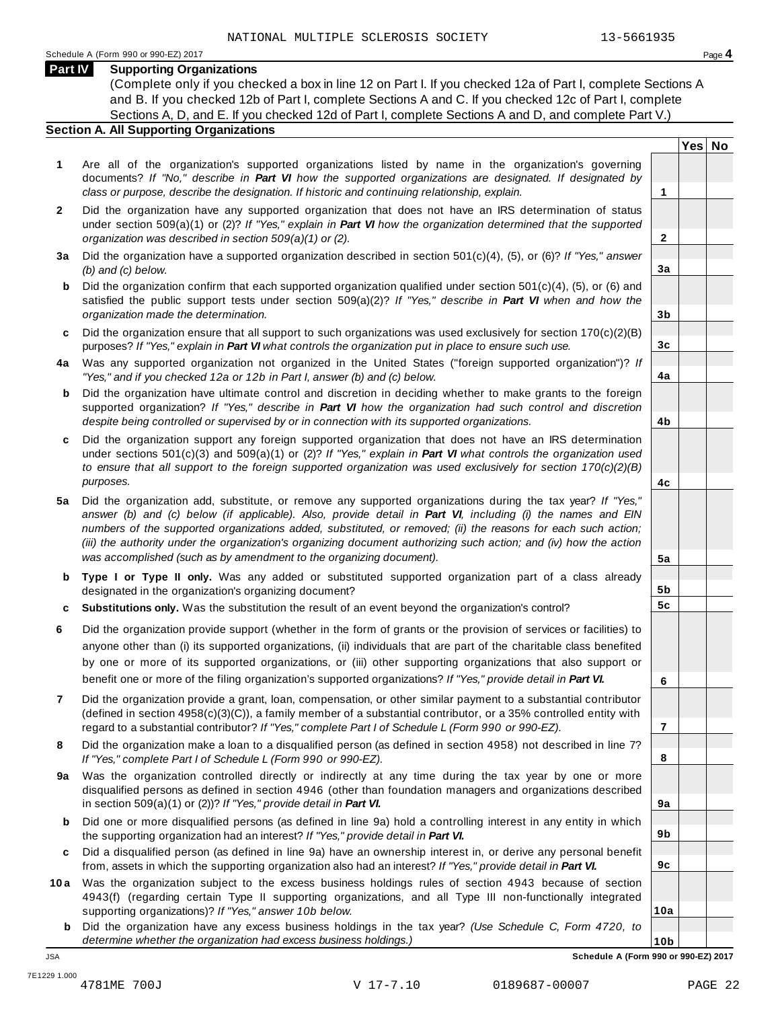**Yes No**

**2**

**3a**

**3b**

**3c**

**4a**

**4b**

**4c**

**5a**

**5b 5c**

**6**

**7**

**8**

**9a**

**9b**

**9c**

**10a**

## **Part IV Supporting Organizations**

(Complete only if you checked a box in line 12 on Part I. If you checked 12a of Part I, complete Sections A and B. If you checked 12b of Part I, complete Sections A and C. If you checked 12c of Part I, complete Sections A, D, and E. If you checked 12d of Part I, complete Sections A and D, and complete Part V.)

## **Section A. All Supporting Organizations**

- **1** Are all of the organization's supported organizations listed by name in the organization's governing documents? *If "No," describe in Part VI how the supported organizations are designated. If designated by class or purpose, describe the designation. If historic and continuing relationship, explain.* **1**
- **2** Did the organization have any supported organization that does not have an IRS determination of status under section 509(a)(1) or (2)? *If"Yes," explain in Part VI how the organization determined that the supported organization was described in section 509(a)(1) or (2).*
- **3 a** Did the organization have a supported organization described in section 501(c)(4), (5), or (6)? *If "Yes," answer (b) and (c) below.*
- **b** Did the organization confirm that each supported organization qualified under section 501(c)(4), (5), or (6) and | satisfied the public support tests under section 509(a)(2)? *If "Yes," describe in Part VI when and how the organization made the determination.*
- **c** Did the organization ensure that all support to such organizations was used exclusively for section 170(c)(2)(B) purposes? *If"Yes," explain in Part VI what controls the organization put in place to ensure such use.*
- **4 a** Was any supported organization not organized in the United States ("foreign supported organization")? *If "Yes," and if you checked 12a or 12b in Part I, answer (b) and (c) below.*
- **b** Did the organization have ultimate control and discretion in deciding whether to make grants to the foreign | supported organization? *If "Yes," describe in Part VI how the organization had such control and discretion despite being controlled or supervised by or in connection with its supported organizations.*
- **c** Did the organization support any foreign supported organization that does not have an IRS determination | under sections 501(c)(3) and 509(a)(1) or (2)? *If "Yes," explain in Part VI what controls the organization used to ensure that all support to the foreign supported organization was used exclusively for section 170(c)(2)(B) purposes.*
- **5 a** Did the organization add, substitute, or remove any supported organizations during the tax year? *If "Yes,"* answer (b) and (c) below (if applicable). Also, provide detail in Part VI, including (i) the names and EIN *numbers of the supported organizations added, substituted, or removed; (ii) the reasons for each such action;* (iii) the authority under the organization's organizing document authorizing such action; and (iv) how the action *was accomplished (such as by amendment to the organizing document).*
- **b** Type I or Type II only. Was any added or substituted supported organization part of a class already | designated in the organization's organizing document?
- **c Substitutions only.** Was the substitution the result of an event beyond the organization's control?
- **6** Did the organization provide support (whether in the form of grants or the provision of services or facilities) to anyone other than (i) its supported organizations, (ii) individuals that are part of the charitable class benefited by one or more of its supported organizations, or (iii) other supporting organizations that also support or benefit one or more of the filing organization's supported organizations? *If"Yes," provide detail in Part VI.*
- **7** Did the organization provide a grant, loan, compensation, or other similar payment to a substantial contributor (defined in section 4958(c)(3)(C)), a family member of a substantial contributor, or a 35% controlled entity with regard to a substantial contributor? *If"Yes," complete Part I of Schedule L (Form 990 or 990-EZ).*
- **8** Did the organization make a loan to a disqualified person (as defined in section 4958) not described in line 7? *If "Yes," complete Part I of Schedule L (Form 990 or 990-EZ).*
- **a** Was the organization controlled directly or indirectly at any time during the tax year by one or more | **9** disqualified persons as defined in section 4946 (other than foundation managers and organizations described in section 509(a)(1) or (2))? *If"Yes," provide detail in Part VI.*
- **b** Did one or more disqualified persons (as defined in line 9a) hold a controlling interest in any entity in which | the supporting organization had an interest? *If"Yes," provide detail in Part VI.*
- **c** Did a disqualified person (as defined in line 9a) have an ownership interest in, or derive any personal benefit from, assets in which the supporting organization also had an interest? *If"Yes," provide detail in Part VI.*
- **10a** Was the organization subject to the excess business holdings rules of section 4943 because of section | 4943(f) (regarding certain Type II supporting organizations, and all Type III non-functionally integrated supporting organizations)? *If"Yes," answer 10b below.*
	- **b** Did the organization have any excess business holdings in the tax year? *(Use Schedule C, Form 4720, to determine whether the organization had excess business holdings.)*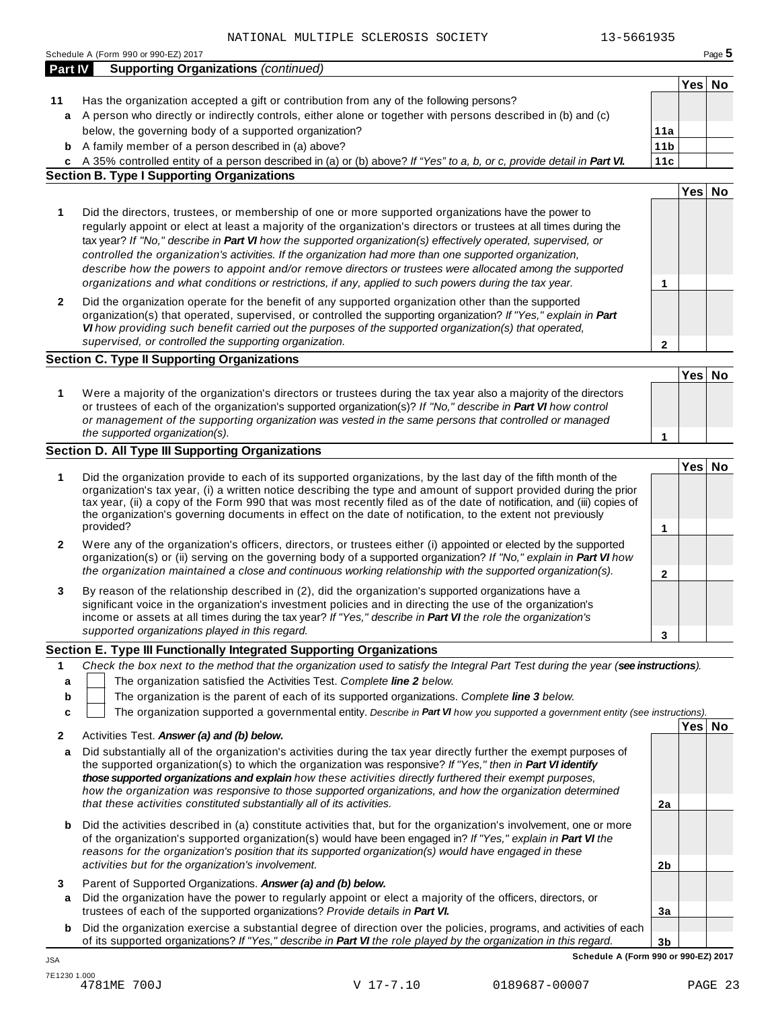|         | NAIIONAL MULIIPLE SCLEROSIS SOCIEII<br>13-5001935<br>Schedule A (Form 990 or 990-EZ) 2017                                                                                                                                                                                                                                                                                                                                                                                                                                                                                                                                                                                    |                 |                  | Page $5$ |
|---------|------------------------------------------------------------------------------------------------------------------------------------------------------------------------------------------------------------------------------------------------------------------------------------------------------------------------------------------------------------------------------------------------------------------------------------------------------------------------------------------------------------------------------------------------------------------------------------------------------------------------------------------------------------------------------|-----------------|------------------|----------|
| Part IV | <b>Supporting Organizations (continued)</b>                                                                                                                                                                                                                                                                                                                                                                                                                                                                                                                                                                                                                                  |                 |                  |          |
|         |                                                                                                                                                                                                                                                                                                                                                                                                                                                                                                                                                                                                                                                                              |                 | Yes              | No       |
| 11      | Has the organization accepted a gift or contribution from any of the following persons?                                                                                                                                                                                                                                                                                                                                                                                                                                                                                                                                                                                      |                 |                  |          |
| a       | A person who directly or indirectly controls, either alone or together with persons described in (b) and (c)                                                                                                                                                                                                                                                                                                                                                                                                                                                                                                                                                                 |                 |                  |          |
|         | below, the governing body of a supported organization?                                                                                                                                                                                                                                                                                                                                                                                                                                                                                                                                                                                                                       | 11a             |                  |          |
| b       | A family member of a person described in (a) above?                                                                                                                                                                                                                                                                                                                                                                                                                                                                                                                                                                                                                          | 11 <sub>b</sub> |                  |          |
|         | c A 35% controlled entity of a person described in (a) or (b) above? If "Yes" to a, b, or c, provide detail in Part VI.                                                                                                                                                                                                                                                                                                                                                                                                                                                                                                                                                      | 11c             |                  |          |
|         | <b>Section B. Type I Supporting Organizations</b>                                                                                                                                                                                                                                                                                                                                                                                                                                                                                                                                                                                                                            |                 |                  |          |
|         |                                                                                                                                                                                                                                                                                                                                                                                                                                                                                                                                                                                                                                                                              |                 | Yes              | No       |
| 1       | Did the directors, trustees, or membership of one or more supported organizations have the power to<br>regularly appoint or elect at least a majority of the organization's directors or trustees at all times during the<br>tax year? If "No," describe in Part VI how the supported organization(s) effectively operated, supervised, or<br>controlled the organization's activities. If the organization had more than one supported organization,<br>describe how the powers to appoint and/or remove directors or trustees were allocated among the supported<br>organizations and what conditions or restrictions, if any, applied to such powers during the tax year. | 1               |                  |          |
| 2       | Did the organization operate for the benefit of any supported organization other than the supported<br>organization(s) that operated, supervised, or controlled the supporting organization? If "Yes," explain in Part<br>VI how providing such benefit carried out the purposes of the supported organization(s) that operated,<br>supervised, or controlled the supporting organization.                                                                                                                                                                                                                                                                                   | 2               |                  |          |
|         | <b>Section C. Type II Supporting Organizations</b>                                                                                                                                                                                                                                                                                                                                                                                                                                                                                                                                                                                                                           |                 |                  |          |
|         |                                                                                                                                                                                                                                                                                                                                                                                                                                                                                                                                                                                                                                                                              |                 | Yes              | No       |
| 1       | Were a majority of the organization's directors or trustees during the tax year also a majority of the directors<br>or trustees of each of the organization's supported organization(s)? If "No," describe in Part VI how control<br>or management of the supporting organization was vested in the same persons that controlled or managed<br>the supported organization(s).                                                                                                                                                                                                                                                                                                |                 |                  |          |
|         | <b>Section D. All Type III Supporting Organizations</b>                                                                                                                                                                                                                                                                                                                                                                                                                                                                                                                                                                                                                      | 1               |                  |          |
|         |                                                                                                                                                                                                                                                                                                                                                                                                                                                                                                                                                                                                                                                                              |                 | Yes <sup> </sup> | No       |
| 1       | Did the organization provide to each of its supported organizations, by the last day of the fifth month of the<br>organization's tax year, (i) a written notice describing the type and amount of support provided during the prior<br>tax year, (ii) a copy of the Form 990 that was most recently filed as of the date of notification, and (iii) copies of<br>the organization's governing documents in effect on the date of notification, to the extent not previously<br>provided?                                                                                                                                                                                     | 1               |                  |          |
| 2       | Were any of the organization's officers, directors, or trustees either (i) appointed or elected by the supported<br>organization(s) or (ii) serving on the governing body of a supported organization? If "No," explain in Part VI how<br>the organization maintained a close and continuous working relationship with the supported organization(s).                                                                                                                                                                                                                                                                                                                        | 2               |                  |          |
| 3       | By reason of the relationship described in (2), did the organization's supported organizations have a<br>significant voice in the organization's investment policies and in directing the use of the organization's<br>income or assets at all times during the tax year? If "Yes," describe in Part VI the role the organization's<br>supported organizations played in this regard.                                                                                                                                                                                                                                                                                        |                 |                  |          |
|         | Section E. Type III Functionally Integrated Supporting Organizations                                                                                                                                                                                                                                                                                                                                                                                                                                                                                                                                                                                                         | 3               |                  |          |
| 1       | Check the box next to the method that the organization used to satisfy the Integral Part Test during the year (see instructions).                                                                                                                                                                                                                                                                                                                                                                                                                                                                                                                                            |                 |                  |          |
| a       | The organization satisfied the Activities Test. Complete line 2 below.                                                                                                                                                                                                                                                                                                                                                                                                                                                                                                                                                                                                       |                 |                  |          |
| b       | The organization is the parent of each of its supported organizations. Complete line 3 below.                                                                                                                                                                                                                                                                                                                                                                                                                                                                                                                                                                                |                 |                  |          |
| c       | The organization supported a governmental entity. Describe in Part VI how you supported a government entity (see instructions).                                                                                                                                                                                                                                                                                                                                                                                                                                                                                                                                              |                 |                  |          |
|         |                                                                                                                                                                                                                                                                                                                                                                                                                                                                                                                                                                                                                                                                              |                 | Yes No           |          |
| 2<br>а  | Activities Test. Answer (a) and (b) below.<br>Did substantially all of the organization's activities during the tax year directly further the exempt purposes of<br>the supported organization(s) to which the organization was responsive? If "Yes," then in Part VI identify<br>those supported organizations and explain how these activities directly furthered their exempt purposes,<br>how the organization was responsive to those supported organizations, and how the organization determined                                                                                                                                                                      |                 |                  |          |
|         | that these activities constituted substantially all of its activities.                                                                                                                                                                                                                                                                                                                                                                                                                                                                                                                                                                                                       | 2a              |                  |          |
| b       | Did the activities described in (a) constitute activities that, but for the organization's involvement, one or more<br>of the organization's supported organization(s) would have been engaged in? If "Yes," explain in Part VI the<br>reasons for the organization's position that its supported organization(s) would have engaged in these<br>activities but for the organization's involvement.                                                                                                                                                                                                                                                                          | 2 <sub>b</sub>  |                  |          |
|         |                                                                                                                                                                                                                                                                                                                                                                                                                                                                                                                                                                                                                                                                              |                 |                  |          |
| 3<br>a  | Parent of Supported Organizations. Answer (a) and (b) below.<br>Did the organization have the power to regularly appoint or elect a majority of the officers, directors, or                                                                                                                                                                                                                                                                                                                                                                                                                                                                                                  |                 |                  |          |
|         | trustees of each of the supported organizations? Provide details in Part VI.                                                                                                                                                                                                                                                                                                                                                                                                                                                                                                                                                                                                 | 3a              |                  |          |
| b       | Did the organization exercise a substantial degree of direction over the policies, programs, and activities of each                                                                                                                                                                                                                                                                                                                                                                                                                                                                                                                                                          |                 |                  |          |
|         | of its supported organizations? If "Yes," describe in Part VI the role played by the organization in this regard.                                                                                                                                                                                                                                                                                                                                                                                                                                                                                                                                                            | 3 <sub>b</sub>  |                  |          |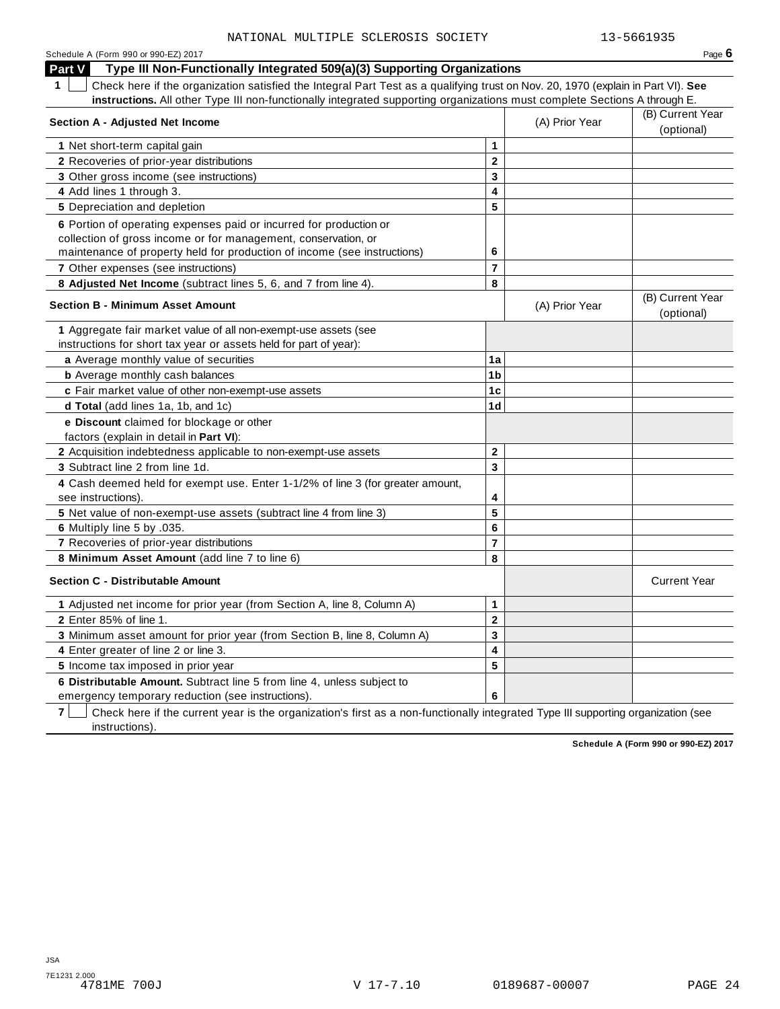| Schedule A (Form 990 or 990-EZ) 2017                                                                                                            |                         |                | Page 6                         |
|-------------------------------------------------------------------------------------------------------------------------------------------------|-------------------------|----------------|--------------------------------|
| Type III Non-Functionally Integrated 509(a)(3) Supporting Organizations<br><b>Part V</b>                                                        |                         |                |                                |
| $\mathbf 1$<br>Check here if the organization satisfied the Integral Part Test as a qualifying trust on Nov. 20, 1970 (explain in Part VI). See |                         |                |                                |
| instructions. All other Type III non-functionally integrated supporting organizations must complete Sections A through E.                       |                         |                |                                |
| <b>Section A - Adjusted Net Income</b>                                                                                                          |                         | (A) Prior Year | (B) Current Year<br>(optional) |
| 1 Net short-term capital gain                                                                                                                   | 1                       |                |                                |
| 2 Recoveries of prior-year distributions                                                                                                        | $\mathbf{2}$            |                |                                |
| 3 Other gross income (see instructions)                                                                                                         | 3                       |                |                                |
| 4 Add lines 1 through 3.                                                                                                                        | 4                       |                |                                |
| 5 Depreciation and depletion                                                                                                                    | 5                       |                |                                |
| 6 Portion of operating expenses paid or incurred for production or                                                                              |                         |                |                                |
| collection of gross income or for management, conservation, or                                                                                  |                         |                |                                |
| maintenance of property held for production of income (see instructions)                                                                        | 6                       |                |                                |
| 7 Other expenses (see instructions)                                                                                                             | $\overline{7}$          |                |                                |
| 8 Adjusted Net Income (subtract lines 5, 6, and 7 from line 4).                                                                                 | 8                       |                |                                |
|                                                                                                                                                 |                         |                | (B) Current Year               |
| <b>Section B - Minimum Asset Amount</b>                                                                                                         |                         | (A) Prior Year | (optional)                     |
| 1 Aggregate fair market value of all non-exempt-use assets (see                                                                                 |                         |                |                                |
| instructions for short tax year or assets held for part of year):                                                                               |                         |                |                                |
| a Average monthly value of securities                                                                                                           | 1a                      |                |                                |
| <b>b</b> Average monthly cash balances                                                                                                          | 1 <sub>b</sub>          |                |                                |
| c Fair market value of other non-exempt-use assets                                                                                              | 1 <sub>c</sub>          |                |                                |
| d Total (add lines 1a, 1b, and 1c)                                                                                                              | 1 <sub>d</sub>          |                |                                |
| e Discount claimed for blockage or other                                                                                                        |                         |                |                                |
| factors (explain in detail in Part VI):                                                                                                         |                         |                |                                |
| 2 Acquisition indebtedness applicable to non-exempt-use assets                                                                                  | $\mathbf 2$             |                |                                |
| 3 Subtract line 2 from line 1d.                                                                                                                 | 3                       |                |                                |
| 4 Cash deemed held for exempt use. Enter 1-1/2% of line 3 (for greater amount,                                                                  |                         |                |                                |
| see instructions).                                                                                                                              | 4                       |                |                                |
| 5 Net value of non-exempt-use assets (subtract line 4 from line 3)                                                                              | 5                       |                |                                |
| 6 Multiply line 5 by .035.                                                                                                                      | $6\phantom{1}6$         |                |                                |
| 7 Recoveries of prior-year distributions                                                                                                        | $\overline{7}$          |                |                                |
| 8 Minimum Asset Amount (add line 7 to line 6)                                                                                                   | 8                       |                |                                |
| <b>Section C - Distributable Amount</b>                                                                                                         |                         |                | <b>Current Year</b>            |
| 1 Adjusted net income for prior year (from Section A, line 8, Column A)                                                                         | 1                       |                |                                |
| 2 Enter 85% of line 1.                                                                                                                          | $\mathbf 2$             |                |                                |
| 3 Minimum asset amount for prior year (from Section B, line 8, Column A)                                                                        | 3                       |                |                                |
| 4 Enter greater of line 2 or line 3.                                                                                                            | $\overline{\mathbf{4}}$ |                |                                |
| 5 Income tax imposed in prior year                                                                                                              | 5                       |                |                                |
| 6 Distributable Amount. Subtract line 5 from line 4, unless subject to                                                                          |                         |                |                                |
| emergency temporary reduction (see instructions).                                                                                               | 6                       |                |                                |

**7** | Check here if the current year is the organization's first as a non-functionally integrated Type III supporting organization (see instructions).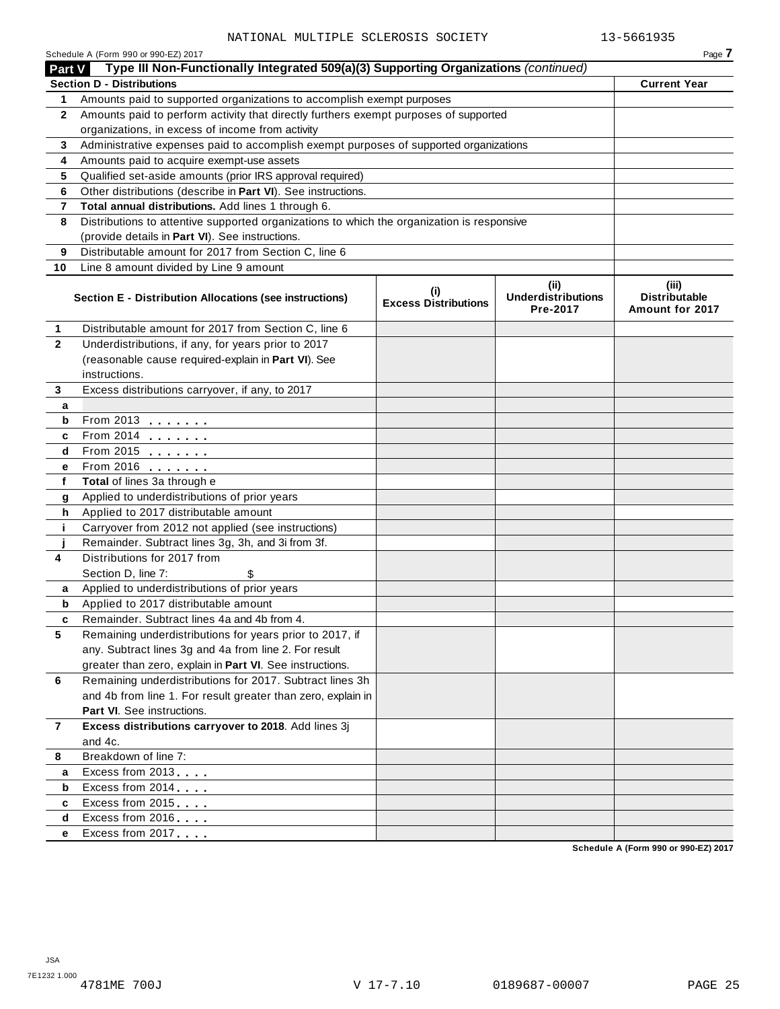|              | Schedule A (Form 990 or 990-EZ) 2017                                                       |                                    |                                               | Page 7                                           |
|--------------|--------------------------------------------------------------------------------------------|------------------------------------|-----------------------------------------------|--------------------------------------------------|
| Part V       | Type III Non-Functionally Integrated 509(a)(3) Supporting Organizations (continued)        |                                    |                                               |                                                  |
|              | <b>Section D - Distributions</b>                                                           |                                    |                                               | <b>Current Year</b>                              |
| 1            | Amounts paid to supported organizations to accomplish exempt purposes                      |                                    |                                               |                                                  |
| $\mathbf{2}$ | Amounts paid to perform activity that directly furthers exempt purposes of supported       |                                    |                                               |                                                  |
|              | organizations, in excess of income from activity                                           |                                    |                                               |                                                  |
| 3            | Administrative expenses paid to accomplish exempt purposes of supported organizations      |                                    |                                               |                                                  |
| 4            | Amounts paid to acquire exempt-use assets                                                  |                                    |                                               |                                                  |
| 5            | Qualified set-aside amounts (prior IRS approval required)                                  |                                    |                                               |                                                  |
| 6            | Other distributions (describe in Part VI). See instructions.                               |                                    |                                               |                                                  |
| 7            | Total annual distributions. Add lines 1 through 6.                                         |                                    |                                               |                                                  |
| 8            | Distributions to attentive supported organizations to which the organization is responsive |                                    |                                               |                                                  |
|              | (provide details in Part VI). See instructions.                                            |                                    |                                               |                                                  |
| 9            | Distributable amount for 2017 from Section C, line 6                                       |                                    |                                               |                                                  |
| 10           | Line 8 amount divided by Line 9 amount                                                     |                                    |                                               |                                                  |
|              | Section E - Distribution Allocations (see instructions)                                    | (i)<br><b>Excess Distributions</b> | (ii)<br><b>Underdistributions</b><br>Pre-2017 | (iii)<br><b>Distributable</b><br>Amount for 2017 |
| 1            | Distributable amount for 2017 from Section C, line 6                                       |                                    |                                               |                                                  |
| $\mathbf{2}$ | Underdistributions, if any, for years prior to 2017                                        |                                    |                                               |                                                  |
|              | (reasonable cause required-explain in Part VI). See                                        |                                    |                                               |                                                  |
|              | instructions.                                                                              |                                    |                                               |                                                  |
| 3            | Excess distributions carryover, if any, to 2017                                            |                                    |                                               |                                                  |
| a            |                                                                                            |                                    |                                               |                                                  |
| b            | From 2013                                                                                  |                                    |                                               |                                                  |
| C            | From 2014                                                                                  |                                    |                                               |                                                  |
| d            | From 2015                                                                                  |                                    |                                               |                                                  |
| е            | From 2016 <b></b>                                                                          |                                    |                                               |                                                  |
| f            | Total of lines 3a through e                                                                |                                    |                                               |                                                  |
| g            | Applied to underdistributions of prior years                                               |                                    |                                               |                                                  |
| h            | Applied to 2017 distributable amount                                                       |                                    |                                               |                                                  |
| j.           | Carryover from 2012 not applied (see instructions)                                         |                                    |                                               |                                                  |
|              | Remainder. Subtract lines 3g, 3h, and 3i from 3f.                                          |                                    |                                               |                                                  |
| 4            | Distributions for 2017 from                                                                |                                    |                                               |                                                  |
|              | Section D, line 7:<br>\$                                                                   |                                    |                                               |                                                  |
| a            | Applied to underdistributions of prior years                                               |                                    |                                               |                                                  |
| b            | Applied to 2017 distributable amount                                                       |                                    |                                               |                                                  |
|              | Remainder. Subtract lines 4a and 4b from 4                                                 |                                    |                                               |                                                  |
| 5            | Remaining underdistributions for years prior to 2017, if                                   |                                    |                                               |                                                  |
|              | any. Subtract lines 3g and 4a from line 2. For result                                      |                                    |                                               |                                                  |
|              | greater than zero, explain in Part VI. See instructions.                                   |                                    |                                               |                                                  |
| 6            | Remaining underdistributions for 2017. Subtract lines 3h                                   |                                    |                                               |                                                  |
|              | and 4b from line 1. For result greater than zero, explain in                               |                                    |                                               |                                                  |
|              | Part VI. See instructions.                                                                 |                                    |                                               |                                                  |
| 7            | Excess distributions carryover to 2018. Add lines 3j                                       |                                    |                                               |                                                  |
|              | and 4c.                                                                                    |                                    |                                               |                                                  |
| 8            | Breakdown of line 7:                                                                       |                                    |                                               |                                                  |
| a            | Excess from 2013                                                                           |                                    |                                               |                                                  |
| b            | Excess from 2014                                                                           |                                    |                                               |                                                  |
| c            | Excess from 2015                                                                           |                                    |                                               |                                                  |
| d            | Excess from 2016                                                                           |                                    |                                               |                                                  |
| е            | Excess from 2017                                                                           |                                    |                                               |                                                  |
|              |                                                                                            |                                    |                                               |                                                  |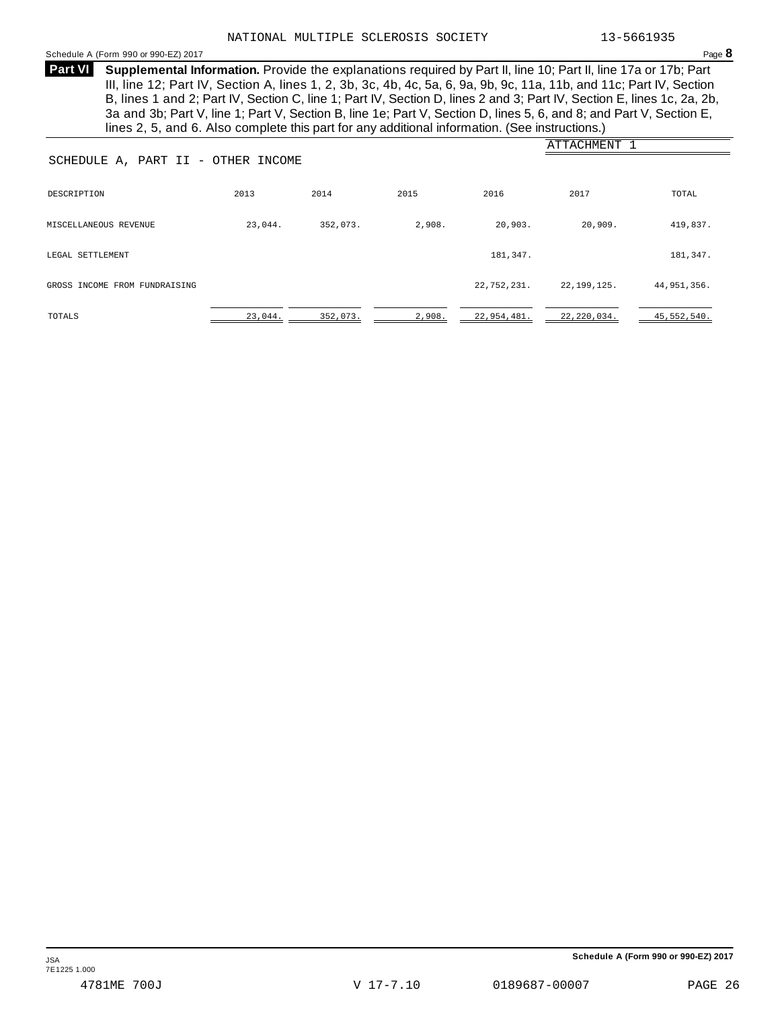## <span id="page-24-0"></span>Schedule <sup>A</sup> (Form <sup>990</sup> or 990-EZ) <sup>2017</sup> Page **8**

**Supplemental Information.** Provide the explanations required by Part II, line 10; Part II, line 17a or 17b; Part **Part VI** III, line 12; Part IV, Section A, lines 1, 2, 3b, 3c, 4b, 4c, 5a, 6, 9a, 9b, 9c, 11a, 11b, and 11c; Part IV, Section B, lines 1 and 2; Part IV, Section C, line 1; Part IV, Section D, lines 2 and 3; Part IV, Section E, lines 1c, 2a, 2b, 3a and 3b; Part V, line 1; Part V, Section B, line 1e; Part V, Section D, lines 5, 6, and 8; and Part V, Section E, lines 2, 5, and 6. Also complete this part for any additional information. (See instructions.)

|                                    |         |          |        |             | ATTACHMENT 1  |               |  |  |  |  |
|------------------------------------|---------|----------|--------|-------------|---------------|---------------|--|--|--|--|
| SCHEDULE A, PART II - OTHER INCOME |         |          |        |             |               |               |  |  |  |  |
| DESCRIPTION                        | 2013    | 2014     | 2015   | 2016        | 2017          | TOTAL         |  |  |  |  |
| MISCELLANEOUS REVENUE              | 23,044. | 352,073. | 2,908. | 20,903.     | 20,909.       | 419,837.      |  |  |  |  |
| LEGAL SETTLEMENT                   |         |          |        | 181,347.    |               | 181,347.      |  |  |  |  |
| GROSS INCOME FROM FUNDRAISING      |         |          |        | 22,752,231. | 22,199,125.   | 44,951,356.   |  |  |  |  |
| TOTALS                             | 23,044. | 352,073. | 2,908. | 22,954,481. | 22, 220, 034. | 45, 552, 540. |  |  |  |  |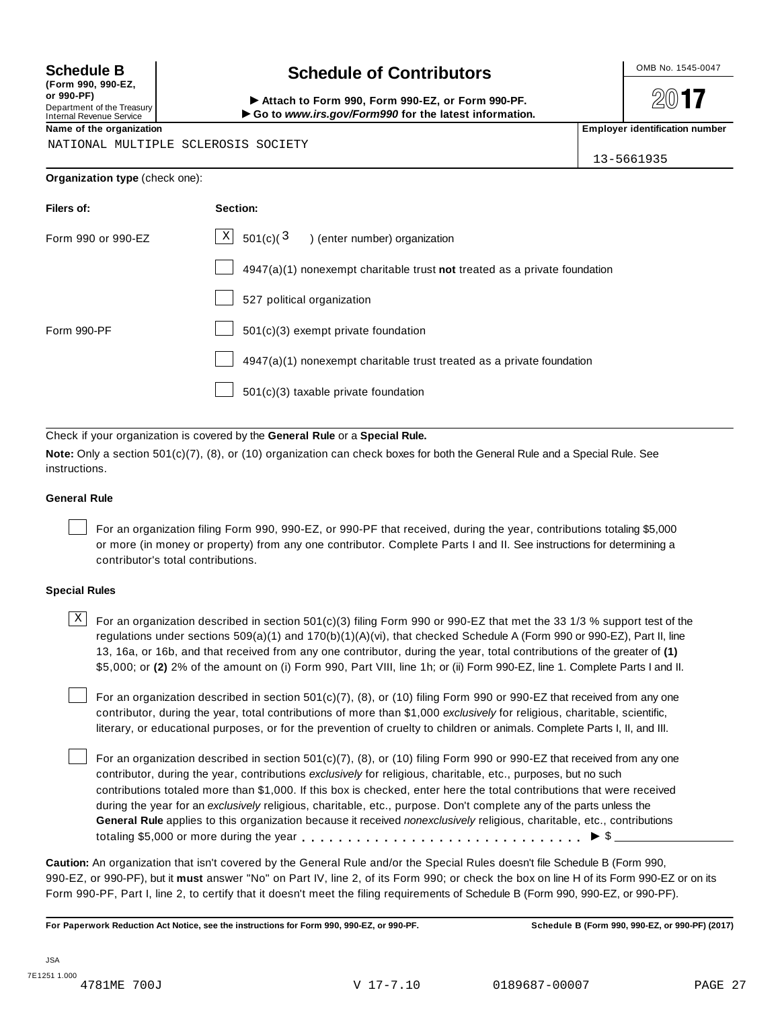**(Form 990, 990-EZ, or 990-PF)** Department of the Treasury<br>Internal Revenue Service

## **Schedule B**  $\leftarrow$  **Contributors**

(Porm 990, Form 990, Form 990-EZ, or Form 990-PF.<br>Department of the Treasury → Attach to Form 990, Form 990-EZ, or Form 990-PF.<br>Internal Revenue Service → → Go to www.irs.gov/Form990 for the latest information.<br>Name of th

 $20$ **17** 

NATIONAL MULTIPLE SCLEROSIS SOCIETY

13-5661935

| Organization type (check one): |                                                                           |  |  |  |  |
|--------------------------------|---------------------------------------------------------------------------|--|--|--|--|
| <b>Filers of:</b>              | Section:                                                                  |  |  |  |  |
| Form 990 or 990-EZ             | $X$ 501(c)( $3$ ) (enter number) organization                             |  |  |  |  |
|                                | 4947(a)(1) nonexempt charitable trust not treated as a private foundation |  |  |  |  |
|                                | 527 political organization                                                |  |  |  |  |
| Form 990-PF                    | 501(c)(3) exempt private foundation                                       |  |  |  |  |
|                                |                                                                           |  |  |  |  |

 $\vert$  4947(a)(1) nonexempt charitable trust treated as a private foundation

501(c)(3) taxable private foundation

Check if your organization is covered by the **General Rule** or a **Special Rule.**

**Note:** Only a section 501(c)(7), (8), or (10) organization can check boxes for both the General Rule and a Special Rule. See instructions.

## **General Rule**

For an organization filing Form 990, 990-EZ, or 990-PF that received, during the year, contributions totaling \$5,000 or more (in money or property) from any one contributor. Complete Parts I and II. See instructions for determining a contributor's total contributions.

## **Special Rules**

 $\text{X}$  For an organization described in section 501(c)(3) filing Form 990 or 990-EZ that met the 33 1/3 % support test of the regulations under sections 509(a)(1) and 170(b)(1)(A)(vi), that checked Schedule A (Form 990 or 990-EZ), Part II, line 13, 16a, or 16b, and that received from any one contributor, during the year, total contributions of the greater of **(1)** \$5,000; or **(2)** 2% of the amount on (i) Form 990, Part VIII, line 1h; or (ii) Form 990-EZ, line 1. Complete Parts I and II.

For an organization described in section 501(c)(7), (8), or (10) filing Form 990 or 990-EZ that received from any one contributor, during the year, total contributions of more than \$1,000 *exclusively* for religious, charitable, scientific, literary, or educational purposes, or for the prevention of cruelty to children or animals. Complete Parts I, II, and III.

For an organization described in section 501(c)(7), (8), or (10) filing Form 990 or 990-EZ that received from any one contributor, during the year, contributions *exclusively* for religious, charitable, etc., purposes, but no such contributions totaled more than \$1,000. If this box is checked, enter here the total contributions that were received during the year for an *exclusively* religious, charitable, etc., purpose. Don't complete any of the parts unless the **General Rule** applies to this organization because it received *nonexclusively* religious, charitable, etc., contributions totaling \$5,000 or more during the year m m m m m m m m m m m m m m m m m m m m m m m m m m m m m m m I \$

**Caution:** An organization that isn't covered by the General Rule and/or the Special Rules doesn't file Schedule B (Form 990, 990-EZ, or 990-PF), but it **must** answer "No" on Part IV, line 2, of its Form 990; or check the box on line H of its Form 990-EZ or on its Form 990-PF, Part I, line 2, to certify that it doesn't meet the filing requirements of Schedule B (Form 990, 990-EZ, or 990-PF).

For Paperwork Reduction Act Notice, see the instructions for Form 990, 990-EZ, or 990-PF. Schedule B (Form 990, 990-EZ, or 990-PF) (2017)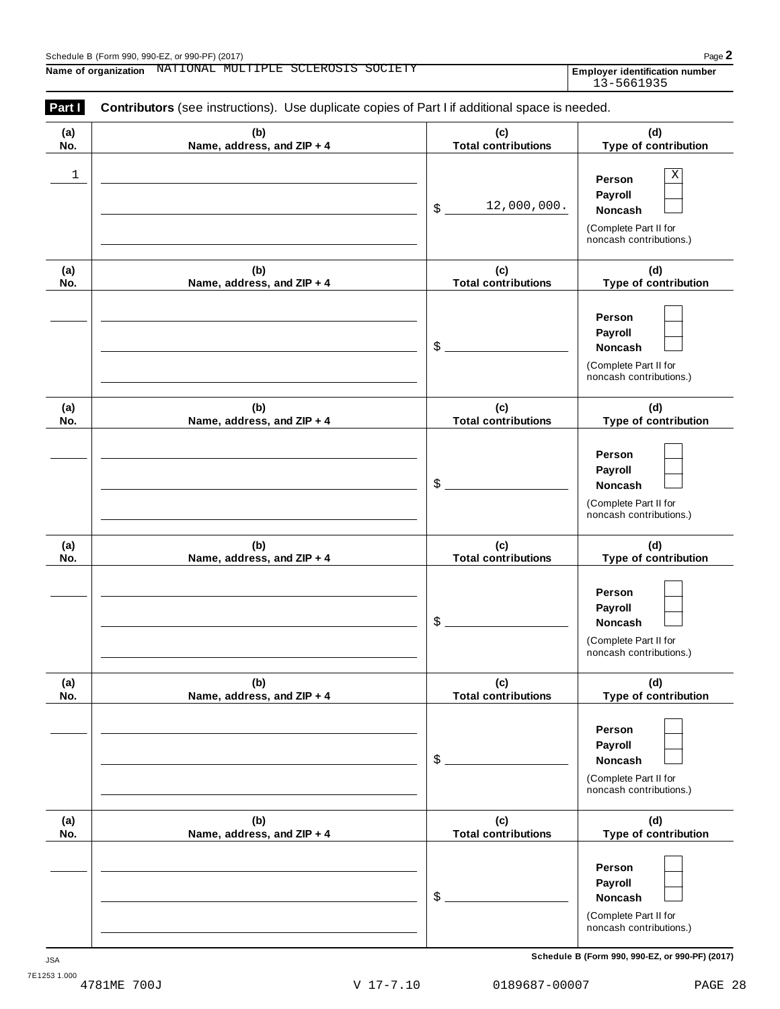Employer identification number<br>13-5661935

| (a)        | (b)                               | (c)                                             | (d)                                                                                                                  |
|------------|-----------------------------------|-------------------------------------------------|----------------------------------------------------------------------------------------------------------------------|
| No.<br>1   | Name, address, and ZIP + 4        | <b>Total contributions</b><br>12,000,000.<br>\$ | Type of contribution<br>Χ<br>Person<br>Payroll<br><b>Noncash</b><br>(Complete Part II for<br>noncash contributions.) |
| (a)<br>No. | (b)<br>Name, address, and ZIP + 4 | (c)<br><b>Total contributions</b>               | (d)<br>Type of contribution                                                                                          |
|            |                                   | \$                                              | Person<br>Payroll<br>Noncash<br>(Complete Part II for<br>noncash contributions.)                                     |
| (a)<br>No. | (b)<br>Name, address, and ZIP + 4 | (c)<br><b>Total contributions</b>               | (d)<br>Type of contribution                                                                                          |
|            |                                   | \$                                              | Person<br>Payroll<br>Noncash<br>(Complete Part II for<br>noncash contributions.)                                     |
| (a)<br>No. | (b)<br>Name, address, and ZIP + 4 | (c)<br><b>Total contributions</b>               | (d)<br>Type of contribution                                                                                          |
|            |                                   | \$                                              | Person<br>Payroll<br>Noncash<br>(Complete Part II for<br>noncash contributions.)                                     |
| (a)<br>No. | (b)<br>Name, address, and ZIP + 4 | (c)<br><b>Total contributions</b>               | (d)<br>Type of contribution                                                                                          |
|            |                                   | \$                                              | Person<br>Payroll<br><b>Noncash</b><br>(Complete Part II for<br>noncash contributions.)                              |
| (a)<br>No. | (b)<br>Name, address, and ZIP + 4 | (c)<br><b>Total contributions</b>               | (d)<br>Type of contribution                                                                                          |
|            |                                   | \$                                              | Person<br>Payroll<br>Noncash<br>(Complete Part II for<br>noncash contributions.)                                     |

**Schedule B (Form 990, 990-EZ, or 990-PF) (2017)** JSA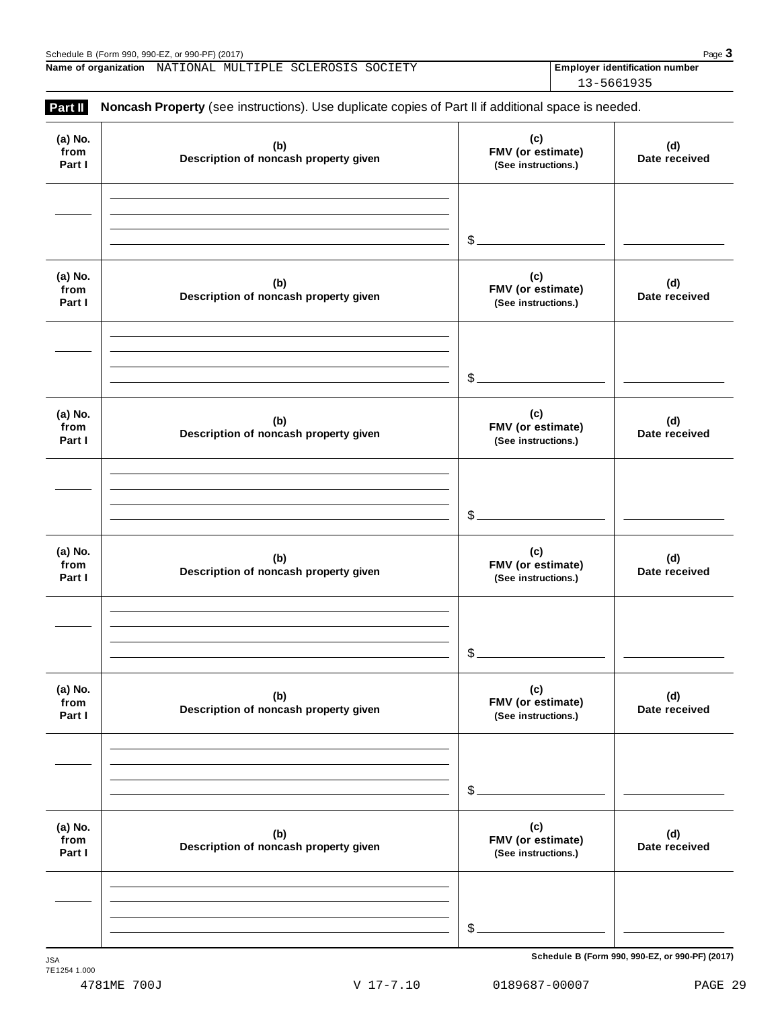Schedule B (Form 990, 990-EZ, or 990-PF) (2017)<br> **Name of organization** NATIONAL MULTIPLE SCLEROSIS SOCIETY **Page 3 Page 3 Page 3 Name of organization Employer identification number** NATIONAL MULTIPLE SCLEROSIS SOCIETY

13-5661935

| (a) No.<br>from<br>Part I | (b)<br>Description of noncash property given | (c)<br>FMV (or estimate)<br>(See instructions.) | (d)<br>Date received |
|---------------------------|----------------------------------------------|-------------------------------------------------|----------------------|
|                           |                                              | $\frac{2}{2}$                                   |                      |
| (a) No.<br>from<br>Part I | (b)<br>Description of noncash property given | (c)<br>FMV (or estimate)<br>(See instructions.) | (d)<br>Date received |
|                           |                                              | \$.                                             |                      |
| (a) No.<br>from<br>Part I | (b)<br>Description of noncash property given | (c)<br>FMV (or estimate)<br>(See instructions.) | (d)<br>Date received |
|                           |                                              | \$                                              |                      |
| (a) No.<br>from<br>Part I | (b)<br>Description of noncash property given | (c)<br>FMV (or estimate)<br>(See instructions.) | (d)<br>Date received |
|                           |                                              | \$                                              |                      |
| (a) No.<br>from<br>Part I | (b)<br>Description of noncash property given | (c)<br>FMV (or estimate)<br>(See instructions.) | (d)<br>Date received |
|                           |                                              | \$                                              |                      |
| (a) No.<br>from<br>Part I | (b)<br>Description of noncash property given | (c)<br>FMV (or estimate)<br>(See instructions.) | (d)<br>Date received |
|                           |                                              |                                                 |                      |

 $S$ chedule B (Form 990, 990-EZ, or 990-PF) (2017)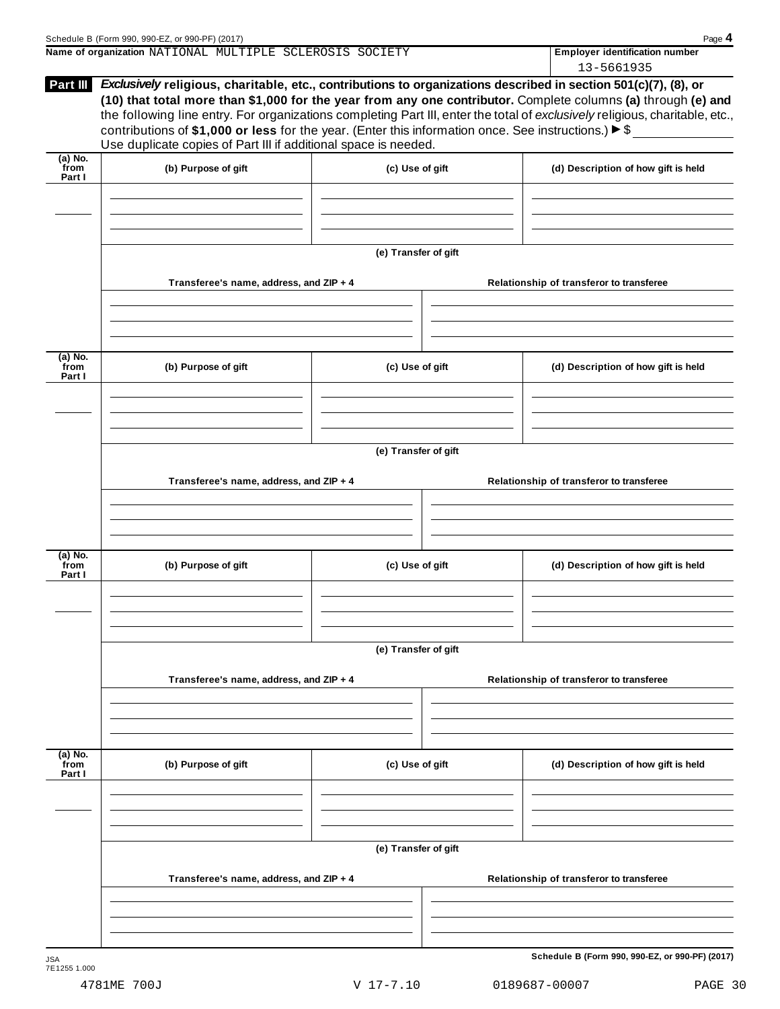| Schedule B (Form 990, 990-EZ, or 990-PF) (2017)                                                                       | Page 4                                |  |  |  |
|-----------------------------------------------------------------------------------------------------------------------|---------------------------------------|--|--|--|
| Name of organization NATIONAL MULTIPLE SCLEROSIS SOCIETY                                                              | <b>Employer identification number</b> |  |  |  |
|                                                                                                                       | 13-5661935                            |  |  |  |
| <b>INAM III</b> Endiabation Robert algorithic are a conditional consideration discussion the content EA4(-)/W) (A) an |                                       |  |  |  |

| Part III             | Exclusively religious, charitable, etc., contributions to organizations described in section 501(c)(7), (8), or     |                      |                                          |                                                                                                                              |  |  |
|----------------------|---------------------------------------------------------------------------------------------------------------------|----------------------|------------------------------------------|------------------------------------------------------------------------------------------------------------------------------|--|--|
|                      | (10) that total more than \$1,000 for the year from any one contributor. Complete columns (a) through (e) and       |                      |                                          |                                                                                                                              |  |  |
|                      |                                                                                                                     |                      |                                          | the following line entry. For organizations completing Part III, enter the total of exclusively religious, charitable, etc., |  |  |
|                      | contributions of \$1,000 or less for the year. (Enter this information once. See instructions.) $\triangleright$ \$ |                      |                                          |                                                                                                                              |  |  |
|                      | Use duplicate copies of Part III if additional space is needed.                                                     |                      |                                          |                                                                                                                              |  |  |
| (a) No.<br>from      | (b) Purpose of gift                                                                                                 | (c) Use of gift      |                                          | (d) Description of how gift is held                                                                                          |  |  |
| Part I               |                                                                                                                     |                      |                                          |                                                                                                                              |  |  |
|                      |                                                                                                                     |                      |                                          |                                                                                                                              |  |  |
|                      |                                                                                                                     |                      |                                          |                                                                                                                              |  |  |
|                      |                                                                                                                     |                      |                                          |                                                                                                                              |  |  |
|                      |                                                                                                                     | (e) Transfer of gift |                                          |                                                                                                                              |  |  |
|                      | Transferee's name, address, and ZIP + 4                                                                             |                      |                                          | Relationship of transferor to transferee                                                                                     |  |  |
|                      |                                                                                                                     |                      |                                          |                                                                                                                              |  |  |
|                      |                                                                                                                     |                      |                                          |                                                                                                                              |  |  |
|                      |                                                                                                                     |                      |                                          |                                                                                                                              |  |  |
| (a) No.              |                                                                                                                     |                      |                                          |                                                                                                                              |  |  |
| from<br>Part I       | (b) Purpose of gift                                                                                                 | (c) Use of gift      |                                          | (d) Description of how gift is held                                                                                          |  |  |
|                      |                                                                                                                     |                      |                                          |                                                                                                                              |  |  |
|                      |                                                                                                                     |                      |                                          |                                                                                                                              |  |  |
|                      |                                                                                                                     |                      |                                          |                                                                                                                              |  |  |
|                      |                                                                                                                     | (e) Transfer of gift |                                          |                                                                                                                              |  |  |
|                      |                                                                                                                     |                      |                                          |                                                                                                                              |  |  |
|                      | Transferee's name, address, and ZIP + 4                                                                             |                      | Relationship of transferor to transferee |                                                                                                                              |  |  |
|                      |                                                                                                                     |                      |                                          |                                                                                                                              |  |  |
|                      |                                                                                                                     |                      |                                          |                                                                                                                              |  |  |
|                      |                                                                                                                     |                      |                                          |                                                                                                                              |  |  |
| (a) No.<br>from      | (b) Purpose of gift                                                                                                 | (c) Use of gift      |                                          | (d) Description of how gift is held                                                                                          |  |  |
| Part I               |                                                                                                                     |                      |                                          |                                                                                                                              |  |  |
|                      |                                                                                                                     |                      |                                          |                                                                                                                              |  |  |
|                      |                                                                                                                     |                      |                                          |                                                                                                                              |  |  |
|                      |                                                                                                                     |                      |                                          |                                                                                                                              |  |  |
|                      |                                                                                                                     | (e) Transfer of gift |                                          |                                                                                                                              |  |  |
|                      | Transferee's name, address, and ZIP + 4                                                                             |                      |                                          | Relationship of transferor to transferee                                                                                     |  |  |
|                      |                                                                                                                     |                      |                                          |                                                                                                                              |  |  |
|                      |                                                                                                                     |                      |                                          |                                                                                                                              |  |  |
|                      |                                                                                                                     |                      |                                          |                                                                                                                              |  |  |
| $\overline{a}$ ) No. |                                                                                                                     |                      |                                          |                                                                                                                              |  |  |
| from<br>Part I       | (b) Purpose of gift                                                                                                 | (c) Use of gift      |                                          | (d) Description of how gift is held                                                                                          |  |  |
|                      |                                                                                                                     |                      |                                          |                                                                                                                              |  |  |
|                      |                                                                                                                     |                      |                                          |                                                                                                                              |  |  |
|                      |                                                                                                                     |                      |                                          |                                                                                                                              |  |  |
|                      |                                                                                                                     | (e) Transfer of gift |                                          |                                                                                                                              |  |  |
|                      |                                                                                                                     |                      |                                          |                                                                                                                              |  |  |
|                      | Transferee's name, address, and ZIP + 4                                                                             |                      |                                          | Relationship of transferor to transferee                                                                                     |  |  |
|                      |                                                                                                                     |                      |                                          |                                                                                                                              |  |  |
|                      |                                                                                                                     |                      |                                          |                                                                                                                              |  |  |
|                      |                                                                                                                     |                      |                                          |                                                                                                                              |  |  |
| <b>JSA</b>           |                                                                                                                     |                      |                                          | Schedule B (Form 990, 990-EZ, or 990-PF) (2017)                                                                              |  |  |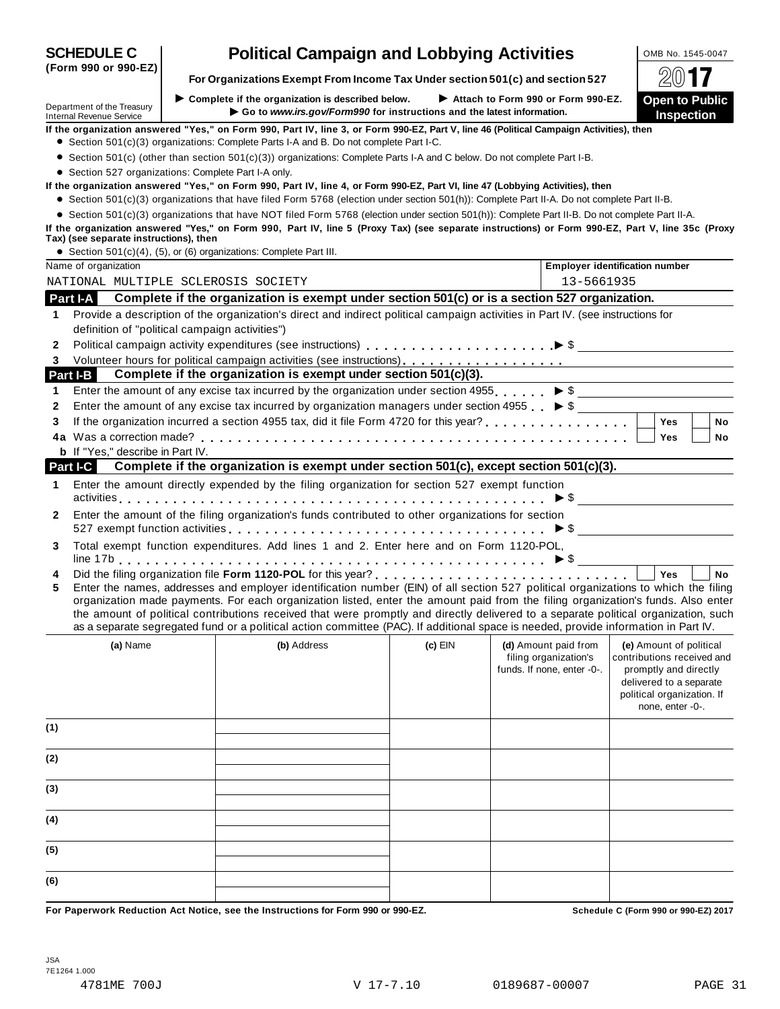|                                                        |                                                                                                                                                                                                                                                                                                                                                                                                                                                                                                                                                      |                                                                        |                                                     | L V L L                                                                                                                          |
|--------------------------------------------------------|------------------------------------------------------------------------------------------------------------------------------------------------------------------------------------------------------------------------------------------------------------------------------------------------------------------------------------------------------------------------------------------------------------------------------------------------------------------------------------------------------------------------------------------------------|------------------------------------------------------------------------|-----------------------------------------------------|----------------------------------------------------------------------------------------------------------------------------------|
| Department of the Treasury<br>Internal Revenue Service | $\blacktriangleright$ Complete if the organization is described below.                                                                                                                                                                                                                                                                                                                                                                                                                                                                               | Go to www.irs.gov/Form990 for instructions and the latest information. | Attach to Form 990 or Form 990-EZ.                  | <b>Open to Public</b><br><b>Inspection</b>                                                                                       |
|                                                        | If the organization answered "Yes," on Form 990, Part IV, line 3, or Form 990-EZ, Part V, line 46 (Political Campaign Activities), then                                                                                                                                                                                                                                                                                                                                                                                                              |                                                                        |                                                     |                                                                                                                                  |
|                                                        | • Section 501(c)(3) organizations: Complete Parts I-A and B. Do not complete Part I-C.                                                                                                                                                                                                                                                                                                                                                                                                                                                               |                                                                        |                                                     |                                                                                                                                  |
|                                                        | • Section 501(c) (other than section 501(c)(3)) organizations: Complete Parts I-A and C below. Do not complete Part I-B.                                                                                                                                                                                                                                                                                                                                                                                                                             |                                                                        |                                                     |                                                                                                                                  |
|                                                        | • Section 527 organizations: Complete Part I-A only.                                                                                                                                                                                                                                                                                                                                                                                                                                                                                                 |                                                                        |                                                     |                                                                                                                                  |
|                                                        | If the organization answered "Yes," on Form 990, Part IV, line 4, or Form 990-EZ, Part VI, line 47 (Lobbying Activities), then                                                                                                                                                                                                                                                                                                                                                                                                                       |                                                                        |                                                     |                                                                                                                                  |
|                                                        | • Section 501(c)(3) organizations that have filed Form 5768 (election under section 501(h)): Complete Part II-A. Do not complete Part II-B.                                                                                                                                                                                                                                                                                                                                                                                                          |                                                                        |                                                     |                                                                                                                                  |
|                                                        | • Section 501(c)(3) organizations that have NOT filed Form 5768 (election under section 501(h)): Complete Part II-B. Do not complete Part II-A.<br>If the organization answered "Yes," on Form 990, Part IV, line 5 (Proxy Tax) (see separate instructions) or Form 990-EZ, Part V, line 35c (Proxy                                                                                                                                                                                                                                                  |                                                                        |                                                     |                                                                                                                                  |
| Tax) (see separate instructions), then                 | • Section 501(c)(4), (5), or (6) organizations: Complete Part III.                                                                                                                                                                                                                                                                                                                                                                                                                                                                                   |                                                                        |                                                     |                                                                                                                                  |
| Name of organization                                   |                                                                                                                                                                                                                                                                                                                                                                                                                                                                                                                                                      |                                                                        |                                                     | Employer identification number                                                                                                   |
|                                                        | NATIONAL MULTIPLE SCLEROSIS SOCIETY                                                                                                                                                                                                                                                                                                                                                                                                                                                                                                                  |                                                                        | 13-5661935                                          |                                                                                                                                  |
| Part I-A                                               | Complete if the organization is exempt under section 501(c) or is a section 527 organization.                                                                                                                                                                                                                                                                                                                                                                                                                                                        |                                                                        |                                                     |                                                                                                                                  |
|                                                        |                                                                                                                                                                                                                                                                                                                                                                                                                                                                                                                                                      |                                                                        |                                                     |                                                                                                                                  |
| 1                                                      | Provide a description of the organization's direct and indirect political campaign activities in Part IV. (see instructions for                                                                                                                                                                                                                                                                                                                                                                                                                      |                                                                        |                                                     |                                                                                                                                  |
|                                                        | definition of "political campaign activities")                                                                                                                                                                                                                                                                                                                                                                                                                                                                                                       |                                                                        |                                                     |                                                                                                                                  |
| 2                                                      |                                                                                                                                                                                                                                                                                                                                                                                                                                                                                                                                                      |                                                                        |                                                     |                                                                                                                                  |
| 3                                                      |                                                                                                                                                                                                                                                                                                                                                                                                                                                                                                                                                      |                                                                        |                                                     |                                                                                                                                  |
| Part I-B                                               | Complete if the organization is exempt under section 501(c)(3).                                                                                                                                                                                                                                                                                                                                                                                                                                                                                      |                                                                        |                                                     |                                                                                                                                  |
| 1                                                      | Enter the amount of any excise tax incurred by the organization under section 4955. $\triangleright$ \$                                                                                                                                                                                                                                                                                                                                                                                                                                              |                                                                        |                                                     |                                                                                                                                  |
| 2                                                      | Enter the amount of any excise tax incurred by organization managers under section 4955 $\triangleright$ \$                                                                                                                                                                                                                                                                                                                                                                                                                                          |                                                                        |                                                     |                                                                                                                                  |
| 3                                                      |                                                                                                                                                                                                                                                                                                                                                                                                                                                                                                                                                      |                                                                        |                                                     | <b>Yes</b><br><b>No</b>                                                                                                          |
|                                                        |                                                                                                                                                                                                                                                                                                                                                                                                                                                                                                                                                      |                                                                        |                                                     | Yes<br>No                                                                                                                        |
| <b>b</b> If "Yes," describe in Part IV.                |                                                                                                                                                                                                                                                                                                                                                                                                                                                                                                                                                      |                                                                        |                                                     |                                                                                                                                  |
| <b>Part I-C</b>                                        | Complete if the organization is exempt under section 501(c), except section 501(c)(3).                                                                                                                                                                                                                                                                                                                                                                                                                                                               |                                                                        |                                                     |                                                                                                                                  |
| 1.                                                     | Enter the amount directly expended by the filing organization for section 527 exempt function                                                                                                                                                                                                                                                                                                                                                                                                                                                        |                                                                        |                                                     |                                                                                                                                  |
| 2                                                      | Enter the amount of the filing organization's funds contributed to other organizations for section<br>527 exempt function activities $\ldots \ldots \ldots \ldots \ldots \ldots \ldots \ldots \ldots \ldots \ldots \blacktriangleright$ \$ __________________________                                                                                                                                                                                                                                                                                |                                                                        |                                                     |                                                                                                                                  |
| 3                                                      | Total exempt function expenditures. Add lines 1 and 2. Enter here and on Form 1120-POL,                                                                                                                                                                                                                                                                                                                                                                                                                                                              |                                                                        |                                                     |                                                                                                                                  |
| 4                                                      |                                                                                                                                                                                                                                                                                                                                                                                                                                                                                                                                                      |                                                                        |                                                     | Yes<br><b>No</b>                                                                                                                 |
| 5                                                      | Enter the names, addresses and employer identification number (EIN) of all section 527 political organizations to which the filing<br>organization made payments. For each organization listed, enter the amount paid from the filing organization's funds. Also enter<br>the amount of political contributions received that were promptly and directly delivered to a separate political organization, such<br>as a separate segregated fund or a political action committee (PAC). If additional space is needed, provide information in Part IV. |                                                                        |                                                     |                                                                                                                                  |
| (a) Name                                               | (b) Address                                                                                                                                                                                                                                                                                                                                                                                                                                                                                                                                          | $(c)$ EIN                                                              | (d) Amount paid from                                | (e) Amount of political                                                                                                          |
|                                                        |                                                                                                                                                                                                                                                                                                                                                                                                                                                                                                                                                      |                                                                        | filing organization's<br>funds. If none, enter -0-. | contributions received and<br>promptly and directly<br>delivered to a separate<br>political organization. If<br>none, enter -0-. |
| (1)                                                    |                                                                                                                                                                                                                                                                                                                                                                                                                                                                                                                                                      |                                                                        |                                                     |                                                                                                                                  |
| (2)                                                    |                                                                                                                                                                                                                                                                                                                                                                                                                                                                                                                                                      |                                                                        |                                                     |                                                                                                                                  |
| (3)                                                    |                                                                                                                                                                                                                                                                                                                                                                                                                                                                                                                                                      |                                                                        |                                                     |                                                                                                                                  |
| (4)                                                    |                                                                                                                                                                                                                                                                                                                                                                                                                                                                                                                                                      |                                                                        |                                                     |                                                                                                                                  |
|                                                        |                                                                                                                                                                                                                                                                                                                                                                                                                                                                                                                                                      |                                                                        |                                                     |                                                                                                                                  |
| (5)                                                    |                                                                                                                                                                                                                                                                                                                                                                                                                                                                                                                                                      |                                                                        |                                                     |                                                                                                                                  |

**SCHEDULE C Political Campaign and Lobbying Activities LOMB No. 1545-0047** 

 $\frac{1}{20}$  **For** Organizations Exempt From Income Tax Under section 501(c) and section 527  $\frac{1}{20}$ 

**(Form 990 or 990-EZ)**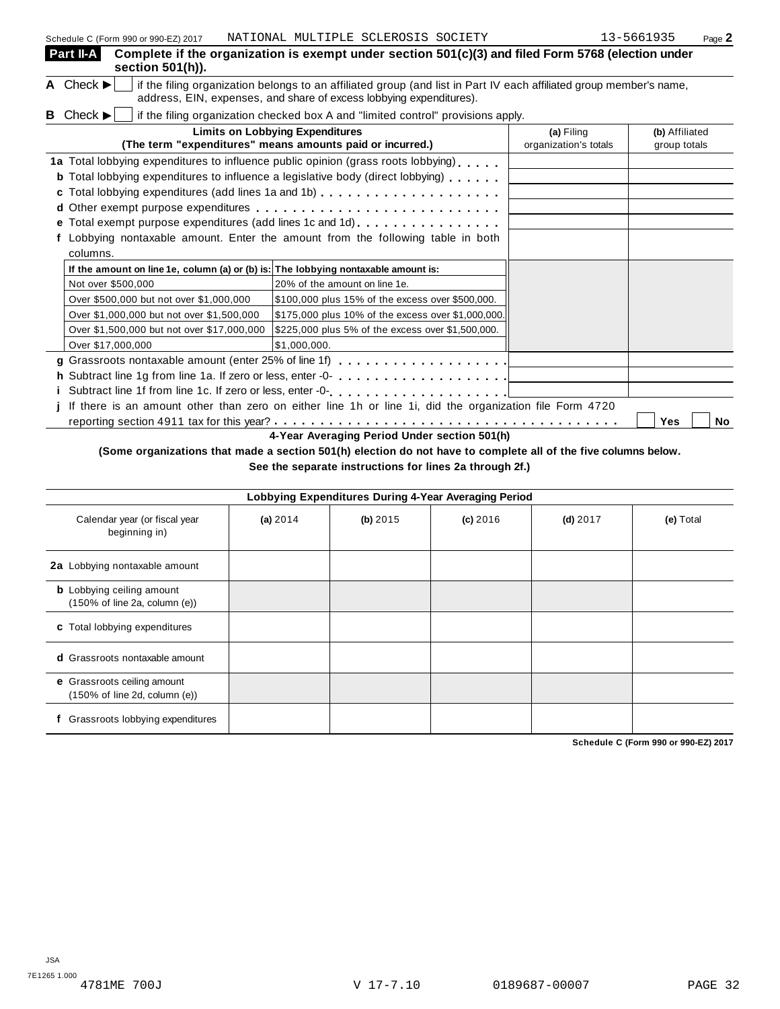| Part II-A<br>section 501(h)).                                                      | Complete if the organization is exempt under section 501(c)(3) and filed Form 5768 (election under                                                                                         |                                     |                                |
|------------------------------------------------------------------------------------|--------------------------------------------------------------------------------------------------------------------------------------------------------------------------------------------|-------------------------------------|--------------------------------|
| A Check $\blacktriangleright$                                                      | if the filing organization belongs to an affiliated group (and list in Part IV each affiliated group member's name,<br>address, EIN, expenses, and share of excess lobbying expenditures). |                                     |                                |
| <b>B</b> Check $\blacktriangleright$                                               | if the filing organization checked box A and "limited control" provisions apply.                                                                                                           |                                     |                                |
|                                                                                    | <b>Limits on Lobbying Expenditures</b><br>(The term "expenditures" means amounts paid or incurred.)                                                                                        | (a) Filing<br>organization's totals | (b) Affiliated<br>group totals |
|                                                                                    | 1a Total lobbying expenditures to influence public opinion (grass roots lobbying)<br><b>b</b> Total lobbying expenditures to influence a legislative body (direct lobbying)                |                                     |                                |
|                                                                                    | <b>e</b> Total exempt purpose expenditures (add lines 1c and 1d) $\ldots$ ,                                                                                                                |                                     |                                |
| columns.                                                                           | Lobbying nontaxable amount. Enter the amount from the following table in both                                                                                                              |                                     |                                |
| If the amount on line 1e, column (a) or (b) is: The lobbying nontaxable amount is: |                                                                                                                                                                                            |                                     |                                |
| Not over \$500,000                                                                 | 20% of the amount on line 1e.                                                                                                                                                              |                                     |                                |
| Over \$500,000 but not over \$1,000,000                                            | \$100,000 plus 15% of the excess over \$500,000.                                                                                                                                           |                                     |                                |
| Over \$1,000,000 but not over \$1,500,000                                          | \$175,000 plus 10% of the excess over \$1,000,000.                                                                                                                                         |                                     |                                |
| Over \$1,500,000 but not over \$17,000,000                                         | \$225,000 plus 5% of the excess over \$1,500,000.                                                                                                                                          |                                     |                                |
| Over \$17,000,000                                                                  | \$1.000.000.                                                                                                                                                                               |                                     |                                |
|                                                                                    | g Grassroots nontaxable amount (enter 25% of line 1f) $\ldots \ldots \ldots \ldots \ldots$                                                                                                 |                                     |                                |
|                                                                                    | h Subtract line 1g from line 1a. If zero or less, enter -0-                                                                                                                                |                                     |                                |
|                                                                                    |                                                                                                                                                                                            |                                     |                                |
|                                                                                    | If there is an amount other than zero on either line 1h or line 1i, did the organization file Form 4720                                                                                    |                                     |                                |
|                                                                                    |                                                                                                                                                                                            |                                     | Yes<br>No                      |
|                                                                                    | 4-Year Averaging Period Under section 501(h)                                                                                                                                               |                                     |                                |

## (Some organizations that made a section 501(h) election do not have to complete all of the five columns below.

**See the separate instructions for lines 2a through 2f.)**

| Lobbying Expenditures During 4-Year Averaging Period                                   |            |            |            |            |           |  |  |
|----------------------------------------------------------------------------------------|------------|------------|------------|------------|-----------|--|--|
| Calendar year (or fiscal year<br>beginning in)                                         | (a) $2014$ | $(b)$ 2015 | $(c)$ 2016 | $(d)$ 2017 | (e) Total |  |  |
| 2a Lobbying nontaxable amount                                                          |            |            |            |            |           |  |  |
| <b>b</b> Lobbying ceiling amount<br>$(150\% \text{ of line } 2a, \text{ column } (e))$ |            |            |            |            |           |  |  |
| c Total lobbying expenditures                                                          |            |            |            |            |           |  |  |
| <b>d</b> Grassroots nontaxable amount                                                  |            |            |            |            |           |  |  |
| e Grassroots ceiling amount<br>$(150\% \text{ of line } 2d, \text{ column } (e))$      |            |            |            |            |           |  |  |
| Grassroots lobbying expenditures                                                       |            |            |            |            |           |  |  |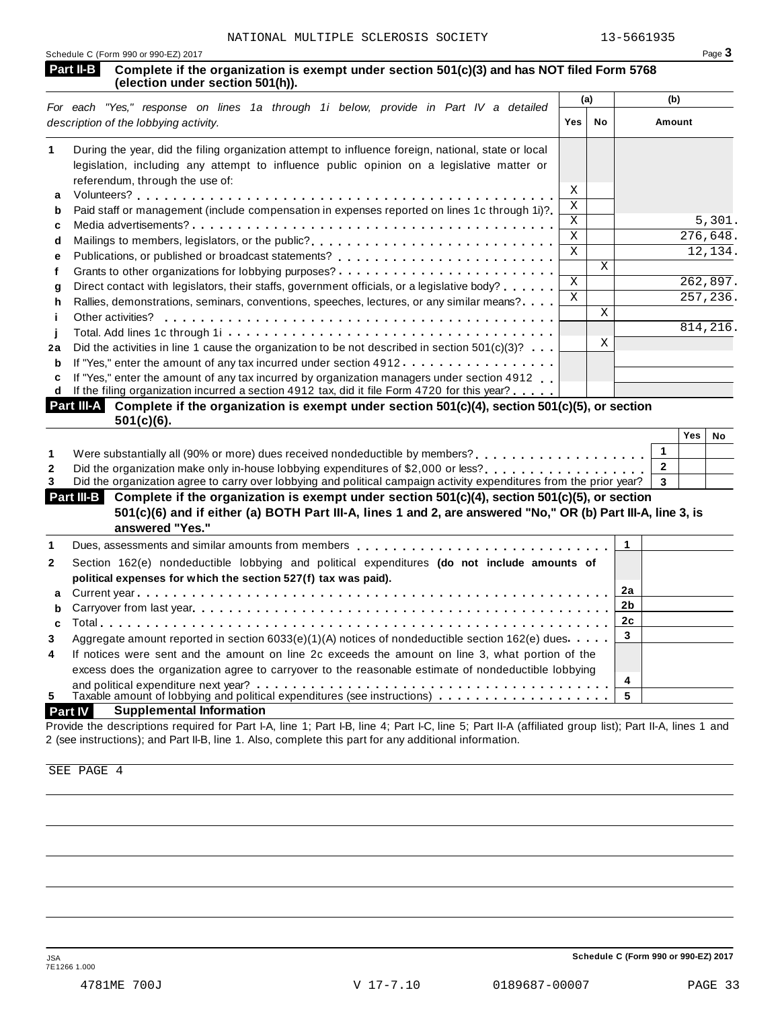| Schedule C (Form 990 or 990-EZ) 2017 |                                                                                                                                          |  |
|--------------------------------------|------------------------------------------------------------------------------------------------------------------------------------------|--|
|                                      | Part II-B Complete if the organization is exempt under section 501(c)(3) and has NOT filed Form 5768<br>(election under section 501(h)). |  |

|    |                                                                                                                                                                                                                                                                                                                                                                                                                                                                                                |              | (a) | (b)      |  |
|----|------------------------------------------------------------------------------------------------------------------------------------------------------------------------------------------------------------------------------------------------------------------------------------------------------------------------------------------------------------------------------------------------------------------------------------------------------------------------------------------------|--------------|-----|----------|--|
|    | For each "Yes," response on lines 1a through 1i below, provide in Part IV a detailed<br>description of the lobbying activity.                                                                                                                                                                                                                                                                                                                                                                  | <b>Yes</b>   | No  | Amount   |  |
|    | During the year, did the filing organization attempt to influence foreign, national, state or local<br>legislation, including any attempt to influence public opinion on a legislative matter or<br>referendum, through the use of:                                                                                                                                                                                                                                                            |              |     |          |  |
| a  |                                                                                                                                                                                                                                                                                                                                                                                                                                                                                                | X            |     |          |  |
| b  | Paid staff or management (include compensation in expenses reported on lines 1c through 1i)?                                                                                                                                                                                                                                                                                                                                                                                                   | Χ            |     |          |  |
| c  |                                                                                                                                                                                                                                                                                                                                                                                                                                                                                                | X            |     | 5,301.   |  |
| d  | Mailings to members, legislators, or the public?                                                                                                                                                                                                                                                                                                                                                                                                                                               | $\mathsf{x}$ |     | 276,648. |  |
| е  |                                                                                                                                                                                                                                                                                                                                                                                                                                                                                                | $\mathbf{x}$ |     | 12,134.  |  |
|    |                                                                                                                                                                                                                                                                                                                                                                                                                                                                                                |              | X   |          |  |
| a  | Direct contact with legislators, their staffs, government officials, or a legislative body?                                                                                                                                                                                                                                                                                                                                                                                                    | X            |     | 262,897. |  |
| h  | Rallies, demonstrations, seminars, conventions, speeches, lectures, or any similar means?                                                                                                                                                                                                                                                                                                                                                                                                      | X            |     | 257,236. |  |
|    | Other activities?                                                                                                                                                                                                                                                                                                                                                                                                                                                                              |              | X   |          |  |
|    |                                                                                                                                                                                                                                                                                                                                                                                                                                                                                                |              |     | 814,216. |  |
| 2a | Did the activities in line 1 cause the organization to be not described in section $501(c)(3)?$ .                                                                                                                                                                                                                                                                                                                                                                                              |              | Х   |          |  |
| b  | If "Yes," enter the amount of any tax incurred under section 4912.                                                                                                                                                                                                                                                                                                                                                                                                                             |              |     |          |  |
| c  | If "Yes," enter the amount of any tax incurred by organization managers under section 4912<br>If the filing organization incurred a section 4912 tax, did it file Form 4720 for this year?<br>$\mathbf{D}$ and $\mathbf{H}$ and $\mathbf{A}$ and $\mathbf{A}$ and $\mathbf{A}$ and $\mathbf{A}$ and $\mathbf{A}$ and $\mathbf{A}$ and $\mathbf{A}$ and $\mathbf{A}$ and $\mathbf{A}$ and $\mathbf{A}$ and $\mathbf{A}$ and $\mathbf{A}$ and $\mathbf{A}$ and $\mathbf{A}$ and $\mathbf{A}$ and |              |     |          |  |

| Part III-A Complete if the organization is exempt under section 501(c)(4), section 501(c)(5), or section |  |
|----------------------------------------------------------------------------------------------------------|--|
| 501(c)(6).                                                                                               |  |

|                                                                                                                               | Yes | No |
|-------------------------------------------------------------------------------------------------------------------------------|-----|----|
| Were substantially all (90% or more) dues received nondeductible by members?                                                  |     |    |
| Did the organization make only in-house lobbying expenditures of \$2,000 or less?                                             |     |    |
| Did the organization agree to carry over lobbying and political campaign activity expenditures from the prior year? $\vert$ 3 |     |    |

| Part III-B Complete if the organization is exempt under section 501(c)(4), section 501(c)(5), or section<br>501(c)(6) and if either (a) BOTH Part III-A, lines 1 and 2, are answered "No," OR (b) Part III-A, line 3, is<br>answered "Yes." |  |  |
|---------------------------------------------------------------------------------------------------------------------------------------------------------------------------------------------------------------------------------------------|--|--|
|                                                                                                                                                                                                                                             |  |  |
|                                                                                                                                                                                                                                             |  |  |

## **Part IV Supplemental Information**

Provide the descriptions required for Part I-A, line 1; Part I-B, line 4; Part I-C, line 5; Part II-A (affiliated group list); Part II-A, lines 1 and 2 (see instructions); and Part II-B, line 1. Also, complete this part for any additional information.

SEE PAGE 4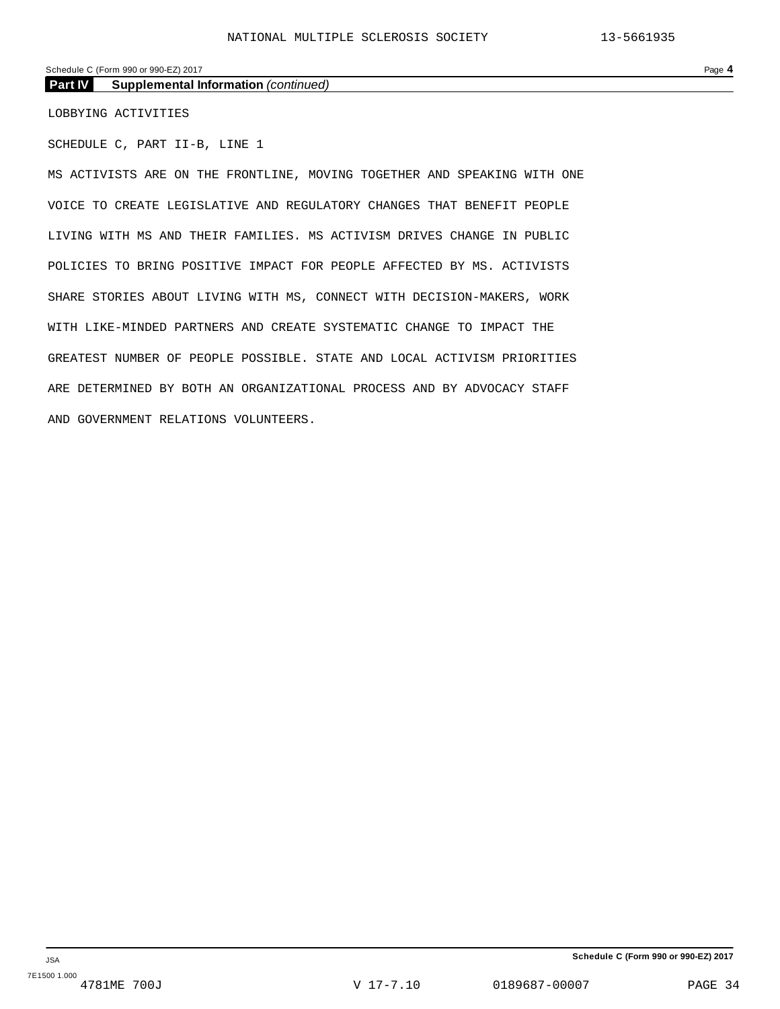## Schedule C (Form 990 or 990-EZ) 2017 Page **4**

**Part IV Supplemental Information** *(continued)*

LOBBYING ACTIVITIES

SCHEDULE C, PART II-B, LINE 1

MS ACTIVISTS ARE ON THE FRONTLINE, MOVING TOGETHER AND SPEAKING WITH ONE VOICE TO CREATE LEGISLATIVE AND REGULATORY CHANGES THAT BENEFIT PEOPLE LIVING WITH MS AND THEIR FAMILIES. MS ACTIVISM DRIVES CHANGE IN PUBLIC POLICIES TO BRING POSITIVE IMPACT FOR PEOPLE AFFECTED BY MS. ACTIVISTS SHARE STORIES ABOUT LIVING WITH MS, CONNECT WITH DECISION-MAKERS, WORK WITH LIKE-MINDED PARTNERS AND CREATE SYSTEMATIC CHANGE TO IMPACT THE GREATEST NUMBER OF PEOPLE POSSIBLE. STATE AND LOCAL ACTIVISM PRIORITIES ARE DETERMINED BY BOTH AN ORGANIZATIONAL PROCESS AND BY ADVOCACY STAFF AND GOVERNMENT RELATIONS VOLUNTEERS.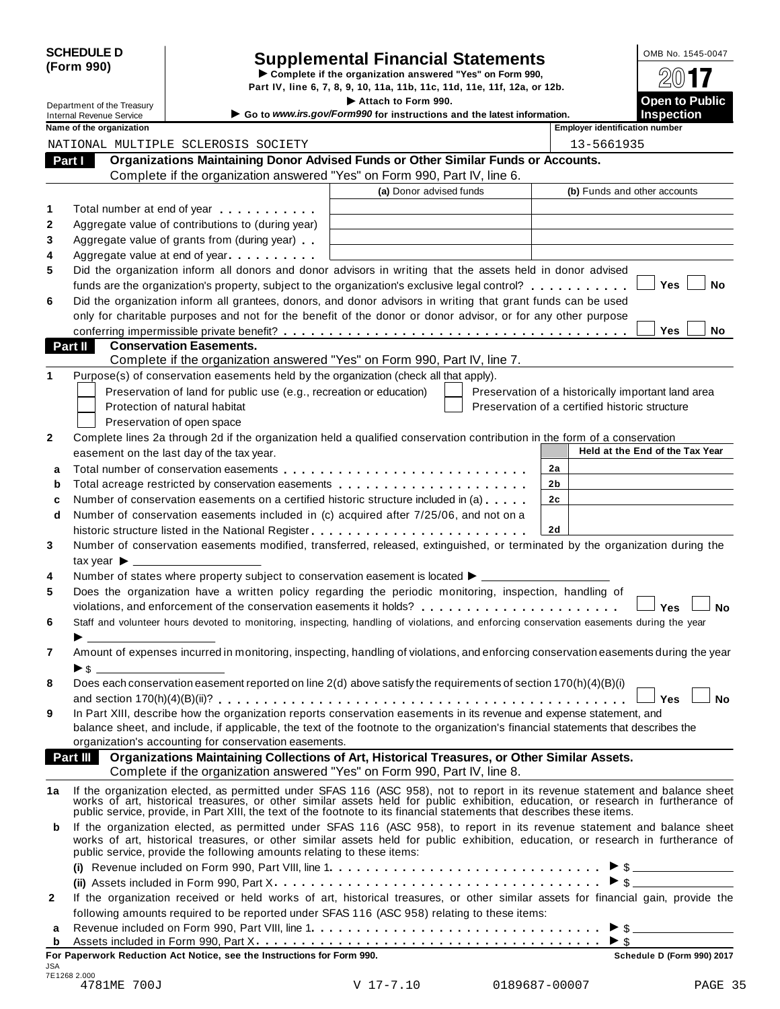| <b>SCHEDULE D</b> |  |
|-------------------|--|
| (Form 990)        |  |

# Supplemental Financial Statements<br>  $\triangleright$  Complete if the organization answered "Yes" on Form 990,<br>
Part IV, line 6, 7, 8, 9, 10, 11a, 11b, 11c, 11d, 11e, 11f, 12a, or 12b.

|              | Department of the Treasury                                  |                                                                                                                           | Part IV, line 6, 7, 8, 9, 10, 11a, 11b, 11c, 11d, 11e, 11f, 12a, or 12b.<br>Attach to Form 990. |                                                |                |                                       | 4W I I<br><b>Open to Public</b>                    |  |  |
|--------------|-------------------------------------------------------------|---------------------------------------------------------------------------------------------------------------------------|-------------------------------------------------------------------------------------------------|------------------------------------------------|----------------|---------------------------------------|----------------------------------------------------|--|--|
|              | <b>Internal Revenue Service</b><br>Name of the organization |                                                                                                                           | Go to www.irs.gov/Form990 for instructions and the latest information.                          |                                                |                | <b>Employer identification number</b> | <b>Inspection</b>                                  |  |  |
|              |                                                             | NATIONAL MULTIPLE SCLEROSIS SOCIETY                                                                                       |                                                                                                 |                                                |                |                                       | 13-5661935                                         |  |  |
|              | Part I                                                      | Organizations Maintaining Donor Advised Funds or Other Similar Funds or Accounts.                                         |                                                                                                 |                                                |                |                                       |                                                    |  |  |
|              |                                                             | Complete if the organization answered "Yes" on Form 990, Part IV, line 6.                                                 |                                                                                                 |                                                |                |                                       |                                                    |  |  |
|              |                                                             |                                                                                                                           | (a) Donor advised funds                                                                         |                                                |                | (b) Funds and other accounts          |                                                    |  |  |
| 1            |                                                             | Total number at end of year                                                                                               |                                                                                                 |                                                |                |                                       |                                                    |  |  |
| 2            |                                                             | Aggregate value of contributions to (during year)                                                                         |                                                                                                 |                                                |                |                                       |                                                    |  |  |
| 3            |                                                             | Aggregate value of grants from (during year)                                                                              |                                                                                                 |                                                |                |                                       |                                                    |  |  |
| 4            |                                                             | Aggregate value at end of year                                                                                            |                                                                                                 |                                                |                |                                       |                                                    |  |  |
| 5            |                                                             | Did the organization inform all donors and donor advisors in writing that the assets held in donor advised                |                                                                                                 |                                                |                |                                       |                                                    |  |  |
|              |                                                             | funds are the organization's property, subject to the organization's exclusive legal control?                             |                                                                                                 |                                                |                |                                       | <b>Yes</b><br>No                                   |  |  |
| 6            |                                                             | Did the organization inform all grantees, donors, and donor advisors in writing that grant funds can be used              |                                                                                                 |                                                |                |                                       |                                                    |  |  |
|              |                                                             | only for charitable purposes and not for the benefit of the donor or donor advisor, or for any other purpose              |                                                                                                 |                                                |                |                                       | <b>Yes</b><br><b>No</b>                            |  |  |
|              | Part II                                                     | <b>Conservation Easements.</b>                                                                                            |                                                                                                 |                                                |                |                                       |                                                    |  |  |
|              |                                                             | Complete if the organization answered "Yes" on Form 990, Part IV, line 7.                                                 |                                                                                                 |                                                |                |                                       |                                                    |  |  |
|              |                                                             | Purpose(s) of conservation easements held by the organization (check all that apply).                                     |                                                                                                 |                                                |                |                                       |                                                    |  |  |
|              |                                                             | Preservation of land for public use (e.g., recreation or education)                                                       |                                                                                                 |                                                |                |                                       | Preservation of a historically important land area |  |  |
|              |                                                             | Protection of natural habitat                                                                                             |                                                                                                 | Preservation of a certified historic structure |                |                                       |                                                    |  |  |
|              |                                                             | Preservation of open space                                                                                                |                                                                                                 |                                                |                |                                       |                                                    |  |  |
| $\mathbf{2}$ |                                                             | Complete lines 2a through 2d if the organization held a qualified conservation contribution in the form of a conservation |                                                                                                 |                                                |                |                                       |                                                    |  |  |
|              |                                                             | easement on the last day of the tax year.                                                                                 |                                                                                                 |                                                |                |                                       | Held at the End of the Tax Year                    |  |  |
| a            |                                                             |                                                                                                                           |                                                                                                 |                                                | 2a             |                                       |                                                    |  |  |
| b            |                                                             |                                                                                                                           |                                                                                                 |                                                | 2 <sub>b</sub> |                                       |                                                    |  |  |

| b              | Total acreage restricted by conservation easements entitled results in the result of the results of the result                                                                                                                                                                                                                                            | 2 <sub>b</sub> |                  |  |  |  |  |
|----------------|-----------------------------------------------------------------------------------------------------------------------------------------------------------------------------------------------------------------------------------------------------------------------------------------------------------------------------------------------------------|----------------|------------------|--|--|--|--|
| c              | Number of conservation easements on a certified historic structure included in (a)                                                                                                                                                                                                                                                                        | 2c             |                  |  |  |  |  |
| d              | Number of conservation easements included in (c) acquired after 7/25/06, and not on a                                                                                                                                                                                                                                                                     |                |                  |  |  |  |  |
|                |                                                                                                                                                                                                                                                                                                                                                           | 2d             |                  |  |  |  |  |
| 3              | Number of conservation easements modified, transferred, released, extinguished, or terminated by the organization during the                                                                                                                                                                                                                              |                |                  |  |  |  |  |
|                | tax year $\blacktriangleright$                                                                                                                                                                                                                                                                                                                            |                |                  |  |  |  |  |
| 4              | Number of states where property subject to conservation easement is located ▶ _ _ _ _ _ _ _ _ _ _ _                                                                                                                                                                                                                                                       |                |                  |  |  |  |  |
| 5              | Does the organization have a written policy regarding the periodic monitoring, inspection, handling of                                                                                                                                                                                                                                                    |                |                  |  |  |  |  |
|                | violations, and enforcement of the conservation easements it holds?                                                                                                                                                                                                                                                                                       |                | Yes<br><b>No</b> |  |  |  |  |
| 6              | Staff and volunteer hours devoted to monitoring, inspecting, handling of violations, and enforcing conservation easements during the year                                                                                                                                                                                                                 |                |                  |  |  |  |  |
|                |                                                                                                                                                                                                                                                                                                                                                           |                |                  |  |  |  |  |
| $\overline{7}$ | Amount of expenses incurred in monitoring, inspecting, handling of violations, and enforcing conservation easements during the year                                                                                                                                                                                                                       |                |                  |  |  |  |  |
|                | $\blacktriangleright$ \$                                                                                                                                                                                                                                                                                                                                  |                |                  |  |  |  |  |
| 8              | Does each conservation easement reported on line $2(d)$ above satisfy the requirements of section 170(h)(4)(B)(i)                                                                                                                                                                                                                                         |                |                  |  |  |  |  |
|                |                                                                                                                                                                                                                                                                                                                                                           |                | Yes<br>Nο        |  |  |  |  |
| 9              | In Part XIII, describe how the organization reports conservation easements in its revenue and expense statement, and                                                                                                                                                                                                                                      |                |                  |  |  |  |  |
|                | balance sheet, and include, if applicable, the text of the footnote to the organization's financial statements that describes the                                                                                                                                                                                                                         |                |                  |  |  |  |  |
|                | organization's accounting for conservation easements.                                                                                                                                                                                                                                                                                                     |                |                  |  |  |  |  |
|                | <b>Part III</b><br>Organizations Maintaining Collections of Art, Historical Treasures, or Other Similar Assets.                                                                                                                                                                                                                                           |                |                  |  |  |  |  |
|                | Complete if the organization answered "Yes" on Form 990, Part IV, line 8.                                                                                                                                                                                                                                                                                 |                |                  |  |  |  |  |
| 1a             | If the organization elected, as permitted under SFAS 116 (ASC 958), not to report in its revenue statement and balance sheet works of art, historical treasures, or other similar assets held for public exhibition, education<br>public service, provide, in Part XIII, the text of the footnote to its financial statements that describes these items. |                |                  |  |  |  |  |

| b            | If the organization elected, as permitted under SFAS 116 (ASC 958), to report in its revenue statement and balance sheet<br>works of art, historical treasures, or other similar assets held for public exhibition, education, or research in furtherance of<br>public service, provide the following amounts relating to these items: |  |
|--------------|----------------------------------------------------------------------------------------------------------------------------------------------------------------------------------------------------------------------------------------------------------------------------------------------------------------------------------------|--|
|              |                                                                                                                                                                                                                                                                                                                                        |  |
|              |                                                                                                                                                                                                                                                                                                                                        |  |
| $\mathbf{2}$ | If the organization received or held works of art, historical treasures, or other similar assets for financial gain, provide the                                                                                                                                                                                                       |  |
|              | following amounts required to be reported under SFAS 116 (ASC 958) relating to these items:                                                                                                                                                                                                                                            |  |
|              |                                                                                                                                                                                                                                                                                                                                        |  |
|              |                                                                                                                                                                                                                                                                                                                                        |  |
|              | For Paperwork Reduction Act Notice, see the Instructions for Form 990.<br>Schedule D (Form 990) 2017                                                                                                                                                                                                                                   |  |
| JSA          |                                                                                                                                                                                                                                                                                                                                        |  |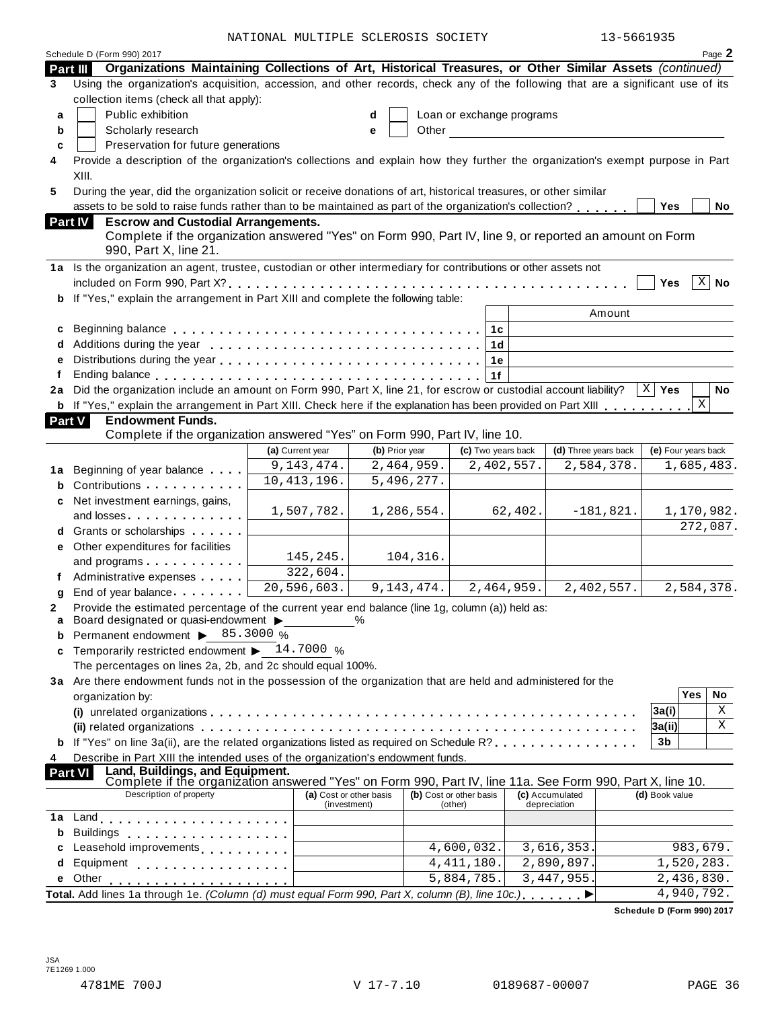NATIONAL MULTIPLE SCLEROSIS SOCIETY 13-5661935

| Organizations Maintaining Collections of Art, Historical Treasures, or Other Similar Assets (continued)<br>Part III<br>Using the organization's acquisition, accession, and other records, check any of the following that are a significant use of its<br>3<br>collection items (check all that apply):<br>Public exhibition<br>Loan or exchange programs<br>a<br>d<br>Scholarly research<br>Other<br>b<br>e<br>Preservation for future generations<br>c<br>Provide a description of the organization's collections and explain how they further the organization's exempt purpose in Part<br>4<br>XIII.<br>During the year, did the organization solicit or receive donations of art, historical treasures, or other similar<br>5<br>assets to be sold to raise funds rather than to be maintained as part of the organization's collection?<br><b>Yes</b><br>No<br>Part IV<br><b>Escrow and Custodial Arrangements.</b><br>Complete if the organization answered "Yes" on Form 990, Part IV, line 9, or reported an amount on Form<br>990, Part X, line 21.<br>1a Is the organization an agent, trustee, custodian or other intermediary for contributions or other assets not<br>$\overline{X}$ No<br><b>Yes</b><br>b If "Yes," explain the arrangement in Part XIII and complete the following table:<br>Amount<br> 1c <br>c<br>1d<br>1e<br>1f<br>2a Did the organization include an amount on Form 990, Part X, line 21, for escrow or custodial account liability?<br>$X \mid Y$ es<br><b>No</b><br>X<br><b>b</b> If "Yes," explain the arrangement in Part XIII. Check here if the explanation has been provided on Part XIII<br><b>Part V</b><br><b>Endowment Funds.</b><br>Complete if the organization answered "Yes" on Form 990, Part IV, line 10.<br>(d) Three years back<br>(a) Current year<br>(b) Prior year<br>(c) Two years back<br>(e) Four years back<br>2,464,959.<br>9, 143, 474.<br>2,402,557.<br>2,584,378.<br>1,685,483.<br>Beginning of year balance<br>1a<br>10,413,196.<br>5,496,277.<br>Contributions<br>Net investment earnings, gains,<br>1,507,782.<br>1,286,554.<br>62,402.<br>$-181,821.$<br>1,170,982.<br>and losses<br>272,087.<br>d Grants or scholarships<br>e Other expenditures for facilities<br>145, 245.<br>104,316.<br>and programs<br>322,604.<br>Administrative expenses<br>20, 596, 603.<br>9, 143, 474.<br>2,464,959.<br>2,402,557.<br>2,584,378.<br>End of year balance<br>Provide the estimated percentage of the current year end balance (line 1g, column (a)) held as:<br>Board designated or quasi-endowment ><br>$\%$<br>a<br>Permanent endowment > 85.3000 %<br>b<br>Temporarily restricted endowment $\blacktriangleright$ 14.7000 %<br>c<br>The percentages on lines 2a, 2b, and 2c should equal 100%.<br>3a Are there endowment funds not in the possession of the organization that are held and administered for the<br>Yes<br>No<br>organization by:<br>Χ<br>3a(i)<br>Χ<br> 3a(ii) <br><b>b</b> If "Yes" on line 3a(ii), are the related organizations listed as required on Schedule R?<br>3 <sub>b</sub><br>Describe in Part XIII the intended uses of the organization's endowment funds.<br>4<br>Land, Buildings, and Equipment.<br>Complete if the organization answered "Yes" on Form 990, Part IV, line 11a. See Form 990, Part X, line 10.<br><b>Part VI</b><br>Description of property<br>(a) Cost or other basis<br>(d) Book value<br>(b) Cost or other basis<br>(c) Accumulated<br>(investment)<br>depreciation<br>(other)<br>1a<br><b>Buildings</b><br>b<br>. <b>.</b><br>4,600,032.<br>3,616,353<br>983,679.<br>Leasehold improvements [1, 1, 1, 1, 1, 1]<br>4,411,180.<br>2,890,897<br>1,520,283.<br>d<br>Equipment<br>3, 447, 955.<br>5,884,785.<br>2,436,830.<br>e Other<br>4,940,792.<br>Total. Add lines 1a through 1e. (Column (d) must equal Form 990, Part X, column (B), line 10c.) | Schedule D (Form 990) 2017 |  |  |  |  |  |  |  |  | Page 2 |
|--------------------------------------------------------------------------------------------------------------------------------------------------------------------------------------------------------------------------------------------------------------------------------------------------------------------------------------------------------------------------------------------------------------------------------------------------------------------------------------------------------------------------------------------------------------------------------------------------------------------------------------------------------------------------------------------------------------------------------------------------------------------------------------------------------------------------------------------------------------------------------------------------------------------------------------------------------------------------------------------------------------------------------------------------------------------------------------------------------------------------------------------------------------------------------------------------------------------------------------------------------------------------------------------------------------------------------------------------------------------------------------------------------------------------------------------------------------------------------------------------------------------------------------------------------------------------------------------------------------------------------------------------------------------------------------------------------------------------------------------------------------------------------------------------------------------------------------------------------------------------------------------------------------------------------------------------------------------------------------------------------------------------------------------------------------------------------------------------------------------------------------------------------------------------------------------------------------------------------------------------------------------------------------------------------------------------------------------------------------------------------------------------------------------------------------------------------------------------------------------------------------------------------------------------------------------------------------------------------------------------------------------------------------------------------------------------------------------------------------------------------------------------------------------------------------------------------------------------------------------------------------------------------------------------------------------------------------------------------------------------------------------------------------------------------------------------------------------------------------------------------------------------------------------------------------------------------------------------------------------------------------------------------------------------------------------------------------------------------------------------------------------------------------------------------------------------------------------------------------------------------------------------------------------------------------------------------------------------------------------------------------------------------------------------------------------------------------------------------------------------------------------------------------------------------------------------------------------------------------------------|----------------------------|--|--|--|--|--|--|--|--|--------|
|                                                                                                                                                                                                                                                                                                                                                                                                                                                                                                                                                                                                                                                                                                                                                                                                                                                                                                                                                                                                                                                                                                                                                                                                                                                                                                                                                                                                                                                                                                                                                                                                                                                                                                                                                                                                                                                                                                                                                                                                                                                                                                                                                                                                                                                                                                                                                                                                                                                                                                                                                                                                                                                                                                                                                                                                                                                                                                                                                                                                                                                                                                                                                                                                                                                                                                                                                                                                                                                                                                                                                                                                                                                                                                                                                                                                                                                                          |                            |  |  |  |  |  |  |  |  |        |
|                                                                                                                                                                                                                                                                                                                                                                                                                                                                                                                                                                                                                                                                                                                                                                                                                                                                                                                                                                                                                                                                                                                                                                                                                                                                                                                                                                                                                                                                                                                                                                                                                                                                                                                                                                                                                                                                                                                                                                                                                                                                                                                                                                                                                                                                                                                                                                                                                                                                                                                                                                                                                                                                                                                                                                                                                                                                                                                                                                                                                                                                                                                                                                                                                                                                                                                                                                                                                                                                                                                                                                                                                                                                                                                                                                                                                                                                          |                            |  |  |  |  |  |  |  |  |        |
|                                                                                                                                                                                                                                                                                                                                                                                                                                                                                                                                                                                                                                                                                                                                                                                                                                                                                                                                                                                                                                                                                                                                                                                                                                                                                                                                                                                                                                                                                                                                                                                                                                                                                                                                                                                                                                                                                                                                                                                                                                                                                                                                                                                                                                                                                                                                                                                                                                                                                                                                                                                                                                                                                                                                                                                                                                                                                                                                                                                                                                                                                                                                                                                                                                                                                                                                                                                                                                                                                                                                                                                                                                                                                                                                                                                                                                                                          |                            |  |  |  |  |  |  |  |  |        |
|                                                                                                                                                                                                                                                                                                                                                                                                                                                                                                                                                                                                                                                                                                                                                                                                                                                                                                                                                                                                                                                                                                                                                                                                                                                                                                                                                                                                                                                                                                                                                                                                                                                                                                                                                                                                                                                                                                                                                                                                                                                                                                                                                                                                                                                                                                                                                                                                                                                                                                                                                                                                                                                                                                                                                                                                                                                                                                                                                                                                                                                                                                                                                                                                                                                                                                                                                                                                                                                                                                                                                                                                                                                                                                                                                                                                                                                                          |                            |  |  |  |  |  |  |  |  |        |
|                                                                                                                                                                                                                                                                                                                                                                                                                                                                                                                                                                                                                                                                                                                                                                                                                                                                                                                                                                                                                                                                                                                                                                                                                                                                                                                                                                                                                                                                                                                                                                                                                                                                                                                                                                                                                                                                                                                                                                                                                                                                                                                                                                                                                                                                                                                                                                                                                                                                                                                                                                                                                                                                                                                                                                                                                                                                                                                                                                                                                                                                                                                                                                                                                                                                                                                                                                                                                                                                                                                                                                                                                                                                                                                                                                                                                                                                          |                            |  |  |  |  |  |  |  |  |        |
|                                                                                                                                                                                                                                                                                                                                                                                                                                                                                                                                                                                                                                                                                                                                                                                                                                                                                                                                                                                                                                                                                                                                                                                                                                                                                                                                                                                                                                                                                                                                                                                                                                                                                                                                                                                                                                                                                                                                                                                                                                                                                                                                                                                                                                                                                                                                                                                                                                                                                                                                                                                                                                                                                                                                                                                                                                                                                                                                                                                                                                                                                                                                                                                                                                                                                                                                                                                                                                                                                                                                                                                                                                                                                                                                                                                                                                                                          |                            |  |  |  |  |  |  |  |  |        |
|                                                                                                                                                                                                                                                                                                                                                                                                                                                                                                                                                                                                                                                                                                                                                                                                                                                                                                                                                                                                                                                                                                                                                                                                                                                                                                                                                                                                                                                                                                                                                                                                                                                                                                                                                                                                                                                                                                                                                                                                                                                                                                                                                                                                                                                                                                                                                                                                                                                                                                                                                                                                                                                                                                                                                                                                                                                                                                                                                                                                                                                                                                                                                                                                                                                                                                                                                                                                                                                                                                                                                                                                                                                                                                                                                                                                                                                                          |                            |  |  |  |  |  |  |  |  |        |
|                                                                                                                                                                                                                                                                                                                                                                                                                                                                                                                                                                                                                                                                                                                                                                                                                                                                                                                                                                                                                                                                                                                                                                                                                                                                                                                                                                                                                                                                                                                                                                                                                                                                                                                                                                                                                                                                                                                                                                                                                                                                                                                                                                                                                                                                                                                                                                                                                                                                                                                                                                                                                                                                                                                                                                                                                                                                                                                                                                                                                                                                                                                                                                                                                                                                                                                                                                                                                                                                                                                                                                                                                                                                                                                                                                                                                                                                          |                            |  |  |  |  |  |  |  |  |        |
|                                                                                                                                                                                                                                                                                                                                                                                                                                                                                                                                                                                                                                                                                                                                                                                                                                                                                                                                                                                                                                                                                                                                                                                                                                                                                                                                                                                                                                                                                                                                                                                                                                                                                                                                                                                                                                                                                                                                                                                                                                                                                                                                                                                                                                                                                                                                                                                                                                                                                                                                                                                                                                                                                                                                                                                                                                                                                                                                                                                                                                                                                                                                                                                                                                                                                                                                                                                                                                                                                                                                                                                                                                                                                                                                                                                                                                                                          |                            |  |  |  |  |  |  |  |  |        |
|                                                                                                                                                                                                                                                                                                                                                                                                                                                                                                                                                                                                                                                                                                                                                                                                                                                                                                                                                                                                                                                                                                                                                                                                                                                                                                                                                                                                                                                                                                                                                                                                                                                                                                                                                                                                                                                                                                                                                                                                                                                                                                                                                                                                                                                                                                                                                                                                                                                                                                                                                                                                                                                                                                                                                                                                                                                                                                                                                                                                                                                                                                                                                                                                                                                                                                                                                                                                                                                                                                                                                                                                                                                                                                                                                                                                                                                                          |                            |  |  |  |  |  |  |  |  |        |
|                                                                                                                                                                                                                                                                                                                                                                                                                                                                                                                                                                                                                                                                                                                                                                                                                                                                                                                                                                                                                                                                                                                                                                                                                                                                                                                                                                                                                                                                                                                                                                                                                                                                                                                                                                                                                                                                                                                                                                                                                                                                                                                                                                                                                                                                                                                                                                                                                                                                                                                                                                                                                                                                                                                                                                                                                                                                                                                                                                                                                                                                                                                                                                                                                                                                                                                                                                                                                                                                                                                                                                                                                                                                                                                                                                                                                                                                          |                            |  |  |  |  |  |  |  |  |        |
|                                                                                                                                                                                                                                                                                                                                                                                                                                                                                                                                                                                                                                                                                                                                                                                                                                                                                                                                                                                                                                                                                                                                                                                                                                                                                                                                                                                                                                                                                                                                                                                                                                                                                                                                                                                                                                                                                                                                                                                                                                                                                                                                                                                                                                                                                                                                                                                                                                                                                                                                                                                                                                                                                                                                                                                                                                                                                                                                                                                                                                                                                                                                                                                                                                                                                                                                                                                                                                                                                                                                                                                                                                                                                                                                                                                                                                                                          |                            |  |  |  |  |  |  |  |  |        |
|                                                                                                                                                                                                                                                                                                                                                                                                                                                                                                                                                                                                                                                                                                                                                                                                                                                                                                                                                                                                                                                                                                                                                                                                                                                                                                                                                                                                                                                                                                                                                                                                                                                                                                                                                                                                                                                                                                                                                                                                                                                                                                                                                                                                                                                                                                                                                                                                                                                                                                                                                                                                                                                                                                                                                                                                                                                                                                                                                                                                                                                                                                                                                                                                                                                                                                                                                                                                                                                                                                                                                                                                                                                                                                                                                                                                                                                                          |                            |  |  |  |  |  |  |  |  |        |
|                                                                                                                                                                                                                                                                                                                                                                                                                                                                                                                                                                                                                                                                                                                                                                                                                                                                                                                                                                                                                                                                                                                                                                                                                                                                                                                                                                                                                                                                                                                                                                                                                                                                                                                                                                                                                                                                                                                                                                                                                                                                                                                                                                                                                                                                                                                                                                                                                                                                                                                                                                                                                                                                                                                                                                                                                                                                                                                                                                                                                                                                                                                                                                                                                                                                                                                                                                                                                                                                                                                                                                                                                                                                                                                                                                                                                                                                          |                            |  |  |  |  |  |  |  |  |        |
|                                                                                                                                                                                                                                                                                                                                                                                                                                                                                                                                                                                                                                                                                                                                                                                                                                                                                                                                                                                                                                                                                                                                                                                                                                                                                                                                                                                                                                                                                                                                                                                                                                                                                                                                                                                                                                                                                                                                                                                                                                                                                                                                                                                                                                                                                                                                                                                                                                                                                                                                                                                                                                                                                                                                                                                                                                                                                                                                                                                                                                                                                                                                                                                                                                                                                                                                                                                                                                                                                                                                                                                                                                                                                                                                                                                                                                                                          |                            |  |  |  |  |  |  |  |  |        |
|                                                                                                                                                                                                                                                                                                                                                                                                                                                                                                                                                                                                                                                                                                                                                                                                                                                                                                                                                                                                                                                                                                                                                                                                                                                                                                                                                                                                                                                                                                                                                                                                                                                                                                                                                                                                                                                                                                                                                                                                                                                                                                                                                                                                                                                                                                                                                                                                                                                                                                                                                                                                                                                                                                                                                                                                                                                                                                                                                                                                                                                                                                                                                                                                                                                                                                                                                                                                                                                                                                                                                                                                                                                                                                                                                                                                                                                                          |                            |  |  |  |  |  |  |  |  |        |
|                                                                                                                                                                                                                                                                                                                                                                                                                                                                                                                                                                                                                                                                                                                                                                                                                                                                                                                                                                                                                                                                                                                                                                                                                                                                                                                                                                                                                                                                                                                                                                                                                                                                                                                                                                                                                                                                                                                                                                                                                                                                                                                                                                                                                                                                                                                                                                                                                                                                                                                                                                                                                                                                                                                                                                                                                                                                                                                                                                                                                                                                                                                                                                                                                                                                                                                                                                                                                                                                                                                                                                                                                                                                                                                                                                                                                                                                          |                            |  |  |  |  |  |  |  |  |        |
|                                                                                                                                                                                                                                                                                                                                                                                                                                                                                                                                                                                                                                                                                                                                                                                                                                                                                                                                                                                                                                                                                                                                                                                                                                                                                                                                                                                                                                                                                                                                                                                                                                                                                                                                                                                                                                                                                                                                                                                                                                                                                                                                                                                                                                                                                                                                                                                                                                                                                                                                                                                                                                                                                                                                                                                                                                                                                                                                                                                                                                                                                                                                                                                                                                                                                                                                                                                                                                                                                                                                                                                                                                                                                                                                                                                                                                                                          |                            |  |  |  |  |  |  |  |  |        |
|                                                                                                                                                                                                                                                                                                                                                                                                                                                                                                                                                                                                                                                                                                                                                                                                                                                                                                                                                                                                                                                                                                                                                                                                                                                                                                                                                                                                                                                                                                                                                                                                                                                                                                                                                                                                                                                                                                                                                                                                                                                                                                                                                                                                                                                                                                                                                                                                                                                                                                                                                                                                                                                                                                                                                                                                                                                                                                                                                                                                                                                                                                                                                                                                                                                                                                                                                                                                                                                                                                                                                                                                                                                                                                                                                                                                                                                                          |                            |  |  |  |  |  |  |  |  |        |
|                                                                                                                                                                                                                                                                                                                                                                                                                                                                                                                                                                                                                                                                                                                                                                                                                                                                                                                                                                                                                                                                                                                                                                                                                                                                                                                                                                                                                                                                                                                                                                                                                                                                                                                                                                                                                                                                                                                                                                                                                                                                                                                                                                                                                                                                                                                                                                                                                                                                                                                                                                                                                                                                                                                                                                                                                                                                                                                                                                                                                                                                                                                                                                                                                                                                                                                                                                                                                                                                                                                                                                                                                                                                                                                                                                                                                                                                          |                            |  |  |  |  |  |  |  |  |        |
|                                                                                                                                                                                                                                                                                                                                                                                                                                                                                                                                                                                                                                                                                                                                                                                                                                                                                                                                                                                                                                                                                                                                                                                                                                                                                                                                                                                                                                                                                                                                                                                                                                                                                                                                                                                                                                                                                                                                                                                                                                                                                                                                                                                                                                                                                                                                                                                                                                                                                                                                                                                                                                                                                                                                                                                                                                                                                                                                                                                                                                                                                                                                                                                                                                                                                                                                                                                                                                                                                                                                                                                                                                                                                                                                                                                                                                                                          |                            |  |  |  |  |  |  |  |  |        |
|                                                                                                                                                                                                                                                                                                                                                                                                                                                                                                                                                                                                                                                                                                                                                                                                                                                                                                                                                                                                                                                                                                                                                                                                                                                                                                                                                                                                                                                                                                                                                                                                                                                                                                                                                                                                                                                                                                                                                                                                                                                                                                                                                                                                                                                                                                                                                                                                                                                                                                                                                                                                                                                                                                                                                                                                                                                                                                                                                                                                                                                                                                                                                                                                                                                                                                                                                                                                                                                                                                                                                                                                                                                                                                                                                                                                                                                                          |                            |  |  |  |  |  |  |  |  |        |
|                                                                                                                                                                                                                                                                                                                                                                                                                                                                                                                                                                                                                                                                                                                                                                                                                                                                                                                                                                                                                                                                                                                                                                                                                                                                                                                                                                                                                                                                                                                                                                                                                                                                                                                                                                                                                                                                                                                                                                                                                                                                                                                                                                                                                                                                                                                                                                                                                                                                                                                                                                                                                                                                                                                                                                                                                                                                                                                                                                                                                                                                                                                                                                                                                                                                                                                                                                                                                                                                                                                                                                                                                                                                                                                                                                                                                                                                          |                            |  |  |  |  |  |  |  |  |        |
|                                                                                                                                                                                                                                                                                                                                                                                                                                                                                                                                                                                                                                                                                                                                                                                                                                                                                                                                                                                                                                                                                                                                                                                                                                                                                                                                                                                                                                                                                                                                                                                                                                                                                                                                                                                                                                                                                                                                                                                                                                                                                                                                                                                                                                                                                                                                                                                                                                                                                                                                                                                                                                                                                                                                                                                                                                                                                                                                                                                                                                                                                                                                                                                                                                                                                                                                                                                                                                                                                                                                                                                                                                                                                                                                                                                                                                                                          |                            |  |  |  |  |  |  |  |  |        |
|                                                                                                                                                                                                                                                                                                                                                                                                                                                                                                                                                                                                                                                                                                                                                                                                                                                                                                                                                                                                                                                                                                                                                                                                                                                                                                                                                                                                                                                                                                                                                                                                                                                                                                                                                                                                                                                                                                                                                                                                                                                                                                                                                                                                                                                                                                                                                                                                                                                                                                                                                                                                                                                                                                                                                                                                                                                                                                                                                                                                                                                                                                                                                                                                                                                                                                                                                                                                                                                                                                                                                                                                                                                                                                                                                                                                                                                                          |                            |  |  |  |  |  |  |  |  |        |
|                                                                                                                                                                                                                                                                                                                                                                                                                                                                                                                                                                                                                                                                                                                                                                                                                                                                                                                                                                                                                                                                                                                                                                                                                                                                                                                                                                                                                                                                                                                                                                                                                                                                                                                                                                                                                                                                                                                                                                                                                                                                                                                                                                                                                                                                                                                                                                                                                                                                                                                                                                                                                                                                                                                                                                                                                                                                                                                                                                                                                                                                                                                                                                                                                                                                                                                                                                                                                                                                                                                                                                                                                                                                                                                                                                                                                                                                          |                            |  |  |  |  |  |  |  |  |        |
|                                                                                                                                                                                                                                                                                                                                                                                                                                                                                                                                                                                                                                                                                                                                                                                                                                                                                                                                                                                                                                                                                                                                                                                                                                                                                                                                                                                                                                                                                                                                                                                                                                                                                                                                                                                                                                                                                                                                                                                                                                                                                                                                                                                                                                                                                                                                                                                                                                                                                                                                                                                                                                                                                                                                                                                                                                                                                                                                                                                                                                                                                                                                                                                                                                                                                                                                                                                                                                                                                                                                                                                                                                                                                                                                                                                                                                                                          |                            |  |  |  |  |  |  |  |  |        |
|                                                                                                                                                                                                                                                                                                                                                                                                                                                                                                                                                                                                                                                                                                                                                                                                                                                                                                                                                                                                                                                                                                                                                                                                                                                                                                                                                                                                                                                                                                                                                                                                                                                                                                                                                                                                                                                                                                                                                                                                                                                                                                                                                                                                                                                                                                                                                                                                                                                                                                                                                                                                                                                                                                                                                                                                                                                                                                                                                                                                                                                                                                                                                                                                                                                                                                                                                                                                                                                                                                                                                                                                                                                                                                                                                                                                                                                                          |                            |  |  |  |  |  |  |  |  |        |
|                                                                                                                                                                                                                                                                                                                                                                                                                                                                                                                                                                                                                                                                                                                                                                                                                                                                                                                                                                                                                                                                                                                                                                                                                                                                                                                                                                                                                                                                                                                                                                                                                                                                                                                                                                                                                                                                                                                                                                                                                                                                                                                                                                                                                                                                                                                                                                                                                                                                                                                                                                                                                                                                                                                                                                                                                                                                                                                                                                                                                                                                                                                                                                                                                                                                                                                                                                                                                                                                                                                                                                                                                                                                                                                                                                                                                                                                          |                            |  |  |  |  |  |  |  |  |        |
|                                                                                                                                                                                                                                                                                                                                                                                                                                                                                                                                                                                                                                                                                                                                                                                                                                                                                                                                                                                                                                                                                                                                                                                                                                                                                                                                                                                                                                                                                                                                                                                                                                                                                                                                                                                                                                                                                                                                                                                                                                                                                                                                                                                                                                                                                                                                                                                                                                                                                                                                                                                                                                                                                                                                                                                                                                                                                                                                                                                                                                                                                                                                                                                                                                                                                                                                                                                                                                                                                                                                                                                                                                                                                                                                                                                                                                                                          |                            |  |  |  |  |  |  |  |  |        |
|                                                                                                                                                                                                                                                                                                                                                                                                                                                                                                                                                                                                                                                                                                                                                                                                                                                                                                                                                                                                                                                                                                                                                                                                                                                                                                                                                                                                                                                                                                                                                                                                                                                                                                                                                                                                                                                                                                                                                                                                                                                                                                                                                                                                                                                                                                                                                                                                                                                                                                                                                                                                                                                                                                                                                                                                                                                                                                                                                                                                                                                                                                                                                                                                                                                                                                                                                                                                                                                                                                                                                                                                                                                                                                                                                                                                                                                                          |                            |  |  |  |  |  |  |  |  |        |
|                                                                                                                                                                                                                                                                                                                                                                                                                                                                                                                                                                                                                                                                                                                                                                                                                                                                                                                                                                                                                                                                                                                                                                                                                                                                                                                                                                                                                                                                                                                                                                                                                                                                                                                                                                                                                                                                                                                                                                                                                                                                                                                                                                                                                                                                                                                                                                                                                                                                                                                                                                                                                                                                                                                                                                                                                                                                                                                                                                                                                                                                                                                                                                                                                                                                                                                                                                                                                                                                                                                                                                                                                                                                                                                                                                                                                                                                          |                            |  |  |  |  |  |  |  |  |        |
|                                                                                                                                                                                                                                                                                                                                                                                                                                                                                                                                                                                                                                                                                                                                                                                                                                                                                                                                                                                                                                                                                                                                                                                                                                                                                                                                                                                                                                                                                                                                                                                                                                                                                                                                                                                                                                                                                                                                                                                                                                                                                                                                                                                                                                                                                                                                                                                                                                                                                                                                                                                                                                                                                                                                                                                                                                                                                                                                                                                                                                                                                                                                                                                                                                                                                                                                                                                                                                                                                                                                                                                                                                                                                                                                                                                                                                                                          |                            |  |  |  |  |  |  |  |  |        |
|                                                                                                                                                                                                                                                                                                                                                                                                                                                                                                                                                                                                                                                                                                                                                                                                                                                                                                                                                                                                                                                                                                                                                                                                                                                                                                                                                                                                                                                                                                                                                                                                                                                                                                                                                                                                                                                                                                                                                                                                                                                                                                                                                                                                                                                                                                                                                                                                                                                                                                                                                                                                                                                                                                                                                                                                                                                                                                                                                                                                                                                                                                                                                                                                                                                                                                                                                                                                                                                                                                                                                                                                                                                                                                                                                                                                                                                                          |                            |  |  |  |  |  |  |  |  |        |
|                                                                                                                                                                                                                                                                                                                                                                                                                                                                                                                                                                                                                                                                                                                                                                                                                                                                                                                                                                                                                                                                                                                                                                                                                                                                                                                                                                                                                                                                                                                                                                                                                                                                                                                                                                                                                                                                                                                                                                                                                                                                                                                                                                                                                                                                                                                                                                                                                                                                                                                                                                                                                                                                                                                                                                                                                                                                                                                                                                                                                                                                                                                                                                                                                                                                                                                                                                                                                                                                                                                                                                                                                                                                                                                                                                                                                                                                          |                            |  |  |  |  |  |  |  |  |        |
|                                                                                                                                                                                                                                                                                                                                                                                                                                                                                                                                                                                                                                                                                                                                                                                                                                                                                                                                                                                                                                                                                                                                                                                                                                                                                                                                                                                                                                                                                                                                                                                                                                                                                                                                                                                                                                                                                                                                                                                                                                                                                                                                                                                                                                                                                                                                                                                                                                                                                                                                                                                                                                                                                                                                                                                                                                                                                                                                                                                                                                                                                                                                                                                                                                                                                                                                                                                                                                                                                                                                                                                                                                                                                                                                                                                                                                                                          |                            |  |  |  |  |  |  |  |  |        |
|                                                                                                                                                                                                                                                                                                                                                                                                                                                                                                                                                                                                                                                                                                                                                                                                                                                                                                                                                                                                                                                                                                                                                                                                                                                                                                                                                                                                                                                                                                                                                                                                                                                                                                                                                                                                                                                                                                                                                                                                                                                                                                                                                                                                                                                                                                                                                                                                                                                                                                                                                                                                                                                                                                                                                                                                                                                                                                                                                                                                                                                                                                                                                                                                                                                                                                                                                                                                                                                                                                                                                                                                                                                                                                                                                                                                                                                                          |                            |  |  |  |  |  |  |  |  |        |
|                                                                                                                                                                                                                                                                                                                                                                                                                                                                                                                                                                                                                                                                                                                                                                                                                                                                                                                                                                                                                                                                                                                                                                                                                                                                                                                                                                                                                                                                                                                                                                                                                                                                                                                                                                                                                                                                                                                                                                                                                                                                                                                                                                                                                                                                                                                                                                                                                                                                                                                                                                                                                                                                                                                                                                                                                                                                                                                                                                                                                                                                                                                                                                                                                                                                                                                                                                                                                                                                                                                                                                                                                                                                                                                                                                                                                                                                          |                            |  |  |  |  |  |  |  |  |        |
|                                                                                                                                                                                                                                                                                                                                                                                                                                                                                                                                                                                                                                                                                                                                                                                                                                                                                                                                                                                                                                                                                                                                                                                                                                                                                                                                                                                                                                                                                                                                                                                                                                                                                                                                                                                                                                                                                                                                                                                                                                                                                                                                                                                                                                                                                                                                                                                                                                                                                                                                                                                                                                                                                                                                                                                                                                                                                                                                                                                                                                                                                                                                                                                                                                                                                                                                                                                                                                                                                                                                                                                                                                                                                                                                                                                                                                                                          |                            |  |  |  |  |  |  |  |  |        |
|                                                                                                                                                                                                                                                                                                                                                                                                                                                                                                                                                                                                                                                                                                                                                                                                                                                                                                                                                                                                                                                                                                                                                                                                                                                                                                                                                                                                                                                                                                                                                                                                                                                                                                                                                                                                                                                                                                                                                                                                                                                                                                                                                                                                                                                                                                                                                                                                                                                                                                                                                                                                                                                                                                                                                                                                                                                                                                                                                                                                                                                                                                                                                                                                                                                                                                                                                                                                                                                                                                                                                                                                                                                                                                                                                                                                                                                                          |                            |  |  |  |  |  |  |  |  |        |
|                                                                                                                                                                                                                                                                                                                                                                                                                                                                                                                                                                                                                                                                                                                                                                                                                                                                                                                                                                                                                                                                                                                                                                                                                                                                                                                                                                                                                                                                                                                                                                                                                                                                                                                                                                                                                                                                                                                                                                                                                                                                                                                                                                                                                                                                                                                                                                                                                                                                                                                                                                                                                                                                                                                                                                                                                                                                                                                                                                                                                                                                                                                                                                                                                                                                                                                                                                                                                                                                                                                                                                                                                                                                                                                                                                                                                                                                          |                            |  |  |  |  |  |  |  |  |        |
|                                                                                                                                                                                                                                                                                                                                                                                                                                                                                                                                                                                                                                                                                                                                                                                                                                                                                                                                                                                                                                                                                                                                                                                                                                                                                                                                                                                                                                                                                                                                                                                                                                                                                                                                                                                                                                                                                                                                                                                                                                                                                                                                                                                                                                                                                                                                                                                                                                                                                                                                                                                                                                                                                                                                                                                                                                                                                                                                                                                                                                                                                                                                                                                                                                                                                                                                                                                                                                                                                                                                                                                                                                                                                                                                                                                                                                                                          |                            |  |  |  |  |  |  |  |  |        |
|                                                                                                                                                                                                                                                                                                                                                                                                                                                                                                                                                                                                                                                                                                                                                                                                                                                                                                                                                                                                                                                                                                                                                                                                                                                                                                                                                                                                                                                                                                                                                                                                                                                                                                                                                                                                                                                                                                                                                                                                                                                                                                                                                                                                                                                                                                                                                                                                                                                                                                                                                                                                                                                                                                                                                                                                                                                                                                                                                                                                                                                                                                                                                                                                                                                                                                                                                                                                                                                                                                                                                                                                                                                                                                                                                                                                                                                                          |                            |  |  |  |  |  |  |  |  |        |
|                                                                                                                                                                                                                                                                                                                                                                                                                                                                                                                                                                                                                                                                                                                                                                                                                                                                                                                                                                                                                                                                                                                                                                                                                                                                                                                                                                                                                                                                                                                                                                                                                                                                                                                                                                                                                                                                                                                                                                                                                                                                                                                                                                                                                                                                                                                                                                                                                                                                                                                                                                                                                                                                                                                                                                                                                                                                                                                                                                                                                                                                                                                                                                                                                                                                                                                                                                                                                                                                                                                                                                                                                                                                                                                                                                                                                                                                          |                            |  |  |  |  |  |  |  |  |        |
|                                                                                                                                                                                                                                                                                                                                                                                                                                                                                                                                                                                                                                                                                                                                                                                                                                                                                                                                                                                                                                                                                                                                                                                                                                                                                                                                                                                                                                                                                                                                                                                                                                                                                                                                                                                                                                                                                                                                                                                                                                                                                                                                                                                                                                                                                                                                                                                                                                                                                                                                                                                                                                                                                                                                                                                                                                                                                                                                                                                                                                                                                                                                                                                                                                                                                                                                                                                                                                                                                                                                                                                                                                                                                                                                                                                                                                                                          |                            |  |  |  |  |  |  |  |  |        |
|                                                                                                                                                                                                                                                                                                                                                                                                                                                                                                                                                                                                                                                                                                                                                                                                                                                                                                                                                                                                                                                                                                                                                                                                                                                                                                                                                                                                                                                                                                                                                                                                                                                                                                                                                                                                                                                                                                                                                                                                                                                                                                                                                                                                                                                                                                                                                                                                                                                                                                                                                                                                                                                                                                                                                                                                                                                                                                                                                                                                                                                                                                                                                                                                                                                                                                                                                                                                                                                                                                                                                                                                                                                                                                                                                                                                                                                                          |                            |  |  |  |  |  |  |  |  |        |
|                                                                                                                                                                                                                                                                                                                                                                                                                                                                                                                                                                                                                                                                                                                                                                                                                                                                                                                                                                                                                                                                                                                                                                                                                                                                                                                                                                                                                                                                                                                                                                                                                                                                                                                                                                                                                                                                                                                                                                                                                                                                                                                                                                                                                                                                                                                                                                                                                                                                                                                                                                                                                                                                                                                                                                                                                                                                                                                                                                                                                                                                                                                                                                                                                                                                                                                                                                                                                                                                                                                                                                                                                                                                                                                                                                                                                                                                          |                            |  |  |  |  |  |  |  |  |        |
|                                                                                                                                                                                                                                                                                                                                                                                                                                                                                                                                                                                                                                                                                                                                                                                                                                                                                                                                                                                                                                                                                                                                                                                                                                                                                                                                                                                                                                                                                                                                                                                                                                                                                                                                                                                                                                                                                                                                                                                                                                                                                                                                                                                                                                                                                                                                                                                                                                                                                                                                                                                                                                                                                                                                                                                                                                                                                                                                                                                                                                                                                                                                                                                                                                                                                                                                                                                                                                                                                                                                                                                                                                                                                                                                                                                                                                                                          |                            |  |  |  |  |  |  |  |  |        |
|                                                                                                                                                                                                                                                                                                                                                                                                                                                                                                                                                                                                                                                                                                                                                                                                                                                                                                                                                                                                                                                                                                                                                                                                                                                                                                                                                                                                                                                                                                                                                                                                                                                                                                                                                                                                                                                                                                                                                                                                                                                                                                                                                                                                                                                                                                                                                                                                                                                                                                                                                                                                                                                                                                                                                                                                                                                                                                                                                                                                                                                                                                                                                                                                                                                                                                                                                                                                                                                                                                                                                                                                                                                                                                                                                                                                                                                                          |                            |  |  |  |  |  |  |  |  |        |
|                                                                                                                                                                                                                                                                                                                                                                                                                                                                                                                                                                                                                                                                                                                                                                                                                                                                                                                                                                                                                                                                                                                                                                                                                                                                                                                                                                                                                                                                                                                                                                                                                                                                                                                                                                                                                                                                                                                                                                                                                                                                                                                                                                                                                                                                                                                                                                                                                                                                                                                                                                                                                                                                                                                                                                                                                                                                                                                                                                                                                                                                                                                                                                                                                                                                                                                                                                                                                                                                                                                                                                                                                                                                                                                                                                                                                                                                          |                            |  |  |  |  |  |  |  |  |        |
|                                                                                                                                                                                                                                                                                                                                                                                                                                                                                                                                                                                                                                                                                                                                                                                                                                                                                                                                                                                                                                                                                                                                                                                                                                                                                                                                                                                                                                                                                                                                                                                                                                                                                                                                                                                                                                                                                                                                                                                                                                                                                                                                                                                                                                                                                                                                                                                                                                                                                                                                                                                                                                                                                                                                                                                                                                                                                                                                                                                                                                                                                                                                                                                                                                                                                                                                                                                                                                                                                                                                                                                                                                                                                                                                                                                                                                                                          |                            |  |  |  |  |  |  |  |  |        |
|                                                                                                                                                                                                                                                                                                                                                                                                                                                                                                                                                                                                                                                                                                                                                                                                                                                                                                                                                                                                                                                                                                                                                                                                                                                                                                                                                                                                                                                                                                                                                                                                                                                                                                                                                                                                                                                                                                                                                                                                                                                                                                                                                                                                                                                                                                                                                                                                                                                                                                                                                                                                                                                                                                                                                                                                                                                                                                                                                                                                                                                                                                                                                                                                                                                                                                                                                                                                                                                                                                                                                                                                                                                                                                                                                                                                                                                                          |                            |  |  |  |  |  |  |  |  |        |
| Schedule D (Form 990) 2017                                                                                                                                                                                                                                                                                                                                                                                                                                                                                                                                                                                                                                                                                                                                                                                                                                                                                                                                                                                                                                                                                                                                                                                                                                                                                                                                                                                                                                                                                                                                                                                                                                                                                                                                                                                                                                                                                                                                                                                                                                                                                                                                                                                                                                                                                                                                                                                                                                                                                                                                                                                                                                                                                                                                                                                                                                                                                                                                                                                                                                                                                                                                                                                                                                                                                                                                                                                                                                                                                                                                                                                                                                                                                                                                                                                                                                               |                            |  |  |  |  |  |  |  |  |        |

**Schedule D (Form 990) 2017**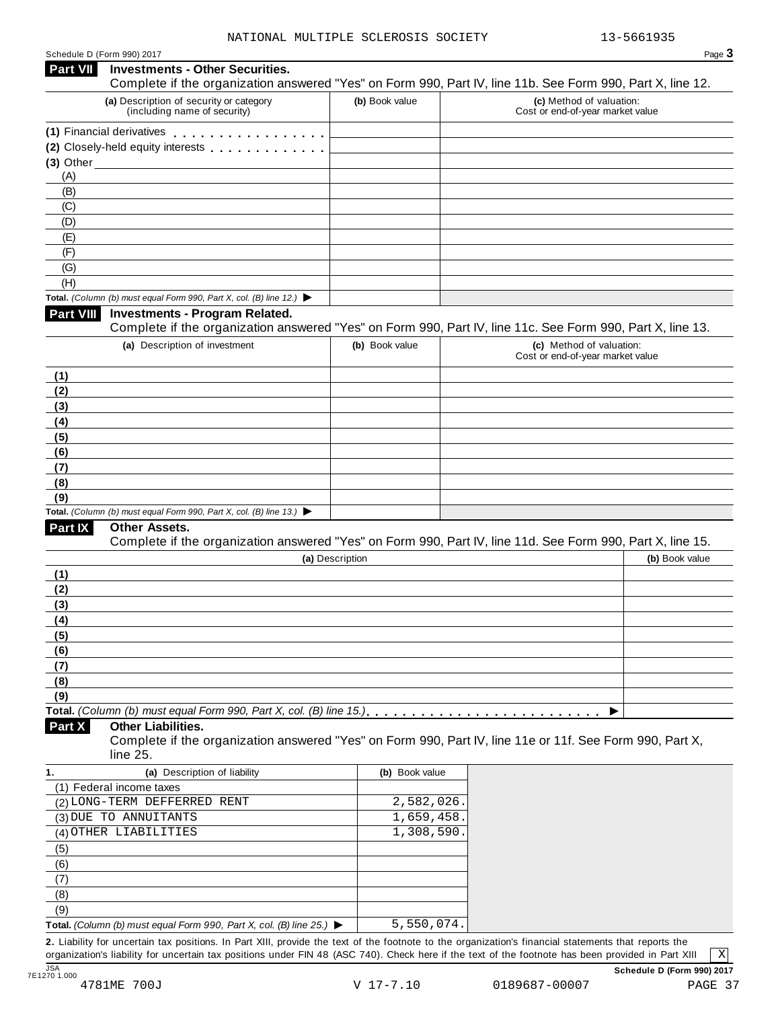| Schedule D (Form 990) 2017 |  |  |
|----------------------------|--|--|
|                            |  |  |

## Schedule <sup>D</sup> (Form 990) <sup>2017</sup> Page **3 Investments - Other Securities. Part VII** Investments - Other Securities.<br>Complete if the organization answered "Yes" on Form 990, Part IV, line 11b. See Form 990, Part X, line 12. **(a)** Description of security or category (including name of security) **(b)** Book value **(c)** Method of valuation: Cost or end-of-year market value (1) Financial derivatives **manual (2)** Closely-held equity interests **(3)** Other (A) (B) (C) (D) (E) (F) (G) (H) **Total.** *(Column (b) must equal Form 990, Part X, col. (B) line 12.)* I **Investments - Program Related.** Complete if the organization answered "Yes" on Form 990, Part IV, line 11c. See Form 990, Part X, line 13. **(a)** Description of investment **(b)** Book value **(c)** Method of valuation: Cost or end-of-year market value **(1) (2) (3) (4) (5) (6) (7) (8) (9) Total.** *(Column (b) must equal Form 990, Part X, col. (B) line 13.)* I **Other Assets.** Complete if the organization answered "Yes" on Form 990, Part IV, line 11d. See Form 990, Part X, line 15. **(a)** Description **(b)** Book value **(1) (2) (3) (4) (5) (6) (7) (8) (9) Total.** *(Column (b) must equal Form 990, Part X, col. (B) line 15.)* m m m m m m m m m m m m m m m m m m m m m m m m m m I **Other Liabilities.** Complete if the organization answered "Yes" on Form 990, Part IV, line 11e or 11f. See Form 990, Part X, line 25. **Part X 1. (a)** Description of liability **(b)** Book value (1) Federal income taxes (2) LONG-TERM DEFFERRED RENT 2,582,026. (3) DUE TO ANNUITANTS  $\begin{array}{|c|c|c|c|c|c|c|c|c|} \hline \text{1,659,458.} \hline \end{array}$ (4) OTHER LIABILITIES  $\begin{array}{|c|c|c|c|c|c|c|c|c|} \hline \quad & 1,308,590. \end{array}$ (5) (6) (7) (8) (9) **Total.** *(Column (b) must equal Form 990, Part X, col. (B) line 25.)* I 5,550,074.

**2.** Liability for uncertain tax positions. In Part XIII, provide the text of the footnote to the organization's financial statements that reports the organization's liability for uncertain tax positions under FIN 48 (ASC 740). Check here if the text of the footnote has been provided in Part XIII

X

JSA **Schedule D (Form 990) 2017**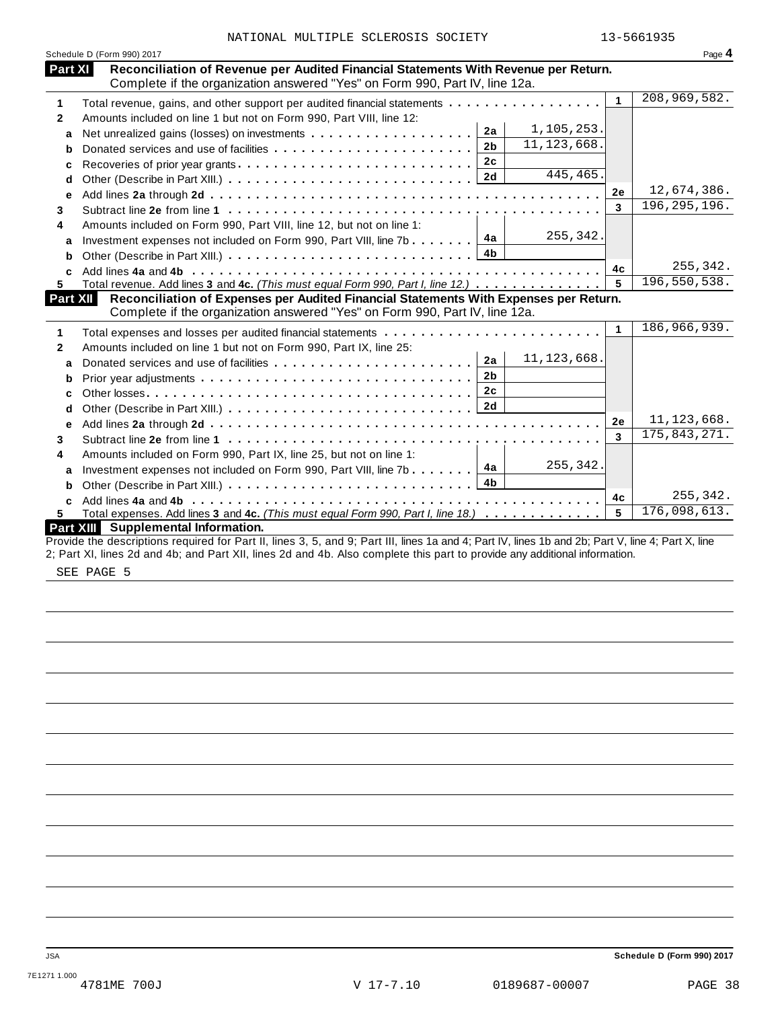|                | Schedule D (Form 990) 2017                                                                                                                                         |           | Page 4         |
|----------------|--------------------------------------------------------------------------------------------------------------------------------------------------------------------|-----------|----------------|
| <b>Part XI</b> | Reconciliation of Revenue per Audited Financial Statements With Revenue per Return.<br>Complete if the organization answered "Yes" on Form 990, Part IV, line 12a. |           |                |
| 1              | Total revenue, gains, and other support per audited financial statements                                                                                           | 1         | 208,969,582.   |
| $\mathbf{2}$   | Amounts included on line 1 but not on Form 990, Part VIII, line 12:                                                                                                |           |                |
| a              | 1,105,253.<br>2a                                                                                                                                                   |           |                |
| b              | 11, 123, 668.<br>2 <sub>b</sub>                                                                                                                                    |           |                |
| c              | 2c<br>Recoveries of prior year grants                                                                                                                              |           |                |
| d              | 445,465.<br>2d                                                                                                                                                     |           |                |
| e              |                                                                                                                                                                    | 2e        | 12,674,386.    |
| 3              |                                                                                                                                                                    | 3         | 196, 295, 196. |
| 4              | Amounts included on Form 990, Part VIII, line 12, but not on line 1:                                                                                               |           |                |
| a              | 255,342.<br>Investment expenses not included on Form 990, Part VIII, line 7b $\ldots \ldots \mathbf{4a}$                                                           |           |                |
| b              | 4b                                                                                                                                                                 |           |                |
| C.             |                                                                                                                                                                    | 4c        | 255,342.       |
| 5.             | Total revenue. Add lines 3 and 4c. (This must equal Form 990, Part I, line 12.)                                                                                    | 5         | 196,550,538.   |
| Part XII       | Reconciliation of Expenses per Audited Financial Statements With Expenses per Return.                                                                              |           |                |
|                | Complete if the organization answered "Yes" on Form 990, Part IV, line 12a.                                                                                        |           |                |
| 1              |                                                                                                                                                                    | 1         | 186,966,939.   |
| $\mathbf{2}$   | Amounts included on line 1 but not on Form 990, Part IX, line 25:                                                                                                  |           |                |
| a              | 11, 123, 668.<br>2a                                                                                                                                                |           |                |
|                | 2 <sub>b</sub>                                                                                                                                                     |           |                |
| b              | 2c                                                                                                                                                                 |           |                |
| C              |                                                                                                                                                                    |           |                |
| d              |                                                                                                                                                                    | <b>2e</b> | 11, 123, 668.  |
| е              |                                                                                                                                                                    | 3         | 175,843,271.   |
| 3              |                                                                                                                                                                    |           |                |
| 4              | Amounts included on Form 990, Part IX, line 25, but not on line 1:<br>255,342.<br>4a                                                                               |           |                |
| a              | Investment expenses not included on Form 990, Part VIII, line 7b<br>4 <sub>b</sub>                                                                                 |           |                |
| b              |                                                                                                                                                                    | 4c        | 255,342.       |
|                |                                                                                                                                                                    | 5         | 176,098,613.   |
| 5.             | Total expenses. Add lines 3 and 4c. (This must equal Form 990, Part I, line 18.)<br>Part XIII Supplemental Information.                                            |           |                |
|                | Provide the descriptions required for Part II, lines 3, 5, and 9; Part III, lines 1a and 4; Part IV, lines 1b and 2b; Part V, line 4; Part X, line                 |           |                |
|                | 2; Part XI, lines 2d and 4b; and Part XII, lines 2d and 4b. Also complete this part to provide any additional information.                                         |           |                |

SEE PAGE 5

JSA **Schedule D (Form 990) 2017**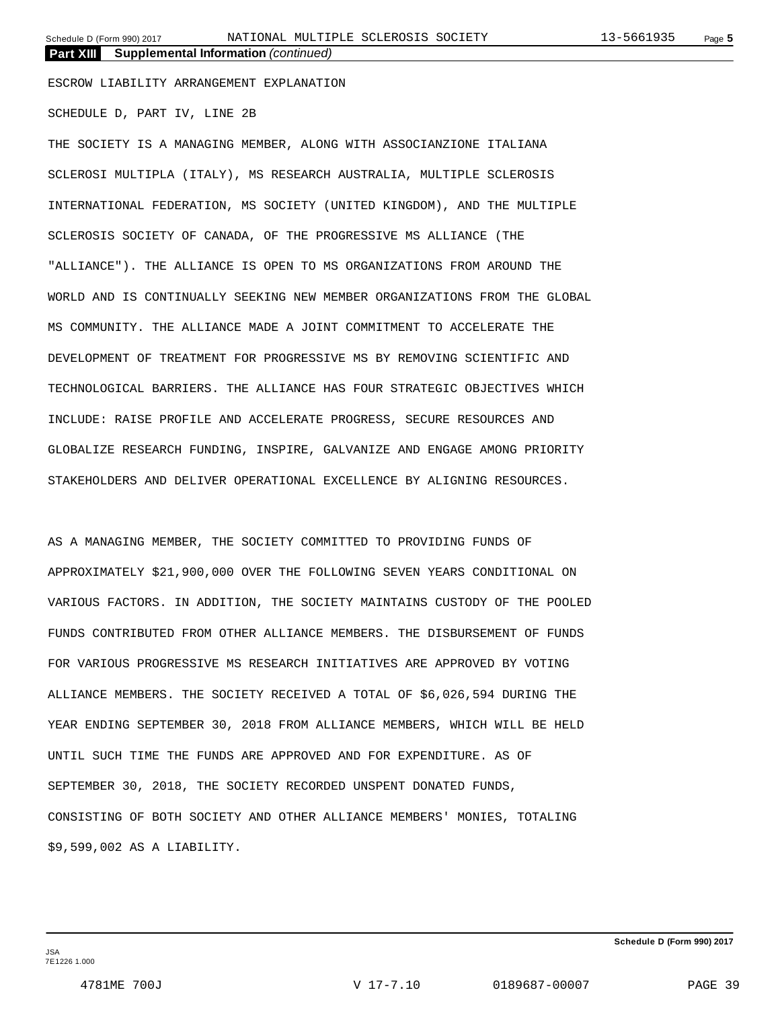**Part XIII Supplemental Information** *(continued)*

ESCROW LIABILITY ARRANGEMENT EXPLANATION

SCHEDULE D, PART IV, LINE 2B

THE SOCIETY IS A MANAGING MEMBER, ALONG WITH ASSOCIANZIONE ITALIANA SCLEROSI MULTIPLA (ITALY), MS RESEARCH AUSTRALIA, MULTIPLE SCLEROSIS INTERNATIONAL FEDERATION, MS SOCIETY (UNITED KINGDOM), AND THE MULTIPLE SCLEROSIS SOCIETY OF CANADA, OF THE PROGRESSIVE MS ALLIANCE (THE "ALLIANCE"). THE ALLIANCE IS OPEN TO MS ORGANIZATIONS FROM AROUND THE WORLD AND IS CONTINUALLY SEEKING NEW MEMBER ORGANIZATIONS FROM THE GLOBAL MS COMMUNITY. THE ALLIANCE MADE A JOINT COMMITMENT TO ACCELERATE THE DEVELOPMENT OF TREATMENT FOR PROGRESSIVE MS BY REMOVING SCIENTIFIC AND TECHNOLOGICAL BARRIERS. THE ALLIANCE HAS FOUR STRATEGIC OBJECTIVES WHICH INCLUDE: RAISE PROFILE AND ACCELERATE PROGRESS, SECURE RESOURCES AND GLOBALIZE RESEARCH FUNDING, INSPIRE, GALVANIZE AND ENGAGE AMONG PRIORITY STAKEHOLDERS AND DELIVER OPERATIONAL EXCELLENCE BY ALIGNING RESOURCES.

AS A MANAGING MEMBER, THE SOCIETY COMMITTED TO PROVIDING FUNDS OF APPROXIMATELY \$21,900,000 OVER THE FOLLOWING SEVEN YEARS CONDITIONAL ON VARIOUS FACTORS. IN ADDITION, THE SOCIETY MAINTAINS CUSTODY OF THE POOLED FUNDS CONTRIBUTED FROM OTHER ALLIANCE MEMBERS. THE DISBURSEMENT OF FUNDS FOR VARIOUS PROGRESSIVE MS RESEARCH INITIATIVES ARE APPROVED BY VOTING ALLIANCE MEMBERS. THE SOCIETY RECEIVED A TOTAL OF \$6,026,594 DURING THE YEAR ENDING SEPTEMBER 30, 2018 FROM ALLIANCE MEMBERS, WHICH WILL BE HELD UNTIL SUCH TIME THE FUNDS ARE APPROVED AND FOR EXPENDITURE. AS OF SEPTEMBER 30, 2018, THE SOCIETY RECORDED UNSPENT DONATED FUNDS, CONSISTING OF BOTH SOCIETY AND OTHER ALLIANCE MEMBERS' MONIES, TOTALING \$9,599,002 AS A LIABILITY.

**Schedule D (Form 990) 2017**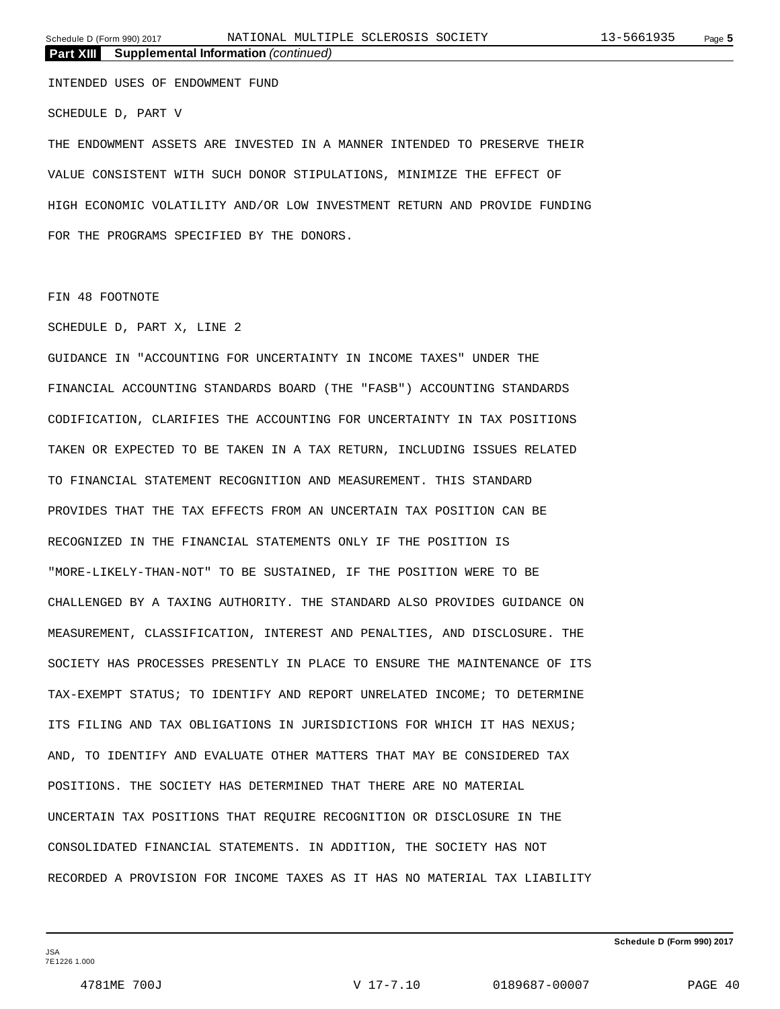**Part XIII Supplemental Information** *(continued)*

INTENDED USES OF ENDOWMENT FUND

SCHEDULE D, PART V

THE ENDOWMENT ASSETS ARE INVESTED IN A MANNER INTENDED TO PRESERVE THEIR VALUE CONSISTENT WITH SUCH DONOR STIPULATIONS, MINIMIZE THE EFFECT OF HIGH ECONOMIC VOLATILITY AND/OR LOW INVESTMENT RETURN AND PROVIDE FUNDING FOR THE PROGRAMS SPECIFIED BY THE DONORS.

### FIN 48 FOOTNOTE

### SCHEDULE D, PART X, LINE 2

GUIDANCE IN "ACCOUNTING FOR UNCERTAINTY IN INCOME TAXES" UNDER THE FINANCIAL ACCOUNTING STANDARDS BOARD (THE "FASB") ACCOUNTING STANDARDS CODIFICATION, CLARIFIES THE ACCOUNTING FOR UNCERTAINTY IN TAX POSITIONS TAKEN OR EXPECTED TO BE TAKEN IN A TAX RETURN, INCLUDING ISSUES RELATED TO FINANCIAL STATEMENT RECOGNITION AND MEASUREMENT. THIS STANDARD PROVIDES THAT THE TAX EFFECTS FROM AN UNCERTAIN TAX POSITION CAN BE RECOGNIZED IN THE FINANCIAL STATEMENTS ONLY IF THE POSITION IS "MORE-LIKELY-THAN-NOT" TO BE SUSTAINED, IF THE POSITION WERE TO BE CHALLENGED BY A TAXING AUTHORITY. THE STANDARD ALSO PROVIDES GUIDANCE ON MEASUREMENT, CLASSIFICATION, INTEREST AND PENALTIES, AND DISCLOSURE. THE SOCIETY HAS PROCESSES PRESENTLY IN PLACE TO ENSURE THE MAINTENANCE OF ITS TAX-EXEMPT STATUS; TO IDENTIFY AND REPORT UNRELATED INCOME; TO DETERMINE ITS FILING AND TAX OBLIGATIONS IN JURISDICTIONS FOR WHICH IT HAS NEXUS; AND, TO IDENTIFY AND EVALUATE OTHER MATTERS THAT MAY BE CONSIDERED TAX POSITIONS. THE SOCIETY HAS DETERMINED THAT THERE ARE NO MATERIAL UNCERTAIN TAX POSITIONS THAT REQUIRE RECOGNITION OR DISCLOSURE IN THE CONSOLIDATED FINANCIAL STATEMENTS. IN ADDITION, THE SOCIETY HAS NOT RECORDED A PROVISION FOR INCOME TAXES AS IT HAS NO MATERIAL TAX LIABILITY

**Schedule D (Form 990) 2017**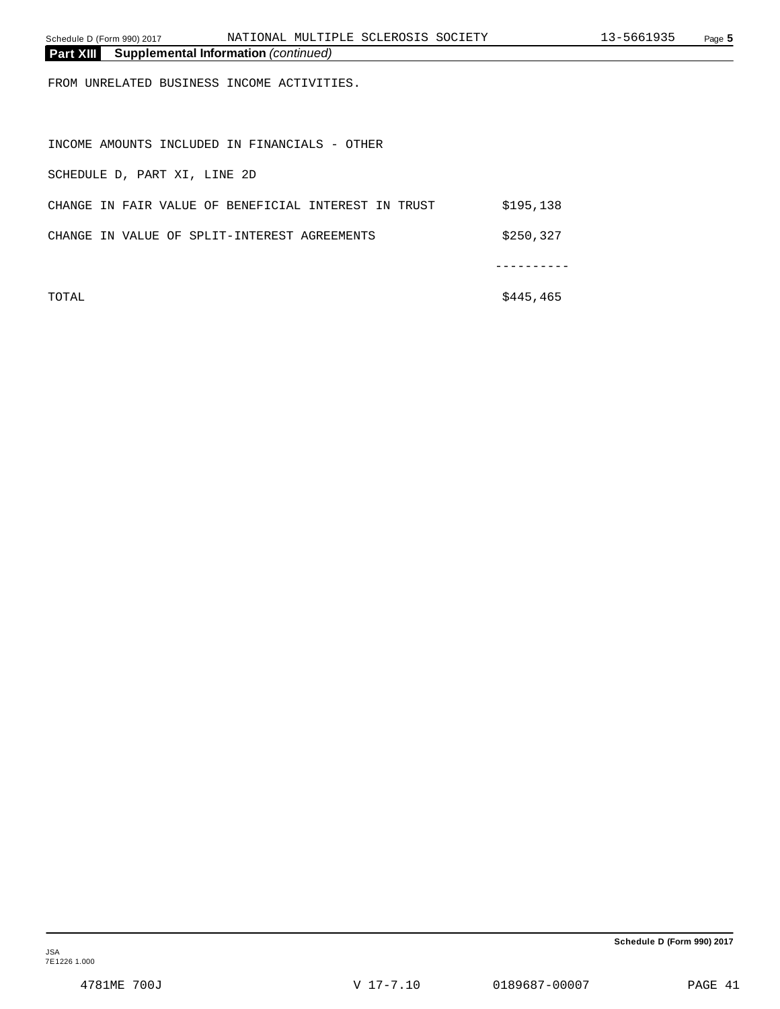| Schedule D (Form 990) 2017                                      | NATIONAL MULTIPLE SCLEROSIS SOCIETY                  |            | 13-5661935 | Page 5 |
|-----------------------------------------------------------------|------------------------------------------------------|------------|------------|--------|
| <b>Part XIII</b><br><b>Supplemental Information (continued)</b> |                                                      |            |            |        |
| FROM UNRELATED BUSINESS INCOME ACTIVITIES.                      |                                                      |            |            |        |
| INCOME AMOUNTS INCLUDED IN FINANCIALS - OTHER                   |                                                      |            |            |        |
| SCHEDULE D, PART XI, LINE 2D                                    |                                                      |            |            |        |
|                                                                 | CHANGE IN FAIR VALUE OF BENEFICIAL INTEREST IN TRUST | \$195,138  |            |        |
| CHANGE IN VALUE OF SPLIT-INTEREST AGREEMENTS                    |                                                      | \$250,327  |            |        |
|                                                                 |                                                      |            |            |        |
| TOTAL                                                           |                                                      | \$445, 465 |            |        |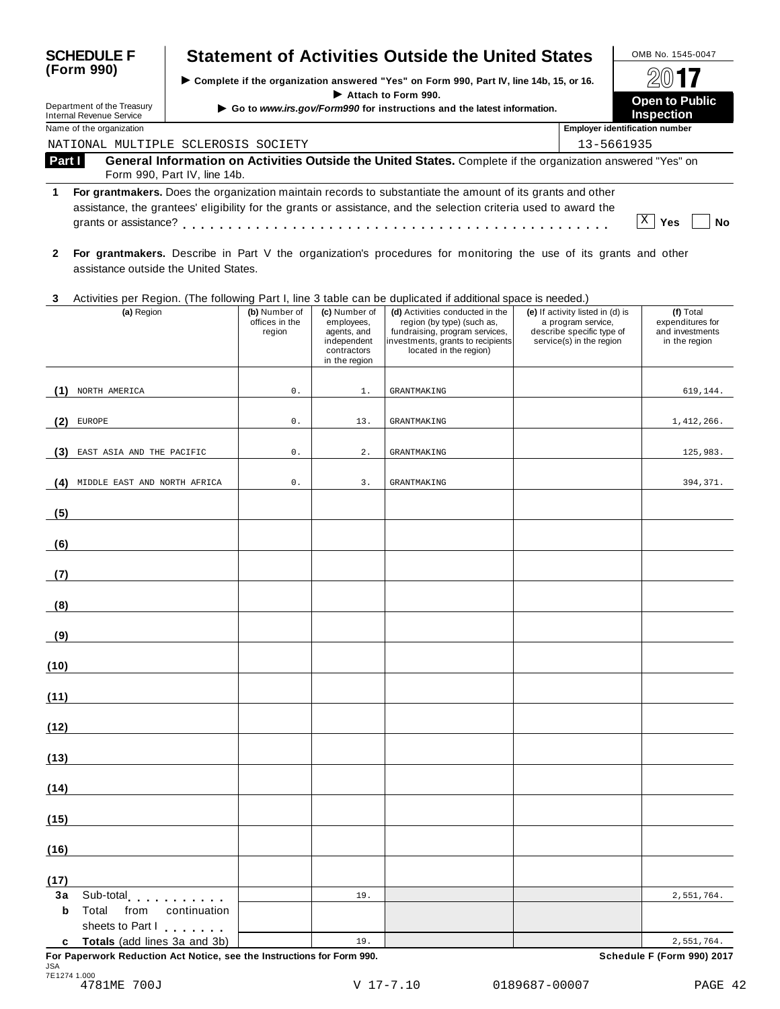| <b>SCHEDULE F</b>                                             |                                                  |                                           |                                                                                           | <b>Statement of Activities Outside the United States</b>                                                                                                                                                                       |                                                                                                                 | OMB No. 1545-0047                                                 |  |  |
|---------------------------------------------------------------|--------------------------------------------------|-------------------------------------------|-------------------------------------------------------------------------------------------|--------------------------------------------------------------------------------------------------------------------------------------------------------------------------------------------------------------------------------|-----------------------------------------------------------------------------------------------------------------|-------------------------------------------------------------------|--|--|
| (Form 990)                                                    |                                                  |                                           | > Complete if the organization answered "Yes" on Form 990, Part IV, line 14b, 15, or 16.  |                                                                                                                                                                                                                                |                                                                                                                 |                                                                   |  |  |
| Department of the Treasury<br><b>Internal Revenue Service</b> |                                                  |                                           |                                                                                           | Attach to Form 990.<br>Go to www.irs.gov/Form990 for instructions and the latest information.                                                                                                                                  |                                                                                                                 | <b>Open to Public</b><br><b>Inspection</b>                        |  |  |
| Name of the organization                                      |                                                  | <b>Employer identification number</b>     |                                                                                           |                                                                                                                                                                                                                                |                                                                                                                 |                                                                   |  |  |
|                                                               | NATIONAL MULTIPLE SCLEROSIS SOCIETY              |                                           |                                                                                           |                                                                                                                                                                                                                                |                                                                                                                 | 13-5661935                                                        |  |  |
| Part I                                                        | Form 990, Part IV, line 14b.                     |                                           |                                                                                           | General Information on Activities Outside the United States. Complete if the organization answered "Yes" on                                                                                                                    |                                                                                                                 |                                                                   |  |  |
| 1                                                             |                                                  |                                           |                                                                                           | For grantmakers. Does the organization maintain records to substantiate the amount of its grants and other<br>assistance, the grantees' eligibility for the grants or assistance, and the selection criteria used to award the |                                                                                                                 | X<br>Yes<br>No                                                    |  |  |
| $\mathbf{2}$                                                  | assistance outside the United States.            |                                           |                                                                                           | For grantmakers. Describe in Part V the organization's procedures for monitoring the use of its grants and other                                                                                                               |                                                                                                                 |                                                                   |  |  |
| 3                                                             |                                                  |                                           |                                                                                           | Activities per Region. (The following Part I, line 3 table can be duplicated if additional space is needed.)                                                                                                                   |                                                                                                                 |                                                                   |  |  |
|                                                               | (a) Region                                       | (b) Number of<br>offices in the<br>region | (c) Number of<br>employees,<br>agents, and<br>independent<br>contractors<br>in the region | (d) Activities conducted in the<br>region (by type) (such as,<br>fundraising, program services,<br>investments, grants to recipients<br>located in the region)                                                                 | (e) If activity listed in (d) is<br>a program service,<br>describe specific type of<br>service(s) in the region | (f) Total<br>expenditures for<br>and investments<br>in the region |  |  |
| NORTH AMERICA<br>(1)                                          |                                                  | $0$ .                                     | 1.                                                                                        | <b>GRANTMAKING</b>                                                                                                                                                                                                             |                                                                                                                 | 619,144.                                                          |  |  |
| EUROPE<br>(2)                                                 |                                                  | $0$ .                                     | 13.                                                                                       | <b>GRANTMAKING</b>                                                                                                                                                                                                             |                                                                                                                 | 1,412,266.                                                        |  |  |
| (3) EAST ASIA AND THE PACIFIC                                 |                                                  | $0$ .                                     | $2$ .                                                                                     | <b>GRANTMAKING</b>                                                                                                                                                                                                             |                                                                                                                 | 125,983.                                                          |  |  |
|                                                               | (4) MIDDLE EAST AND NORTH AFRICA                 | $0$ .                                     | 3.                                                                                        | <b>GRANTMAKING</b>                                                                                                                                                                                                             |                                                                                                                 | 394,371.                                                          |  |  |
| (5)                                                           |                                                  |                                           |                                                                                           |                                                                                                                                                                                                                                |                                                                                                                 |                                                                   |  |  |
| (6)                                                           |                                                  |                                           |                                                                                           |                                                                                                                                                                                                                                |                                                                                                                 |                                                                   |  |  |
| (7)                                                           |                                                  |                                           |                                                                                           |                                                                                                                                                                                                                                |                                                                                                                 |                                                                   |  |  |
| (8)                                                           |                                                  |                                           |                                                                                           |                                                                                                                                                                                                                                |                                                                                                                 |                                                                   |  |  |
| (9)                                                           |                                                  |                                           |                                                                                           |                                                                                                                                                                                                                                |                                                                                                                 |                                                                   |  |  |
| (10)                                                          |                                                  |                                           |                                                                                           |                                                                                                                                                                                                                                |                                                                                                                 |                                                                   |  |  |
| (11)                                                          |                                                  |                                           |                                                                                           |                                                                                                                                                                                                                                |                                                                                                                 |                                                                   |  |  |
| (12)                                                          |                                                  |                                           |                                                                                           |                                                                                                                                                                                                                                |                                                                                                                 |                                                                   |  |  |
| (13)                                                          |                                                  |                                           |                                                                                           |                                                                                                                                                                                                                                |                                                                                                                 |                                                                   |  |  |
| (14)                                                          |                                                  |                                           |                                                                                           |                                                                                                                                                                                                                                |                                                                                                                 |                                                                   |  |  |
| (15)                                                          |                                                  |                                           |                                                                                           |                                                                                                                                                                                                                                |                                                                                                                 |                                                                   |  |  |
| (16)                                                          |                                                  |                                           |                                                                                           |                                                                                                                                                                                                                                |                                                                                                                 |                                                                   |  |  |
| (17)                                                          |                                                  |                                           |                                                                                           |                                                                                                                                                                                                                                |                                                                                                                 |                                                                   |  |  |
| 3a<br>Total from<br>b                                         | Sub-total<br>continuation                        |                                           | 19.                                                                                       |                                                                                                                                                                                                                                |                                                                                                                 | 2,551,764.                                                        |  |  |
| c                                                             | sheets to Part I<br>Totals (add lines 3a and 3b) |                                           | 19.                                                                                       |                                                                                                                                                                                                                                |                                                                                                                 | 2,551,764.                                                        |  |  |

**For Paperwork Reduction Act Notice, see the Instructions for Form 990. Schedule F (Form 990) 2017** JSA 7E1274 1.000 4781ME 700J V 17-7.10 0189687-00007 PAGE 42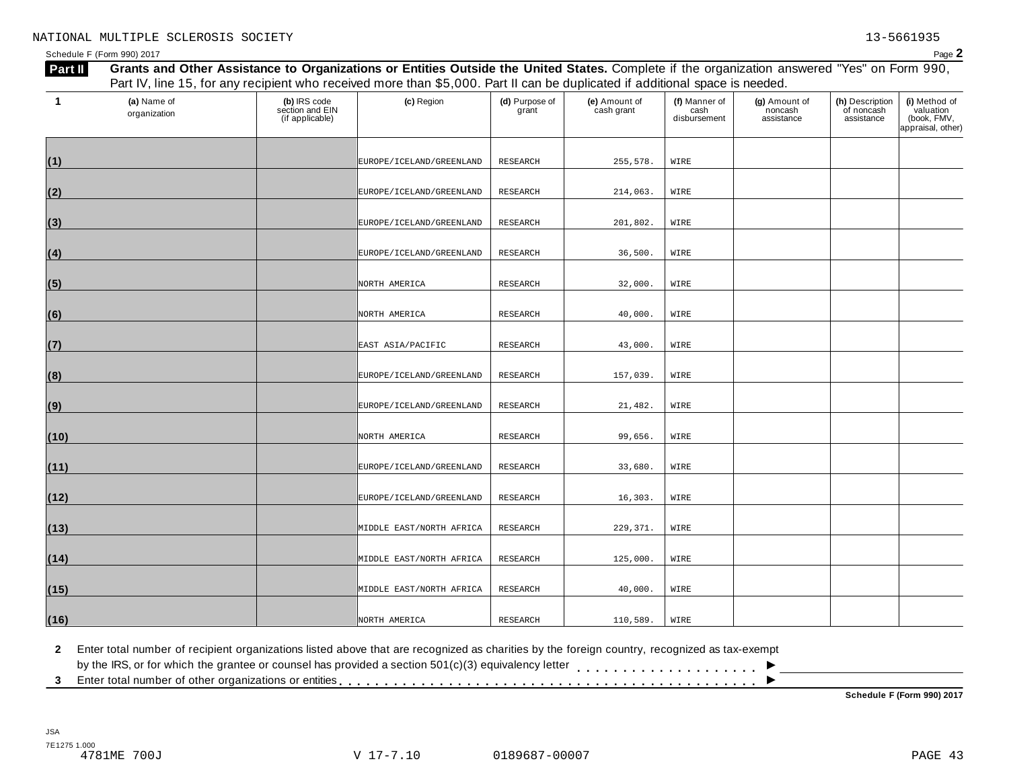Schedule F (Form 990) 2017  $P$ age  $2$ 

| -1   | (a) Name of<br>organization | (b) IRS code<br>section and EIN<br>(if applicable) | (c) Region                   | (d) Purpose of<br>grant | (e) Amount of<br>cash grant | (f) Manner of<br>cash<br>disbursement | (g) Amount of<br>noncash<br>assistance | (h) Description<br>of noncash<br>assistance | (i) Method of<br>valuation<br>(book, FMV,<br>appraisal, other) |
|------|-----------------------------|----------------------------------------------------|------------------------------|-------------------------|-----------------------------|---------------------------------------|----------------------------------------|---------------------------------------------|----------------------------------------------------------------|
| (1)  |                             |                                                    | EUROPE / ICELAND / GREENLAND | RESEARCH                | 255,578.                    | WIRE                                  |                                        |                                             |                                                                |
| (2)  |                             |                                                    | EUROPE/ICELAND/GREENLAND     | RESEARCH                | 214,063.                    | WIRE                                  |                                        |                                             |                                                                |
| (3)  |                             |                                                    | EUROPE/ICELAND/GREENLAND     | <b>RESEARCH</b>         | 201,802.                    | WIRE                                  |                                        |                                             |                                                                |
| (4)  |                             |                                                    | EUROPE/ICELAND/GREENLAND     | <b>RESEARCH</b>         | 36,500.                     | WIRE                                  |                                        |                                             |                                                                |
| (5)  |                             |                                                    | NORTH AMERICA                | RESEARCH                | 32,000.                     | WIRE                                  |                                        |                                             |                                                                |
| (6)  |                             |                                                    | NORTH AMERICA                | <b>RESEARCH</b>         | 40,000.                     | WIRE                                  |                                        |                                             |                                                                |
| (7)  |                             |                                                    | EAST ASIA/PACIFIC            | RESEARCH                | 43,000.                     | WIRE                                  |                                        |                                             |                                                                |
| (8)  |                             |                                                    | EUROPE/ICELAND/GREENLAND     | RESEARCH                | 157,039.                    | WIRE                                  |                                        |                                             |                                                                |
| (9)  |                             |                                                    | EUROPE/ICELAND/GREENLAND     | RESEARCH                | 21,482.                     | WIRE                                  |                                        |                                             |                                                                |
| (10) |                             |                                                    | NORTH AMERICA                | RESEARCH                | 99,656.                     | WIRE                                  |                                        |                                             |                                                                |
| (11) |                             |                                                    | EUROPE/ICELAND/GREENLAND     | RESEARCH                | 33,680.                     | WIRE                                  |                                        |                                             |                                                                |
| (12) |                             |                                                    | EUROPE/ICELAND/GREENLAND     | RESEARCH                | 16,303.                     | WIRE                                  |                                        |                                             |                                                                |
| (13) |                             |                                                    | MIDDLE EAST/NORTH AFRICA     | RESEARCH                | 229, 371.                   | WIRE                                  |                                        |                                             |                                                                |
| (14) |                             |                                                    | MIDDLE EAST/NORTH AFRICA     | RESEARCH                | 125,000.                    | WIRE                                  |                                        |                                             |                                                                |
| (15) |                             |                                                    | MIDDLE EAST/NORTH AFRICA     | RESEARCH                | 40,000.                     | WIRE                                  |                                        |                                             |                                                                |
| (16) |                             |                                                    | NORTH AMERICA                | <b>RESEARCH</b>         | 110,589.                    | WIRE                                  |                                        |                                             |                                                                |

**2** Enter total number of recipient organizations listed above that are recognized as charities by the foreign country, recognized as tax-exempt

 $\blacksquare$ <br>by the IRS, or for which the grantee or counsel has provided a section 501(c)(3) equivalency letter<br>3 Enter total number of other organizations or entities

**Schedule F (Form 990) 2017**

 $\overline{\phantom{a}}$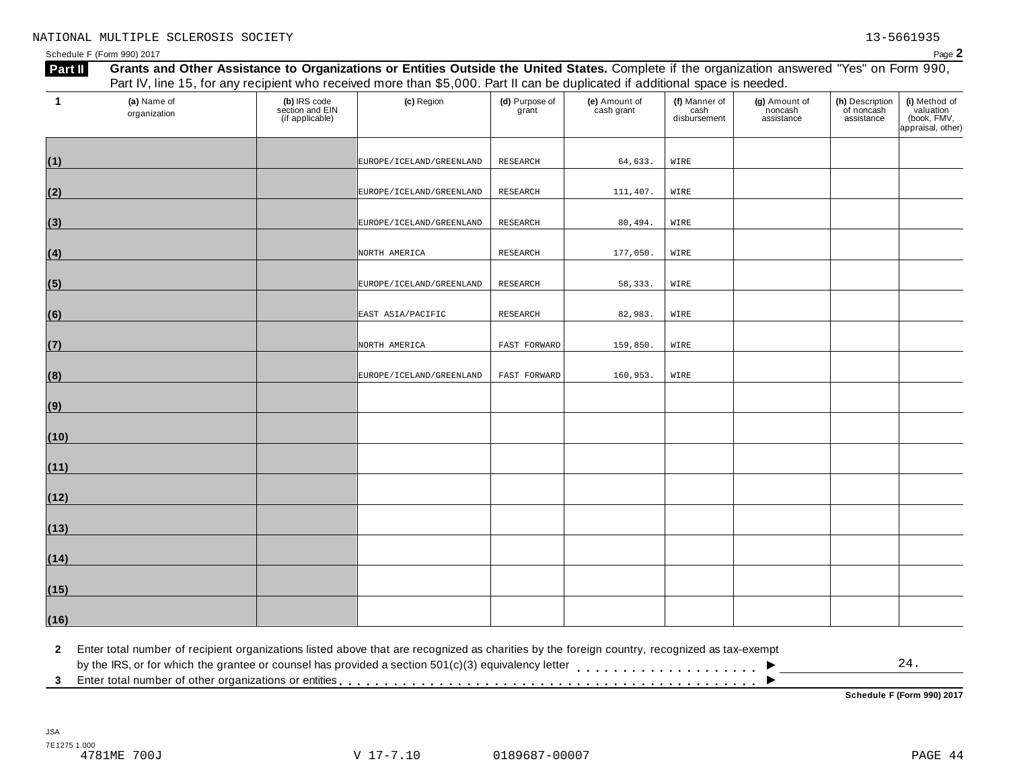Schedule F (Form 990) 2017  $P$ age  $2$ 

| $\mathbf{1}$ | (a) Name of<br>organization | (b) IRS code<br>section and EIN<br>(if applicable) | (c) Region               | (d) Purpose of<br>grant | (e) Amount of<br>cash grant | (f) Manner of<br>cash<br>disbursement | (g) Amount of<br>noncash<br>assistance | (h) Description<br>of noncash<br>assistance | (i) Method of<br>valuation<br>(book, FMV,<br>appraisal, other) |
|--------------|-----------------------------|----------------------------------------------------|--------------------------|-------------------------|-----------------------------|---------------------------------------|----------------------------------------|---------------------------------------------|----------------------------------------------------------------|
|              |                             |                                                    |                          |                         |                             |                                       |                                        |                                             |                                                                |
| (1)          |                             |                                                    | EUROPE/ICELAND/GREENLAND | RESEARCH                | 64,633.                     | WIRE                                  |                                        |                                             |                                                                |
| (2)          |                             |                                                    | EUROPE/ICELAND/GREENLAND | RESEARCH                | 111,407.                    | WIRE                                  |                                        |                                             |                                                                |
| (3)          |                             |                                                    | EUROPE/ICELAND/GREENLAND | RESEARCH                | 80,494.                     | WIRE                                  |                                        |                                             |                                                                |
| (4)          |                             |                                                    | NORTH AMERICA            | RESEARCH                | 177,050.                    | WIRE                                  |                                        |                                             |                                                                |
| (5)          |                             |                                                    | EUROPE/ICELAND/GREENLAND | RESEARCH                | 58,333.                     | WIRE                                  |                                        |                                             |                                                                |
| (6)          |                             |                                                    | EAST ASIA/PACIFIC        | RESEARCH                | 82,983.                     | WIRE                                  |                                        |                                             |                                                                |
| (7)          |                             |                                                    | NORTH AMERICA            | FAST FORWARD            | 159,850.                    | WIRE                                  |                                        |                                             |                                                                |
| (8)          |                             |                                                    | EUROPE/ICELAND/GREENLAND | FAST FORWARD            | 160,953.                    | WIRE                                  |                                        |                                             |                                                                |
| (9)          |                             |                                                    |                          |                         |                             |                                       |                                        |                                             |                                                                |
| (10)         |                             |                                                    |                          |                         |                             |                                       |                                        |                                             |                                                                |
| (11)         |                             |                                                    |                          |                         |                             |                                       |                                        |                                             |                                                                |
| (12)         |                             |                                                    |                          |                         |                             |                                       |                                        |                                             |                                                                |
| (13)         |                             |                                                    |                          |                         |                             |                                       |                                        |                                             |                                                                |
| (14)         |                             |                                                    |                          |                         |                             |                                       |                                        |                                             |                                                                |
| (15)         |                             |                                                    |                          |                         |                             |                                       |                                        |                                             |                                                                |
| (16)         |                             |                                                    |                          |                         |                             |                                       |                                        |                                             |                                                                |

**2** Enter total number of recipient organizations listed above that are recognized as charities by the foreign country, recognized as tax-exempt

 $\blacksquare$ <br>by the IRS, or for which the grantee or counsel has provided a section 501(c)(3) equivalency letter<br>3 Enter total number of other organizations or entities  $\overline{\phantom{a}}$ 24.

**Schedule F (Form 990) 2017**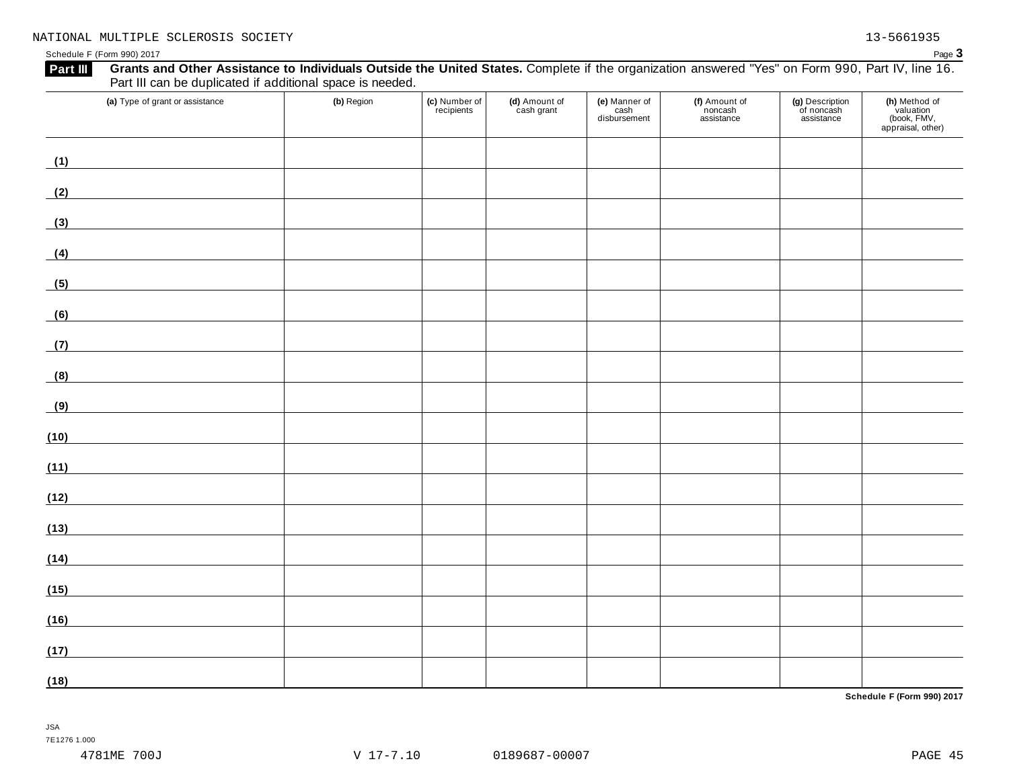| (a) Type of grant or assistance                                                                                              | (b) Region | (c) Number of<br>recipients | (d) Amount of<br>cash grant | (e) Manner of<br>cash<br>disbursement | (f) Amount of<br>noncash<br>assistance | (g) Description<br>of noncash<br>assistance | (h) Method of<br>valuation<br>(book, FMV,<br>appraisal, other) |
|------------------------------------------------------------------------------------------------------------------------------|------------|-----------------------------|-----------------------------|---------------------------------------|----------------------------------------|---------------------------------------------|----------------------------------------------------------------|
| (1)<br><u> 1989 - Johann Barn, mars eta bainar eta industrial eta industrial eta industrial eta industrial eta industria</u> |            |                             |                             |                                       |                                        |                                             |                                                                |
| (2)                                                                                                                          |            |                             |                             |                                       |                                        |                                             |                                                                |
| (3)                                                                                                                          |            |                             |                             |                                       |                                        |                                             |                                                                |
| (4)                                                                                                                          |            |                             |                             |                                       |                                        |                                             |                                                                |
| <u> 1980 - Johann Barbara, martxa al</u><br>(5)                                                                              |            |                             |                             |                                       |                                        |                                             |                                                                |
| (6)                                                                                                                          |            |                             |                             |                                       |                                        |                                             |                                                                |
| (7)                                                                                                                          |            |                             |                             |                                       |                                        |                                             |                                                                |
| (8)                                                                                                                          |            |                             |                             |                                       |                                        |                                             |                                                                |
| (9)<br><u> 1989 - Johann Barn, mars eta bainar eta industrial eta baina eta baina eta baina eta baina eta baina eta bain</u> |            |                             |                             |                                       |                                        |                                             |                                                                |
| (10)                                                                                                                         |            |                             |                             |                                       |                                        |                                             |                                                                |
| (11)<br><u> 1980 - Jan Stein Stein Stein Stein Stein Stein Stein Stein Stein Stein Stein Stein Stein Stein Stein Stein S</u> |            |                             |                             |                                       |                                        |                                             |                                                                |
| (12)<br><u> 1980 - Johann Barbara, martxa al</u>                                                                             |            |                             |                             |                                       |                                        |                                             |                                                                |
| (13)<br><u> 1989 - Andrea Station Barbara, amerikan per</u>                                                                  |            |                             |                             |                                       |                                        |                                             |                                                                |
| (14)<br><u> 1989 - Johann Barn, mars eta bainar eta idazlea (</u>                                                            |            |                             |                             |                                       |                                        |                                             |                                                                |
| (15)                                                                                                                         |            |                             |                             |                                       |                                        |                                             |                                                                |
| (16)                                                                                                                         |            |                             |                             |                                       |                                        |                                             |                                                                |
| (17)                                                                                                                         |            |                             |                             |                                       |                                        |                                             |                                                                |
| (18)                                                                                                                         |            |                             |                             |                                       |                                        |                                             |                                                                |

**Schedule F (Form 990) 2017**

JSA 7E1276 1.000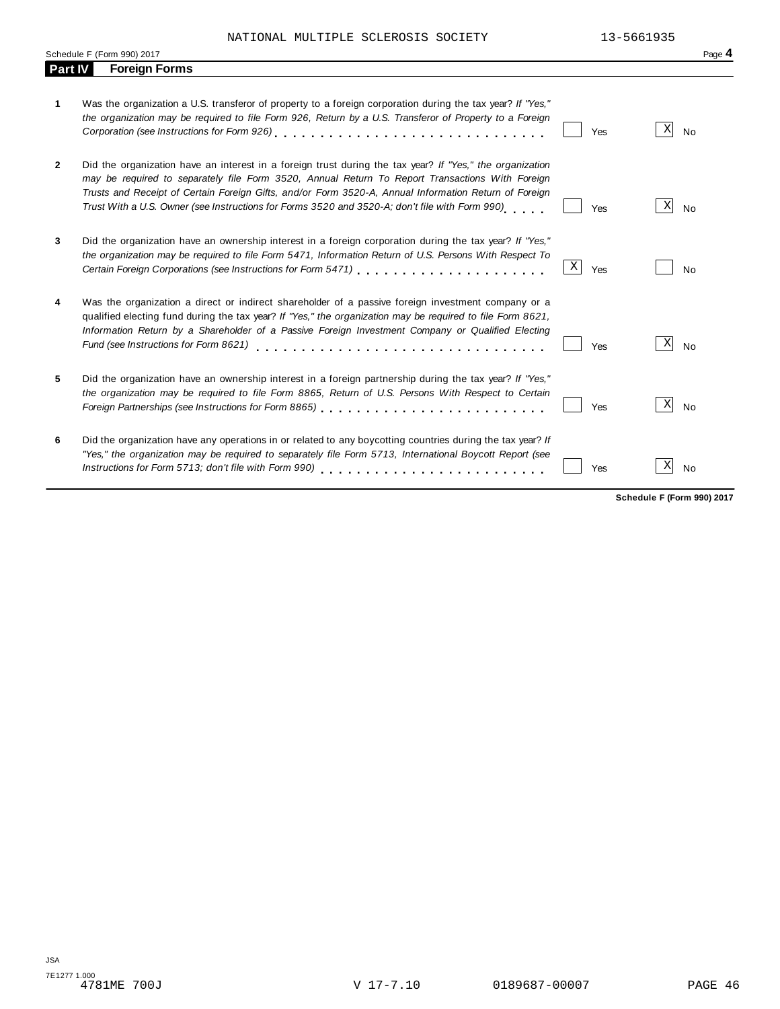NATIONAL MULTIPLE SCLEROSIS SOCIETY 13-5661935

|              | Schedule F (Form 990) 2017                                                                                                                                                                                                                                                                                                                                                                                             |          |                            | Page 4    |
|--------------|------------------------------------------------------------------------------------------------------------------------------------------------------------------------------------------------------------------------------------------------------------------------------------------------------------------------------------------------------------------------------------------------------------------------|----------|----------------------------|-----------|
| Part IV      | <b>Foreign Forms</b>                                                                                                                                                                                                                                                                                                                                                                                                   |          |                            |           |
| 1            | Was the organization a U.S. transferor of property to a foreign corporation during the tax year? If "Yes,"<br>the organization may be required to file Form 926, Return by a U.S. Transferor of Property to a Foreign<br>Corporation (see Instructions for Form 926)                                                                                                                                                   | Yes      | X                          | <b>No</b> |
| $\mathbf{2}$ | Did the organization have an interest in a foreign trust during the tax year? If "Yes," the organization<br>may be required to separately file Form 3520, Annual Return To Report Transactions With Foreign<br>Trusts and Receipt of Certain Foreign Gifts, and/or Form 3520-A, Annual Information Return of Foreign<br>Trust With a U.S. Owner (see Instructions for Forms 3520 and 3520-A; don't file with Form 990) | Yes      | X                          | No        |
| 3            | Did the organization have an ownership interest in a foreign corporation during the tax year? If "Yes,"<br>the organization may be required to file Form 5471, Information Return of U.S. Persons With Respect To                                                                                                                                                                                                      | Χ<br>Yes |                            | <b>No</b> |
| 4            | Was the organization a direct or indirect shareholder of a passive foreign investment company or a<br>qualified electing fund during the tax year? If "Yes," the organization may be required to file Form 8621,<br>Information Return by a Shareholder of a Passive Foreign Investment Company or Qualified Electing<br>Fund (see Instructions for Form 8621)                                                         | Yes      | X                          | <b>No</b> |
| 5            | Did the organization have an ownership interest in a foreign partnership during the tax year? If "Yes,"<br>the organization may be required to file Form 8865, Return of U.S. Persons With Respect to Certain                                                                                                                                                                                                          | Yes      | X                          | <b>No</b> |
| 6            | Did the organization have any operations in or related to any boycotting countries during the tax year? If<br>"Yes," the organization may be required to separately file Form 5713, International Boycott Report (see                                                                                                                                                                                                  | Yes      | Χ                          | <b>No</b> |
|              |                                                                                                                                                                                                                                                                                                                                                                                                                        |          | Schedule F (Form 990) 2017 |           |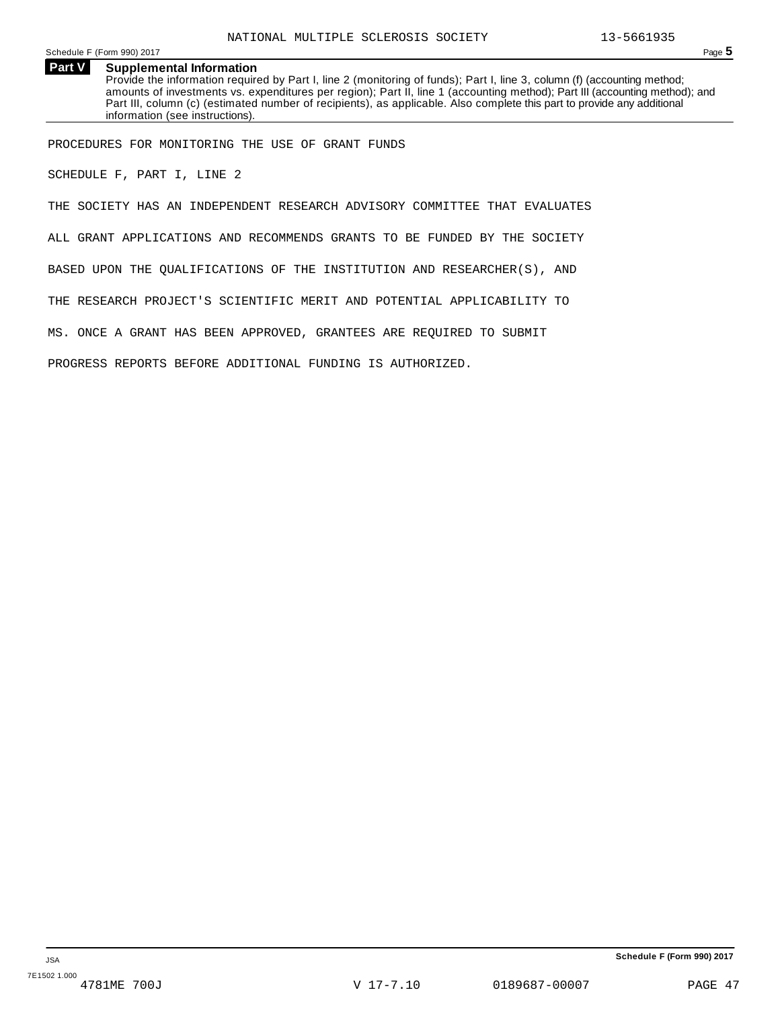Schedule <sup>F</sup> (Form 990) <sup>2017</sup> Page **5**

**Part V Supplemental Information** Provide the information required by Part I, line 2 (monitoring of funds); Part I, line 3, column (f) (accounting method; amounts of investments vs. expenditures per region); Part II, line 1 (accounting method); Part III (accounting method); and Part III, column (c) (estimated number of recipients), as applicable. Also complete this part to provide any additional information (see instructions).

PROCEDURES FOR MONITORING THE USE OF GRANT FUNDS

SCHEDULE F, PART I, LINE 2

THE SOCIETY HAS AN INDEPENDENT RESEARCH ADVISORY COMMITTEE THAT EVALUATES

ALL GRANT APPLICATIONS AND RECOMMENDS GRANTS TO BE FUNDED BY THE SOCIETY

BASED UPON THE QUALIFICATIONS OF THE INSTITUTION AND RESEARCHER(S), AND

THE RESEARCH PROJECT'S SCIENTIFIC MERIT AND POTENTIAL APPLICABILITY TO

MS. ONCE A GRANT HAS BEEN APPROVED, GRANTEES ARE REQUIRED TO SUBMIT

PROGRESS REPORTS BEFORE ADDITIONAL FUNDING IS AUTHORIZED.

**Schedule F (Form 990) 2017**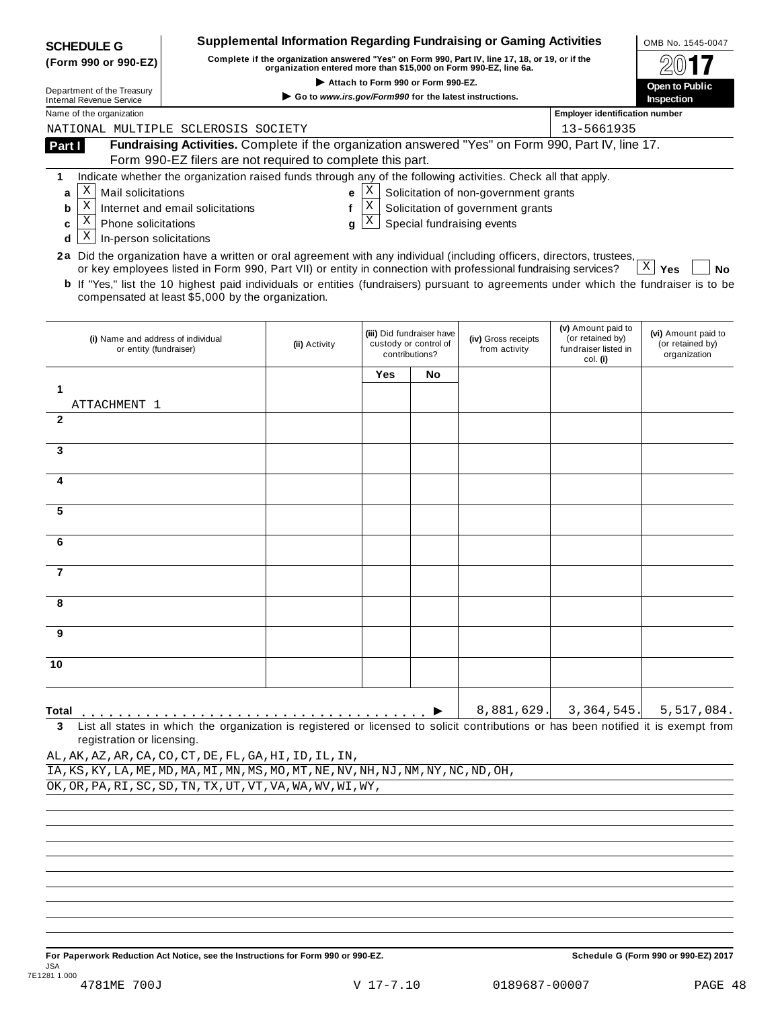| <b>SCHEDULE G</b>                                                                                                      |                                                                                                                                                                                                   | <b>Supplemental Information Regarding Fundraising or Gaming Activities</b>                                                                                          |                                    |                                                                      |                                                                 |                                                      | OMB No. 1545-0047                                       |  |  |
|------------------------------------------------------------------------------------------------------------------------|---------------------------------------------------------------------------------------------------------------------------------------------------------------------------------------------------|---------------------------------------------------------------------------------------------------------------------------------------------------------------------|------------------------------------|----------------------------------------------------------------------|-----------------------------------------------------------------|------------------------------------------------------|---------------------------------------------------------|--|--|
| (Form 990 or 990-EZ)                                                                                                   |                                                                                                                                                                                                   | Complete if the organization answered "Yes" on Form 990, Part IV, line 17, 18, or 19, or if the<br>organization entered more than \$15,000 on Form 990-EZ, line 6a. |                                    |                                                                      |                                                                 |                                                      |                                                         |  |  |
| Department of the Treasury                                                                                             |                                                                                                                                                                                                   |                                                                                                                                                                     | Attach to Form 990 or Form 990-EZ. |                                                                      |                                                                 |                                                      | Open to Public                                          |  |  |
| <b>Internal Revenue Service</b>                                                                                        |                                                                                                                                                                                                   | Go to www.irs.gov/Form990 for the latest instructions.                                                                                                              |                                    |                                                                      |                                                                 | Inspection                                           |                                                         |  |  |
| Name of the organization<br>NATIONAL MULTIPLE SCLEROSIS SOCIETY                                                        |                                                                                                                                                                                                   |                                                                                                                                                                     |                                    |                                                                      |                                                                 | <b>Employer identification number</b><br>13-5661935  |                                                         |  |  |
| Part I                                                                                                                 | Fundraising Activities. Complete if the organization answered "Yes" on Form 990, Part IV, line 17.                                                                                                |                                                                                                                                                                     |                                    |                                                                      |                                                                 |                                                      |                                                         |  |  |
|                                                                                                                        | Form 990-EZ filers are not required to complete this part.                                                                                                                                        |                                                                                                                                                                     |                                    |                                                                      |                                                                 |                                                      |                                                         |  |  |
| 1                                                                                                                      | Indicate whether the organization raised funds through any of the following activities. Check all that apply.                                                                                     |                                                                                                                                                                     |                                    |                                                                      |                                                                 |                                                      |                                                         |  |  |
| Χ<br>Mail solicitations<br>a                                                                                           |                                                                                                                                                                                                   | е                                                                                                                                                                   | Χ                                  |                                                                      | Solicitation of non-government grants                           |                                                      |                                                         |  |  |
| Χ<br>b<br>X<br>Phone solicitations                                                                                     | Internet and email solicitations                                                                                                                                                                  | $\mathbf{f}$                                                                                                                                                        | $\mathbf X$<br>X                   |                                                                      | Solicitation of government grants<br>Special fundraising events |                                                      |                                                         |  |  |
| c<br>Χ<br>In-person solicitations<br>d                                                                                 |                                                                                                                                                                                                   | q                                                                                                                                                                   |                                    |                                                                      |                                                                 |                                                      |                                                         |  |  |
| 2a Did the organization have a written or oral agreement with any individual (including officers, directors, trustees, |                                                                                                                                                                                                   |                                                                                                                                                                     |                                    |                                                                      |                                                                 |                                                      |                                                         |  |  |
|                                                                                                                        | or key employees listed in Form 990, Part VII) or entity in connection with professional fundraising services?                                                                                    |                                                                                                                                                                     |                                    |                                                                      |                                                                 |                                                      | Χ<br><b>No</b><br>Yes                                   |  |  |
|                                                                                                                        | <b>b</b> If "Yes," list the 10 highest paid individuals or entities (fundraisers) pursuant to agreements under which the fundraiser is to be<br>compensated at least \$5,000 by the organization. |                                                                                                                                                                     |                                    |                                                                      |                                                                 |                                                      |                                                         |  |  |
|                                                                                                                        |                                                                                                                                                                                                   |                                                                                                                                                                     |                                    |                                                                      |                                                                 | (v) Amount paid to                                   |                                                         |  |  |
| (i) Name and address of individual<br>or entity (fundraiser)                                                           |                                                                                                                                                                                                   | (ii) Activity                                                                                                                                                       |                                    | (iii) Did fundraiser have<br>custody or control of<br>contributions? | (iv) Gross receipts<br>from activity                            | (or retained by)<br>fundraiser listed in<br>col. (i) | (vi) Amount paid to<br>(or retained by)<br>organization |  |  |
|                                                                                                                        |                                                                                                                                                                                                   |                                                                                                                                                                     | Yes                                | No                                                                   |                                                                 |                                                      |                                                         |  |  |
| 1<br>ATTACHMENT 1                                                                                                      |                                                                                                                                                                                                   |                                                                                                                                                                     |                                    |                                                                      |                                                                 |                                                      |                                                         |  |  |
| $\mathbf{2}$                                                                                                           |                                                                                                                                                                                                   |                                                                                                                                                                     |                                    |                                                                      |                                                                 |                                                      |                                                         |  |  |
|                                                                                                                        |                                                                                                                                                                                                   |                                                                                                                                                                     |                                    |                                                                      |                                                                 |                                                      |                                                         |  |  |
| 3                                                                                                                      |                                                                                                                                                                                                   |                                                                                                                                                                     |                                    |                                                                      |                                                                 |                                                      |                                                         |  |  |
| 4                                                                                                                      |                                                                                                                                                                                                   |                                                                                                                                                                     |                                    |                                                                      |                                                                 |                                                      |                                                         |  |  |
| 5                                                                                                                      |                                                                                                                                                                                                   |                                                                                                                                                                     |                                    |                                                                      |                                                                 |                                                      |                                                         |  |  |
|                                                                                                                        |                                                                                                                                                                                                   |                                                                                                                                                                     |                                    |                                                                      |                                                                 |                                                      |                                                         |  |  |
| 6                                                                                                                      |                                                                                                                                                                                                   |                                                                                                                                                                     |                                    |                                                                      |                                                                 |                                                      |                                                         |  |  |
| 7                                                                                                                      |                                                                                                                                                                                                   |                                                                                                                                                                     |                                    |                                                                      |                                                                 |                                                      |                                                         |  |  |
| 8                                                                                                                      |                                                                                                                                                                                                   |                                                                                                                                                                     |                                    |                                                                      |                                                                 |                                                      |                                                         |  |  |
| 9                                                                                                                      |                                                                                                                                                                                                   |                                                                                                                                                                     |                                    |                                                                      |                                                                 |                                                      |                                                         |  |  |
|                                                                                                                        |                                                                                                                                                                                                   |                                                                                                                                                                     |                                    |                                                                      |                                                                 |                                                      |                                                         |  |  |
| 10                                                                                                                     |                                                                                                                                                                                                   |                                                                                                                                                                     |                                    |                                                                      |                                                                 |                                                      |                                                         |  |  |
| Total                                                                                                                  |                                                                                                                                                                                                   |                                                                                                                                                                     |                                    |                                                                      | 8,881,629.                                                      | 3,364,545.                                           | 5,517,084.                                              |  |  |
| 3                                                                                                                      | List all states in which the organization is registered or licensed to solicit contributions or has been notified it is exempt from                                                               |                                                                                                                                                                     |                                    |                                                                      |                                                                 |                                                      |                                                         |  |  |
| registration or licensing.<br>AL, AK, AZ, AR, CA, CO, CT, DE, FL, GA, HI, ID, IL, IN,                                  |                                                                                                                                                                                                   |                                                                                                                                                                     |                                    |                                                                      |                                                                 |                                                      |                                                         |  |  |
| IA, KS, KY, LA, ME, MD, MA, MI, MN, MS, MO, MT, NE, NV, NH, NJ, NM, NY, NC, ND, OH,                                    |                                                                                                                                                                                                   |                                                                                                                                                                     |                                    |                                                                      |                                                                 |                                                      |                                                         |  |  |
| OK, OR, PA, RI, SC, SD, TN, TX, UT, VT, VA, WA, WV, WI, WY,                                                            |                                                                                                                                                                                                   |                                                                                                                                                                     |                                    |                                                                      |                                                                 |                                                      |                                                         |  |  |
|                                                                                                                        |                                                                                                                                                                                                   |                                                                                                                                                                     |                                    |                                                                      |                                                                 |                                                      |                                                         |  |  |
|                                                                                                                        |                                                                                                                                                                                                   |                                                                                                                                                                     |                                    |                                                                      |                                                                 |                                                      |                                                         |  |  |
|                                                                                                                        |                                                                                                                                                                                                   |                                                                                                                                                                     |                                    |                                                                      |                                                                 |                                                      |                                                         |  |  |
|                                                                                                                        |                                                                                                                                                                                                   |                                                                                                                                                                     |                                    |                                                                      |                                                                 |                                                      |                                                         |  |  |
|                                                                                                                        |                                                                                                                                                                                                   |                                                                                                                                                                     |                                    |                                                                      |                                                                 |                                                      |                                                         |  |  |
|                                                                                                                        |                                                                                                                                                                                                   |                                                                                                                                                                     |                                    |                                                                      |                                                                 |                                                      |                                                         |  |  |
|                                                                                                                        |                                                                                                                                                                                                   |                                                                                                                                                                     |                                    |                                                                      |                                                                 |                                                      |                                                         |  |  |

For Paperwork Reduction Act Notice, see the Instructions for Form 990 or 990-EZ. Schedule G (Form 990 or 990-EZ) 2017 JSA 7E1281 1.000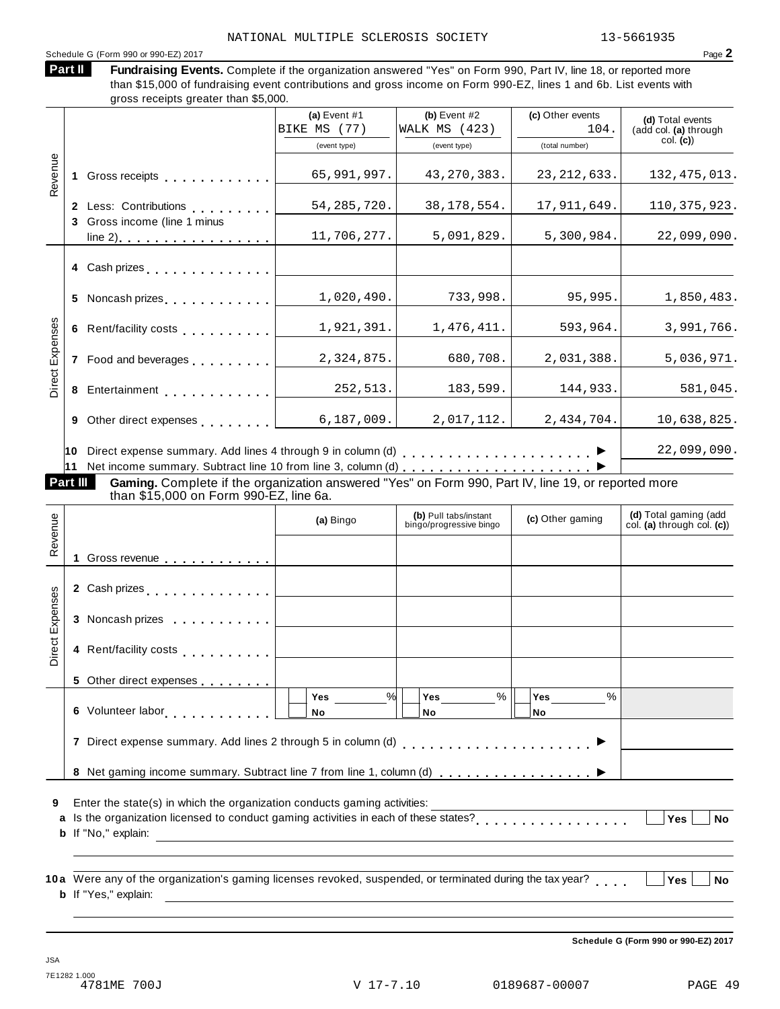# Schedule <sup>G</sup> (Form <sup>990</sup> or 990-EZ) <sup>2017</sup> Page **2**

Fundraising Events. Complete if the organization answered "Yes" on Form 990, Part IV, line 18, or reported more than \$15,000 of fundraising event contributions and gross income on Form 990-EZ, lines 1 and 6b. List events with gross receipts greater than \$5,000. **Part II**

|                 |    |                                                                                                     | (a) Event $#1$<br>BIKE MS (77) | (b) Event $#2$<br>WALK MS (423) | (c) Other events<br>104. | (d) Total events<br>(add col. (a) through |
|-----------------|----|-----------------------------------------------------------------------------------------------------|--------------------------------|---------------------------------|--------------------------|-------------------------------------------|
|                 |    |                                                                                                     | (event type)                   | (event type)                    | (total number)           | col. (c)                                  |
|                 |    |                                                                                                     |                                |                                 |                          |                                           |
| Revenue         |    | Gross receipts <b>Container and Street Bank</b>                                                     | 65,991,997.                    | 43, 270, 383.                   | 23, 212, 633.            | 132, 475, 013.                            |
|                 |    | 2 Less: Contributions                                                                               | 54, 285, 720.                  | 38, 178, 554.                   | 17,911,649.              | 110, 375, 923.                            |
|                 | 3  | Gross income (line 1 minus                                                                          |                                |                                 |                          |                                           |
|                 |    | line $2)$ .                                                                                         | 11,706,277.                    | 5,091,829.                      | 5,300,984.               | 22,099,090.                               |
|                 |    | 4 Cash prizes                                                                                       |                                |                                 |                          |                                           |
|                 |    | 5 Noncash prizes                                                                                    | 1,020,490.                     | 733,998.                        | 95,995.                  | 1,850,483.                                |
|                 | 6  | Rent/facility costs entertainment                                                                   | 1,921,391.                     | 1,476,411.                      | 593,964.                 | 3,991,766.                                |
| Direct Expenses | 7  | Food and beverages                                                                                  | 2,324,875.                     | 680,708.                        | 2,031,388.               | 5,036,971.                                |
|                 |    | 8 Entertainment                                                                                     | 252,513.                       | 183,599.                        | 144,933.                 | 581,045.                                  |
|                 | 9  | Other direct expenses examples                                                                      | 6, 187, 009.                   | 2,017,112.                      | 2,434,704.               | 10,638,825.                               |
|                 | 10 |                                                                                                     |                                |                                 |                          | 22,099,090.                               |
| Part III        | 11 | Gaming. Complete if the organization answered "Yes" on Form 990, Part IV, line 19, or reported more |                                |                                 |                          |                                           |

**if the organization answered "Yes" on Form 990, Part IV, line 19, or reported more** than \$15,000 on Form 990-EZ, line 6a. **Part III**

| Revenue         |                                                                                                                                                                                                                                     | (a) Bingo             | (b) Pull tabs/instant<br>bingo/progressive bingo | (c) Other gaming         | (d) Total gaming (add<br>col. (a) through col. (c)) |
|-----------------|-------------------------------------------------------------------------------------------------------------------------------------------------------------------------------------------------------------------------------------|-----------------------|--------------------------------------------------|--------------------------|-----------------------------------------------------|
|                 | 1 Gross revenue <b>contained</b> and a series of the series of the series of the series of the series of the series of the series of the series of the series of the series of the series of the series of the series of the series |                       |                                                  |                          |                                                     |
|                 | 2 Cash prizes                                                                                                                                                                                                                       |                       |                                                  |                          |                                                     |
| Direct Expenses | 3<br>Noncash prizes [19]                                                                                                                                                                                                            |                       |                                                  |                          |                                                     |
|                 | 4 Rent/facility costs                                                                                                                                                                                                               |                       |                                                  |                          |                                                     |
|                 | 5 Other direct expenses                                                                                                                                                                                                             |                       |                                                  |                          |                                                     |
|                 | 6 Volunteer labor en en el partir de la partir de                                                                                                                                                                                   | %<br><b>Yes</b><br>No | %<br>Yes<br><b>No</b>                            | $\%$<br>Yes<br><b>No</b> |                                                     |
|                 | Direct expense summary. Add lines 2 through 5 in column (d)                                                                                                                                                                         |                       |                                                  |                          |                                                     |
|                 |                                                                                                                                                                                                                                     |                       |                                                  |                          |                                                     |
| 9               | Enter the state(s) in which the organization conducts gaming activities:                                                                                                                                                            |                       |                                                  |                          |                                                     |
|                 | a Is the organization licensed to conduct gaming activities in each of these states?<br><b>b</b> If "No," explain:                                                                                                                  |                       |                                                  |                          | <b>Yes</b><br>No                                    |
|                 |                                                                                                                                                                                                                                     |                       |                                                  |                          |                                                     |

| 10a Were any of the organization's gaming licenses revoked, suspended, or terminated during the tax year?<br>No |  |
|-----------------------------------------------------------------------------------------------------------------|--|
| <b>b</b> If "Yes," explain:                                                                                     |  |

**Schedule G (Form 990 or 990-EZ) 2017**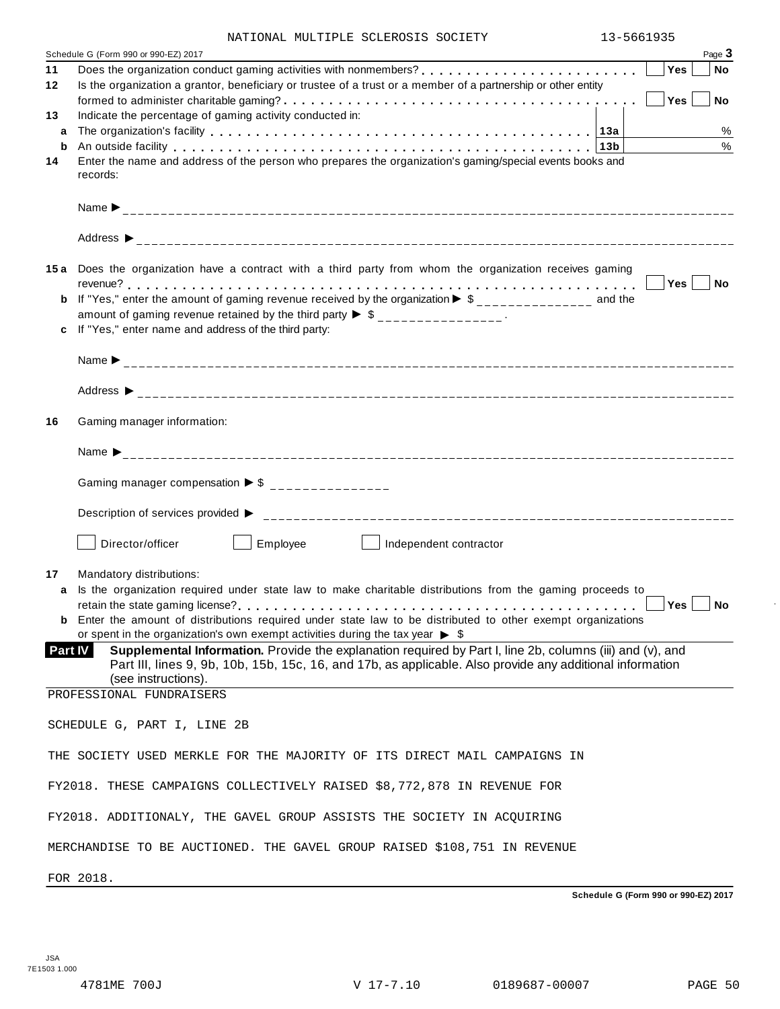| NATIONAL MULTIPLE SCLEROSIS SOCIETY |  | 13-5661935 |
|-------------------------------------|--|------------|
|                                     |  |            |

|                | Schedule G (Form 990 or 990-EZ) 2017                                                                                                                                                                                           |            | Page 3     |
|----------------|--------------------------------------------------------------------------------------------------------------------------------------------------------------------------------------------------------------------------------|------------|------------|
| 11             |                                                                                                                                                                                                                                | Yes        | ∣ No       |
| 12             | Is the organization a grantor, beneficiary or trustee of a trust or a member of a partnership or other entity                                                                                                                  |            |            |
| 13             | Indicate the percentage of gaming activity conducted in:                                                                                                                                                                       | Yes        | No         |
| a              |                                                                                                                                                                                                                                |            | %          |
| b              | An outside facility enterpreened and the series of the control of the control of the control of the control of the control of the control of the control of the control of the control of the control of the control of the co |            | $\%$       |
| 14             | Enter the name and address of the person who prepares the organization's gaming/special events books and                                                                                                                       |            |            |
|                | records:                                                                                                                                                                                                                       |            |            |
|                |                                                                                                                                                                                                                                |            |            |
|                |                                                                                                                                                                                                                                |            |            |
|                | 15a Does the organization have a contract with a third party from whom the organization receives gaming                                                                                                                        |            |            |
|                |                                                                                                                                                                                                                                |            |            |
|                | <b>b</b> If "Yes," enter the amount of gaming revenue received by the organization $\triangleright$ \$______________ and the                                                                                                   |            |            |
|                | amount of gaming revenue retained by the third party $\triangleright$ \$ _______________.<br>c If "Yes," enter name and address of the third party:                                                                            |            |            |
|                |                                                                                                                                                                                                                                |            |            |
|                |                                                                                                                                                                                                                                |            |            |
|                |                                                                                                                                                                                                                                |            |            |
| 16             | Gaming manager information:                                                                                                                                                                                                    |            |            |
|                |                                                                                                                                                                                                                                |            |            |
|                | Gaming manager compensation $\triangleright$ \$ _______________                                                                                                                                                                |            |            |
|                |                                                                                                                                                                                                                                |            |            |
|                | Employee<br>Director/officer<br>Independent contractor<br>and the state of the state                                                                                                                                           |            |            |
| 17             | Mandatory distributions:                                                                                                                                                                                                       |            |            |
| a              | Is the organization required under state law to make charitable distributions from the gaming proceeds to                                                                                                                      |            |            |
|                | <b>b</b> Enter the amount of distributions required under state law to be distributed to other exempt organizations                                                                                                            | $Yes \mid$ | $\vert$ No |
| <b>Part IV</b> | or spent in the organization's own exempt activities during the tax year $\triangleright$ \$<br>Supplemental Information. Provide the explanation required by Part I, line 2b, columns (iii) and (v), and                      |            |            |
|                | Part III, lines 9, 9b, 10b, 15b, 15c, 16, and 17b, as applicable. Also provide any additional information                                                                                                                      |            |            |
|                | (see instructions).<br>PROFESSIONAL FUNDRAISERS                                                                                                                                                                                |            |            |
|                |                                                                                                                                                                                                                                |            |            |
|                | SCHEDULE G, PART I, LINE 2B                                                                                                                                                                                                    |            |            |
|                | THE SOCIETY USED MERKLE FOR THE MAJORITY OF ITS DIRECT MAIL CAMPAIGNS IN                                                                                                                                                       |            |            |
|                | FY2018. THESE CAMPAIGNS COLLECTIVELY RAISED \$8,772,878 IN REVENUE FOR                                                                                                                                                         |            |            |
|                | FY2018. ADDITIONALY, THE GAVEL GROUP ASSISTS THE SOCIETY IN ACQUIRING                                                                                                                                                          |            |            |
|                | MERCHANDISE TO BE AUCTIONED. THE GAVEL GROUP RAISED \$108,751 IN REVENUE                                                                                                                                                       |            |            |

FOR 2018.

**Schedule G (Form 990 or 990-EZ) 2017**

 $\bar{ }$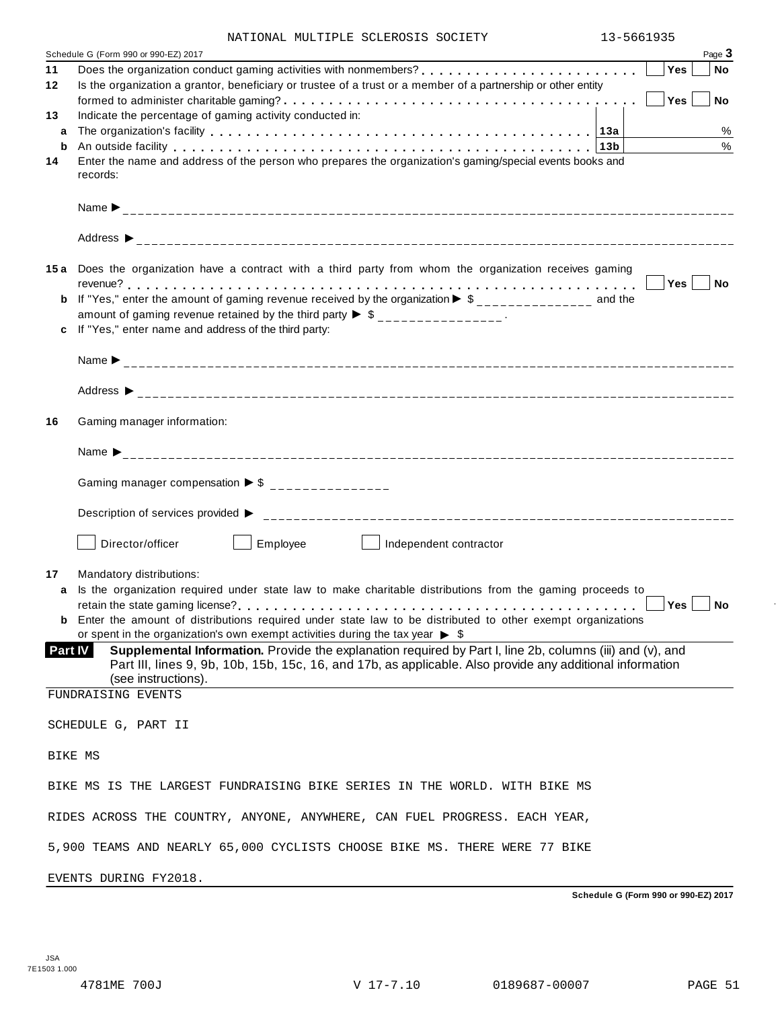| NATIONAL MULTIPLE SCLEROSIS SOCIETY |  | 13-5661935 |
|-------------------------------------|--|------------|
|                                     |  |            |

|         | Page 3<br>Schedule G (Form 990 or 990-EZ) 2017                                                                                                                                                                                                 |
|---------|------------------------------------------------------------------------------------------------------------------------------------------------------------------------------------------------------------------------------------------------|
| 11      | Yes<br><b>No</b>                                                                                                                                                                                                                               |
| 12      | Is the organization a grantor, beneficiary or trustee of a trust or a member of a partnership or other entity                                                                                                                                  |
| 13      | Yes<br><b>No</b><br>Indicate the percentage of gaming activity conducted in:                                                                                                                                                                   |
| a       | %                                                                                                                                                                                                                                              |
| b       | $\frac{0}{0}$<br>An outside facility enterpretation of the control of the control of the control of the control of the control of the control of the control of the control of the control of the control of the control of the control of the |
| 14      | Enter the name and address of the person who prepares the organization's gaming/special events books and<br>records:                                                                                                                           |
|         |                                                                                                                                                                                                                                                |
|         |                                                                                                                                                                                                                                                |
|         | 15a Does the organization have a contract with a third party from whom the organization receives gaming                                                                                                                                        |
|         | Yes No                                                                                                                                                                                                                                         |
| b       | If "Yes," enter the amount of gaming revenue received by the organization $\blacktriangleright$ \$______________ and the<br>amount of gaming revenue retained by the third party $\triangleright$ \$ _______________.                          |
|         | If "Yes," enter name and address of the third party:                                                                                                                                                                                           |
|         |                                                                                                                                                                                                                                                |
|         |                                                                                                                                                                                                                                                |
|         |                                                                                                                                                                                                                                                |
| 16      | Gaming manager information:                                                                                                                                                                                                                    |
|         |                                                                                                                                                                                                                                                |
|         | Gaming manager compensation $\triangleright$ \$ _______________                                                                                                                                                                                |
|         |                                                                                                                                                                                                                                                |
|         | Employee<br>Director/officer<br>Independent contractor<br>and the property of the                                                                                                                                                              |
| 17      | Mandatory distributions:                                                                                                                                                                                                                       |
| a       | Is the organization required under state law to make charitable distributions from the gaming proceeds to<br>$Yes \mid \text{No}$                                                                                                              |
|         | <b>b</b> Enter the amount of distributions required under state law to be distributed to other exempt organizations                                                                                                                            |
|         | or spent in the organization's own exempt activities during the tax year $\triangleright$ \$                                                                                                                                                   |
| Part IV | Supplemental Information. Provide the explanation required by Part I, line 2b, columns (iii) and (v), and<br>Part III, lines 9, 9b, 10b, 15b, 15c, 16, and 17b, as applicable. Also provide any additional information<br>(see instructions).  |
|         | FUNDRAISING EVENTS                                                                                                                                                                                                                             |
|         | SCHEDULE G, PART II                                                                                                                                                                                                                            |
|         |                                                                                                                                                                                                                                                |
|         | BIKE MS                                                                                                                                                                                                                                        |
|         | BIKE MS IS THE LARGEST FUNDRAISING BIKE SERIES IN THE WORLD. WITH BIKE MS                                                                                                                                                                      |
|         | RIDES ACROSS THE COUNTRY, ANYONE, ANYWHERE, CAN FUEL PROGRESS. EACH YEAR,                                                                                                                                                                      |
|         | 5,900 TEAMS AND NEARLY 65,000 CYCLISTS CHOOSE BIKE MS. THERE WERE 77 BIKE                                                                                                                                                                      |
|         | EVENTS DURING FY2018.                                                                                                                                                                                                                          |

**Schedule G (Form 990 or 990-EZ) 2017**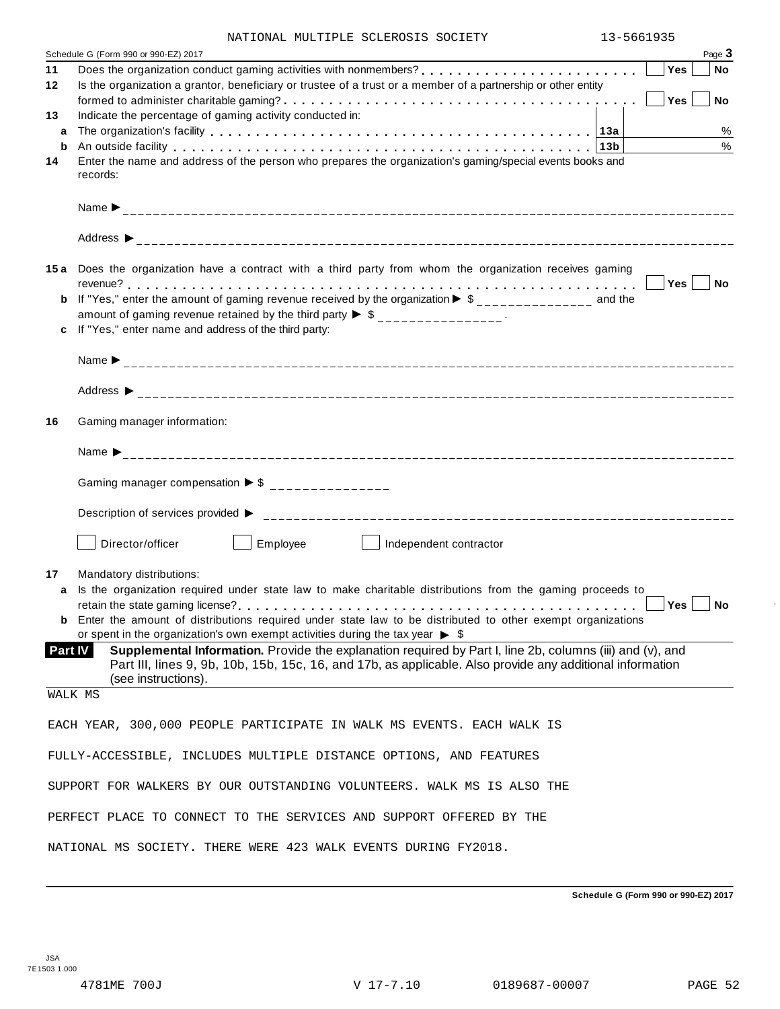| NATIONAL MULTIPLE SCLEROSIS SOCIETY |  | 13-5661935 |
|-------------------------------------|--|------------|

| Schedule G (Form 990 or 990-EZ) 2017                                                                                                                                                                                                | 1. J - J U U I J J J<br>Page 3 |
|-------------------------------------------------------------------------------------------------------------------------------------------------------------------------------------------------------------------------------------|--------------------------------|
| le G (Form 990 or 990-EZ) 2017<br>Does the organization conduct gaming activities with nonmembers?<br>Does the organization conduct gaming activities with nonmembers?<br>11                                                        | <b>Yes</b><br><b>No</b>        |
| Is the organization a grantor, beneficiary or trustee of a trust or a member of a partnership or other entity<br>12                                                                                                                 |                                |
|                                                                                                                                                                                                                                     | Yes<br>No                      |
| Indicate the percentage of gaming activity conducted in:<br>13                                                                                                                                                                      |                                |
| a                                                                                                                                                                                                                                   | %                              |
| An outside facility enterpreteration of the control of the control of the control of the control of the control of the control of the control of the control of the control of the control of the control of the control of th<br>b | $\%$                           |
| Enter the name and address of the person who prepares the organization's gaming/special events books and<br>14                                                                                                                      |                                |
| records:                                                                                                                                                                                                                            |                                |
|                                                                                                                                                                                                                                     |                                |
|                                                                                                                                                                                                                                     |                                |
|                                                                                                                                                                                                                                     |                                |
|                                                                                                                                                                                                                                     |                                |
| 15a Does the organization have a contract with a third party from whom the organization receives gaming                                                                                                                             |                                |
|                                                                                                                                                                                                                                     |                                |
| If "Yes," enter the amount of gaming revenue received by the organization $\blacktriangleright$ \$______________ and the                                                                                                            |                                |
| amount of gaming revenue retained by the third party $\triangleright$ \$ _______________.                                                                                                                                           |                                |
| If "Yes," enter name and address of the third party:                                                                                                                                                                                |                                |
|                                                                                                                                                                                                                                     |                                |
|                                                                                                                                                                                                                                     |                                |
|                                                                                                                                                                                                                                     |                                |
|                                                                                                                                                                                                                                     |                                |
| Gaming manager information:<br>16                                                                                                                                                                                                   |                                |
|                                                                                                                                                                                                                                     |                                |
|                                                                                                                                                                                                                                     |                                |
| Gaming manager compensation $\triangleright$ \$ _______________                                                                                                                                                                     |                                |
|                                                                                                                                                                                                                                     |                                |
|                                                                                                                                                                                                                                     |                                |
|                                                                                                                                                                                                                                     |                                |
| Employee<br>Director/officer<br>Independent contractor                                                                                                                                                                              |                                |
| Mandatory distributions:<br>17                                                                                                                                                                                                      |                                |
| Is the organization required under state law to make charitable distributions from the gaming proceeds to<br>a                                                                                                                      |                                |
|                                                                                                                                                                                                                                     | Yes<br>No                      |
| <b>b</b> Enter the amount of distributions required under state law to be distributed to other exempt organizations                                                                                                                 |                                |
| or spent in the organization's own exempt activities during the tax year $\triangleright$ \$                                                                                                                                        |                                |
| Supplemental Information. Provide the explanation required by Part I, line 2b, columns (iii) and (v), and<br><b>Part IV</b>                                                                                                         |                                |
| Part III, lines 9, 9b, 10b, 15b, 15c, 16, and 17b, as applicable. Also provide any additional information                                                                                                                           |                                |
| (see instructions).<br>WALK MS                                                                                                                                                                                                      |                                |
|                                                                                                                                                                                                                                     |                                |
| EACH YEAR, 300,000 PEOPLE PARTICIPATE IN WALK MS EVENTS. EACH WALK IS                                                                                                                                                               |                                |
|                                                                                                                                                                                                                                     |                                |
| FULLY-ACCESSIBLE, INCLUDES MULTIPLE DISTANCE OPTIONS, AND FEATURES                                                                                                                                                                  |                                |
|                                                                                                                                                                                                                                     |                                |
| SUPPORT FOR WALKERS BY OUR OUTSTANDING VOLUNTEERS. WALK MS IS ALSO THE                                                                                                                                                              |                                |
|                                                                                                                                                                                                                                     |                                |
| PERFECT PLACE TO CONNECT TO THE SERVICES AND SUPPORT OFFERED BY THE                                                                                                                                                                 |                                |
| NATIONAL MS SOCIETY. THERE WERE 423 WALK EVENTS DURING FY2018.                                                                                                                                                                      |                                |

**Schedule G (Form 990 or 990-EZ) 2017**

 $\ddot{\phantom{a}}$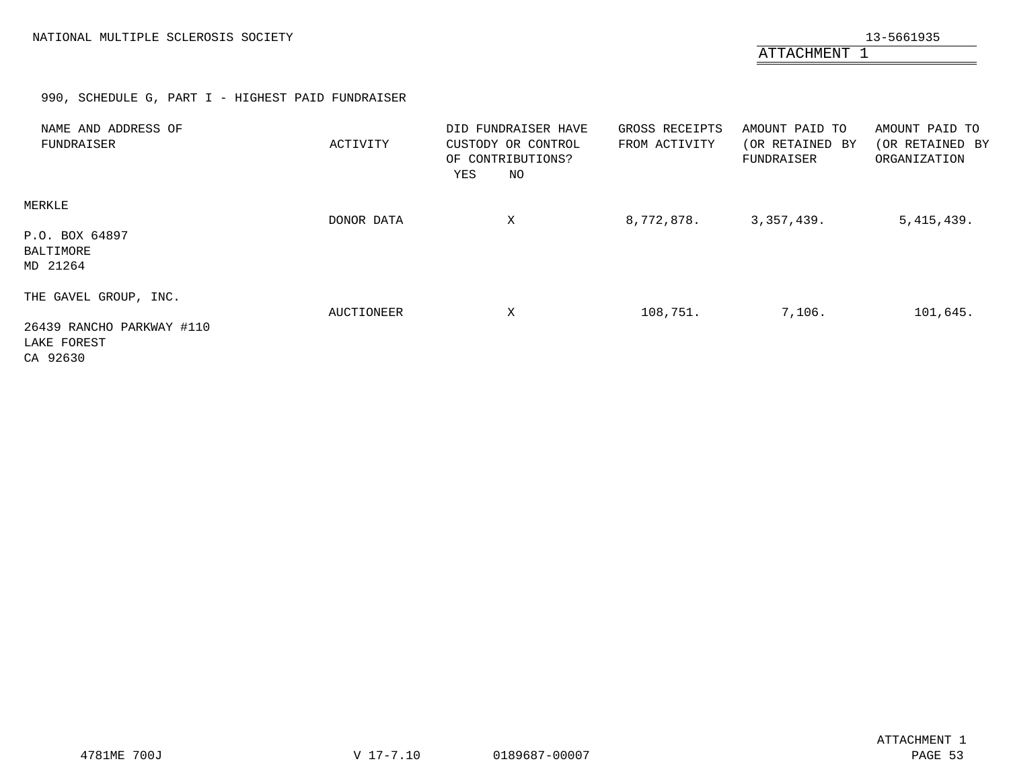ATTACHMENT 1

# 990, SCHEDULE G, PART I - HIGHEST PAID FUNDRAISER

<span id="page-51-0"></span>

| NAME AND ADDRESS OF<br>FUNDRAISER                                             | ACTIVITY   | DID FUNDRAISER HAVE<br>CUSTODY OR CONTROL<br>OF CONTRIBUTIONS?<br>NO<br>YES | GROSS RECEIPTS<br>FROM ACTIVITY | AMOUNT PAID TO<br>(OR RETAINED BY<br>FUNDRAISER | AMOUNT PAID TO<br>(OR RETAINED BY<br>ORGANIZATION |
|-------------------------------------------------------------------------------|------------|-----------------------------------------------------------------------------|---------------------------------|-------------------------------------------------|---------------------------------------------------|
| MERKLE<br>P.O. BOX 64897<br>BALTIMORE<br>MD 21264                             | DONOR DATA | X                                                                           | 8,772,878.                      | 3,357,439.                                      | 5,415,439.                                        |
| THE GAVEL GROUP, INC.<br>26439 RANCHO PARKWAY #110<br>LAKE FOREST<br>CA 92630 | AUCTIONEER | X                                                                           | 108,751.                        | 7,106.                                          | 101,645.                                          |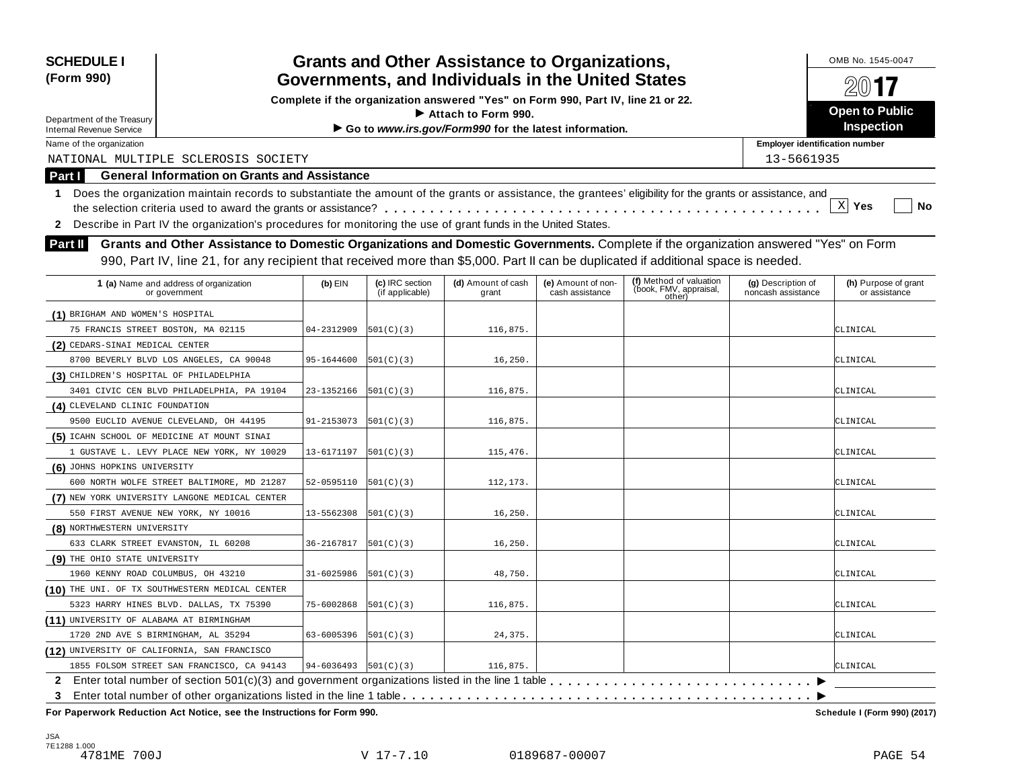| <b>SCHEDULE I</b>                                                                                                       |                                                                                                                                                            |                                           |                                    |                                                                                  |                                       |                                                             |                                          | OMB No. 1545-0047                     |
|-------------------------------------------------------------------------------------------------------------------------|------------------------------------------------------------------------------------------------------------------------------------------------------------|-------------------------------------------|------------------------------------|----------------------------------------------------------------------------------|---------------------------------------|-------------------------------------------------------------|------------------------------------------|---------------------------------------|
| <b>Grants and Other Assistance to Organizations,</b><br>Governments, and Individuals in the United States<br>(Form 990) |                                                                                                                                                            |                                           |                                    |                                                                                  |                                       |                                                             |                                          |                                       |
|                                                                                                                         |                                                                                                                                                            |                                           |                                    | Complete if the organization answered "Yes" on Form 990, Part IV, line 21 or 22. |                                       |                                                             |                                          |                                       |
| Department of the Treasury                                                                                              |                                                                                                                                                            |                                           |                                    | Attach to Form 990.                                                              |                                       |                                                             |                                          | <b>Open to Public</b>                 |
| <b>Internal Revenue Service</b>                                                                                         |                                                                                                                                                            |                                           |                                    | Go to www.irs.gov/Form990 for the latest information.                            |                                       |                                                             |                                          | Inspection                            |
| Name of the organization                                                                                                |                                                                                                                                                            |                                           |                                    |                                                                                  |                                       |                                                             | <b>Employer identification number</b>    |                                       |
|                                                                                                                         | NATIONAL MULTIPLE SCLEROSIS SOCIETY                                                                                                                        |                                           |                                    |                                                                                  |                                       |                                                             | 13-5661935                               |                                       |
| <b>Part I</b>                                                                                                           | <b>General Information on Grants and Assistance</b>                                                                                                        |                                           |                                    |                                                                                  |                                       |                                                             |                                          |                                       |
| $\mathbf 1$                                                                                                             | Does the organization maintain records to substantiate the amount of the grants or assistance, the grantees' eligibility for the grants or assistance, and |                                           |                                    |                                                                                  |                                       |                                                             |                                          |                                       |
|                                                                                                                         |                                                                                                                                                            |                                           |                                    |                                                                                  |                                       |                                                             |                                          | $X$ Yes<br>No                         |
| $\mathbf{2}$                                                                                                            | Describe in Part IV the organization's procedures for monitoring the use of grant funds in the United States.                                              |                                           |                                    |                                                                                  |                                       |                                                             |                                          |                                       |
| <b>Part II</b>                                                                                                          | Grants and Other Assistance to Domestic Organizations and Domestic Governments. Complete if the organization answered "Yes" on Form                        |                                           |                                    |                                                                                  |                                       |                                                             |                                          |                                       |
|                                                                                                                         |                                                                                                                                                            |                                           |                                    |                                                                                  |                                       |                                                             |                                          |                                       |
|                                                                                                                         | 990, Part IV, line 21, for any recipient that received more than \$5,000. Part II can be duplicated if additional space is needed.                         |                                           |                                    |                                                                                  |                                       |                                                             |                                          |                                       |
|                                                                                                                         | 1 (a) Name and address of organization<br>or government                                                                                                    | $(b)$ EIN                                 | (c) IRC section<br>(if applicable) | (d) Amount of cash<br>grant                                                      | (e) Amount of non-<br>cash assistance | (f) Method of valuation<br>(book, FMV, appraisal,<br>other) | (g) Description of<br>noncash assistance | (h) Purpose of grant<br>or assistance |
| (1) BRIGHAM AND WOMEN'S HOSPITAL                                                                                        |                                                                                                                                                            |                                           |                                    |                                                                                  |                                       |                                                             |                                          |                                       |
| 75 FRANCIS STREET BOSTON, MA 02115                                                                                      |                                                                                                                                                            | 04-2312909                                | 501(C)(3)                          | 116,875.                                                                         |                                       |                                                             |                                          | CLINICAL                              |
| (2) CEDARS-SINAI MEDICAL CENTER                                                                                         |                                                                                                                                                            |                                           |                                    |                                                                                  |                                       |                                                             |                                          |                                       |
|                                                                                                                         | 8700 BEVERLY BLVD LOS ANGELES, CA 90048                                                                                                                    | 95-1644600                                | 501(C)(3)                          | 16, 250.                                                                         |                                       |                                                             |                                          | CLINICAL                              |
| (3) CHILDREN'S HOSPITAL OF PHILADELPHIA                                                                                 |                                                                                                                                                            |                                           |                                    |                                                                                  |                                       |                                                             |                                          |                                       |
|                                                                                                                         | 3401 CIVIC CEN BLVD PHILADELPHIA, PA 19104                                                                                                                 | 23-1352166                                | 501(C)(3)                          | 116,875.                                                                         |                                       |                                                             |                                          | CLINICAL                              |
| (4) CLEVELAND CLINIC FOUNDATION                                                                                         |                                                                                                                                                            |                                           |                                    |                                                                                  |                                       |                                                             |                                          |                                       |
|                                                                                                                         | 9500 EUCLID AVENUE CLEVELAND, OH 44195                                                                                                                     | 91-2153073                                | 501(C)(3)                          | 116,875.                                                                         |                                       |                                                             |                                          | CLINICAL                              |
|                                                                                                                         | (5) ICAHN SCHOOL OF MEDICINE AT MOUNT SINAI                                                                                                                |                                           |                                    |                                                                                  |                                       |                                                             |                                          |                                       |
|                                                                                                                         | 1 GUSTAVE L. LEVY PLACE NEW YORK, NY 10029                                                                                                                 | 13-6171197                                | 501(C)(3)                          | 115,476.                                                                         |                                       |                                                             |                                          | CLINICAL                              |
| (6) JOHNS HOPKINS UNIVERSITY                                                                                            |                                                                                                                                                            |                                           |                                    |                                                                                  |                                       |                                                             |                                          |                                       |
|                                                                                                                         | 600 NORTH WOLFE STREET BALTIMORE, MD 21287                                                                                                                 | 52-0595110                                | 501(C)(3)                          | 112,173.                                                                         |                                       |                                                             |                                          | CLINICAL                              |
|                                                                                                                         | (7) NEW YORK UNIVERSITY LANGONE MEDICAL CENTER                                                                                                             |                                           |                                    |                                                                                  |                                       |                                                             |                                          |                                       |
|                                                                                                                         | 550 FIRST AVENUE NEW YORK, NY 10016                                                                                                                        | 13-5562308                                | 501(C)(3)                          | 16, 250.                                                                         |                                       |                                                             |                                          | CLINICAL                              |
| (8) NORTHWESTERN UNIVERSITY                                                                                             |                                                                                                                                                            |                                           |                                    |                                                                                  |                                       |                                                             |                                          |                                       |
|                                                                                                                         | 633 CLARK STREET EVANSTON, IL 60208                                                                                                                        | 36-2167817                                | 501(C)(3)                          | 16, 250.                                                                         |                                       |                                                             |                                          | CLINICAL                              |
| (9) THE OHIO STATE UNIVERSITY                                                                                           |                                                                                                                                                            |                                           |                                    |                                                                                  |                                       |                                                             |                                          |                                       |
| 1960 KENNY ROAD COLUMBUS, OH 43210                                                                                      |                                                                                                                                                            | 31-6025986                                | [501(C)(3)                         | 48,750.                                                                          |                                       |                                                             |                                          | CLINICAL                              |
|                                                                                                                         | (10) THE UNI. OF TX SOUTHWESTERN MEDICAL CENTER                                                                                                            |                                           |                                    |                                                                                  |                                       |                                                             |                                          |                                       |
|                                                                                                                         | 5323 HARRY HINES BLVD. DALLAS, TX 75390                                                                                                                    | 75-6002868                                | 501(C)(3)                          | 116,875.                                                                         |                                       |                                                             |                                          | CLINICAL                              |
| (11) UNIVERSITY OF ALABAMA AT BIRMINGHAM                                                                                |                                                                                                                                                            |                                           |                                    |                                                                                  |                                       |                                                             |                                          |                                       |
|                                                                                                                         | 1720 2ND AVE S BIRMINGHAM, AL 35294                                                                                                                        | 63-6005396                                | 501(C)(3)                          | 24,375.                                                                          |                                       |                                                             |                                          | CLINICAL                              |
|                                                                                                                         | (12) UNIVERSITY OF CALIFORNIA, SAN FRANCISCO                                                                                                               |                                           |                                    |                                                                                  |                                       |                                                             |                                          |                                       |
|                                                                                                                         | 1855 FOLSOM STREET SAN FRANCISCO, CA 94143                                                                                                                 | $94 - 6036493$ $\left  501(C)(3) \right $ |                                    | 116,875.                                                                         |                                       |                                                             |                                          | CLINICAL                              |
|                                                                                                                         | 2 Enter total number of section 501(c)(3) and government organizations listed in the line 1 table                                                          |                                           |                                    |                                                                                  |                                       |                                                             |                                          |                                       |
| 3                                                                                                                       |                                                                                                                                                            |                                           |                                    |                                                                                  |                                       |                                                             |                                          |                                       |
|                                                                                                                         | For Paperwork Reduction Act Notice, see the Instructions for Form 990.                                                                                     |                                           |                                    |                                                                                  |                                       |                                                             |                                          | Schedule I (Form 990) (2017)          |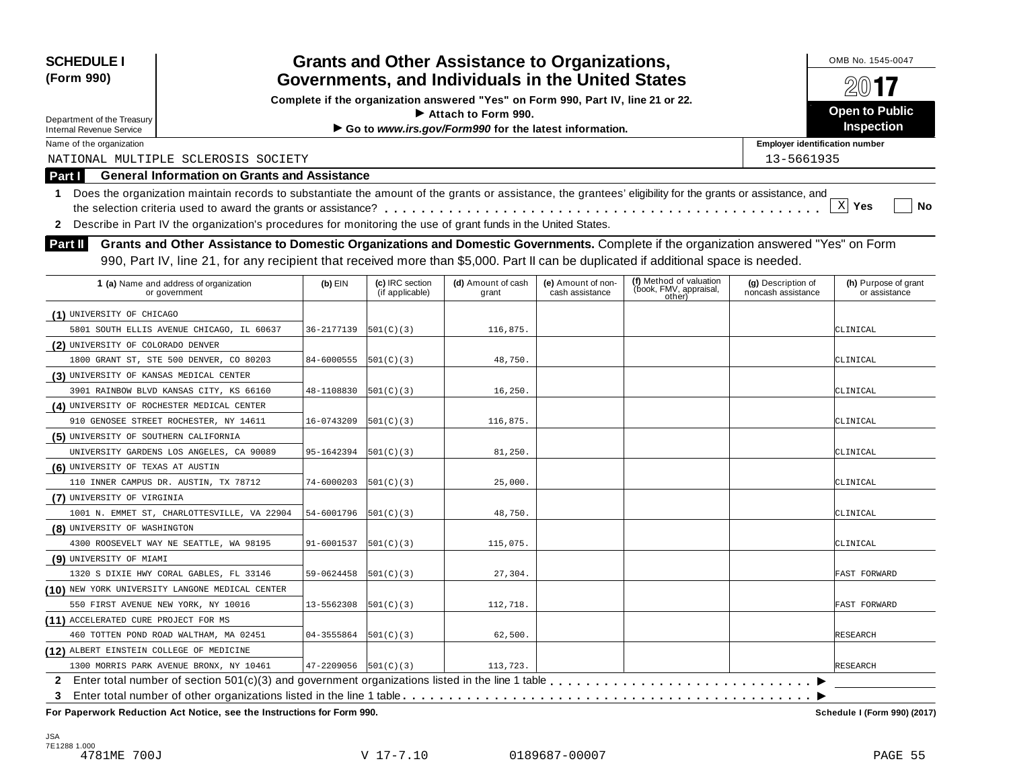| <b>SCHEDULE I</b><br>(Form 990)            |                                                                                                                                                                                                                                                                                 |                              |                                    | <b>Grants and Other Assistance to Organizations,</b><br>Governments, and Individuals in the United States |                                       |                                                             |                                          | OMB No. 1545-0047                     |  |  |  |
|--------------------------------------------|---------------------------------------------------------------------------------------------------------------------------------------------------------------------------------------------------------------------------------------------------------------------------------|------------------------------|------------------------------------|-----------------------------------------------------------------------------------------------------------|---------------------------------------|-------------------------------------------------------------|------------------------------------------|---------------------------------------|--|--|--|
| Department of the Treasury                 |                                                                                                                                                                                                                                                                                 |                              |                                    | Complete if the organization answered "Yes" on Form 990, Part IV, line 21 or 22.<br>Attach to Form 990.   |                                       |                                                             |                                          | $20$ 17<br>Open to Public             |  |  |  |
| <b>Internal Revenue Service</b>            |                                                                                                                                                                                                                                                                                 |                              |                                    | Go to www.irs.gov/Form990 for the latest information.                                                     |                                       |                                                             |                                          | Inspection                            |  |  |  |
| Name of the organization                   |                                                                                                                                                                                                                                                                                 |                              |                                    |                                                                                                           |                                       |                                                             | <b>Employer identification number</b>    |                                       |  |  |  |
|                                            | NATIONAL MULTIPLE SCLEROSIS SOCIETY                                                                                                                                                                                                                                             |                              |                                    |                                                                                                           |                                       |                                                             | 13-5661935                               |                                       |  |  |  |
| Part I                                     | <b>General Information on Grants and Assistance</b>                                                                                                                                                                                                                             |                              |                                    |                                                                                                           |                                       |                                                             |                                          |                                       |  |  |  |
|                                            | 1 Does the organization maintain records to substantiate the amount of the grants or assistance, the grantees' eligibility for the grants or assistance, and<br>2 Describe in Part IV the organization's procedures for monitoring the use of grant funds in the United States. |                              |                                    |                                                                                                           |                                       |                                                             |                                          | $X$ Yes<br>No                         |  |  |  |
| <b>Part II</b>                             | Grants and Other Assistance to Domestic Organizations and Domestic Governments. Complete if the organization answered "Yes" on Form                                                                                                                                             |                              |                                    |                                                                                                           |                                       |                                                             |                                          |                                       |  |  |  |
|                                            | 990, Part IV, line 21, for any recipient that received more than \$5,000. Part II can be duplicated if additional space is needed.                                                                                                                                              |                              |                                    |                                                                                                           |                                       |                                                             |                                          |                                       |  |  |  |
|                                            |                                                                                                                                                                                                                                                                                 |                              |                                    |                                                                                                           |                                       |                                                             |                                          |                                       |  |  |  |
|                                            | 1 (a) Name and address of organization<br>or government                                                                                                                                                                                                                         | $(b)$ EIN                    | (c) IRC section<br>(if applicable) | (d) Amount of cash<br>grant                                                                               | (e) Amount of non-<br>cash assistance | (f) Method of valuation<br>(book, FMV, appraisal,<br>other) | (g) Description of<br>noncash assistance | (h) Purpose of grant<br>or assistance |  |  |  |
| (1) UNIVERSITY OF CHICAGO                  |                                                                                                                                                                                                                                                                                 |                              |                                    |                                                                                                           |                                       |                                                             |                                          |                                       |  |  |  |
|                                            | 5801 SOUTH ELLIS AVENUE CHICAGO, IL 60637                                                                                                                                                                                                                                       | 36-2177139                   | 501(C)(3)                          | 116,875.                                                                                                  |                                       |                                                             |                                          | CLINICAL                              |  |  |  |
| (2) UNIVERSITY OF COLORADO DENVER          |                                                                                                                                                                                                                                                                                 |                              |                                    |                                                                                                           |                                       |                                                             |                                          |                                       |  |  |  |
|                                            | 1800 GRANT ST, STE 500 DENVER, CO 80203                                                                                                                                                                                                                                         | 84-6000555                   | 501(C)(3)                          | 48,750.                                                                                                   |                                       |                                                             |                                          | CLINICAL                              |  |  |  |
| (3) UNIVERSITY OF KANSAS MEDICAL CENTER    |                                                                                                                                                                                                                                                                                 |                              |                                    |                                                                                                           |                                       |                                                             |                                          |                                       |  |  |  |
|                                            | 3901 RAINBOW BLVD KANSAS CITY, KS 66160                                                                                                                                                                                                                                         | 48-1108830                   | 501(C)(3)                          | 16, 250.                                                                                                  |                                       |                                                             |                                          | CLINICAL                              |  |  |  |
| (4) UNIVERSITY OF ROCHESTER MEDICAL CENTER |                                                                                                                                                                                                                                                                                 |                              |                                    |                                                                                                           |                                       |                                                             |                                          |                                       |  |  |  |
|                                            | 910 GENOSEE STREET ROCHESTER, NY 14611                                                                                                                                                                                                                                          | 16-0743209                   | 501(C)(3)                          | 116,875.                                                                                                  |                                       |                                                             |                                          | CLINICAL                              |  |  |  |
| (5) UNIVERSITY OF SOUTHERN CALIFORNIA      |                                                                                                                                                                                                                                                                                 |                              |                                    |                                                                                                           |                                       |                                                             |                                          |                                       |  |  |  |
|                                            | UNIVERSITY GARDENS LOS ANGELES, CA 90089                                                                                                                                                                                                                                        | 95-1642394                   | 501(C)(3)                          | 81,250.                                                                                                   |                                       |                                                             |                                          | CLINICAL                              |  |  |  |
| (6) UNIVERSITY OF TEXAS AT AUSTIN          |                                                                                                                                                                                                                                                                                 |                              |                                    |                                                                                                           |                                       |                                                             |                                          |                                       |  |  |  |
|                                            | 110 INNER CAMPUS DR. AUSTIN, TX 78712                                                                                                                                                                                                                                           | 74-6000203                   | 501(C)(3)                          | 25,000.                                                                                                   |                                       |                                                             |                                          | CLINICAL                              |  |  |  |
| (7) UNIVERSITY OF VIRGINIA                 |                                                                                                                                                                                                                                                                                 |                              |                                    |                                                                                                           |                                       |                                                             |                                          |                                       |  |  |  |
|                                            | 1001 N. EMMET ST, CHARLOTTESVILLE, VA 22904                                                                                                                                                                                                                                     | 54-6001796                   | 501(C)(3)                          | 48,750.                                                                                                   |                                       |                                                             |                                          | CLINICAL                              |  |  |  |
| (8) UNIVERSITY OF WASHINGTON               |                                                                                                                                                                                                                                                                                 |                              |                                    |                                                                                                           |                                       |                                                             |                                          |                                       |  |  |  |
|                                            | 4300 ROOSEVELT WAY NE SEATTLE, WA 98195                                                                                                                                                                                                                                         | 91-6001537                   | 501(C)(3)                          | 115,075.                                                                                                  |                                       |                                                             |                                          | CLINICAL                              |  |  |  |
| (9) UNIVERSITY OF MIAMI                    |                                                                                                                                                                                                                                                                                 |                              |                                    |                                                                                                           |                                       |                                                             |                                          |                                       |  |  |  |
|                                            | 1320 S DIXIE HWY CORAL GABLES, FL 33146                                                                                                                                                                                                                                         | 59-0624458                   | 501(C)(3)                          | 27,304.                                                                                                   |                                       |                                                             |                                          | FAST FORWARD                          |  |  |  |
|                                            | (10) NEW YORK UNIVERSITY LANGONE MEDICAL CENTER                                                                                                                                                                                                                                 |                              |                                    |                                                                                                           |                                       |                                                             |                                          |                                       |  |  |  |
| 550 FIRST AVENUE NEW YORK, NY 10016        |                                                                                                                                                                                                                                                                                 | 13-5562308                   | 501(C)(3)                          | 112,718.                                                                                                  |                                       |                                                             |                                          | <b>FAST FORWARD</b>                   |  |  |  |
| (11) ACCELERATED CURE PROJECT FOR MS       |                                                                                                                                                                                                                                                                                 |                              |                                    |                                                                                                           |                                       |                                                             |                                          |                                       |  |  |  |
|                                            | 460 TOTTEN POND ROAD WALTHAM, MA 02451                                                                                                                                                                                                                                          | 04-3555864                   | 501(C)(3)                          | 62,500.                                                                                                   |                                       |                                                             |                                          | <b>RESEARCH</b>                       |  |  |  |
| (12) ALBERT EINSTEIN COLLEGE OF MEDICINE   |                                                                                                                                                                                                                                                                                 |                              |                                    |                                                                                                           |                                       |                                                             |                                          |                                       |  |  |  |
|                                            | 1300 MORRIS PARK AVENUE BRONX, NY 10461                                                                                                                                                                                                                                         | $47 - 2209056$ $ 501(C)(3) $ |                                    | 113,723.                                                                                                  |                                       |                                                             |                                          | <b>RESEARCH</b>                       |  |  |  |
|                                            | 2 Enter total number of section 501(c)(3) and government organizations listed in the line 1 table                                                                                                                                                                               |                              |                                    |                                                                                                           |                                       |                                                             |                                          |                                       |  |  |  |
| 3                                          |                                                                                                                                                                                                                                                                                 |                              |                                    |                                                                                                           |                                       |                                                             |                                          |                                       |  |  |  |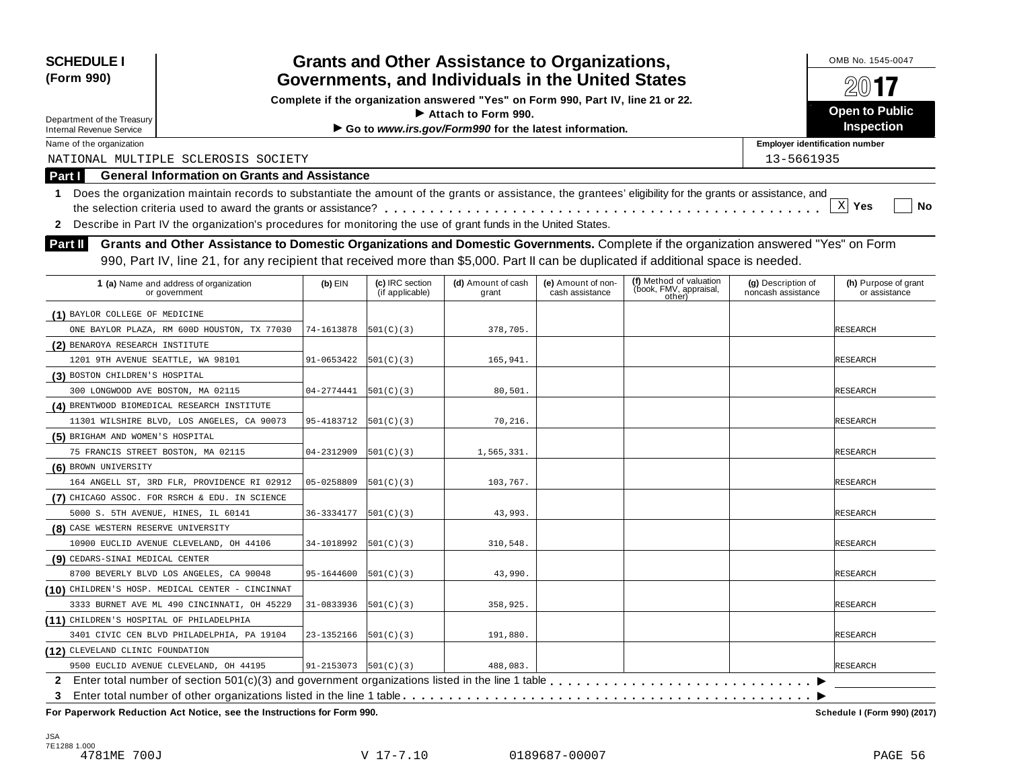| Complete if the organization answered "Yes" on Form 990, Part IV, line 21 or 22.<br><b>Open to Public</b><br>Attach to Form 990.<br><b>Inspection</b><br>Go to www.irs.gov/Form990 for the latest information.<br><b>Employer identification number</b><br>NATIONAL MULTIPLE SCLEROSIS SOCIETY<br>13-5661935<br><b>General Information on Grants and Assistance</b><br>Does the organization maintain records to substantiate the amount of the grants or assistance, the grantees' eligibility for the grants or assistance, and<br>$\mathbf 1$<br>$X$ Yes<br>No<br>2 Describe in Part IV the organization's procedures for monitoring the use of grant funds in the United States.<br>Grants and Other Assistance to Domestic Organizations and Domestic Governments. Complete if the organization answered "Yes" on Form<br><b>Part II</b><br>990, Part IV, line 21, for any recipient that received more than \$5,000. Part II can be duplicated if additional space is needed.<br>(f) Method of valuation<br>(book, FMV, appraisal,<br>(c) IRC section<br>(d) Amount of cash<br>1 (a) Name and address of organization<br>(e) Amount of non-<br>(g) Description of<br>(h) Purpose of grant<br>$(b)$ EIN<br>(if applicable)<br>cash assistance<br>noncash assistance<br>or government<br>grant<br>or assistance<br>other)<br>(1) BAYLOR COLLEGE OF MEDICINE<br>ONE BAYLOR PLAZA, RM 600D HOUSTON, TX 77030<br>74-1613878<br>378,705.<br> 501(C)(3) <br><b>RESEARCH</b><br>(2) BENAROYA RESEARCH INSTITUTE<br>91-0653422<br>165,941.<br>1201 9TH AVENUE SEATTLE, WA 98101<br> 501(C)(3) <br><b>RESEARCH</b><br>(3) BOSTON CHILDREN'S HOSPITAL<br>04-2774441<br>RESEARCH<br>300 LONGWOOD AVE BOSTON, MA 02115<br> 501(C)(3) <br>80,501.<br>(4) BRENTWOOD BIOMEDICAL RESEARCH INSTITUTE<br>11301 WILSHIRE BLVD, LOS ANGELES, CA 90073<br>95-4183712<br> 501(C)(3) <br>70,216.<br><b>RESEARCH</b><br>(5) BRIGHAM AND WOMEN'S HOSPITAL<br>04-2312909<br>1,565,331.<br>75 FRANCIS STREET BOSTON, MA 02115<br> 501(C)(3) <br><b>RESEARCH</b><br>05-0258809<br>103,767.<br>164 ANGELL ST, 3RD FLR, PROVIDENCE RI 02912<br> 501(C)(3) <br><b>RESEARCH</b><br>(7) CHICAGO ASSOC. FOR RSRCH & EDU. IN SCIENCE<br>43,993.<br>5000 S. 5TH AVENUE, HINES, IL 60141<br>36-3334177<br> 501(C)(3) <br><b>RESEARCH</b><br>(8) CASE WESTERN RESERVE UNIVERSITY<br>RESEARCH<br>10900 EUCLID AVENUE CLEVELAND, OH 44106<br>34-1018992<br> 501(C)(3) <br>310,548.<br>(9) CEDARS-SINAI MEDICAL CENTER<br>8700 BEVERLY BLVD LOS ANGELES, CA 90048<br>95-1644600<br> 501(C)(3) <br>43,990.<br><b>RESEARCH</b><br>(10) CHILDREN'S HOSP. MEDICAL CENTER - CINCINNAT<br>3333 BURNET AVE ML 490 CINCINNATI, OH 45229<br>358,925.<br>31-0833936<br> 501(C)(3) <br><b>RESEARCH</b><br>(11) CHILDREN'S HOSPITAL OF PHILADELPHIA<br>23-1352166<br>191,880.<br><b>RESEARCH</b><br>3401 CIVIC CEN BLVD PHILADELPHIA, PA 19104<br> 501(C)(3) <br>(12) CLEVELAND CLINIC FOUNDATION<br>9500 EUCLID AVENUE CLEVELAND, OH 44195<br>$91 - 2153073$ $ 501(C)(3) $<br>488,083.<br><b>RESEARCH</b><br>$\mathbf{2}$ | <b>SCHEDULE I</b><br>(Form 990)                               |  |  |  | <b>Grants and Other Assistance to Organizations,</b> |  |  |  | OMB No. 1545-0047 |
|----------------------------------------------------------------------------------------------------------------------------------------------------------------------------------------------------------------------------------------------------------------------------------------------------------------------------------------------------------------------------------------------------------------------------------------------------------------------------------------------------------------------------------------------------------------------------------------------------------------------------------------------------------------------------------------------------------------------------------------------------------------------------------------------------------------------------------------------------------------------------------------------------------------------------------------------------------------------------------------------------------------------------------------------------------------------------------------------------------------------------------------------------------------------------------------------------------------------------------------------------------------------------------------------------------------------------------------------------------------------------------------------------------------------------------------------------------------------------------------------------------------------------------------------------------------------------------------------------------------------------------------------------------------------------------------------------------------------------------------------------------------------------------------------------------------------------------------------------------------------------------------------------------------------------------------------------------------------------------------------------------------------------------------------------------------------------------------------------------------------------------------------------------------------------------------------------------------------------------------------------------------------------------------------------------------------------------------------------------------------------------------------------------------------------------------------------------------------------------------------------------------------------------------------------------------------------------------------------------------------------------------------------------------------------------------------------------------------------------------------------------------------------------------------------------------------------------------------------------------------------------------------------------------------------------------------------------------------------------------------------------------------------------------------------------------------------|---------------------------------------------------------------|--|--|--|------------------------------------------------------|--|--|--|-------------------|
|                                                                                                                                                                                                                                                                                                                                                                                                                                                                                                                                                                                                                                                                                                                                                                                                                                                                                                                                                                                                                                                                                                                                                                                                                                                                                                                                                                                                                                                                                                                                                                                                                                                                                                                                                                                                                                                                                                                                                                                                                                                                                                                                                                                                                                                                                                                                                                                                                                                                                                                                                                                                                                                                                                                                                                                                                                                                                                                                                                                                                                                                            | Governments, and Individuals in the United States             |  |  |  |                                                      |  |  |  |                   |
|                                                                                                                                                                                                                                                                                                                                                                                                                                                                                                                                                                                                                                                                                                                                                                                                                                                                                                                                                                                                                                                                                                                                                                                                                                                                                                                                                                                                                                                                                                                                                                                                                                                                                                                                                                                                                                                                                                                                                                                                                                                                                                                                                                                                                                                                                                                                                                                                                                                                                                                                                                                                                                                                                                                                                                                                                                                                                                                                                                                                                                                                            | Department of the Treasury<br><b>Internal Revenue Service</b> |  |  |  |                                                      |  |  |  |                   |
|                                                                                                                                                                                                                                                                                                                                                                                                                                                                                                                                                                                                                                                                                                                                                                                                                                                                                                                                                                                                                                                                                                                                                                                                                                                                                                                                                                                                                                                                                                                                                                                                                                                                                                                                                                                                                                                                                                                                                                                                                                                                                                                                                                                                                                                                                                                                                                                                                                                                                                                                                                                                                                                                                                                                                                                                                                                                                                                                                                                                                                                                            | Name of the organization                                      |  |  |  |                                                      |  |  |  |                   |
|                                                                                                                                                                                                                                                                                                                                                                                                                                                                                                                                                                                                                                                                                                                                                                                                                                                                                                                                                                                                                                                                                                                                                                                                                                                                                                                                                                                                                                                                                                                                                                                                                                                                                                                                                                                                                                                                                                                                                                                                                                                                                                                                                                                                                                                                                                                                                                                                                                                                                                                                                                                                                                                                                                                                                                                                                                                                                                                                                                                                                                                                            |                                                               |  |  |  |                                                      |  |  |  |                   |
|                                                                                                                                                                                                                                                                                                                                                                                                                                                                                                                                                                                                                                                                                                                                                                                                                                                                                                                                                                                                                                                                                                                                                                                                                                                                                                                                                                                                                                                                                                                                                                                                                                                                                                                                                                                                                                                                                                                                                                                                                                                                                                                                                                                                                                                                                                                                                                                                                                                                                                                                                                                                                                                                                                                                                                                                                                                                                                                                                                                                                                                                            | Part I                                                        |  |  |  |                                                      |  |  |  |                   |
|                                                                                                                                                                                                                                                                                                                                                                                                                                                                                                                                                                                                                                                                                                                                                                                                                                                                                                                                                                                                                                                                                                                                                                                                                                                                                                                                                                                                                                                                                                                                                                                                                                                                                                                                                                                                                                                                                                                                                                                                                                                                                                                                                                                                                                                                                                                                                                                                                                                                                                                                                                                                                                                                                                                                                                                                                                                                                                                                                                                                                                                                            |                                                               |  |  |  |                                                      |  |  |  |                   |
|                                                                                                                                                                                                                                                                                                                                                                                                                                                                                                                                                                                                                                                                                                                                                                                                                                                                                                                                                                                                                                                                                                                                                                                                                                                                                                                                                                                                                                                                                                                                                                                                                                                                                                                                                                                                                                                                                                                                                                                                                                                                                                                                                                                                                                                                                                                                                                                                                                                                                                                                                                                                                                                                                                                                                                                                                                                                                                                                                                                                                                                                            |                                                               |  |  |  |                                                      |  |  |  |                   |
|                                                                                                                                                                                                                                                                                                                                                                                                                                                                                                                                                                                                                                                                                                                                                                                                                                                                                                                                                                                                                                                                                                                                                                                                                                                                                                                                                                                                                                                                                                                                                                                                                                                                                                                                                                                                                                                                                                                                                                                                                                                                                                                                                                                                                                                                                                                                                                                                                                                                                                                                                                                                                                                                                                                                                                                                                                                                                                                                                                                                                                                                            |                                                               |  |  |  |                                                      |  |  |  |                   |
|                                                                                                                                                                                                                                                                                                                                                                                                                                                                                                                                                                                                                                                                                                                                                                                                                                                                                                                                                                                                                                                                                                                                                                                                                                                                                                                                                                                                                                                                                                                                                                                                                                                                                                                                                                                                                                                                                                                                                                                                                                                                                                                                                                                                                                                                                                                                                                                                                                                                                                                                                                                                                                                                                                                                                                                                                                                                                                                                                                                                                                                                            |                                                               |  |  |  |                                                      |  |  |  |                   |
|                                                                                                                                                                                                                                                                                                                                                                                                                                                                                                                                                                                                                                                                                                                                                                                                                                                                                                                                                                                                                                                                                                                                                                                                                                                                                                                                                                                                                                                                                                                                                                                                                                                                                                                                                                                                                                                                                                                                                                                                                                                                                                                                                                                                                                                                                                                                                                                                                                                                                                                                                                                                                                                                                                                                                                                                                                                                                                                                                                                                                                                                            |                                                               |  |  |  |                                                      |  |  |  |                   |
|                                                                                                                                                                                                                                                                                                                                                                                                                                                                                                                                                                                                                                                                                                                                                                                                                                                                                                                                                                                                                                                                                                                                                                                                                                                                                                                                                                                                                                                                                                                                                                                                                                                                                                                                                                                                                                                                                                                                                                                                                                                                                                                                                                                                                                                                                                                                                                                                                                                                                                                                                                                                                                                                                                                                                                                                                                                                                                                                                                                                                                                                            |                                                               |  |  |  |                                                      |  |  |  |                   |
|                                                                                                                                                                                                                                                                                                                                                                                                                                                                                                                                                                                                                                                                                                                                                                                                                                                                                                                                                                                                                                                                                                                                                                                                                                                                                                                                                                                                                                                                                                                                                                                                                                                                                                                                                                                                                                                                                                                                                                                                                                                                                                                                                                                                                                                                                                                                                                                                                                                                                                                                                                                                                                                                                                                                                                                                                                                                                                                                                                                                                                                                            |                                                               |  |  |  |                                                      |  |  |  |                   |
|                                                                                                                                                                                                                                                                                                                                                                                                                                                                                                                                                                                                                                                                                                                                                                                                                                                                                                                                                                                                                                                                                                                                                                                                                                                                                                                                                                                                                                                                                                                                                                                                                                                                                                                                                                                                                                                                                                                                                                                                                                                                                                                                                                                                                                                                                                                                                                                                                                                                                                                                                                                                                                                                                                                                                                                                                                                                                                                                                                                                                                                                            |                                                               |  |  |  |                                                      |  |  |  |                   |
|                                                                                                                                                                                                                                                                                                                                                                                                                                                                                                                                                                                                                                                                                                                                                                                                                                                                                                                                                                                                                                                                                                                                                                                                                                                                                                                                                                                                                                                                                                                                                                                                                                                                                                                                                                                                                                                                                                                                                                                                                                                                                                                                                                                                                                                                                                                                                                                                                                                                                                                                                                                                                                                                                                                                                                                                                                                                                                                                                                                                                                                                            |                                                               |  |  |  |                                                      |  |  |  |                   |
|                                                                                                                                                                                                                                                                                                                                                                                                                                                                                                                                                                                                                                                                                                                                                                                                                                                                                                                                                                                                                                                                                                                                                                                                                                                                                                                                                                                                                                                                                                                                                                                                                                                                                                                                                                                                                                                                                                                                                                                                                                                                                                                                                                                                                                                                                                                                                                                                                                                                                                                                                                                                                                                                                                                                                                                                                                                                                                                                                                                                                                                                            |                                                               |  |  |  |                                                      |  |  |  |                   |
|                                                                                                                                                                                                                                                                                                                                                                                                                                                                                                                                                                                                                                                                                                                                                                                                                                                                                                                                                                                                                                                                                                                                                                                                                                                                                                                                                                                                                                                                                                                                                                                                                                                                                                                                                                                                                                                                                                                                                                                                                                                                                                                                                                                                                                                                                                                                                                                                                                                                                                                                                                                                                                                                                                                                                                                                                                                                                                                                                                                                                                                                            |                                                               |  |  |  |                                                      |  |  |  |                   |
|                                                                                                                                                                                                                                                                                                                                                                                                                                                                                                                                                                                                                                                                                                                                                                                                                                                                                                                                                                                                                                                                                                                                                                                                                                                                                                                                                                                                                                                                                                                                                                                                                                                                                                                                                                                                                                                                                                                                                                                                                                                                                                                                                                                                                                                                                                                                                                                                                                                                                                                                                                                                                                                                                                                                                                                                                                                                                                                                                                                                                                                                            |                                                               |  |  |  |                                                      |  |  |  |                   |
|                                                                                                                                                                                                                                                                                                                                                                                                                                                                                                                                                                                                                                                                                                                                                                                                                                                                                                                                                                                                                                                                                                                                                                                                                                                                                                                                                                                                                                                                                                                                                                                                                                                                                                                                                                                                                                                                                                                                                                                                                                                                                                                                                                                                                                                                                                                                                                                                                                                                                                                                                                                                                                                                                                                                                                                                                                                                                                                                                                                                                                                                            |                                                               |  |  |  |                                                      |  |  |  |                   |
|                                                                                                                                                                                                                                                                                                                                                                                                                                                                                                                                                                                                                                                                                                                                                                                                                                                                                                                                                                                                                                                                                                                                                                                                                                                                                                                                                                                                                                                                                                                                                                                                                                                                                                                                                                                                                                                                                                                                                                                                                                                                                                                                                                                                                                                                                                                                                                                                                                                                                                                                                                                                                                                                                                                                                                                                                                                                                                                                                                                                                                                                            |                                                               |  |  |  |                                                      |  |  |  |                   |
|                                                                                                                                                                                                                                                                                                                                                                                                                                                                                                                                                                                                                                                                                                                                                                                                                                                                                                                                                                                                                                                                                                                                                                                                                                                                                                                                                                                                                                                                                                                                                                                                                                                                                                                                                                                                                                                                                                                                                                                                                                                                                                                                                                                                                                                                                                                                                                                                                                                                                                                                                                                                                                                                                                                                                                                                                                                                                                                                                                                                                                                                            |                                                               |  |  |  |                                                      |  |  |  |                   |
|                                                                                                                                                                                                                                                                                                                                                                                                                                                                                                                                                                                                                                                                                                                                                                                                                                                                                                                                                                                                                                                                                                                                                                                                                                                                                                                                                                                                                                                                                                                                                                                                                                                                                                                                                                                                                                                                                                                                                                                                                                                                                                                                                                                                                                                                                                                                                                                                                                                                                                                                                                                                                                                                                                                                                                                                                                                                                                                                                                                                                                                                            |                                                               |  |  |  |                                                      |  |  |  |                   |
|                                                                                                                                                                                                                                                                                                                                                                                                                                                                                                                                                                                                                                                                                                                                                                                                                                                                                                                                                                                                                                                                                                                                                                                                                                                                                                                                                                                                                                                                                                                                                                                                                                                                                                                                                                                                                                                                                                                                                                                                                                                                                                                                                                                                                                                                                                                                                                                                                                                                                                                                                                                                                                                                                                                                                                                                                                                                                                                                                                                                                                                                            |                                                               |  |  |  |                                                      |  |  |  |                   |
|                                                                                                                                                                                                                                                                                                                                                                                                                                                                                                                                                                                                                                                                                                                                                                                                                                                                                                                                                                                                                                                                                                                                                                                                                                                                                                                                                                                                                                                                                                                                                                                                                                                                                                                                                                                                                                                                                                                                                                                                                                                                                                                                                                                                                                                                                                                                                                                                                                                                                                                                                                                                                                                                                                                                                                                                                                                                                                                                                                                                                                                                            | (6) BROWN UNIVERSITY                                          |  |  |  |                                                      |  |  |  |                   |
|                                                                                                                                                                                                                                                                                                                                                                                                                                                                                                                                                                                                                                                                                                                                                                                                                                                                                                                                                                                                                                                                                                                                                                                                                                                                                                                                                                                                                                                                                                                                                                                                                                                                                                                                                                                                                                                                                                                                                                                                                                                                                                                                                                                                                                                                                                                                                                                                                                                                                                                                                                                                                                                                                                                                                                                                                                                                                                                                                                                                                                                                            |                                                               |  |  |  |                                                      |  |  |  |                   |
|                                                                                                                                                                                                                                                                                                                                                                                                                                                                                                                                                                                                                                                                                                                                                                                                                                                                                                                                                                                                                                                                                                                                                                                                                                                                                                                                                                                                                                                                                                                                                                                                                                                                                                                                                                                                                                                                                                                                                                                                                                                                                                                                                                                                                                                                                                                                                                                                                                                                                                                                                                                                                                                                                                                                                                                                                                                                                                                                                                                                                                                                            |                                                               |  |  |  |                                                      |  |  |  |                   |
|                                                                                                                                                                                                                                                                                                                                                                                                                                                                                                                                                                                                                                                                                                                                                                                                                                                                                                                                                                                                                                                                                                                                                                                                                                                                                                                                                                                                                                                                                                                                                                                                                                                                                                                                                                                                                                                                                                                                                                                                                                                                                                                                                                                                                                                                                                                                                                                                                                                                                                                                                                                                                                                                                                                                                                                                                                                                                                                                                                                                                                                                            |                                                               |  |  |  |                                                      |  |  |  |                   |
|                                                                                                                                                                                                                                                                                                                                                                                                                                                                                                                                                                                                                                                                                                                                                                                                                                                                                                                                                                                                                                                                                                                                                                                                                                                                                                                                                                                                                                                                                                                                                                                                                                                                                                                                                                                                                                                                                                                                                                                                                                                                                                                                                                                                                                                                                                                                                                                                                                                                                                                                                                                                                                                                                                                                                                                                                                                                                                                                                                                                                                                                            |                                                               |  |  |  |                                                      |  |  |  |                   |
|                                                                                                                                                                                                                                                                                                                                                                                                                                                                                                                                                                                                                                                                                                                                                                                                                                                                                                                                                                                                                                                                                                                                                                                                                                                                                                                                                                                                                                                                                                                                                                                                                                                                                                                                                                                                                                                                                                                                                                                                                                                                                                                                                                                                                                                                                                                                                                                                                                                                                                                                                                                                                                                                                                                                                                                                                                                                                                                                                                                                                                                                            |                                                               |  |  |  |                                                      |  |  |  |                   |
|                                                                                                                                                                                                                                                                                                                                                                                                                                                                                                                                                                                                                                                                                                                                                                                                                                                                                                                                                                                                                                                                                                                                                                                                                                                                                                                                                                                                                                                                                                                                                                                                                                                                                                                                                                                                                                                                                                                                                                                                                                                                                                                                                                                                                                                                                                                                                                                                                                                                                                                                                                                                                                                                                                                                                                                                                                                                                                                                                                                                                                                                            |                                                               |  |  |  |                                                      |  |  |  |                   |
|                                                                                                                                                                                                                                                                                                                                                                                                                                                                                                                                                                                                                                                                                                                                                                                                                                                                                                                                                                                                                                                                                                                                                                                                                                                                                                                                                                                                                                                                                                                                                                                                                                                                                                                                                                                                                                                                                                                                                                                                                                                                                                                                                                                                                                                                                                                                                                                                                                                                                                                                                                                                                                                                                                                                                                                                                                                                                                                                                                                                                                                                            |                                                               |  |  |  |                                                      |  |  |  |                   |
|                                                                                                                                                                                                                                                                                                                                                                                                                                                                                                                                                                                                                                                                                                                                                                                                                                                                                                                                                                                                                                                                                                                                                                                                                                                                                                                                                                                                                                                                                                                                                                                                                                                                                                                                                                                                                                                                                                                                                                                                                                                                                                                                                                                                                                                                                                                                                                                                                                                                                                                                                                                                                                                                                                                                                                                                                                                                                                                                                                                                                                                                            |                                                               |  |  |  |                                                      |  |  |  |                   |
|                                                                                                                                                                                                                                                                                                                                                                                                                                                                                                                                                                                                                                                                                                                                                                                                                                                                                                                                                                                                                                                                                                                                                                                                                                                                                                                                                                                                                                                                                                                                                                                                                                                                                                                                                                                                                                                                                                                                                                                                                                                                                                                                                                                                                                                                                                                                                                                                                                                                                                                                                                                                                                                                                                                                                                                                                                                                                                                                                                                                                                                                            |                                                               |  |  |  |                                                      |  |  |  |                   |
|                                                                                                                                                                                                                                                                                                                                                                                                                                                                                                                                                                                                                                                                                                                                                                                                                                                                                                                                                                                                                                                                                                                                                                                                                                                                                                                                                                                                                                                                                                                                                                                                                                                                                                                                                                                                                                                                                                                                                                                                                                                                                                                                                                                                                                                                                                                                                                                                                                                                                                                                                                                                                                                                                                                                                                                                                                                                                                                                                                                                                                                                            |                                                               |  |  |  |                                                      |  |  |  |                   |
|                                                                                                                                                                                                                                                                                                                                                                                                                                                                                                                                                                                                                                                                                                                                                                                                                                                                                                                                                                                                                                                                                                                                                                                                                                                                                                                                                                                                                                                                                                                                                                                                                                                                                                                                                                                                                                                                                                                                                                                                                                                                                                                                                                                                                                                                                                                                                                                                                                                                                                                                                                                                                                                                                                                                                                                                                                                                                                                                                                                                                                                                            |                                                               |  |  |  |                                                      |  |  |  |                   |
|                                                                                                                                                                                                                                                                                                                                                                                                                                                                                                                                                                                                                                                                                                                                                                                                                                                                                                                                                                                                                                                                                                                                                                                                                                                                                                                                                                                                                                                                                                                                                                                                                                                                                                                                                                                                                                                                                                                                                                                                                                                                                                                                                                                                                                                                                                                                                                                                                                                                                                                                                                                                                                                                                                                                                                                                                                                                                                                                                                                                                                                                            |                                                               |  |  |  |                                                      |  |  |  |                   |
|                                                                                                                                                                                                                                                                                                                                                                                                                                                                                                                                                                                                                                                                                                                                                                                                                                                                                                                                                                                                                                                                                                                                                                                                                                                                                                                                                                                                                                                                                                                                                                                                                                                                                                                                                                                                                                                                                                                                                                                                                                                                                                                                                                                                                                                                                                                                                                                                                                                                                                                                                                                                                                                                                                                                                                                                                                                                                                                                                                                                                                                                            |                                                               |  |  |  |                                                      |  |  |  |                   |
|                                                                                                                                                                                                                                                                                                                                                                                                                                                                                                                                                                                                                                                                                                                                                                                                                                                                                                                                                                                                                                                                                                                                                                                                                                                                                                                                                                                                                                                                                                                                                                                                                                                                                                                                                                                                                                                                                                                                                                                                                                                                                                                                                                                                                                                                                                                                                                                                                                                                                                                                                                                                                                                                                                                                                                                                                                                                                                                                                                                                                                                                            |                                                               |  |  |  |                                                      |  |  |  |                   |
|                                                                                                                                                                                                                                                                                                                                                                                                                                                                                                                                                                                                                                                                                                                                                                                                                                                                                                                                                                                                                                                                                                                                                                                                                                                                                                                                                                                                                                                                                                                                                                                                                                                                                                                                                                                                                                                                                                                                                                                                                                                                                                                                                                                                                                                                                                                                                                                                                                                                                                                                                                                                                                                                                                                                                                                                                                                                                                                                                                                                                                                                            | 3                                                             |  |  |  |                                                      |  |  |  |                   |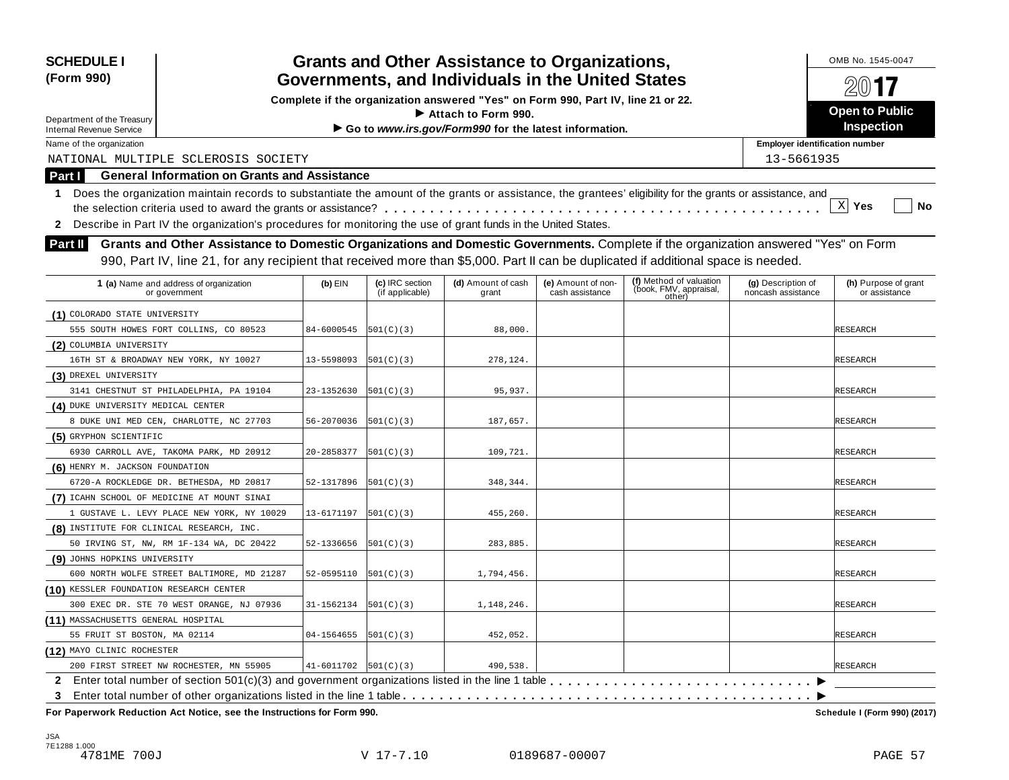| <b>SCHEDULE I</b>                         |                                                                                                                                                            |                            |                                    | <b>Grants and Other Assistance to Organizations,</b>                             |                                       |                                                             |                                          | OMB No. 1545-0047                     |
|-------------------------------------------|------------------------------------------------------------------------------------------------------------------------------------------------------------|----------------------------|------------------------------------|----------------------------------------------------------------------------------|---------------------------------------|-------------------------------------------------------------|------------------------------------------|---------------------------------------|
| (Form 990)                                | Governments, and Individuals in the United States                                                                                                          |                            |                                    |                                                                                  |                                       |                                                             |                                          |                                       |
|                                           |                                                                                                                                                            |                            |                                    | Complete if the organization answered "Yes" on Form 990, Part IV, line 21 or 22. |                                       |                                                             |                                          | $20$ 17                               |
| Department of the Treasury                |                                                                                                                                                            |                            |                                    | Attach to Form 990.                                                              |                                       |                                                             |                                          | <b>Open to Public</b>                 |
| Internal Revenue Service                  |                                                                                                                                                            |                            |                                    | Go to www.irs.gov/Form990 for the latest information.                            |                                       |                                                             |                                          | <b>Inspection</b>                     |
| Name of the organization                  |                                                                                                                                                            |                            |                                    |                                                                                  |                                       |                                                             | <b>Employer identification number</b>    |                                       |
|                                           | NATIONAL MULTIPLE SCLEROSIS SOCIETY                                                                                                                        |                            |                                    |                                                                                  |                                       |                                                             | 13-5661935                               |                                       |
| Part I                                    | <b>General Information on Grants and Assistance</b>                                                                                                        |                            |                                    |                                                                                  |                                       |                                                             |                                          |                                       |
| 1.                                        | Does the organization maintain records to substantiate the amount of the grants or assistance, the grantees' eligibility for the grants or assistance, and |                            |                                    |                                                                                  |                                       |                                                             |                                          |                                       |
|                                           |                                                                                                                                                            |                            |                                    |                                                                                  |                                       |                                                             |                                          | $X$ Yes<br>No                         |
|                                           | 2 Describe in Part IV the organization's procedures for monitoring the use of grant funds in the United States.                                            |                            |                                    |                                                                                  |                                       |                                                             |                                          |                                       |
| Part II                                   | Grants and Other Assistance to Domestic Organizations and Domestic Governments. Complete if the organization answered "Yes" on Form                        |                            |                                    |                                                                                  |                                       |                                                             |                                          |                                       |
|                                           | 990, Part IV, line 21, for any recipient that received more than \$5,000. Part II can be duplicated if additional space is needed.                         |                            |                                    |                                                                                  |                                       |                                                             |                                          |                                       |
|                                           |                                                                                                                                                            |                            |                                    |                                                                                  |                                       |                                                             |                                          |                                       |
|                                           | 1 (a) Name and address of organization<br>or government                                                                                                    | $(b)$ EIN                  | (c) IRC section<br>(if applicable) | (d) Amount of cash<br>grant                                                      | (e) Amount of non-<br>cash assistance | (f) Method of valuation<br>(book, FMV, appraisal,<br>other) | (g) Description of<br>noncash assistance | (h) Purpose of grant<br>or assistance |
| (1) COLORADO STATE UNIVERSITY             |                                                                                                                                                            |                            |                                    |                                                                                  |                                       |                                                             |                                          |                                       |
|                                           | 555 SOUTH HOWES FORT COLLINS, CO 80523                                                                                                                     | 84-6000545                 | 501(C)(3)                          | 88,000.                                                                          |                                       |                                                             |                                          | RESEARCH                              |
| (2) COLUMBIA UNIVERSITY                   |                                                                                                                                                            |                            |                                    |                                                                                  |                                       |                                                             |                                          |                                       |
|                                           | 16TH ST & BROADWAY NEW YORK, NY 10027                                                                                                                      | 13-5598093                 | 501(C)(3)                          | 278,124.                                                                         |                                       |                                                             |                                          | <b>RESEARCH</b>                       |
| (3) DREXEL UNIVERSITY                     |                                                                                                                                                            |                            |                                    |                                                                                  |                                       |                                                             |                                          |                                       |
|                                           | 3141 CHESTNUT ST PHILADELPHIA, PA 19104                                                                                                                    | 23-1352630                 | 501(C)(3)                          | 95,937.                                                                          |                                       |                                                             |                                          | <b>RESEARCH</b>                       |
| (4) DUKE UNIVERSITY MEDICAL CENTER        |                                                                                                                                                            |                            |                                    |                                                                                  |                                       |                                                             |                                          |                                       |
|                                           | 8 DUKE UNI MED CEN, CHARLOTTE, NC 27703                                                                                                                    | 56-2070036                 | 501(C)(3)                          | 187,657.                                                                         |                                       |                                                             |                                          | <b>RESEARCH</b>                       |
| (5) GRYPHON SCIENTIFIC                    |                                                                                                                                                            |                            |                                    |                                                                                  |                                       |                                                             |                                          |                                       |
|                                           | 6930 CARROLL AVE, TAKOMA PARK, MD 20912                                                                                                                    | 20-2858377                 | 501(C)(3)                          | 109,721.                                                                         |                                       |                                                             |                                          | <b>RESEARCH</b>                       |
| (6) HENRY M. JACKSON FOUNDATION           |                                                                                                                                                            |                            |                                    |                                                                                  |                                       |                                                             |                                          |                                       |
|                                           | 6720-A ROCKLEDGE DR. BETHESDA, MD 20817                                                                                                                    | 52-1317896                 | 501(C)(3)                          | 348,344                                                                          |                                       |                                                             |                                          | <b>RESEARCH</b>                       |
|                                           | (7) ICAHN SCHOOL OF MEDICINE AT MOUNT SINAI                                                                                                                |                            |                                    |                                                                                  |                                       |                                                             |                                          |                                       |
|                                           | 1 GUSTAVE L. LEVY PLACE NEW YORK, NY 10029                                                                                                                 | 13-6171197                 | 501(C)(3)                          | 455,260.                                                                         |                                       |                                                             |                                          | <b>RESEARCH</b>                       |
| (8) INSTITUTE FOR CLINICAL RESEARCH, INC. |                                                                                                                                                            |                            |                                    |                                                                                  |                                       |                                                             |                                          |                                       |
|                                           | 50 IRVING ST, NW, RM 1F-134 WA, DC 20422                                                                                                                   | 52-1336656                 | 501(C)(3)                          | 283,885.                                                                         |                                       |                                                             |                                          | <b>RESEARCH</b>                       |
| (9) JOHNS HOPKINS UNIVERSITY              |                                                                                                                                                            |                            |                                    |                                                                                  |                                       |                                                             |                                          |                                       |
|                                           | 600 NORTH WOLFE STREET BALTIMORE, MD 21287                                                                                                                 | 52-0595110                 | 501(C)(3)                          | 1,794,456.                                                                       |                                       |                                                             |                                          | <b>RESEARCH</b>                       |
| (10) KESSLER FOUNDATION RESEARCH CENTER   |                                                                                                                                                            |                            |                                    |                                                                                  |                                       |                                                             |                                          |                                       |
|                                           | 300 EXEC DR. STE 70 WEST ORANGE, NJ 07936                                                                                                                  | 31-1562134                 | 501(C)(3)                          | 1,148,246.                                                                       |                                       |                                                             |                                          | <b>RESEARCH</b>                       |
| (11) MASSACHUSETTS GENERAL HOSPITAL       |                                                                                                                                                            |                            |                                    |                                                                                  |                                       |                                                             |                                          |                                       |
| 55 FRUIT ST BOSTON, MA 02114              |                                                                                                                                                            | 04-1564655                 | 501(C)(3)                          | 452,052.                                                                         |                                       |                                                             |                                          | <b>RESEARCH</b>                       |
| (12) MAYO CLINIC ROCHESTER                |                                                                                                                                                            |                            |                                    |                                                                                  |                                       |                                                             |                                          |                                       |
|                                           | 200 FIRST STREET NW ROCHESTER, MN 55905                                                                                                                    | $41-6011702$ $ 501(C)(3) $ |                                    | 490,538.                                                                         |                                       |                                                             |                                          | <b>RESEARCH</b>                       |
|                                           |                                                                                                                                                            |                            |                                    |                                                                                  |                                       |                                                             |                                          |                                       |
| 3                                         |                                                                                                                                                            |                            |                                    |                                                                                  |                                       |                                                             |                                          |                                       |
|                                           | For Paperwork Reduction Act Notice, see the Instructions for Form 990.                                                                                     |                            |                                    |                                                                                  |                                       |                                                             |                                          | Schedule I (Form 990) (2017)          |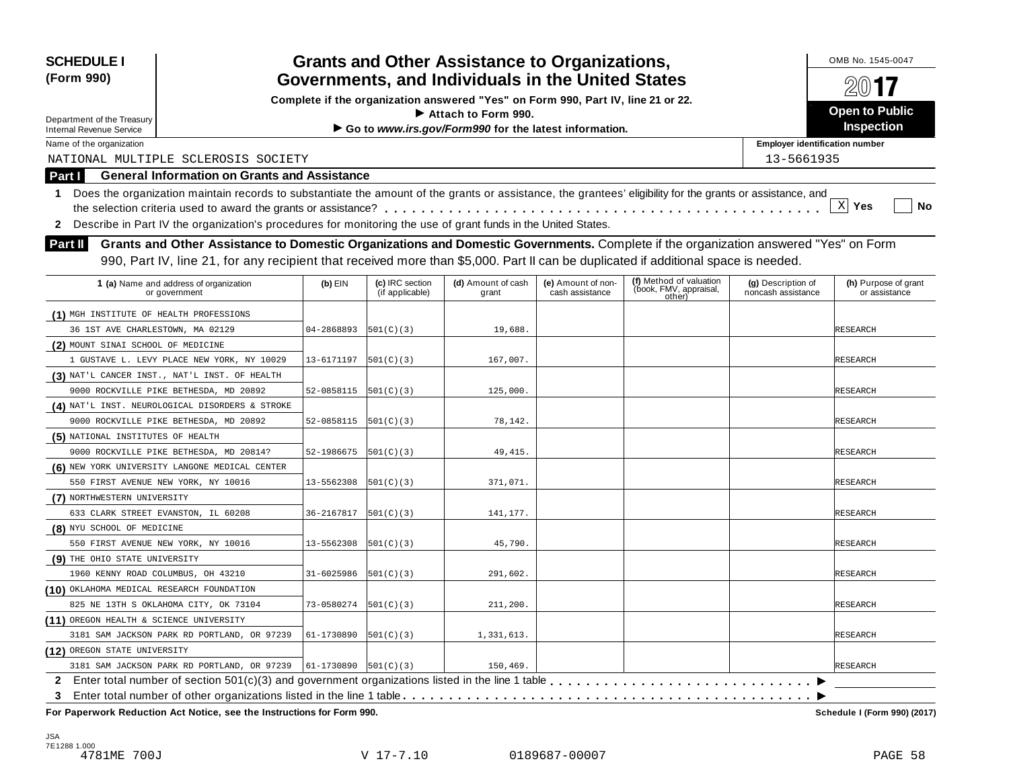| <b>SCHEDULE I</b>                                             |                                                                                                                                                            |                            |                                                   | <b>Grants and Other Assistance to Organizations,</b>                             |                                       |                                                             |                                          | OMB No. 1545-0047                     |
|---------------------------------------------------------------|------------------------------------------------------------------------------------------------------------------------------------------------------------|----------------------------|---------------------------------------------------|----------------------------------------------------------------------------------|---------------------------------------|-------------------------------------------------------------|------------------------------------------|---------------------------------------|
| (Form 990)                                                    |                                                                                                                                                            |                            | Governments, and Individuals in the United States |                                                                                  | $20$ 17                               |                                                             |                                          |                                       |
|                                                               |                                                                                                                                                            |                            |                                                   | Complete if the organization answered "Yes" on Form 990, Part IV, line 21 or 22. |                                       |                                                             |                                          | <b>Open to Public</b>                 |
| Department of the Treasury<br><b>Internal Revenue Service</b> |                                                                                                                                                            |                            |                                                   | Attach to Form 990.<br>Go to www.irs.gov/Form990 for the latest information.     |                                       |                                                             |                                          | <b>Inspection</b>                     |
| Name of the organization                                      |                                                                                                                                                            |                            |                                                   |                                                                                  |                                       |                                                             | <b>Employer identification number</b>    |                                       |
|                                                               | NATIONAL MULTIPLE SCLEROSIS SOCIETY                                                                                                                        |                            |                                                   |                                                                                  |                                       |                                                             | 13-5661935                               |                                       |
| Part I                                                        | <b>General Information on Grants and Assistance</b>                                                                                                        |                            |                                                   |                                                                                  |                                       |                                                             |                                          |                                       |
| 1.                                                            | Does the organization maintain records to substantiate the amount of the grants or assistance, the grantees' eligibility for the grants or assistance, and |                            |                                                   |                                                                                  |                                       |                                                             |                                          |                                       |
|                                                               |                                                                                                                                                            |                            |                                                   |                                                                                  |                                       |                                                             |                                          | $X$ Yes<br>No                         |
| $\mathbf{2}$                                                  | Describe in Part IV the organization's procedures for monitoring the use of grant funds in the United States.                                              |                            |                                                   |                                                                                  |                                       |                                                             |                                          |                                       |
| <b>Part II</b>                                                | Grants and Other Assistance to Domestic Organizations and Domestic Governments. Complete if the organization answered "Yes" on Form                        |                            |                                                   |                                                                                  |                                       |                                                             |                                          |                                       |
|                                                               | 990, Part IV, line 21, for any recipient that received more than \$5,000. Part II can be duplicated if additional space is needed.                         |                            |                                                   |                                                                                  |                                       |                                                             |                                          |                                       |
|                                                               |                                                                                                                                                            |                            |                                                   |                                                                                  |                                       |                                                             |                                          |                                       |
|                                                               | 1 (a) Name and address of organization<br>or government                                                                                                    | $(b)$ EIN                  | (c) IRC section<br>(if applicable)                | (d) Amount of cash<br>grant                                                      | (e) Amount of non-<br>cash assistance | (f) Method of valuation<br>(book, FMV, appraisal,<br>other) | (g) Description of<br>noncash assistance | (h) Purpose of grant<br>or assistance |
| (1) MGH INSTITUTE OF HEALTH PROFESSIONS                       |                                                                                                                                                            |                            |                                                   |                                                                                  |                                       |                                                             |                                          |                                       |
| 36 1ST AVE CHARLESTOWN, MA 02129                              |                                                                                                                                                            | 04-2868893                 | 501(C)(3)                                         | 19,688.                                                                          |                                       |                                                             |                                          | <b>RESEARCH</b>                       |
| (2) MOUNT SINAI SCHOOL OF MEDICINE                            |                                                                                                                                                            |                            |                                                   |                                                                                  |                                       |                                                             |                                          |                                       |
|                                                               | 1 GUSTAVE L. LEVY PLACE NEW YORK, NY 10029                                                                                                                 | 13-6171197                 | 501(C)(3)                                         | 167,007.                                                                         |                                       |                                                             |                                          | <b>RESEARCH</b>                       |
|                                                               | (3) NAT'L CANCER INST., NAT'L INST. OF HEALTH                                                                                                              |                            |                                                   |                                                                                  |                                       |                                                             |                                          |                                       |
|                                                               | 9000 ROCKVILLE PIKE BETHESDA, MD 20892                                                                                                                     | 52-0858115                 | 501(C)(3)                                         | 125,000.                                                                         |                                       |                                                             |                                          | <b>RESEARCH</b>                       |
|                                                               | (4) NAT'L INST. NEUROLOGICAL DISORDERS & STROKE                                                                                                            |                            |                                                   |                                                                                  |                                       |                                                             |                                          |                                       |
|                                                               | 9000 ROCKVILLE PIKE BETHESDA, MD 20892                                                                                                                     | 52-0858115                 | 501(C)(3)                                         | 78,142.                                                                          |                                       |                                                             |                                          | <b>RESEARCH</b>                       |
| (5) NATIONAL INSTITUTES OF HEALTH                             |                                                                                                                                                            |                            |                                                   |                                                                                  |                                       |                                                             |                                          |                                       |
|                                                               | 9000 ROCKVILLE PIKE BETHESDA, MD 20814?                                                                                                                    | 52-1986675                 | 501(C)(3)                                         | 49, 415.                                                                         |                                       |                                                             |                                          | <b>RESEARCH</b>                       |
|                                                               | (6) NEW YORK UNIVERSITY LANGONE MEDICAL CENTER                                                                                                             |                            |                                                   |                                                                                  |                                       |                                                             |                                          |                                       |
|                                                               | 550 FIRST AVENUE NEW YORK, NY 10016                                                                                                                        | 13-5562308                 | 501(C)(3)                                         | 371,071.                                                                         |                                       |                                                             |                                          | <b>RESEARCH</b>                       |
| (7) NORTHWESTERN UNIVERSITY                                   |                                                                                                                                                            |                            |                                                   |                                                                                  |                                       |                                                             |                                          |                                       |
|                                                               | 633 CLARK STREET EVANSTON, IL 60208                                                                                                                        | 36-2167817                 | 501(C)(3)                                         | 141,177.                                                                         |                                       |                                                             |                                          | <b>RESEARCH</b>                       |
| (8) NYU SCHOOL OF MEDICINE                                    |                                                                                                                                                            |                            |                                                   |                                                                                  |                                       |                                                             |                                          |                                       |
|                                                               | 550 FIRST AVENUE NEW YORK, NY 10016                                                                                                                        | 13-5562308                 | 501(C)(3)                                         | 45,790.                                                                          |                                       |                                                             |                                          | <b>RESEARCH</b>                       |
| (9) THE OHIO STATE UNIVERSITY                                 |                                                                                                                                                            |                            |                                                   |                                                                                  |                                       |                                                             |                                          |                                       |
|                                                               | 1960 KENNY ROAD COLUMBUS, OH 43210                                                                                                                         | 31-6025986                 | 501(C)(3)                                         | 291,602.                                                                         |                                       |                                                             |                                          | <b>RESEARCH</b>                       |
| (10) OKLAHOMA MEDICAL RESEARCH FOUNDATION                     |                                                                                                                                                            |                            |                                                   |                                                                                  |                                       |                                                             |                                          |                                       |
|                                                               | 825 NE 13TH S OKLAHOMA CITY, OK 73104                                                                                                                      | 73-0580274                 | 501(C)(3)                                         | 211,200.                                                                         |                                       |                                                             |                                          | <b>RESEARCH</b>                       |
| (11) OREGON HEALTH & SCIENCE UNIVERSITY                       |                                                                                                                                                            |                            |                                                   |                                                                                  |                                       |                                                             |                                          |                                       |
|                                                               | 3181 SAM JACKSON PARK RD PORTLAND, OR 97239                                                                                                                | 61-1730890                 | 501(C)(3)                                         | 1,331,613.                                                                       |                                       |                                                             |                                          | <b>RESEARCH</b>                       |
| (12) OREGON STATE UNIVERSITY                                  |                                                                                                                                                            |                            |                                                   |                                                                                  |                                       |                                                             |                                          |                                       |
|                                                               | 3181 SAM JACKSON PARK RD PORTLAND, OR 97239                                                                                                                | $61-1730890$ $ 501(C)(3) $ |                                                   | 150,469.                                                                         |                                       |                                                             |                                          | <b>RESEARCH</b>                       |
|                                                               |                                                                                                                                                            |                            |                                                   |                                                                                  |                                       |                                                             |                                          |                                       |
| 3                                                             |                                                                                                                                                            |                            |                                                   |                                                                                  |                                       |                                                             |                                          |                                       |
|                                                               | For Paperwork Reduction Act Notice, see the Instructions for Form 990.                                                                                     |                            |                                                   |                                                                                  |                                       |                                                             |                                          | Schedule I (Form 990) (2017)          |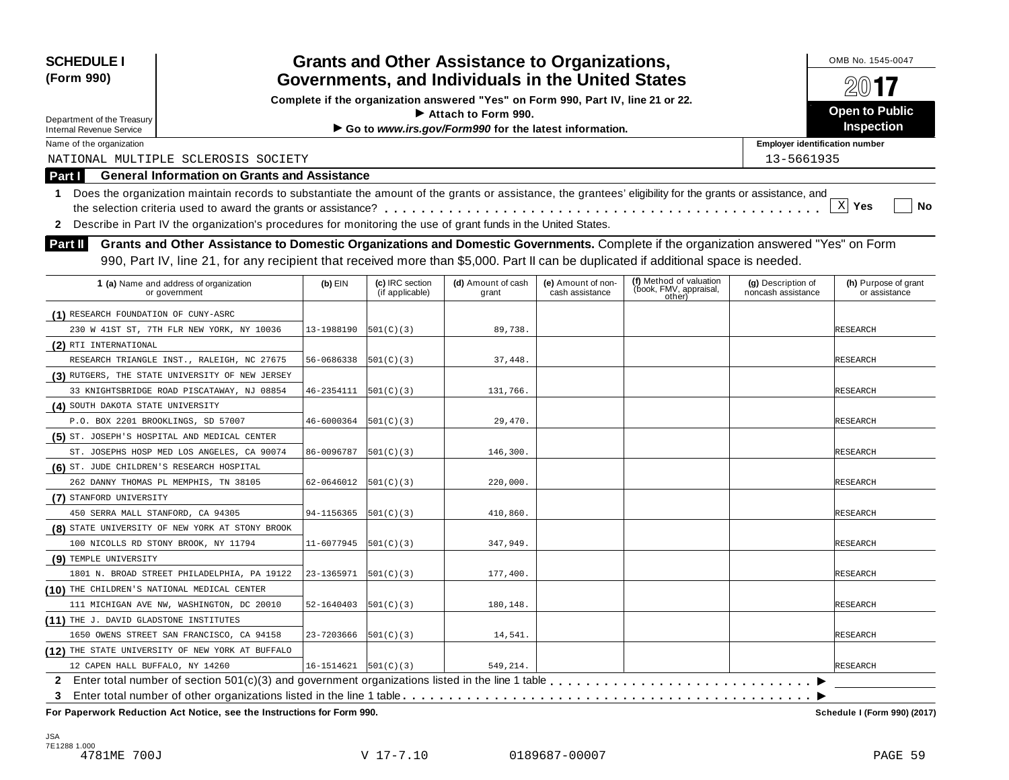| <b>SCHEDULE I</b><br>(Form 990)                                                                                                                                                                                                                                                             |            |                                    | <b>Grants and Other Assistance to Organizations,</b><br>Governments, and Individuals in the United States |                                       |                                                             |                                          | OMB No. 1545-0047<br>2017             |
|---------------------------------------------------------------------------------------------------------------------------------------------------------------------------------------------------------------------------------------------------------------------------------------------|------------|------------------------------------|-----------------------------------------------------------------------------------------------------------|---------------------------------------|-------------------------------------------------------------|------------------------------------------|---------------------------------------|
|                                                                                                                                                                                                                                                                                             |            |                                    | Complete if the organization answered "Yes" on Form 990, Part IV, line 21 or 22.                          |                                       |                                                             |                                          |                                       |
| Department of the Treasury                                                                                                                                                                                                                                                                  |            |                                    | $\blacktriangleright$ Attach to Form 990.                                                                 |                                       |                                                             |                                          | <b>Open to Public</b>                 |
| <b>Internal Revenue Service</b>                                                                                                                                                                                                                                                             |            |                                    | Go to www.irs.gov/Form990 for the latest information.                                                     |                                       |                                                             |                                          | <b>Inspection</b>                     |
| Name of the organization                                                                                                                                                                                                                                                                    |            |                                    |                                                                                                           |                                       |                                                             | <b>Employer identification number</b>    |                                       |
| NATIONAL MULTIPLE SCLEROSIS SOCIETY                                                                                                                                                                                                                                                         |            |                                    |                                                                                                           |                                       |                                                             | 13-5661935                               |                                       |
| <b>General Information on Grants and Assistance</b><br>Part I                                                                                                                                                                                                                               |            |                                    |                                                                                                           |                                       |                                                             |                                          |                                       |
| Does the organization maintain records to substantiate the amount of the grants or assistance, the grantees' eligibility for the grants or assistance, and<br>1                                                                                                                             |            |                                    |                                                                                                           |                                       |                                                             |                                          |                                       |
|                                                                                                                                                                                                                                                                                             |            |                                    |                                                                                                           |                                       |                                                             |                                          | $\mathbf{x}$<br>No<br>Yes             |
| 2 Describe in Part IV the organization's procedures for monitoring the use of grant funds in the United States.                                                                                                                                                                             |            |                                    |                                                                                                           |                                       |                                                             |                                          |                                       |
| Grants and Other Assistance to Domestic Organizations and Domestic Governments. Complete if the organization answered "Yes" on Form<br><b>Part II</b><br>990, Part IV, line 21, for any recipient that received more than \$5,000. Part II can be duplicated if additional space is needed. |            |                                    |                                                                                                           |                                       |                                                             |                                          |                                       |
| 1 (a) Name and address of organization<br>or government                                                                                                                                                                                                                                     | $(b)$ EIN  | (c) IRC section<br>(if applicable) | (d) Amount of cash<br>grant                                                                               | (e) Amount of non-<br>cash assistance | (f) Method of valuation<br>(book, FMV, appraisal,<br>other) | (g) Description of<br>noncash assistance | (h) Purpose of grant<br>or assistance |
| (1) RESEARCH FOUNDATION OF CUNY-ASRC                                                                                                                                                                                                                                                        |            |                                    |                                                                                                           |                                       |                                                             |                                          |                                       |
| 230 W 41ST ST, 7TH FLR NEW YORK, NY 10036                                                                                                                                                                                                                                                   | 13-1988190 | 501(C)(3)                          | 89,738.                                                                                                   |                                       |                                                             |                                          | <b>RESEARCH</b>                       |
| (2) RTI INTERNATIONAL                                                                                                                                                                                                                                                                       |            |                                    |                                                                                                           |                                       |                                                             |                                          |                                       |
| RESEARCH TRIANGLE INST., RALEIGH, NC 27675                                                                                                                                                                                                                                                  | 56-0686338 | 501(C)(3)                          | 37,448.                                                                                                   |                                       |                                                             |                                          | <b>RESEARCH</b>                       |
| (3) RUTGERS, THE STATE UNIVERSITY OF NEW JERSEY                                                                                                                                                                                                                                             |            |                                    |                                                                                                           |                                       |                                                             |                                          |                                       |
| 33 KNIGHTSBRIDGE ROAD PISCATAWAY, NJ 08854                                                                                                                                                                                                                                                  | 46-2354111 | 501(C)(3)                          | 131,766.                                                                                                  |                                       |                                                             |                                          | <b>RESEARCH</b>                       |
| (4) SOUTH DAKOTA STATE UNIVERSITY                                                                                                                                                                                                                                                           |            |                                    |                                                                                                           |                                       |                                                             |                                          |                                       |
| P.O. BOX 2201 BROOKLINGS, SD 57007                                                                                                                                                                                                                                                          | 46-6000364 | 501(C)(3)                          | 29,470                                                                                                    |                                       |                                                             |                                          | <b>RESEARCH</b>                       |
| (5) ST. JOSEPH'S HOSPITAL AND MEDICAL CENTER                                                                                                                                                                                                                                                |            |                                    |                                                                                                           |                                       |                                                             |                                          |                                       |
| ST. JOSEPHS HOSP MED LOS ANGELES, CA 90074                                                                                                                                                                                                                                                  | 86-0096787 | 501(C)(3)                          | 146,300.                                                                                                  |                                       |                                                             |                                          | RESEARCH                              |
| (6) ST. JUDE CHILDREN'S RESEARCH HOSPITAL                                                                                                                                                                                                                                                   |            |                                    |                                                                                                           |                                       |                                                             |                                          |                                       |
| 262 DANNY THOMAS PL MEMPHIS, TN 38105                                                                                                                                                                                                                                                       | 62-0646012 | 501(C)(3)                          | 220,000.                                                                                                  |                                       |                                                             |                                          | RESEARCH                              |
| (7) STANFORD UNIVERSITY                                                                                                                                                                                                                                                                     |            |                                    |                                                                                                           |                                       |                                                             |                                          |                                       |
| 450 SERRA MALL STANFORD, CA 94305                                                                                                                                                                                                                                                           | 94-1156365 | 501(C)(3)                          | 410,860.                                                                                                  |                                       |                                                             |                                          | <b>RESEARCH</b>                       |
| (8) STATE UNIVERSITY OF NEW YORK AT STONY BROOK                                                                                                                                                                                                                                             |            |                                    |                                                                                                           |                                       |                                                             |                                          |                                       |
| 100 NICOLLS RD STONY BROOK, NY 11794                                                                                                                                                                                                                                                        | 11-6077945 | 501(C)(3)                          | 347,949.                                                                                                  |                                       |                                                             |                                          | <b>RESEARCH</b>                       |
| (9) TEMPLE UNIVERSITY                                                                                                                                                                                                                                                                       |            |                                    |                                                                                                           |                                       |                                                             |                                          |                                       |
| 1801 N. BROAD STREET PHILADELPHIA, PA 19122                                                                                                                                                                                                                                                 | 23-1365971 | 501(C)(3)                          | 177,400.                                                                                                  |                                       |                                                             |                                          | <b>RESEARCH</b>                       |
| (10) THE CHILDREN'S NATIONAL MEDICAL CENTER                                                                                                                                                                                                                                                 |            |                                    |                                                                                                           |                                       |                                                             |                                          |                                       |
| 111 MICHIGAN AVE NW, WASHINGTON, DC 20010                                                                                                                                                                                                                                                   | 52-1640403 | 501(C)(3)                          | 180,148.                                                                                                  |                                       |                                                             |                                          | <b>RESEARCH</b>                       |
| (11) THE J. DAVID GLADSTONE INSTITUTES                                                                                                                                                                                                                                                      |            |                                    |                                                                                                           |                                       |                                                             |                                          |                                       |
| 1650 OWENS STREET SAN FRANCISCO, CA 94158                                                                                                                                                                                                                                                   | 23-7203666 | 501(C)(3)                          | 14,541.                                                                                                   |                                       |                                                             |                                          | <b>RESEARCH</b>                       |
| (12) THE STATE UNIVERSITY OF NEW YORK AT BUFFALO                                                                                                                                                                                                                                            |            |                                    |                                                                                                           |                                       |                                                             |                                          |                                       |
| 12 CAPEN HALL BUFFALO, NY 14260                                                                                                                                                                                                                                                             | 16-1514621 | 501(C)(3)                          | 549,214.                                                                                                  |                                       |                                                             |                                          | <b>RESEARCH</b>                       |
| $\mathbf{2}$                                                                                                                                                                                                                                                                                |            |                                    |                                                                                                           |                                       |                                                             |                                          |                                       |
| 3                                                                                                                                                                                                                                                                                           |            |                                    |                                                                                                           |                                       |                                                             |                                          |                                       |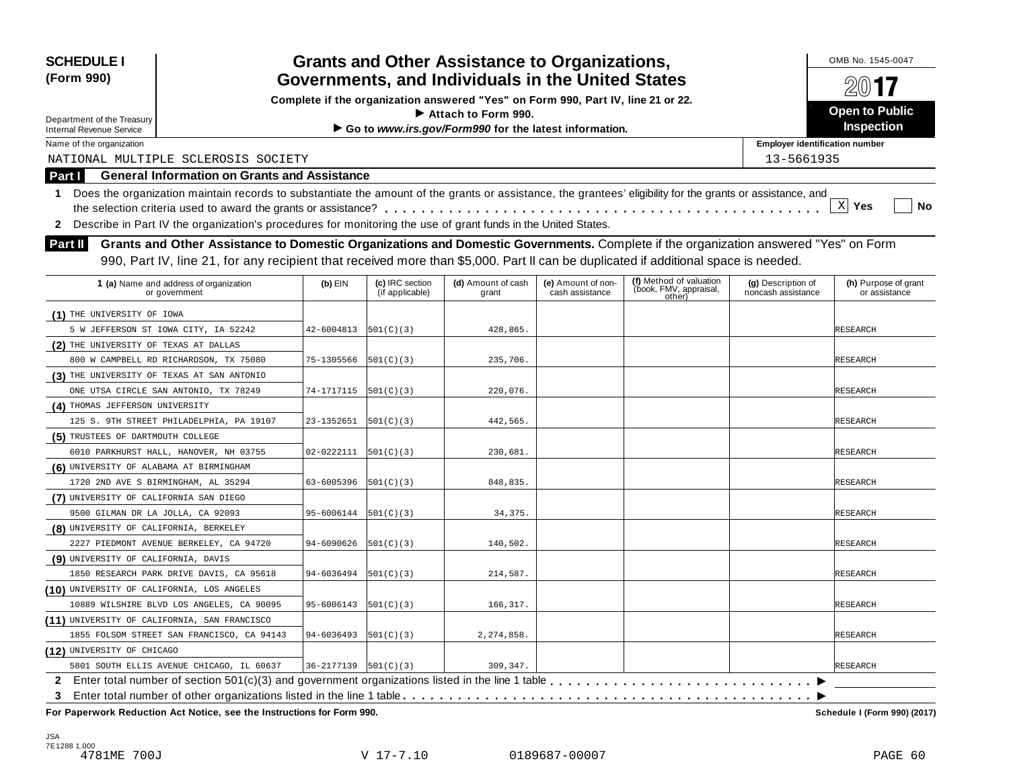| <b>SCHEDULE I</b><br>(Form 990)                               | <b>Grants and Other Assistance to Organizations,</b><br>Governments, and Individuals in the United States<br>Complete if the organization answered "Yes" on Form 990, Part IV, line 21 or 22.                                                                             |            | OMB No. 1545-0047<br>201<br><b>Open to Public</b> |                                                                              |                                       |                                                             |                                          |                                       |
|---------------------------------------------------------------|---------------------------------------------------------------------------------------------------------------------------------------------------------------------------------------------------------------------------------------------------------------------------|------------|---------------------------------------------------|------------------------------------------------------------------------------|---------------------------------------|-------------------------------------------------------------|------------------------------------------|---------------------------------------|
| Department of the Treasury<br><b>Internal Revenue Service</b> |                                                                                                                                                                                                                                                                           |            |                                                   | Attach to Form 990.<br>Go to www.irs.gov/Form990 for the latest information. |                                       |                                                             |                                          | <b>Inspection</b>                     |
| Name of the organization                                      |                                                                                                                                                                                                                                                                           |            |                                                   |                                                                              |                                       |                                                             | <b>Employer identification number</b>    |                                       |
|                                                               | NATIONAL MULTIPLE SCLEROSIS SOCIETY                                                                                                                                                                                                                                       |            |                                                   |                                                                              |                                       |                                                             | 13-5661935                               |                                       |
| Part I                                                        | <b>General Information on Grants and Assistance</b>                                                                                                                                                                                                                       |            |                                                   |                                                                              |                                       |                                                             |                                          |                                       |
| 1                                                             | Does the organization maintain records to substantiate the amount of the grants or assistance, the grantees' eligibility for the grants or assistance, and                                                                                                                |            |                                                   |                                                                              |                                       |                                                             |                                          |                                       |
|                                                               |                                                                                                                                                                                                                                                                           |            |                                                   |                                                                              |                                       |                                                             |                                          | $X$ Yes<br>No                         |
| $\mathbf{2}$                                                  | Describe in Part IV the organization's procedures for monitoring the use of grant funds in the United States.                                                                                                                                                             |            |                                                   |                                                                              |                                       |                                                             |                                          |                                       |
| Part II                                                       | Grants and Other Assistance to Domestic Organizations and Domestic Governments. Complete if the organization answered "Yes" on Form<br>990, Part IV, line 21, for any recipient that received more than \$5,000. Part II can be duplicated if additional space is needed. |            |                                                   |                                                                              |                                       |                                                             |                                          |                                       |
|                                                               | 1 (a) Name and address of organization<br>or government                                                                                                                                                                                                                   | $(b)$ EIN  | (c) IRC section<br>(if applicable)                | (d) Amount of cash<br>grant                                                  | (e) Amount of non-<br>cash assistance | (f) Method of valuation<br>(book, FMV, appraisal,<br>other) | (g) Description of<br>noncash assistance | (h) Purpose of grant<br>or assistance |
| (1) THE UNIVERSITY OF IOWA                                    |                                                                                                                                                                                                                                                                           |            |                                                   |                                                                              |                                       |                                                             |                                          |                                       |
| 5 W JEFFERSON ST IOWA CITY, IA 52242                          |                                                                                                                                                                                                                                                                           | 42-6004813 | 501(C)(3)                                         | 428,865.                                                                     |                                       |                                                             |                                          | RESEARCH                              |
| (2) THE UNIVERSITY OF TEXAS AT DALLAS                         |                                                                                                                                                                                                                                                                           |            |                                                   |                                                                              |                                       |                                                             |                                          |                                       |
|                                                               | 800 W CAMPBELL RD RICHARDSON, TX 75080                                                                                                                                                                                                                                    | 75-1305566 | 501(C)(3)                                         | 235,706.                                                                     |                                       |                                                             |                                          | RESEARCH                              |
| (3) THE UNIVERSITY OF TEXAS AT SAN ANTONIO                    |                                                                                                                                                                                                                                                                           |            |                                                   |                                                                              |                                       |                                                             |                                          |                                       |
| ONE UTSA CIRCLE SAN ANTONIO, TX 78249                         |                                                                                                                                                                                                                                                                           | 74-1717115 | 501(C)(3)                                         | 220,076.                                                                     |                                       |                                                             |                                          | <b>RESEARCH</b>                       |
| (4) THOMAS JEFFERSON UNIVERSITY                               |                                                                                                                                                                                                                                                                           |            |                                                   |                                                                              |                                       |                                                             |                                          |                                       |
|                                                               | 125 S. 9TH STREET PHILADELPHIA, PA 19107                                                                                                                                                                                                                                  | 23-1352651 | 501(C)(3)                                         | 442,565.                                                                     |                                       |                                                             |                                          | RESEARCH                              |
| (5) TRUSTEES OF DARTMOUTH COLLEGE                             |                                                                                                                                                                                                                                                                           |            |                                                   |                                                                              |                                       |                                                             |                                          |                                       |
|                                                               | 6010 PARKHURST HALL, HANOVER, NH 03755                                                                                                                                                                                                                                    | 02-0222111 | 501(C)(3)                                         | 230,681                                                                      |                                       |                                                             |                                          | RESEARCH                              |
| (6) UNIVERSITY OF ALABAMA AT BIRMINGHAM                       |                                                                                                                                                                                                                                                                           |            |                                                   |                                                                              |                                       |                                                             |                                          |                                       |
| 1720 2ND AVE S BIRMINGHAM, AL 35294                           |                                                                                                                                                                                                                                                                           | 63-6005396 | 501(C)(3)                                         | 848,835.                                                                     |                                       |                                                             |                                          | RESEARCH                              |
| (7) UNIVERSITY OF CALIFORNIA SAN DIEGO                        |                                                                                                                                                                                                                                                                           |            |                                                   |                                                                              |                                       |                                                             |                                          |                                       |
| 9500 GILMAN DR LA JOLLA, CA 92093                             |                                                                                                                                                                                                                                                                           | 95-6006144 | 501(C)(3)                                         | 34, 375.                                                                     |                                       |                                                             |                                          | RESEARCH                              |
| (8) UNIVERSITY OF CALIFORNIA, BERKELEY                        |                                                                                                                                                                                                                                                                           |            |                                                   |                                                                              |                                       |                                                             |                                          |                                       |
|                                                               | 2227 PIEDMONT AVENUE BERKELEY, CA 94720                                                                                                                                                                                                                                   | 94-6090626 | 501(C)(3)                                         | 140,502.                                                                     |                                       |                                                             |                                          | <b>RESEARCH</b>                       |
| (9) UNIVERSITY OF CALIFORNIA, DAVIS                           |                                                                                                                                                                                                                                                                           |            |                                                   |                                                                              |                                       |                                                             |                                          |                                       |
|                                                               | 1850 RESEARCH PARK DRIVE DAVIS, CA 95618                                                                                                                                                                                                                                  | 94-6036494 | 501(C)(3)                                         | 214,587.                                                                     |                                       |                                                             |                                          | RESEARCH                              |
| (10) UNIVERSITY OF CALIFORNIA, LOS ANGELES                    |                                                                                                                                                                                                                                                                           |            |                                                   |                                                                              |                                       |                                                             |                                          |                                       |
|                                                               | 10889 WILSHIRE BLVD LOS ANGELES, CA 90095                                                                                                                                                                                                                                 | 95-6006143 | 501(C)(3)                                         | 166, 317.                                                                    |                                       |                                                             |                                          | RESEARCH                              |
| (11) UNIVERSITY OF CALIFORNIA, SAN FRANCISCO                  |                                                                                                                                                                                                                                                                           |            |                                                   |                                                                              |                                       |                                                             |                                          |                                       |
|                                                               | 1855 FOLSOM STREET SAN FRANCISCO, CA 94143                                                                                                                                                                                                                                | 94-6036493 | 501(C)(3)                                         | 2, 274, 858.                                                                 |                                       |                                                             |                                          | RESEARCH                              |
| (12) UNIVERSITY OF CHICAGO                                    |                                                                                                                                                                                                                                                                           |            |                                                   |                                                                              |                                       |                                                             |                                          |                                       |
|                                                               | 5801 SOUTH ELLIS AVENUE CHICAGO, IL 60637                                                                                                                                                                                                                                 | 36-2177139 | 501(C)(3)                                         | 309,347.                                                                     |                                       |                                                             |                                          | RESEARCH                              |
| 3                                                             |                                                                                                                                                                                                                                                                           |            |                                                   |                                                                              |                                       |                                                             |                                          |                                       |

**3** Enter total number of other organizations listed in the line 1 table

 $F$ or Paperwork Reduction Act Notice, see the Instructions for Form 990.

Schedule I (Form 990) (2017)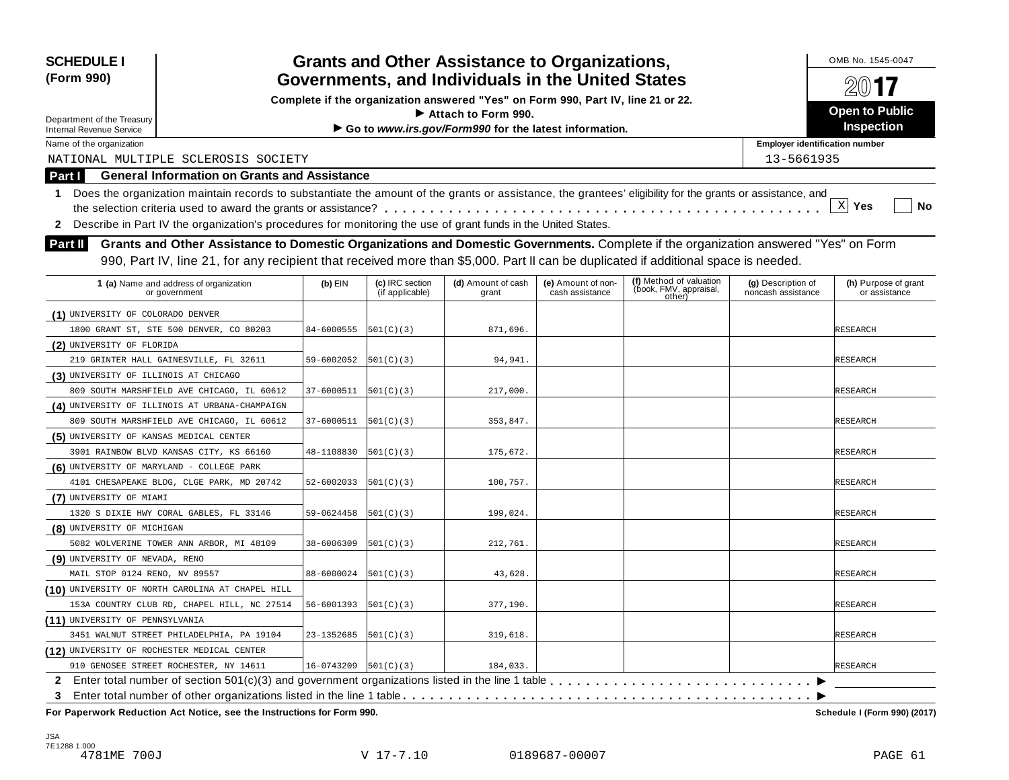| <b>SCHEDULE I</b><br>(Form 990)                                                                                                                                 |                          |                                    | <b>Grants and Other Assistance to Organizations,</b>                                                    |                                       |                                                                                                                                     |                                          | OMB No. 1545-0047                          |  |  |
|-----------------------------------------------------------------------------------------------------------------------------------------------------------------|--------------------------|------------------------------------|---------------------------------------------------------------------------------------------------------|---------------------------------------|-------------------------------------------------------------------------------------------------------------------------------------|------------------------------------------|--------------------------------------------|--|--|
|                                                                                                                                                                 |                          |                                    | Governments, and Individuals in the United States                                                       |                                       |                                                                                                                                     |                                          |                                            |  |  |
| Department of the Treasury                                                                                                                                      |                          |                                    | Complete if the organization answered "Yes" on Form 990, Part IV, line 21 or 22.<br>Attach to Form 990. |                                       |                                                                                                                                     |                                          | <b>Open to Public</b><br><b>Inspection</b> |  |  |
| <b>Internal Revenue Service</b><br>Name of the organization                                                                                                     |                          |                                    | Go to www.irs.gov/Form990 for the latest information.                                                   |                                       |                                                                                                                                     | <b>Employer identification number</b>    |                                            |  |  |
| NATIONAL MULTIPLE SCLEROSIS SOCIETY                                                                                                                             |                          |                                    |                                                                                                         |                                       |                                                                                                                                     | 13-5661935                               |                                            |  |  |
| <b>General Information on Grants and Assistance</b>                                                                                                             |                          |                                    |                                                                                                         |                                       |                                                                                                                                     |                                          |                                            |  |  |
| Part I                                                                                                                                                          |                          |                                    |                                                                                                         |                                       |                                                                                                                                     |                                          |                                            |  |  |
| Does the organization maintain records to substantiate the amount of the grants or assistance, the grantees' eligibility for the grants or assistance, and<br>1 |                          |                                    |                                                                                                         |                                       |                                                                                                                                     |                                          | $X$ Yes<br>No                              |  |  |
|                                                                                                                                                                 |                          |                                    |                                                                                                         |                                       |                                                                                                                                     |                                          |                                            |  |  |
| Describe in Part IV the organization's procedures for monitoring the use of grant funds in the United States.<br>$\mathbf{2}$                                   |                          |                                    |                                                                                                         |                                       |                                                                                                                                     |                                          |                                            |  |  |
| Part II                                                                                                                                                         |                          |                                    |                                                                                                         |                                       | Grants and Other Assistance to Domestic Organizations and Domestic Governments. Complete if the organization answered "Yes" on Form |                                          |                                            |  |  |
|                                                                                                                                                                 |                          |                                    |                                                                                                         |                                       | 990, Part IV, line 21, for any recipient that received more than \$5,000. Part II can be duplicated if additional space is needed.  |                                          |                                            |  |  |
| 1 (a) Name and address of organization<br>or government                                                                                                         | $(b)$ EIN                | (c) IRC section<br>(if applicable) | (d) Amount of cash<br>grant                                                                             | (e) Amount of non-<br>cash assistance | (f) Method of valuation<br>(book, FMV, appraisal,<br>other)                                                                         | (g) Description of<br>noncash assistance | (h) Purpose of grant<br>or assistance      |  |  |
| (1) UNIVERSITY OF COLORADO DENVER                                                                                                                               |                          |                                    |                                                                                                         |                                       |                                                                                                                                     |                                          |                                            |  |  |
| 1800 GRANT ST, STE 500 DENVER, CO 80203                                                                                                                         | 84-6000555               | 501(C)(3)                          | 871,696.                                                                                                |                                       |                                                                                                                                     |                                          | <b>RESEARCH</b>                            |  |  |
| (2) UNIVERSITY OF FLORIDA                                                                                                                                       |                          |                                    |                                                                                                         |                                       |                                                                                                                                     |                                          |                                            |  |  |
| 219 GRINTER HALL GAINESVILLE, FL 32611                                                                                                                          | 59-6002052               | 501(C)(3)                          | 94,941.                                                                                                 |                                       |                                                                                                                                     |                                          | <b>RESEARCH</b>                            |  |  |
| (3) UNIVERSITY OF ILLINOIS AT CHICAGO                                                                                                                           |                          |                                    |                                                                                                         |                                       |                                                                                                                                     |                                          |                                            |  |  |
| 809 SOUTH MARSHFIELD AVE CHICAGO, IL 60612                                                                                                                      | 37-6000511               | 501(C)(3)                          | 217,000.                                                                                                |                                       |                                                                                                                                     |                                          | <b>RESEARCH</b>                            |  |  |
| (4) UNIVERSITY OF ILLINOIS AT URBANA-CHAMPAIGN                                                                                                                  |                          |                                    |                                                                                                         |                                       |                                                                                                                                     |                                          |                                            |  |  |
| 809 SOUTH MARSHFIELD AVE CHICAGO, IL 60612                                                                                                                      | 37-6000511               | 501(C)(3)                          | 353,847.                                                                                                |                                       |                                                                                                                                     |                                          | <b>RESEARCH</b>                            |  |  |
| (5) UNIVERSITY OF KANSAS MEDICAL CENTER                                                                                                                         |                          |                                    |                                                                                                         |                                       |                                                                                                                                     |                                          |                                            |  |  |
| 3901 RAINBOW BLVD KANSAS CITY, KS 66160                                                                                                                         | 48-1108830               | 501(C)(3)                          | 175,672.                                                                                                |                                       |                                                                                                                                     |                                          | <b>RESEARCH</b>                            |  |  |
| (6) UNIVERSITY OF MARYLAND - COLLEGE PARK                                                                                                                       |                          |                                    |                                                                                                         |                                       |                                                                                                                                     |                                          |                                            |  |  |
| 4101 CHESAPEAKE BLDG, CLGE PARK, MD 20742                                                                                                                       | 52-6002033               | 501(C)(3)                          | 100,757.                                                                                                |                                       |                                                                                                                                     |                                          | RESEARCH                                   |  |  |
| (7) UNIVERSITY OF MIAMI                                                                                                                                         |                          |                                    |                                                                                                         |                                       |                                                                                                                                     |                                          |                                            |  |  |
| 1320 S DIXIE HWY CORAL GABLES, FL 33146                                                                                                                         | 59-0624458               | 501(C)(3)                          | 199,024.                                                                                                |                                       |                                                                                                                                     |                                          | <b>RESEARCH</b>                            |  |  |
| (8) UNIVERSITY OF MICHIGAN                                                                                                                                      |                          |                                    |                                                                                                         |                                       |                                                                                                                                     |                                          |                                            |  |  |
| 5082 WOLVERINE TOWER ANN ARBOR, MI 48109                                                                                                                        | 38-6006309               | 501(C)(3)                          | 212,761.                                                                                                |                                       |                                                                                                                                     |                                          | <b>RESEARCH</b>                            |  |  |
| (9) UNIVERSITY OF NEVADA, RENO                                                                                                                                  |                          |                                    |                                                                                                         |                                       |                                                                                                                                     |                                          |                                            |  |  |
| MAIL STOP 0124 RENO, NV 89557                                                                                                                                   | 88-6000024               | 501(C)(3)                          | 43,628.                                                                                                 |                                       |                                                                                                                                     |                                          | <b>RESEARCH</b>                            |  |  |
| (10) UNIVERSITY OF NORTH CAROLINA AT CHAPEL HILL                                                                                                                |                          |                                    |                                                                                                         |                                       |                                                                                                                                     |                                          |                                            |  |  |
| 153A COUNTRY CLUB RD, CHAPEL HILL, NC 27514                                                                                                                     | 56-6001393               | 501(C)(3)                          | 377,190.                                                                                                |                                       |                                                                                                                                     |                                          | <b>RESEARCH</b>                            |  |  |
| (11) UNIVERSITY OF PENNSYLVANIA                                                                                                                                 |                          |                                    |                                                                                                         |                                       |                                                                                                                                     |                                          |                                            |  |  |
| 3451 WALNUT STREET PHILADELPHIA, PA 19104                                                                                                                       | 23-1352685               | 501(C)(3)                          | 319,618.                                                                                                |                                       |                                                                                                                                     |                                          | <b>RESEARCH</b>                            |  |  |
| (12) UNIVERSITY OF ROCHESTER MEDICAL CENTER                                                                                                                     |                          |                                    |                                                                                                         |                                       |                                                                                                                                     |                                          |                                            |  |  |
| 910 GENOSEE STREET ROCHESTER, NY 14611                                                                                                                          | $16-0743209$ $501(C)(3)$ |                                    | 184,033.                                                                                                |                                       |                                                                                                                                     |                                          | <b>RESEARCH</b>                            |  |  |
| 3                                                                                                                                                               |                          |                                    |                                                                                                         |                                       |                                                                                                                                     |                                          |                                            |  |  |
| For Paperwork Reduction Act Notice, see the Instructions for Form 990.                                                                                          |                          |                                    |                                                                                                         |                                       |                                                                                                                                     |                                          | Schedule I (Form 990) (2017)               |  |  |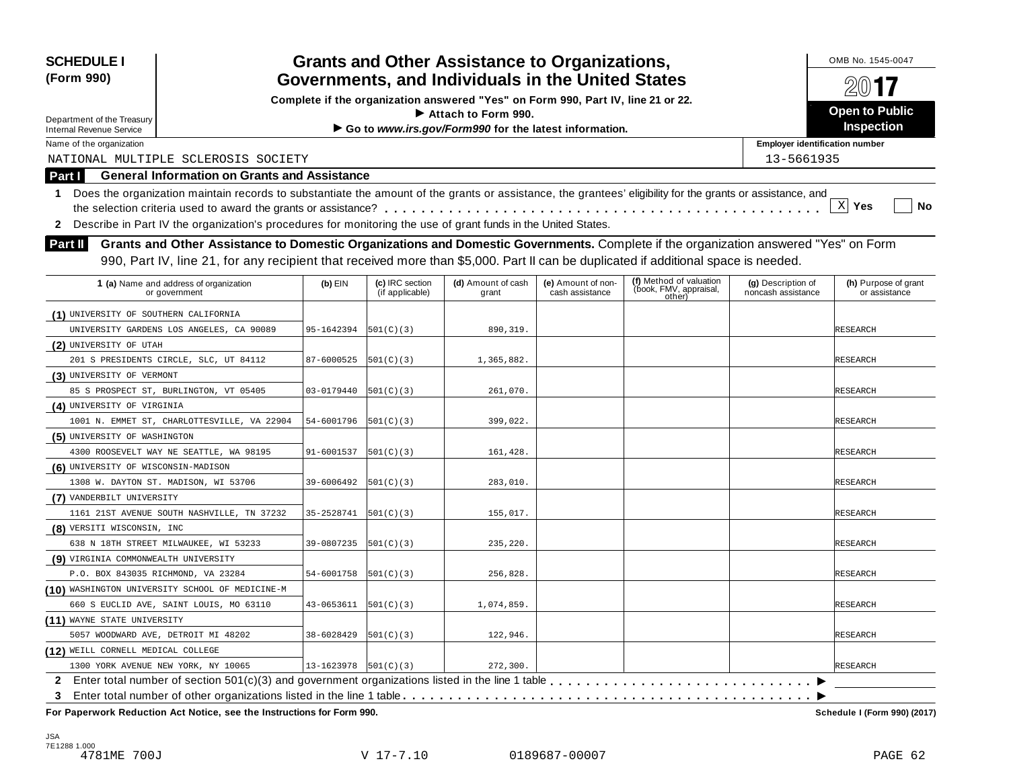| <b>SCHEDULE I</b>                     |                                                                                                                                                            |            |                                    | <b>Grants and Other Assistance to Organizations,</b>                             |                                       |                                                             |                                          | OMB No. 1545-0047                     |
|---------------------------------------|------------------------------------------------------------------------------------------------------------------------------------------------------------|------------|------------------------------------|----------------------------------------------------------------------------------|---------------------------------------|-------------------------------------------------------------|------------------------------------------|---------------------------------------|
| (Form 990)                            |                                                                                                                                                            |            |                                    | Governments, and Individuals in the United States                                |                                       |                                                             |                                          | $201$ <b>17</b>                       |
|                                       |                                                                                                                                                            |            |                                    | Complete if the organization answered "Yes" on Form 990, Part IV, line 21 or 22. |                                       |                                                             |                                          |                                       |
| Department of the Treasury            |                                                                                                                                                            |            |                                    | $\blacktriangleright$ Attach to Form 990.                                        |                                       |                                                             |                                          | <b>Open to Public</b>                 |
| <b>Internal Revenue Service</b>       |                                                                                                                                                            |            |                                    | Go to www.irs.gov/Form990 for the latest information.                            |                                       |                                                             |                                          | <b>Inspection</b>                     |
| Name of the organization              |                                                                                                                                                            |            |                                    |                                                                                  |                                       |                                                             | <b>Employer identification number</b>    |                                       |
|                                       | NATIONAL MULTIPLE SCLEROSIS SOCIETY                                                                                                                        |            |                                    |                                                                                  |                                       |                                                             | 13-5661935                               |                                       |
| Part I                                | <b>General Information on Grants and Assistance</b>                                                                                                        |            |                                    |                                                                                  |                                       |                                                             |                                          |                                       |
| $\mathbf{1}$                          | Does the organization maintain records to substantiate the amount of the grants or assistance, the grantees' eligibility for the grants or assistance, and |            |                                    |                                                                                  |                                       |                                                             |                                          |                                       |
|                                       |                                                                                                                                                            |            |                                    |                                                                                  |                                       |                                                             |                                          | $X$ Yes<br>No                         |
| $\mathbf{2}$                          | Describe in Part IV the organization's procedures for monitoring the use of grant funds in the United States.                                              |            |                                    |                                                                                  |                                       |                                                             |                                          |                                       |
| Part II                               | Grants and Other Assistance to Domestic Organizations and Domestic Governments. Complete if the organization answered "Yes" on Form                        |            |                                    |                                                                                  |                                       |                                                             |                                          |                                       |
|                                       | 990, Part IV, line 21, for any recipient that received more than \$5,000. Part II can be duplicated if additional space is needed.                         |            |                                    |                                                                                  |                                       |                                                             |                                          |                                       |
|                                       |                                                                                                                                                            |            |                                    |                                                                                  |                                       |                                                             |                                          |                                       |
|                                       | 1 (a) Name and address of organization<br>or government                                                                                                    | $(b)$ EIN  | (c) IRC section<br>(if applicable) | (d) Amount of cash<br>grant                                                      | (e) Amount of non-<br>cash assistance | (f) Method of valuation<br>(book, FMV, appraisal,<br>other) | (g) Description of<br>noncash assistance | (h) Purpose of grant<br>or assistance |
| (1) UNIVERSITY OF SOUTHERN CALIFORNIA |                                                                                                                                                            |            |                                    |                                                                                  |                                       |                                                             |                                          |                                       |
|                                       | UNIVERSITY GARDENS LOS ANGELES, CA 90089                                                                                                                   | 95-1642394 | 501(C)(3)                          | 890,319.                                                                         |                                       |                                                             |                                          | <b>RESEARCH</b>                       |
| (2) UNIVERSITY OF UTAH                |                                                                                                                                                            |            |                                    |                                                                                  |                                       |                                                             |                                          |                                       |
|                                       | 201 S PRESIDENTS CIRCLE, SLC, UT 84112                                                                                                                     | 87-6000525 | 501(C)(3)                          | 1,365,882.                                                                       |                                       |                                                             |                                          | <b>RESEARCH</b>                       |
| (3) UNIVERSITY OF VERMONT             |                                                                                                                                                            |            |                                    |                                                                                  |                                       |                                                             |                                          |                                       |
|                                       | 85 S PROSPECT ST, BURLINGTON, VT 05405                                                                                                                     | 03-0179440 | 501(C)(3)                          | 261,070.                                                                         |                                       |                                                             |                                          | <b>RESEARCH</b>                       |
| (4) UNIVERSITY OF VIRGINIA            |                                                                                                                                                            |            |                                    |                                                                                  |                                       |                                                             |                                          |                                       |
|                                       | 1001 N. EMMET ST, CHARLOTTESVILLE, VA 22904                                                                                                                | 54-6001796 | 501(C)(3)                          | 399,022.                                                                         |                                       |                                                             |                                          | <b>RESEARCH</b>                       |
| (5) UNIVERSITY OF WASHINGTON          |                                                                                                                                                            |            |                                    |                                                                                  |                                       |                                                             |                                          |                                       |
|                                       | 4300 ROOSEVELT WAY NE SEATTLE, WA 98195                                                                                                                    | 91-6001537 | 501(C)(3)                          | 161,428.                                                                         |                                       |                                                             |                                          | <b>RESEARCH</b>                       |
| (6) UNIVERSITY OF WISCONSIN-MADISON   |                                                                                                                                                            |            |                                    |                                                                                  |                                       |                                                             |                                          |                                       |
| 1308 W. DAYTON ST. MADISON, WI 53706  |                                                                                                                                                            | 39-6006492 | 501(C)(3)                          | 283,010.                                                                         |                                       |                                                             |                                          | <b>RESEARCH</b>                       |
| (7) VANDERBILT UNIVERSITY             |                                                                                                                                                            |            |                                    |                                                                                  |                                       |                                                             |                                          |                                       |
|                                       | 1161 21ST AVENUE SOUTH NASHVILLE, TN 37232                                                                                                                 | 35-2528741 | 501(C)(3)                          | 155,017.                                                                         |                                       |                                                             |                                          | <b>RESEARCH</b>                       |
| (8) VERSITI WISCONSIN, INC            |                                                                                                                                                            |            |                                    |                                                                                  |                                       |                                                             |                                          |                                       |
| 638 N 18TH STREET MILWAUKEE, WI 53233 |                                                                                                                                                            | 39-0807235 | 501(C)(3)                          | 235,220.                                                                         |                                       |                                                             |                                          | <b>RESEARCH</b>                       |
| (9) VIRGINIA COMMONWEALTH UNIVERSITY  |                                                                                                                                                            |            |                                    |                                                                                  |                                       |                                                             |                                          |                                       |
| P.O. BOX 843035 RICHMOND, VA 23284    |                                                                                                                                                            | 54-6001758 | 501(C)(3)                          | 256,828.                                                                         |                                       |                                                             |                                          | <b>RESEARCH</b>                       |
|                                       | (10) WASHINGTON UNIVERSITY SCHOOL OF MEDICINE-M                                                                                                            |            |                                    |                                                                                  |                                       |                                                             |                                          |                                       |
|                                       | 660 S EUCLID AVE, SAINT LOUIS, MO 63110                                                                                                                    | 43-0653611 | 501(C)(3)                          | 1,074,859.                                                                       |                                       |                                                             |                                          | <b>RESEARCH</b>                       |
| (11) WAYNE STATE UNIVERSITY           |                                                                                                                                                            |            |                                    |                                                                                  |                                       |                                                             |                                          |                                       |
| 5057 WOODWARD AVE, DETROIT MI 48202   |                                                                                                                                                            | 38-6028429 | 501(C)(3)                          | 122,946.                                                                         |                                       |                                                             |                                          | RESEARCH                              |
| (12) WEILL CORNELL MEDICAL COLLEGE    |                                                                                                                                                            |            |                                    |                                                                                  |                                       |                                                             |                                          |                                       |
| 1300 YORK AVENUE NEW YORK, NY 10065   |                                                                                                                                                            | 13-1623978 | 501(C)(3)                          | 272,300.                                                                         |                                       |                                                             |                                          | <b>RESEARCH</b>                       |
|                                       | 2 Enter total number of section 501(c)(3) and government organizations listed in the line 1 table                                                          |            |                                    |                                                                                  |                                       |                                                             |                                          |                                       |
| 3                                     |                                                                                                                                                            |            |                                    |                                                                                  |                                       |                                                             |                                          |                                       |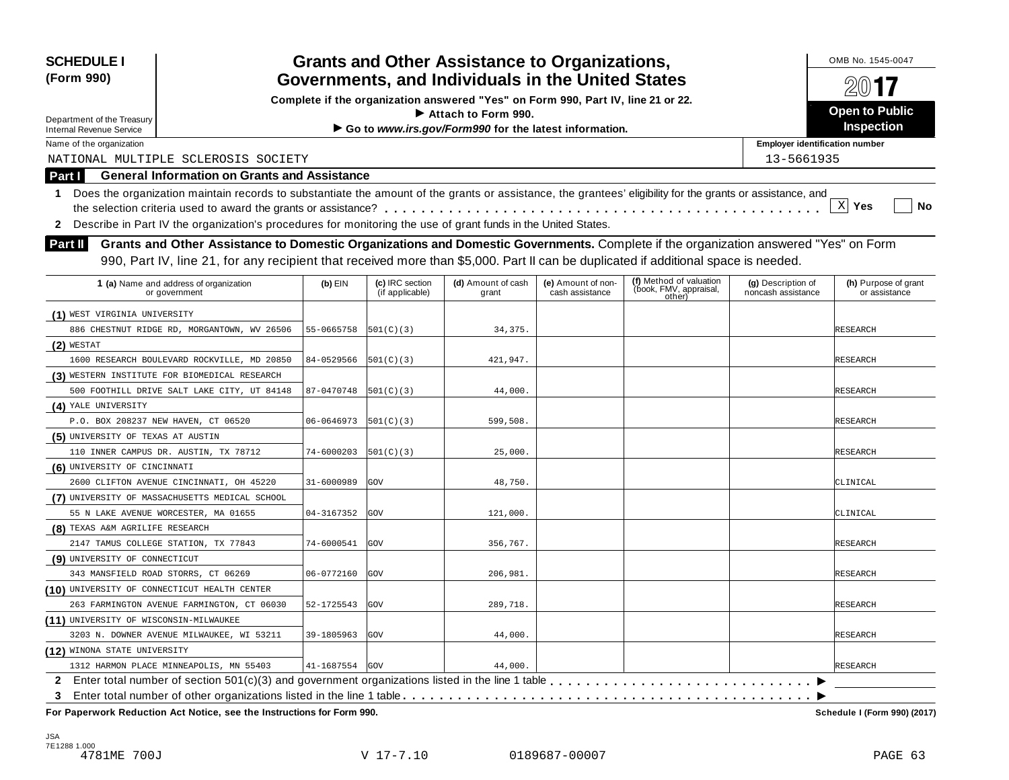| <b>SCHEDULE I</b><br>(Form 990)                                                                                                                              |                                                     |                    |                                                                                  | <b>Grants and Other Assistance to Organizations,</b><br>Governments, and Individuals in the United States |                                            |                                                                                                                                     |                                          | OMB No. 1545-0047                     |  |  |
|--------------------------------------------------------------------------------------------------------------------------------------------------------------|-----------------------------------------------------|--------------------|----------------------------------------------------------------------------------|-----------------------------------------------------------------------------------------------------------|--------------------------------------------|-------------------------------------------------------------------------------------------------------------------------------------|------------------------------------------|---------------------------------------|--|--|
|                                                                                                                                                              |                                                     |                    | Complete if the organization answered "Yes" on Form 990, Part IV, line 21 or 22. |                                                                                                           | $201$ <b>7</b>                             |                                                                                                                                     |                                          |                                       |  |  |
| Department of the Treasury<br>Internal Revenue Service                                                                                                       |                                                     |                    | Attach to Form 990.<br>Go to www.irs.gov/Form990 for the latest information.     |                                                                                                           | <b>Open to Public</b><br><b>Inspection</b> |                                                                                                                                     |                                          |                                       |  |  |
| Name of the organization                                                                                                                                     |                                                     |                    |                                                                                  |                                                                                                           |                                            |                                                                                                                                     | <b>Employer identification number</b>    |                                       |  |  |
| NATIONAL MULTIPLE SCLEROSIS SOCIETY                                                                                                                          |                                                     |                    |                                                                                  |                                                                                                           |                                            |                                                                                                                                     | 13-5661935                               |                                       |  |  |
| Part I                                                                                                                                                       | <b>General Information on Grants and Assistance</b> |                    |                                                                                  |                                                                                                           |                                            |                                                                                                                                     |                                          |                                       |  |  |
| 1 Does the organization maintain records to substantiate the amount of the grants or assistance, the grantees' eligibility for the grants or assistance, and |                                                     |                    |                                                                                  |                                                                                                           |                                            |                                                                                                                                     |                                          |                                       |  |  |
|                                                                                                                                                              |                                                     |                    |                                                                                  |                                                                                                           |                                            |                                                                                                                                     |                                          | $\mathbf{X}$<br>Yes<br>No             |  |  |
| 2 Describe in Part IV the organization's procedures for monitoring the use of grant funds in the United States.                                              |                                                     |                    |                                                                                  |                                                                                                           |                                            |                                                                                                                                     |                                          |                                       |  |  |
|                                                                                                                                                              |                                                     |                    |                                                                                  |                                                                                                           |                                            | Grants and Other Assistance to Domestic Organizations and Domestic Governments. Complete if the organization answered "Yes" on Form |                                          |                                       |  |  |
| <b>Part II</b>                                                                                                                                               |                                                     |                    |                                                                                  |                                                                                                           |                                            |                                                                                                                                     |                                          |                                       |  |  |
|                                                                                                                                                              |                                                     |                    |                                                                                  |                                                                                                           |                                            | 990, Part IV, line 21, for any recipient that received more than \$5,000. Part II can be duplicated if additional space is needed.  |                                          |                                       |  |  |
| 1 (a) Name and address of organization<br>or government                                                                                                      |                                                     | $(b)$ EIN          | (c) IRC section<br>(if applicable)                                               | (d) Amount of cash<br>grant                                                                               | (e) Amount of non-<br>cash assistance      | (f) Method of valuation<br>(book, FMV, appraisal,<br>other)                                                                         | (g) Description of<br>noncash assistance | (h) Purpose of grant<br>or assistance |  |  |
| (1) WEST VIRGINIA UNIVERSITY                                                                                                                                 |                                                     |                    |                                                                                  |                                                                                                           |                                            |                                                                                                                                     |                                          |                                       |  |  |
| 886 CHESTNUT RIDGE RD, MORGANTOWN, WV 26506                                                                                                                  |                                                     | 55-0665758         | 501(C)(3)                                                                        | 34, 375.                                                                                                  |                                            |                                                                                                                                     |                                          | <b>RESEARCH</b>                       |  |  |
| $(2)$ WESTAT                                                                                                                                                 |                                                     |                    |                                                                                  |                                                                                                           |                                            |                                                                                                                                     |                                          |                                       |  |  |
| 1600 RESEARCH BOULEVARD ROCKVILLE, MD 20850                                                                                                                  |                                                     | 84-0529566         | 501(C)(3)                                                                        | 421,947.                                                                                                  |                                            |                                                                                                                                     |                                          | RESEARCH                              |  |  |
| (3) WESTERN INSTITUTE FOR BIOMEDICAL RESEARCH                                                                                                                |                                                     |                    |                                                                                  |                                                                                                           |                                            |                                                                                                                                     |                                          |                                       |  |  |
| 500 FOOTHILL DRIVE SALT LAKE CITY, UT 84148                                                                                                                  |                                                     | 87-0470748         | 501(C)(3)                                                                        | 44,000.                                                                                                   |                                            |                                                                                                                                     |                                          | RESEARCH                              |  |  |
| (4) YALE UNIVERSITY                                                                                                                                          |                                                     |                    |                                                                                  |                                                                                                           |                                            |                                                                                                                                     |                                          |                                       |  |  |
| P.O. BOX 208237 NEW HAVEN, CT 06520                                                                                                                          |                                                     | 06-0646973         | 501(C)(3)                                                                        | 599,508.                                                                                                  |                                            |                                                                                                                                     |                                          | RESEARCH                              |  |  |
| (5) UNIVERSITY OF TEXAS AT AUSTIN                                                                                                                            |                                                     |                    |                                                                                  |                                                                                                           |                                            |                                                                                                                                     |                                          |                                       |  |  |
| 110 INNER CAMPUS DR. AUSTIN, TX 78712                                                                                                                        |                                                     | 74-6000203         | 501(C)(3)                                                                        | 25,000.                                                                                                   |                                            |                                                                                                                                     |                                          | <b>RESEARCH</b>                       |  |  |
| (6) UNIVERSITY OF CINCINNATI                                                                                                                                 |                                                     |                    |                                                                                  |                                                                                                           |                                            |                                                                                                                                     |                                          |                                       |  |  |
| 2600 CLIFTON AVENUE CINCINNATI, OH 45220                                                                                                                     |                                                     | 31-6000989         | <b>GOV</b>                                                                       | 48,750.                                                                                                   |                                            |                                                                                                                                     |                                          | CLINICAL                              |  |  |
| (7) UNIVERSITY OF MASSACHUSETTS MEDICAL SCHOOL                                                                                                               |                                                     |                    |                                                                                  |                                                                                                           |                                            |                                                                                                                                     |                                          |                                       |  |  |
| 55 N LAKE AVENUE WORCESTER, MA 01655                                                                                                                         |                                                     | 04-3167352         | GOV                                                                              | 121,000.                                                                                                  |                                            |                                                                                                                                     |                                          | CLINICAL                              |  |  |
| (8) TEXAS A&M AGRILIFE RESEARCH                                                                                                                              |                                                     |                    |                                                                                  |                                                                                                           |                                            |                                                                                                                                     |                                          |                                       |  |  |
| 2147 TAMUS COLLEGE STATION, TX 77843                                                                                                                         |                                                     | 74-6000541         | GOV                                                                              | 356,767.                                                                                                  |                                            |                                                                                                                                     |                                          | RESEARCH                              |  |  |
| (9) UNIVERSITY OF CONNECTICUT                                                                                                                                |                                                     |                    |                                                                                  |                                                                                                           |                                            |                                                                                                                                     |                                          |                                       |  |  |
| 343 MANSFIELD ROAD STORRS, CT 06269                                                                                                                          |                                                     | 06-0772160         | GOV                                                                              | 206,981                                                                                                   |                                            |                                                                                                                                     |                                          | RESEARCH                              |  |  |
| (10) UNIVERSITY OF CONNECTICUT HEALTH CENTER                                                                                                                 |                                                     |                    |                                                                                  |                                                                                                           |                                            |                                                                                                                                     |                                          |                                       |  |  |
| 263 FARMINGTON AVENUE FARMINGTON, CT 06030                                                                                                                   |                                                     | 52-1725543         | GOV                                                                              | 289,718.                                                                                                  |                                            |                                                                                                                                     |                                          | <b>RESEARCH</b>                       |  |  |
| (11) UNIVERSITY OF WISCONSIN-MILWAUKEE                                                                                                                       |                                                     |                    |                                                                                  |                                                                                                           |                                            |                                                                                                                                     |                                          |                                       |  |  |
| 3203 N. DOWNER AVENUE MILWAUKEE, WI 53211                                                                                                                    |                                                     | 39-1805963         | <b>GOV</b>                                                                       | 44,000.                                                                                                   |                                            |                                                                                                                                     |                                          | <b>RESEARCH</b>                       |  |  |
| (12) WINONA STATE UNIVERSITY                                                                                                                                 |                                                     |                    |                                                                                  |                                                                                                           |                                            |                                                                                                                                     |                                          |                                       |  |  |
| 1312 HARMON PLACE MINNEAPOLIS, MN 55403                                                                                                                      |                                                     | $41 - 1687554$ GOV |                                                                                  | 44,000.                                                                                                   |                                            |                                                                                                                                     |                                          | <b>RESEARCH</b>                       |  |  |
|                                                                                                                                                              |                                                     |                    |                                                                                  |                                                                                                           |                                            |                                                                                                                                     |                                          |                                       |  |  |
| 3                                                                                                                                                            |                                                     |                    |                                                                                  |                                                                                                           |                                            |                                                                                                                                     |                                          |                                       |  |  |
| For Paperwork Reduction Act Notice, see the Instructions for Form 990.                                                                                       |                                                     |                    |                                                                                  |                                                                                                           |                                            |                                                                                                                                     |                                          | Schedule I (Form 990) (2017)          |  |  |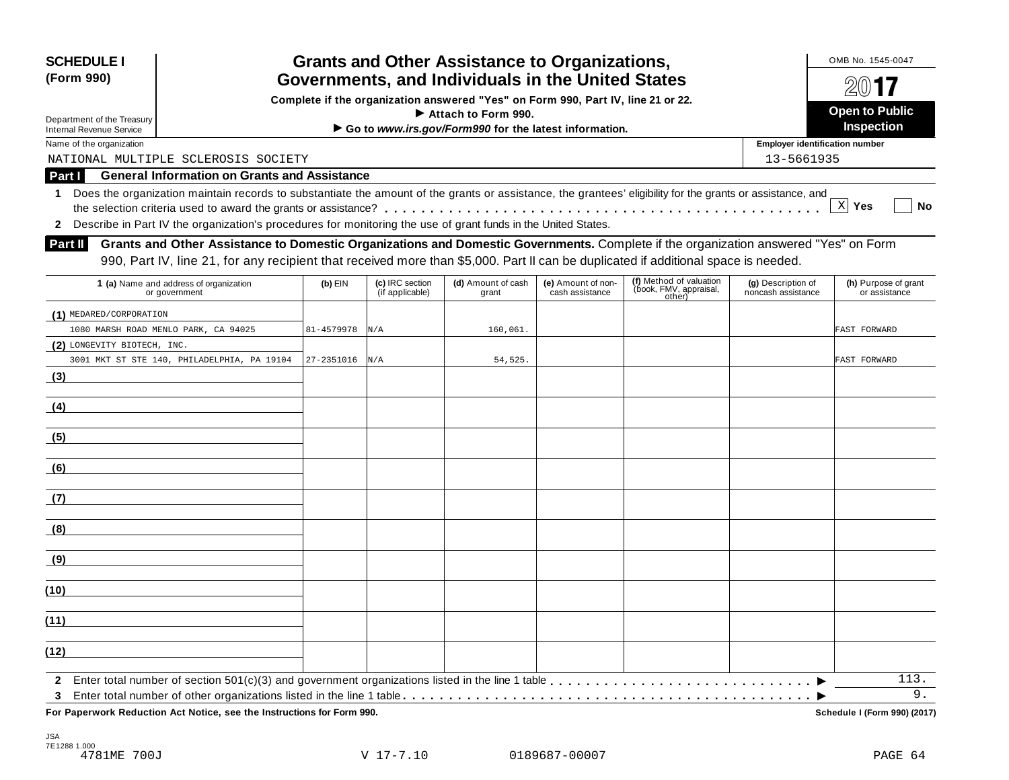| <b>SCHEDULE I</b><br>(Form 990)                                                                                 |                                                                                                                                                            |            |                                    | <b>Grants and Other Assistance to Organizations,</b><br>Governments, and Individuals in the United States |                                       |                                                             |                                          | OMB No. 1545-0047                     |
|-----------------------------------------------------------------------------------------------------------------|------------------------------------------------------------------------------------------------------------------------------------------------------------|------------|------------------------------------|-----------------------------------------------------------------------------------------------------------|---------------------------------------|-------------------------------------------------------------|------------------------------------------|---------------------------------------|
|                                                                                                                 |                                                                                                                                                            |            |                                    | Complete if the organization answered "Yes" on Form 990, Part IV, line 21 or 22.                          |                                       |                                                             |                                          |                                       |
| Department of the Treasury                                                                                      |                                                                                                                                                            |            |                                    | Attach to Form 990.                                                                                       |                                       |                                                             |                                          | <b>Open to Public</b>                 |
| <b>Internal Revenue Service</b>                                                                                 |                                                                                                                                                            |            |                                    | Go to www.irs.gov/Form990 for the latest information.                                                     |                                       |                                                             |                                          | <b>Inspection</b>                     |
| Name of the organization                                                                                        |                                                                                                                                                            |            |                                    |                                                                                                           |                                       |                                                             | <b>Employer identification number</b>    |                                       |
| NATIONAL MULTIPLE SCLEROSIS SOCIETY                                                                             |                                                                                                                                                            |            |                                    |                                                                                                           |                                       |                                                             | 13-5661935                               |                                       |
| Part I                                                                                                          | <b>General Information on Grants and Assistance</b>                                                                                                        |            |                                    |                                                                                                           |                                       |                                                             |                                          |                                       |
| $\mathbf 1$                                                                                                     | Does the organization maintain records to substantiate the amount of the grants or assistance, the grantees' eligibility for the grants or assistance, and |            |                                    |                                                                                                           |                                       |                                                             |                                          |                                       |
|                                                                                                                 |                                                                                                                                                            |            |                                    |                                                                                                           |                                       |                                                             |                                          | X Yes<br>No                           |
| 2 Describe in Part IV the organization's procedures for monitoring the use of grant funds in the United States. |                                                                                                                                                            |            |                                    |                                                                                                           |                                       |                                                             |                                          |                                       |
| <b>Part II</b>                                                                                                  | Grants and Other Assistance to Domestic Organizations and Domestic Governments. Complete if the organization answered "Yes" on Form                        |            |                                    |                                                                                                           |                                       |                                                             |                                          |                                       |
|                                                                                                                 | 990, Part IV, line 21, for any recipient that received more than \$5,000. Part II can be duplicated if additional space is needed.                         |            |                                    |                                                                                                           |                                       |                                                             |                                          |                                       |
| 1 (a) Name and address of organization<br>or government                                                         |                                                                                                                                                            | $(b)$ EIN  | (c) IRC section<br>(if applicable) | (d) Amount of cash<br>grant                                                                               | (e) Amount of non-<br>cash assistance | (f) Method of valuation<br>(book, FMV, appraisal,<br>other) | (g) Description of<br>noncash assistance | (h) Purpose of grant<br>or assistance |
| (1) MEDARED/CORPORATION                                                                                         |                                                                                                                                                            |            |                                    |                                                                                                           |                                       |                                                             |                                          |                                       |
| 1080 MARSH ROAD MENLO PARK, CA 94025                                                                            |                                                                                                                                                            | 81-4579978 | N/A                                | 160,061.                                                                                                  |                                       |                                                             |                                          | FAST FORWARD                          |
| (2) LONGEVITY BIOTECH, INC.                                                                                     |                                                                                                                                                            |            |                                    |                                                                                                           |                                       |                                                             |                                          |                                       |
|                                                                                                                 | 3001 MKT ST STE 140, PHILADELPHIA, PA 19104                                                                                                                | 27-2351016 | N/A                                | 54, 525.                                                                                                  |                                       |                                                             |                                          | FAST FORWARD                          |
| (3)                                                                                                             |                                                                                                                                                            |            |                                    |                                                                                                           |                                       |                                                             |                                          |                                       |
| (4)                                                                                                             |                                                                                                                                                            |            |                                    |                                                                                                           |                                       |                                                             |                                          |                                       |
| (5)                                                                                                             |                                                                                                                                                            |            |                                    |                                                                                                           |                                       |                                                             |                                          |                                       |
| (6)                                                                                                             |                                                                                                                                                            |            |                                    |                                                                                                           |                                       |                                                             |                                          |                                       |
| (7)                                                                                                             |                                                                                                                                                            |            |                                    |                                                                                                           |                                       |                                                             |                                          |                                       |
| (8)                                                                                                             |                                                                                                                                                            |            |                                    |                                                                                                           |                                       |                                                             |                                          |                                       |
| (9)                                                                                                             |                                                                                                                                                            |            |                                    |                                                                                                           |                                       |                                                             |                                          |                                       |
| (10)                                                                                                            |                                                                                                                                                            |            |                                    |                                                                                                           |                                       |                                                             |                                          |                                       |
| (11)                                                                                                            |                                                                                                                                                            |            |                                    |                                                                                                           |                                       |                                                             |                                          |                                       |
| (12)                                                                                                            |                                                                                                                                                            |            |                                    |                                                                                                           |                                       |                                                             |                                          |                                       |
| 2                                                                                                               |                                                                                                                                                            |            |                                    |                                                                                                           |                                       |                                                             |                                          | 113.                                  |
| 3<br>For Paperwork Reduction Act Notice, see the Instructions for Form 990.                                     |                                                                                                                                                            |            |                                    |                                                                                                           |                                       |                                                             |                                          | 9.<br>Schedule I (Form 990) (2017)    |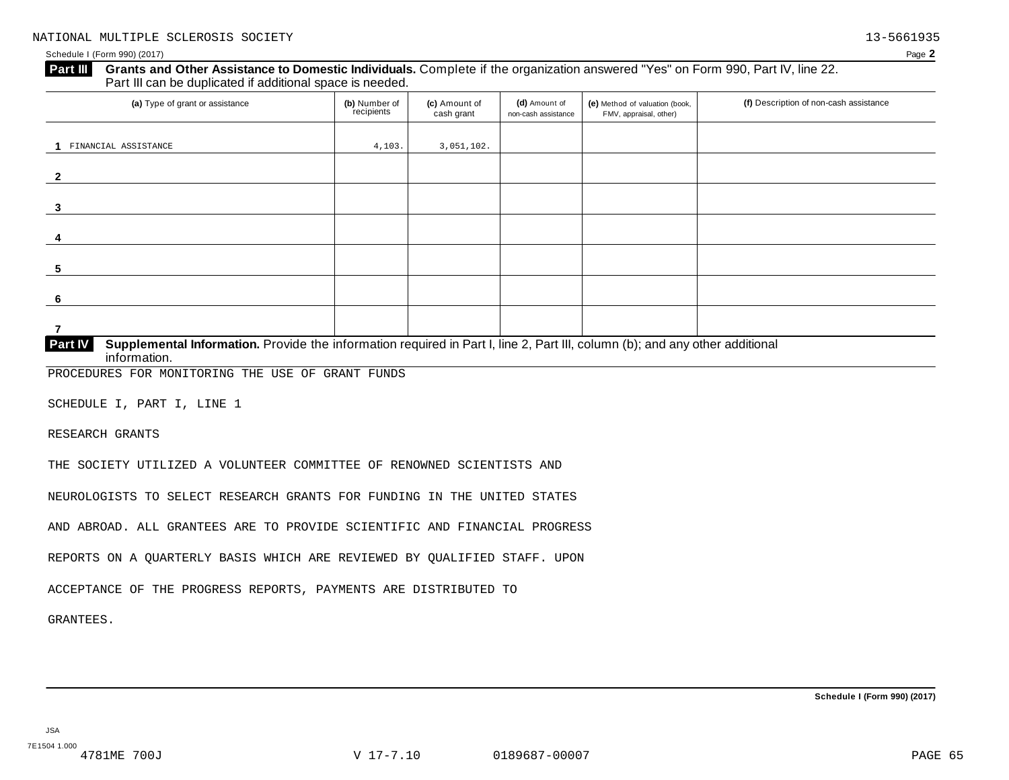Schedule I (Form 990) (2017) Page **2**

# **Grants and Other Assistance to Domestic Individuals.** Complete ifthe organization answered "Yes" on Form 990, Part IV, line 22. **Part III** Grants and Other Assistance to Domestic Individuals<br>Part III can be duplicated if additional space is needed.

| (a) Type of grant or assistance                                                                                                                | (b) Number of<br>recipients | (c) Amount of<br>cash grant | (d) Amount of<br>non-cash assistance | (e) Method of valuation (book,<br>FMV, appraisal, other) | (f) Description of non-cash assistance |
|------------------------------------------------------------------------------------------------------------------------------------------------|-----------------------------|-----------------------------|--------------------------------------|----------------------------------------------------------|----------------------------------------|
|                                                                                                                                                |                             |                             |                                      |                                                          |                                        |
| FINANCIAL ASSISTANCE                                                                                                                           | 4,103.                      | 3,051,102.                  |                                      |                                                          |                                        |
|                                                                                                                                                |                             |                             |                                      |                                                          |                                        |
| $\mathbf{2}$                                                                                                                                   |                             |                             |                                      |                                                          |                                        |
|                                                                                                                                                |                             |                             |                                      |                                                          |                                        |
| 3                                                                                                                                              |                             |                             |                                      |                                                          |                                        |
|                                                                                                                                                |                             |                             |                                      |                                                          |                                        |
| -4                                                                                                                                             |                             |                             |                                      |                                                          |                                        |
|                                                                                                                                                |                             |                             |                                      |                                                          |                                        |
| 5                                                                                                                                              |                             |                             |                                      |                                                          |                                        |
|                                                                                                                                                |                             |                             |                                      |                                                          |                                        |
| 6                                                                                                                                              |                             |                             |                                      |                                                          |                                        |
|                                                                                                                                                |                             |                             |                                      |                                                          |                                        |
| 7                                                                                                                                              |                             |                             |                                      |                                                          |                                        |
| <b>Part IV</b><br>Supplemental Information. Provide the information required in Part I, line 2, Part III, column (b); and any other additional |                             |                             |                                      |                                                          |                                        |

 $\overline{\text{information}}$ .

PROCEDURES FOR MONITORING THE USE OF GRANT FUNDS

SCHEDULE I, PART I, LINE 1

RESEARCH GRANTS

THE SOCIETY UTILIZED A VOLUNTEER COMMITTEE OF RENOWNED SCIENTISTS AND

NEUROLOGISTS TO SELECT RESEARCH GRANTS FOR FUNDING IN THE UNITED STATES

AND ABROAD. ALL GRANTEES ARE TO PROVIDE SCIENTIFIC AND FINANCIAL PROGRESS

REPORTS ON A QUARTERLY BASIS WHICH ARE REVIEWED BY QUALIFIED STAFF. UPON

ACCEPTANCE OF THE PROGRESS REPORTS, PAYMENTS ARE DISTRIBUTED TO

GRANTEES.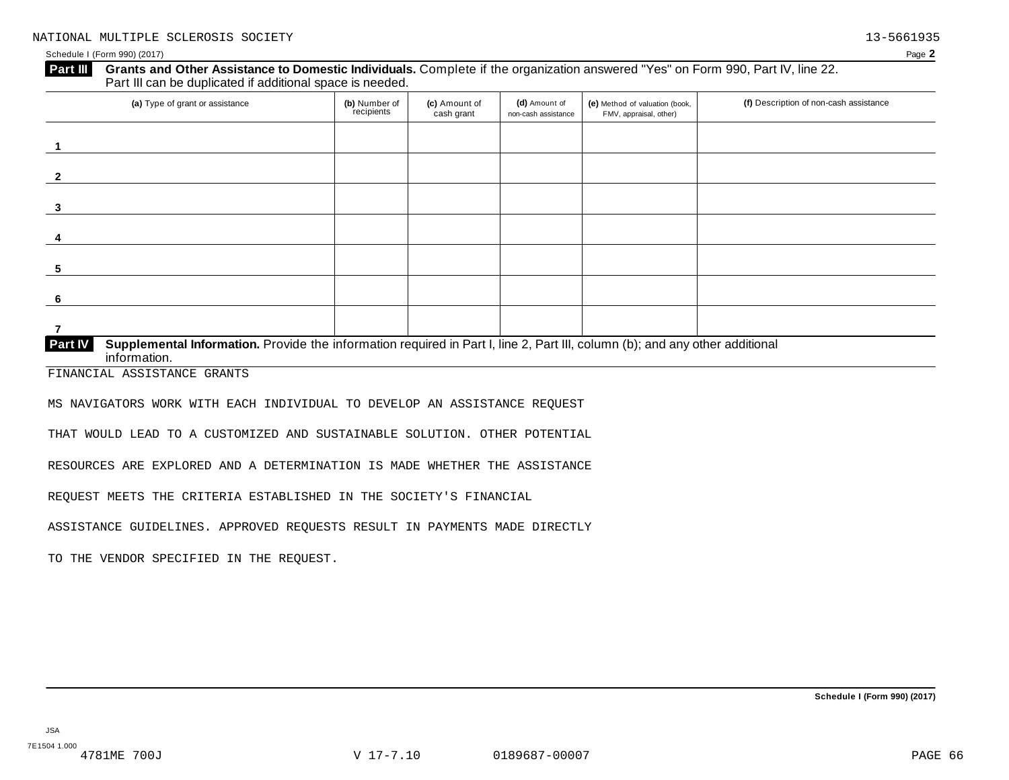### Schedule I (Form 990) (2017) Page **2**

# **Grants and Other Assistance to Domestic Individuals.** Complete ifthe organization answered "Yes" on Form 990, Part IV, line 22. **Part III** Grants and Other Assistance to Domestic Individuals<br>Part III can be duplicated if additional space is needed.

| (a) Type of grant or assistance                                                                                                                         | (b) Number of<br>recipients | (c) Amount of<br>cash grant | (d) Amount of<br>non-cash assistance | (e) Method of valuation (book,<br>FMV, appraisal, other) | (f) Description of non-cash assistance |
|---------------------------------------------------------------------------------------------------------------------------------------------------------|-----------------------------|-----------------------------|--------------------------------------|----------------------------------------------------------|----------------------------------------|
|                                                                                                                                                         |                             |                             |                                      |                                                          |                                        |
|                                                                                                                                                         |                             |                             |                                      |                                                          |                                        |
| 3                                                                                                                                                       |                             |                             |                                      |                                                          |                                        |
| 4                                                                                                                                                       |                             |                             |                                      |                                                          |                                        |
| -5                                                                                                                                                      |                             |                             |                                      |                                                          |                                        |
| -6                                                                                                                                                      |                             |                             |                                      |                                                          |                                        |
|                                                                                                                                                         |                             |                             |                                      |                                                          |                                        |
| Supplemental Information. Provide the information required in Part I, line 2, Part III, column (b); and any other additional<br>Part IV<br>information. |                             |                             |                                      |                                                          |                                        |

FINANCIAL ASSISTANCE GRANTS

MS NAVIGATORS WORK WITH EACH INDIVIDUAL TO DEVELOP AN ASSISTANCE REQUEST

THAT WOULD LEAD TO A CUSTOMIZED AND SUSTAINABLE SOLUTION. OTHER POTENTIAL

RESOURCES ARE EXPLORED AND A DETERMINATION IS MADE WHETHER THE ASSISTANCE

REQUEST MEETS THE CRITERIA ESTABLISHED IN THE SOCIETY'S FINANCIAL

ASSISTANCE GUIDELINES. APPROVED REQUESTS RESULT IN PAYMENTS MADE DIRECTLY

TO THE VENDOR SPECIFIED IN THE REQUEST.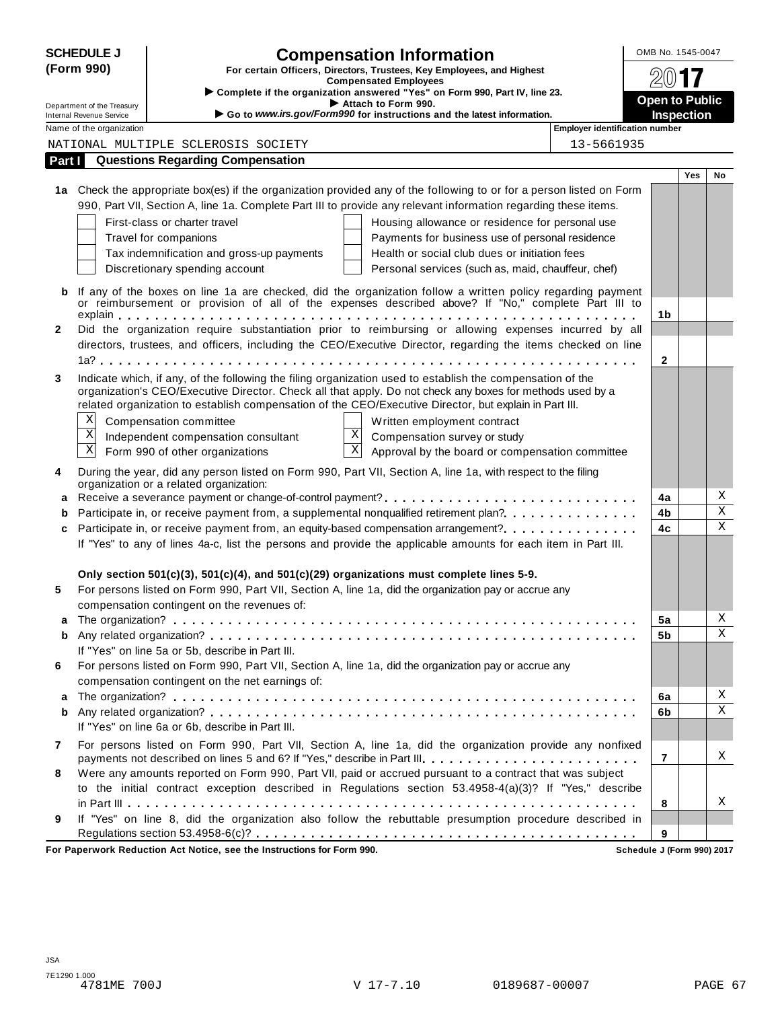|              | <b>SCHEDULE J</b>                                    |                                                  | <b>Compensation Information</b>                                                                                                                                                                                       |                                | OMB No. 1545-0047     |            |             |
|--------------|------------------------------------------------------|--------------------------------------------------|-----------------------------------------------------------------------------------------------------------------------------------------------------------------------------------------------------------------------|--------------------------------|-----------------------|------------|-------------|
|              | (Form 990)                                           |                                                  | For certain Officers, Directors, Trustees, Key Employees, and Highest                                                                                                                                                 |                                |                       |            |             |
|              |                                                      |                                                  | <b>Compensated Employees</b><br>Complete if the organization answered "Yes" on Form 990, Part IV, line 23.                                                                                                            |                                |                       |            |             |
|              | Department of the Treasury                           |                                                  | Attach to Form 990.<br>Go to www.irs.gov/Form990 for instructions and the latest information.                                                                                                                         |                                | <b>Open to Public</b> |            |             |
|              | Internal Revenue Service<br>Name of the organization |                                                  |                                                                                                                                                                                                                       | Employer identification number | <b>Inspection</b>     |            |             |
|              |                                                      | NATIONAL MULTIPLE SCLEROSIS SOCIETY              |                                                                                                                                                                                                                       | 13-5661935                     |                       |            |             |
| Part I       |                                                      | <b>Questions Regarding Compensation</b>          |                                                                                                                                                                                                                       |                                |                       |            |             |
|              |                                                      |                                                  |                                                                                                                                                                                                                       |                                |                       | <b>Yes</b> | No          |
|              |                                                      |                                                  | 1a Check the appropriate box(es) if the organization provided any of the following to or for a person listed on Form                                                                                                  |                                |                       |            |             |
|              |                                                      |                                                  | 990, Part VII, Section A, line 1a. Complete Part III to provide any relevant information regarding these items.                                                                                                       |                                |                       |            |             |
|              |                                                      | First-class or charter travel                    | Housing allowance or residence for personal use                                                                                                                                                                       |                                |                       |            |             |
|              |                                                      | Travel for companions                            | Payments for business use of personal residence                                                                                                                                                                       |                                |                       |            |             |
|              |                                                      | Tax indemnification and gross-up payments        | Health or social club dues or initiation fees                                                                                                                                                                         |                                |                       |            |             |
|              |                                                      | Discretionary spending account                   | Personal services (such as, maid, chauffeur, chef)                                                                                                                                                                    |                                |                       |            |             |
|              |                                                      |                                                  | If any of the boxes on line 1a are checked, did the organization follow a written policy regarding payment<br>or reimbursement or provision of all of the expenses described above? If "No," complete Part III to     |                                |                       |            |             |
|              |                                                      |                                                  |                                                                                                                                                                                                                       |                                | 1b                    |            |             |
| $\mathbf{2}$ |                                                      |                                                  | Did the organization require substantiation prior to reimbursing or allowing expenses incurred by all<br>directors, trustees, and officers, including the CEO/Executive Director, regarding the items checked on line |                                |                       |            |             |
|              |                                                      |                                                  |                                                                                                                                                                                                                       |                                | $\mathbf{2}$          |            |             |
| 3            |                                                      |                                                  | Indicate which, if any, of the following the filing organization used to establish the compensation of the                                                                                                            |                                |                       |            |             |
|              |                                                      |                                                  | organization's CEO/Executive Director. Check all that apply. Do not check any boxes for methods used by a                                                                                                             |                                |                       |            |             |
|              |                                                      |                                                  | related organization to establish compensation of the CEO/Executive Director, but explain in Part III.                                                                                                                |                                |                       |            |             |
|              | Χ                                                    | Compensation committee                           | Written employment contract                                                                                                                                                                                           |                                |                       |            |             |
|              | $\mathbf X$                                          | Independent compensation consultant              | X<br>Compensation survey or study                                                                                                                                                                                     |                                |                       |            |             |
|              | $\overline{\text{X}}$                                | Form 990 of other organizations                  | $\mathbf X$<br>Approval by the board or compensation committee                                                                                                                                                        |                                |                       |            |             |
| 4            |                                                      | organization or a related organization:          | During the year, did any person listed on Form 990, Part VII, Section A, line 1a, with respect to the filing                                                                                                          |                                |                       |            |             |
|              |                                                      |                                                  | Receive a severance payment or change-of-control payment?                                                                                                                                                             |                                | 4a                    |            | Χ           |
|              |                                                      |                                                  | Participate in, or receive payment from, a supplemental nonqualified retirement plan?                                                                                                                                 |                                | 4b                    |            | $\mathbf X$ |
| c            |                                                      |                                                  | Participate in, or receive payment from, an equity-based compensation arrangement?                                                                                                                                    |                                | 4c                    |            | $\mathbf X$ |
|              |                                                      |                                                  | If "Yes" to any of lines 4a-c, list the persons and provide the applicable amounts for each item in Part III.                                                                                                         |                                |                       |            |             |
|              |                                                      |                                                  |                                                                                                                                                                                                                       |                                |                       |            |             |
|              |                                                      |                                                  | Only section $501(c)(3)$ , $501(c)(4)$ , and $501(c)(29)$ organizations must complete lines 5-9.                                                                                                                      |                                |                       |            |             |
| 5            |                                                      |                                                  | For persons listed on Form 990, Part VII, Section A, line 1a, did the organization pay or accrue any                                                                                                                  |                                |                       |            |             |
|              |                                                      | compensation contingent on the revenues of:      |                                                                                                                                                                                                                       |                                |                       |            | Χ           |
|              |                                                      |                                                  |                                                                                                                                                                                                                       |                                | 5a                    |            | X           |
| b            |                                                      | If "Yes" on line 5a or 5b, describe in Part III. |                                                                                                                                                                                                                       |                                | 5b                    |            |             |
| 6            |                                                      |                                                  | For persons listed on Form 990, Part VII, Section A, line 1a, did the organization pay or accrue any                                                                                                                  |                                |                       |            |             |
|              |                                                      | compensation contingent on the net earnings of:  |                                                                                                                                                                                                                       |                                |                       |            |             |
| a            |                                                      |                                                  |                                                                                                                                                                                                                       |                                | 6a                    |            | Χ           |
| b            |                                                      |                                                  |                                                                                                                                                                                                                       |                                | 6b                    |            | X           |
|              |                                                      | If "Yes" on line 6a or 6b, describe in Part III. |                                                                                                                                                                                                                       |                                |                       |            |             |
| 7            |                                                      |                                                  | For persons listed on Form 990, Part VII, Section A, line 1a, did the organization provide any nonfixed                                                                                                               |                                |                       |            |             |
|              |                                                      |                                                  | payments not described on lines 5 and 6? If "Yes," describe in Part III.                                                                                                                                              |                                | $\overline{7}$        |            | Χ           |
| 8            |                                                      |                                                  | Were any amounts reported on Form 990, Part VII, paid or accrued pursuant to a contract that was subject                                                                                                              |                                |                       |            |             |
|              |                                                      |                                                  | to the initial contract exception described in Regulations section 53.4958-4(a)(3)? If "Yes," describe                                                                                                                |                                |                       |            |             |
|              |                                                      |                                                  |                                                                                                                                                                                                                       |                                | 8                     |            | Χ           |
| 9            |                                                      |                                                  | If "Yes" on line 8, did the organization also follow the rebuttable presumption procedure described in                                                                                                                |                                |                       |            |             |
|              |                                                      |                                                  |                                                                                                                                                                                                                       |                                | 9                     |            |             |

**For Paperwork Reduction Act Notice, see the Instructions for Form 990. Schedule J (Form 990) 2017**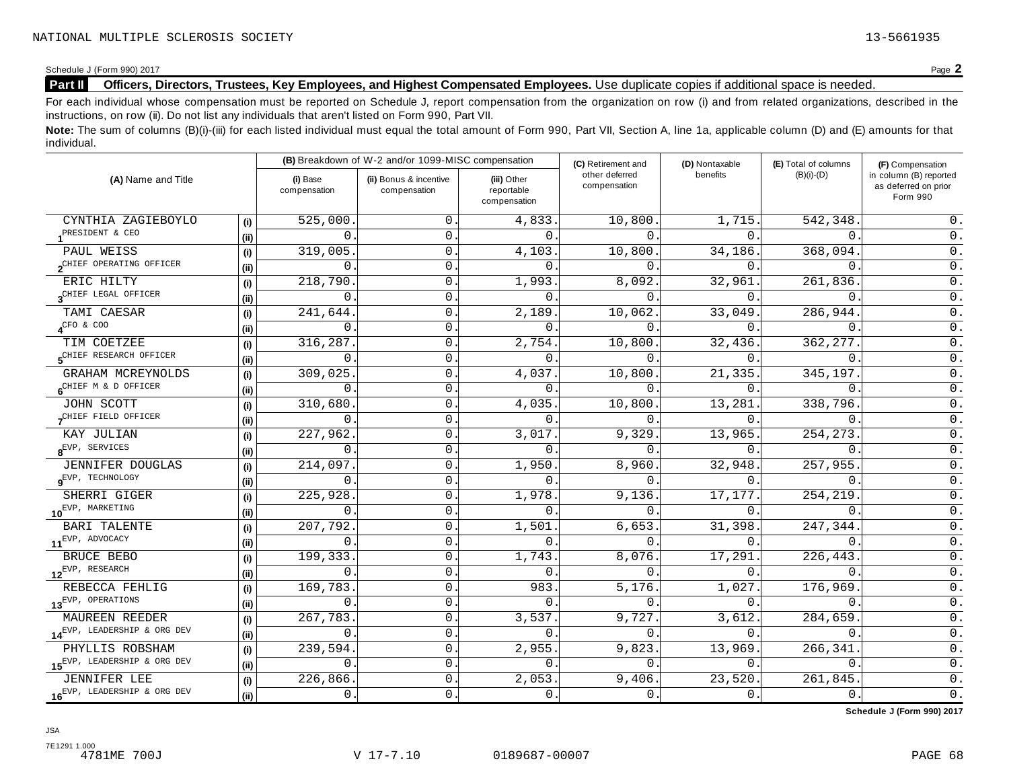# Schedule J (Form 990) 2017<br>**Part II** Officers, Directors, Trustees, Key Employees, and Highest Compensated Employees. Use duplicate copies if additional space is needed. **Part II Officers, Directors, Trustees, Key Employees, and Highest Compensated Employees.** Use duplicate copies ifadditional space is needed.

For each individual whose compensation must be reported on Schedule J, report compensation from the organization on row (i) and from related organizations, described in the instructions, on row (ii). Do not list any individuals that aren't listed on Form 990, Part VII.

Note: The sum of columns (B)(i)-(iii) for each listed individual must equal the total amount of Form 990, Part VII, Section A, line 1a, applicable column (D) and (E) amounts for that individual.

|                                             |      |                          | (B) Breakdown of W-2 and/or 1099-MISC compensation |                                           | (C) Retirement and             | (D) Nontaxable | (E) Total of columns | (F) Compensation                                           |
|---------------------------------------------|------|--------------------------|----------------------------------------------------|-------------------------------------------|--------------------------------|----------------|----------------------|------------------------------------------------------------|
| (A) Name and Title                          |      | (i) Base<br>compensation | (ii) Bonus & incentive<br>compensation             | (iii) Other<br>reportable<br>compensation | other deferred<br>compensation | benefits       | $(B)(i)-(D)$         | in column (B) reported<br>as deferred on prior<br>Form 990 |
| CYNTHIA ZAGIEBOYLO                          | (i)  | 525,000                  | $\mathbf{0}$ .                                     | 4,833.                                    | 10,800.                        | 1,715.         | 542,348.             | 0.                                                         |
| PRESIDENT & CEO                             | (ii) | 0                        | $0$ .                                              | $\Omega$ .                                | $\Omega$ .                     | $\Omega$ .     | $\Omega$ .           | $0$ .                                                      |
| PAUL WEISS                                  | (i)  | 319,005                  | $\mathsf{O}$ .                                     | 4,103.                                    | 10,800.                        | 34,186.        | 368,094.             | $\overline{0}$ .                                           |
| 2CHIEF OPERATING OFFICER                    | (ii) | $\mathbf 0$              | 0                                                  | $\Omega$                                  | $\Omega$                       | $\Omega$ .     | $\Omega$             | 0.                                                         |
| ERIC HILTY                                  | (i)  | 218,790                  | 0                                                  | 1,993.                                    | 8,092                          | 32,961.        | 261,836              | $0$ .                                                      |
| 3 <sup>CHIEF</sup> LEGAL OFFICER            | (i)  | $\mathbf 0$              | $\mathbf{0}$ .                                     | $\mathbf{0}$ .                            | $\mathbf 0$ .                  | $\Omega$ .     | $\Omega$             | $\mathsf 0$ .                                              |
| TAMI CAESAR                                 | (i)  | 241,644                  | 0                                                  | 2,189.                                    | 10,062.                        | 33,049.        | 286,944.             | $\overline{0}$ .                                           |
| $\sqrt{CFO}$ & $COO$                        | (i)  | 0                        | 0                                                  | $\Omega$ .                                | $0$ .                          | 0.             | $\mathbf{0}$ .       | $0$ .                                                      |
| TIM COETZEE                                 | (i)  | 316,287                  | 0                                                  | 2,754.                                    | 10,800.                        | 32,436.        | 362, 277.            | 0.                                                         |
| SCHIEF RESEARCH OFFICER                     | (ii) | 0                        | 0                                                  | $\mathbf{0}$                              | $\mathbf 0$ .                  | 0.             | $\mathbf{0}$ .       | $\overline{0}$ .                                           |
| GRAHAM MCREYNOLDS                           | (i)  | 309,025                  | 0                                                  | 4,037.                                    | 10,800.                        | 21,335.        | 345,197.             | $\mathsf 0$ .                                              |
| 6 <sup>CHIEF</sup> M & D OFFICER            | (ii) | 0                        | 0                                                  | $\Omega$                                  | 0.                             | $\Omega$ .     | $\mathbf{0}$ .       | $0$ .                                                      |
| JOHN SCOTT                                  | (i)  | 310,680                  | $\mathsf O$ .                                      | 4,035.                                    | 10,800.                        | 13,281.        | 338,796.             | $\overline{0}$ .                                           |
| CHIEF FIELD OFFICER                         | (ii) | $\Omega$                 | $\mathbf 0$ .                                      | $\Omega$ .                                | $\Omega$ .                     | $0$ .          | $\mathbf{0}$ .       | 0.                                                         |
| KAY JULIAN                                  | (i)  | 227,962.                 | $\mathsf{O}$ .                                     | 3,017.                                    | 9,329.                         | 13,965.        | 254, 273.            | $\overline{0}$ .                                           |
| $8$ <sup>EVP, SERVICES</sup>                | (ii) | $\mathbf 0$              | $\mathsf{O}$                                       | $\Omega$                                  | $\Omega$                       | $\Omega$ .     | $\Omega$             | $\overline{0}$ .                                           |
| <b>JENNIFER DOUGLAS</b>                     | (i)  | 214,097                  | $\mathsf{O}$ .                                     | 1,950.                                    | 8,960.                         | 32,948.        | 257,955.             | $\overline{0}$ .                                           |
| $\mathbf{g}^{\text{EVP}}$ , TECHNOLOGY      | (ii) | 0                        | 0                                                  | $\Omega$                                  | $\Omega$ .                     | $0$ .          | $\Omega$             | $\overline{0}$ .                                           |
| SHERRI GIGER                                | (i)  | 225,928                  | 0                                                  | 1,978.                                    | 9,136.                         | 17,177.        | 254,219              | $\mathsf 0$ .                                              |
| 10 <sup>EVP, MARKETING</sup>                | (i)  | 0                        | 0                                                  | $\mathbf 0$ .                             | $\Omega$ .                     | 0.             | $\mathbf{0}$ .       | $0$ .                                                      |
| <b>BARI TALENTE</b>                         | (i)  | 207,792                  | 0                                                  | 1,501                                     | 6,653.                         | 31,398.        | 247,344              | $0$ .                                                      |
| $11^{EVP}$ , ADVOCACY                       | (ii) | 0                        | $\mathsf{O}$ .                                     | $\Omega$                                  | $\Omega$ .                     | 0.             | $\mathbf{0}$ .       | $\mathsf 0$ .                                              |
| BRUCE BEBO                                  | (i)  | 199,333                  | 0                                                  | 1,743.                                    | 8,076.                         | 17,291.        | 226,443.             | $\overline{0}$ .                                           |
| $12^{EVP}$ , RESEARCH                       | (i)  | 0                        | $\mathsf{O}$ .                                     | $\mathbf{0}$                              | 0.                             | $0$ .          | $\Omega$ .           | $\overline{0}$ .                                           |
| REBECCA FEHLIG                              | (i)  | 169,783                  | 0                                                  | 983                                       | 5,176.                         | 1,027.         | 176,969              | $\overline{0}$ .                                           |
| 13 <sup>EVP, OPERATIONS</sup>               | (ii) | 0                        | $\mathsf{O}$ .                                     | $\mathbf 0$ .                             | $0$ .                          | 0.             | $\mathbf{0}$ .       | $\overline{0}$ .                                           |
| <b>MAUREEN REEDER</b>                       | (i)  | 267,783                  | 0                                                  | 3,537.                                    | 9,727.                         | 3,612.         | 284,659              | $\overline{0}$ .                                           |
| 14EVP, LEADERSHIP & ORG DEV                 | (ii) | 0                        | 0                                                  | $\mathbf{0}$ .                            | 0.                             | 0.             | $\Omega$ .           | $\overline{0}$ .                                           |
| PHYLLIS ROBSHAM                             | (i)  | 239,594                  | 0                                                  | 2,955.                                    | 9,823.                         | 13,969.        | 266,341              | $0$ .                                                      |
| 15 <sup>EVP, LEADERSHIP &amp; ORG DEV</sup> | (ii) | 0                        | 0                                                  | $\Omega$                                  | $\Omega$ .                     | 0.             | $\Omega$ .           | $\overline{0}$ .                                           |
| <b>JENNIFER LEE</b>                         | (i)  | 226,866                  | $\mathsf{O}$ .                                     | 2,053.                                    | 9,406.                         | 23,520.        | 261,845              | $\mathsf 0$ .                                              |
| 16 <sup>EVP, LEADERSHIP &amp; ORG DEV</sup> | (i)  | 0.                       | 0.                                                 | 0.                                        | $0$ .                          | 0.             | $0$ .                | $\overline{0}$ .                                           |

**Schedule J (Form 990) 2017**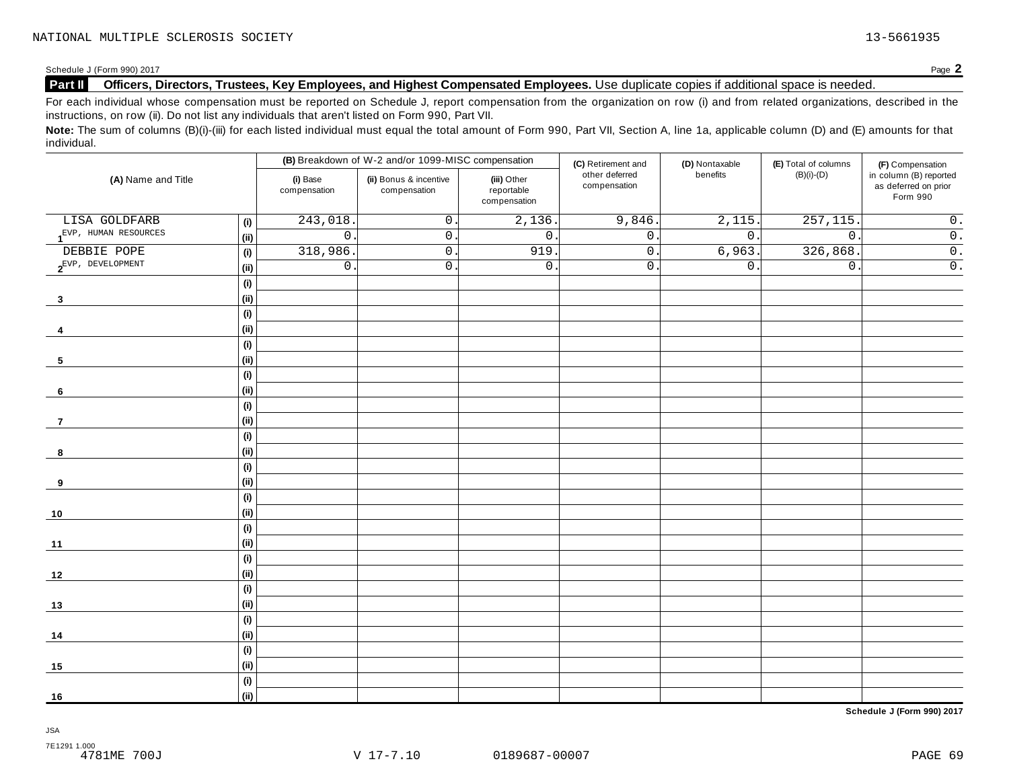# Schedule J (Form 990) 2017<br>**Part II** Officers, Directors, Trustees, Key Employees, and Highest Compensated Employees. Use duplicate copies if additional space is needed. **Part II Officers, Directors, Trustees, Key Employees, and Highest Compensated Employees.** Use duplicate copies ifadditional space is needed.

For each individual whose compensation must be reported on Schedule J, report compensation from the organization on row (i) and from related organizations, described in the instructions, on row (ii). Do not list any individuals that aren't listed on Form 990, Part VII.

Note: The sum of columns (B)(i)-(iii) for each listed individual must equal the total amount of Form 990, Part VII, Section A, line 1a, applicable column (D) and (E) amounts for that individual.

|                             |                              |                          | (B) Breakdown of W-2 and/or 1099-MISC compensation |                                           | (C) Retirement and             | (D) Nontaxable | (E) Total of columns | (F) Compensation                                           |
|-----------------------------|------------------------------|--------------------------|----------------------------------------------------|-------------------------------------------|--------------------------------|----------------|----------------------|------------------------------------------------------------|
| (A) Name and Title          |                              | (i) Base<br>compensation | (ii) Bonus & incentive<br>compensation             | (iii) Other<br>reportable<br>compensation | other deferred<br>compensation | benefits       | $(B)(i)-(D)$         | in column (B) reported<br>as deferred on prior<br>Form 990 |
| LISA GOLDFARB               | (i)                          | 243,018                  | $\mathsf{O}$ .                                     | 2,136.                                    | 9,846.                         | 2,115.         | 257, 115             | $\mathsf 0$ .                                              |
| $1^{EVP}$ , HUMAN RESOURCES | (ii)                         | $\overline{0}$           | $0$ .                                              | $\overline{0}$ .                          | $0\;.$                         | $0$ .          | $\overline{0}$ .     | $\overline{\overline{\mathbf{0}}\cdot}$                    |
| DEBBIE POPE                 | (i)                          | 318,986                  | $0$ .                                              | 919                                       | $\overline{0}$ .               | 6,963.         | 326,868              | $\overline{0}$ .                                           |
| $2^{EVP}$ , DEVELOPMENT     | (ii)                         | $\mathsf{O}$ .           | $0$ .                                              | $\mathsf{0}$ .                            | 0.                             | $0$ .          | $\mathsf 0$ .        | $\overline{0}$ .                                           |
|                             | (i)                          |                          |                                                    |                                           |                                |                |                      |                                                            |
| $\boldsymbol{3}$            | (ii)                         |                          |                                                    |                                           |                                |                |                      |                                                            |
|                             | (i)                          |                          |                                                    |                                           |                                |                |                      |                                                            |
| 4                           | (i)                          |                          |                                                    |                                           |                                |                |                      |                                                            |
|                             | $\qquad \qquad \textbf{(i)}$ |                          |                                                    |                                           |                                |                |                      |                                                            |
| 5                           | (ii)                         |                          |                                                    |                                           |                                |                |                      |                                                            |
|                             | (i)                          |                          |                                                    |                                           |                                |                |                      |                                                            |
| 6                           | (ii)                         |                          |                                                    |                                           |                                |                |                      |                                                            |
|                             | (i)                          |                          |                                                    |                                           |                                |                |                      |                                                            |
| 7                           | (ii)                         |                          |                                                    |                                           |                                |                |                      |                                                            |
|                             | (i)                          |                          |                                                    |                                           |                                |                |                      |                                                            |
| 8                           | (ii)                         |                          |                                                    |                                           |                                |                |                      |                                                            |
|                             | $\qquad \qquad \textbf{(i)}$ |                          |                                                    |                                           |                                |                |                      |                                                            |
| 9                           | (ii)                         |                          |                                                    |                                           |                                |                |                      |                                                            |
|                             | (i)                          |                          |                                                    |                                           |                                |                |                      |                                                            |
| 10                          | (ii)                         |                          |                                                    |                                           |                                |                |                      |                                                            |
|                             | (i)                          |                          |                                                    |                                           |                                |                |                      |                                                            |
| 11                          | (ii)                         |                          |                                                    |                                           |                                |                |                      |                                                            |
|                             | (i)                          |                          |                                                    |                                           |                                |                |                      |                                                            |
| 12                          | (ii)                         |                          |                                                    |                                           |                                |                |                      |                                                            |
|                             | (i)                          |                          |                                                    |                                           |                                |                |                      |                                                            |
| 13                          | (ii)                         |                          |                                                    |                                           |                                |                |                      |                                                            |
|                             | (i)                          |                          |                                                    |                                           |                                |                |                      |                                                            |
| 14                          | (ii)                         |                          |                                                    |                                           |                                |                |                      |                                                            |
|                             | (i)                          |                          |                                                    |                                           |                                |                |                      |                                                            |
| 15                          | (i)                          |                          |                                                    |                                           |                                |                |                      |                                                            |
|                             | $\qquad \qquad \textbf{(i)}$ |                          |                                                    |                                           |                                |                |                      |                                                            |
| 16                          | (ii)                         |                          |                                                    |                                           |                                |                |                      |                                                            |

**Schedule J (Form 990) 2017**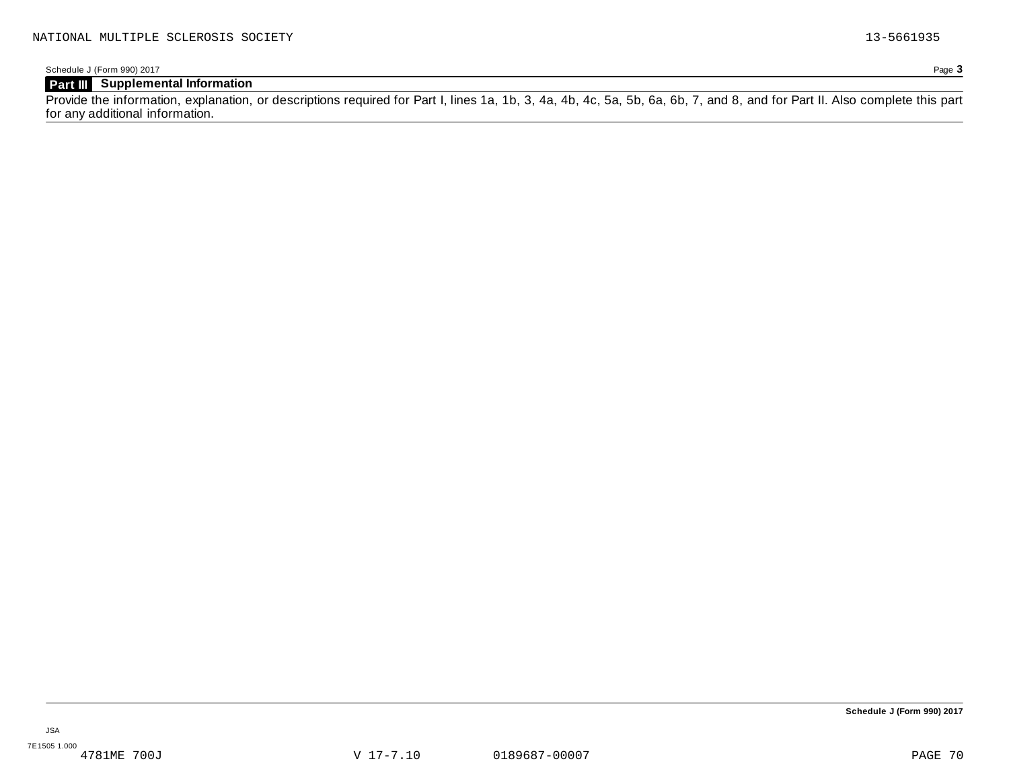Schedule J (Form 990) 2017 Page **3**

# **Part III Supplemental Information**

Provide the information, explanation, or descriptions required for Part I, lines 1a, 1b, 3, 4a, 4b, 4c, 5a, 5b, 6a, 6b, 7, and 8, and for Part II. Also complete this part for any additional information.

**Schedule J (Form 990) 2017**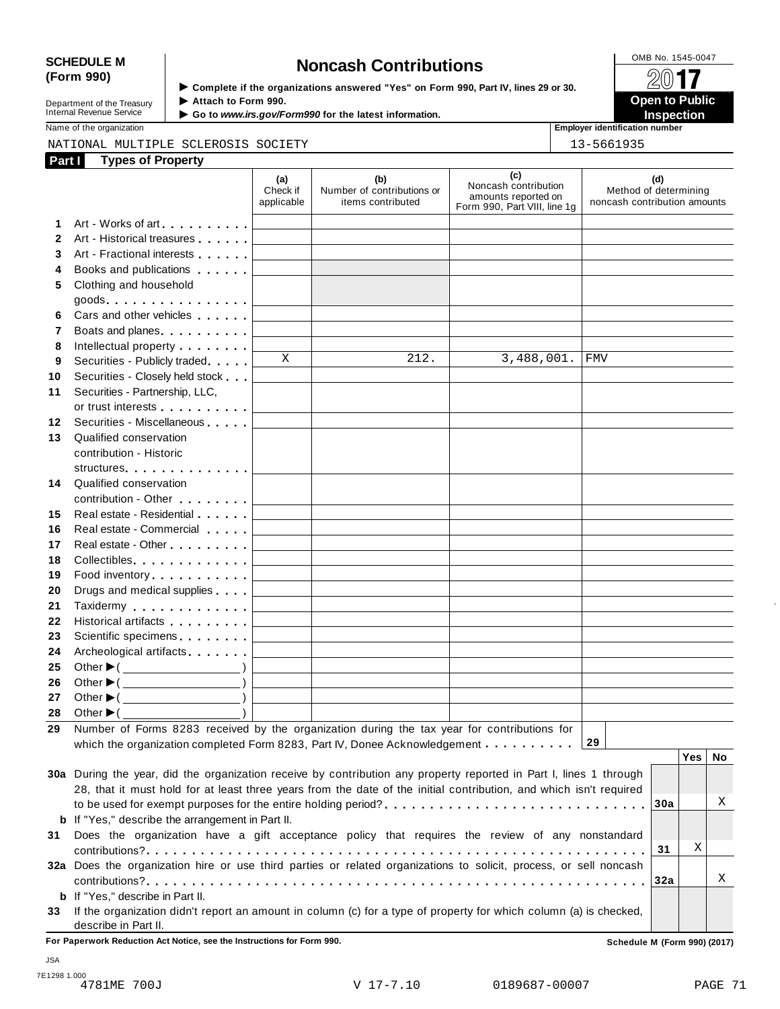# SCHEDULE M<br>
(Form 990) **Supplementary of the organizations answered** "Yes" on Form 990 Part IV lines 29 or 30

**Department of the Treasury<br>Internal Revenue Service** 

**Examplete** if the organizations answered "Yes" on Form 990, Part IV, lines 29 or 30. △<del>○</del><br>▶ Attach to Form 990. **Department of the Treasury ▶ Attach to Form 990.**<br>Internal Revenue Service ▶ Go to *www.irs.gov/Form990* for the latest information.<br>Nome of the organization, authorities in a support of the latest information.

|    | <b>Types of Property</b><br>Part I                                                                                                                                                                                            |                               |                                                        |                                                                                    |                                                              |
|----|-------------------------------------------------------------------------------------------------------------------------------------------------------------------------------------------------------------------------------|-------------------------------|--------------------------------------------------------|------------------------------------------------------------------------------------|--------------------------------------------------------------|
|    |                                                                                                                                                                                                                               | (a)<br>Check if<br>applicable | (b)<br>Number of contributions or<br>items contributed | (c)<br>Noncash contribution<br>amounts reported on<br>Form 990, Part VIII, line 1g | (d)<br>Method of determining<br>noncash contribution amounts |
| 1  | Art - Works of art <b>Article 2018</b>                                                                                                                                                                                        |                               |                                                        |                                                                                    |                                                              |
| 2  | Art - Historical treasures                                                                                                                                                                                                    |                               |                                                        |                                                                                    |                                                              |
| 3  | Art - Fractional interests                                                                                                                                                                                                    |                               |                                                        |                                                                                    |                                                              |
| 4  | Books and publications <b>Books</b>                                                                                                                                                                                           |                               |                                                        |                                                                                    |                                                              |
| 5  | Clothing and household                                                                                                                                                                                                        |                               |                                                        |                                                                                    |                                                              |
|    |                                                                                                                                                                                                                               |                               |                                                        |                                                                                    |                                                              |
| 6  | Cars and other vehicles                                                                                                                                                                                                       |                               |                                                        |                                                                                    |                                                              |
| 7  | Boats and planes expansion and planes                                                                                                                                                                                         |                               |                                                        |                                                                                    |                                                              |
| 8  | Intellectual property <b>Algebra</b>                                                                                                                                                                                          |                               |                                                        |                                                                                    |                                                              |
| 9  | Securities - Publicly traded                                                                                                                                                                                                  | X                             | 212.                                                   | 3,488,001.                                                                         | <b>FMV</b>                                                   |
| 10 | Securities - Closely held stock                                                                                                                                                                                               |                               |                                                        |                                                                                    |                                                              |
| 11 | Securities - Partnership, LLC,                                                                                                                                                                                                |                               |                                                        |                                                                                    |                                                              |
|    | or trust interests experience that the set of the set of the set of the set of the set of the set of the set of the set of the set of the set of the set of the set of the set of the set of the set of the set of the set of |                               |                                                        |                                                                                    |                                                              |
| 12 | Securities - Miscellaneous                                                                                                                                                                                                    |                               |                                                        |                                                                                    |                                                              |
| 13 | Qualified conservation                                                                                                                                                                                                        |                               |                                                        |                                                                                    |                                                              |
|    | contribution - Historic                                                                                                                                                                                                       |                               |                                                        |                                                                                    |                                                              |
|    | structures                                                                                                                                                                                                                    |                               |                                                        |                                                                                    |                                                              |
| 14 | Qualified conservation                                                                                                                                                                                                        |                               |                                                        |                                                                                    |                                                              |
|    | contribution - Other <b>Canada American</b>                                                                                                                                                                                   |                               |                                                        |                                                                                    |                                                              |
| 15 | Real estate - Residential                                                                                                                                                                                                     |                               |                                                        |                                                                                    |                                                              |
| 16 | Real estate - Commercial                                                                                                                                                                                                      |                               |                                                        |                                                                                    |                                                              |
| 17 | Real estate - Other <b>New York 1988</b>                                                                                                                                                                                      |                               |                                                        |                                                                                    |                                                              |
| 18 | Collectibles.                                                                                                                                                                                                                 |                               |                                                        |                                                                                    |                                                              |
| 19 | Food inventory                                                                                                                                                                                                                |                               |                                                        |                                                                                    |                                                              |
| 20 | Drugs and medical supplies                                                                                                                                                                                                    |                               |                                                        |                                                                                    |                                                              |
| 21 | Taxidermy Taxidermy                                                                                                                                                                                                           |                               |                                                        |                                                                                    |                                                              |
| 22 | Historical artifacts <b>All Accords</b>                                                                                                                                                                                       |                               |                                                        |                                                                                    |                                                              |
| 23 | Scientific specimens <b>Scientific specimens</b>                                                                                                                                                                              |                               |                                                        |                                                                                    |                                                              |
| 24 | Archeological artifacts                                                                                                                                                                                                       |                               |                                                        |                                                                                    |                                                              |
| 25 |                                                                                                                                                                                                                               |                               |                                                        |                                                                                    |                                                              |
| 26 | Other $\blacktriangleright$ ( $\_\_\_\_\_\_\_\_$ )                                                                                                                                                                            |                               |                                                        |                                                                                    |                                                              |
| 27 |                                                                                                                                                                                                                               |                               |                                                        |                                                                                    |                                                              |
| 28 | Other $\blacktriangleright$ (                                                                                                                                                                                                 |                               |                                                        |                                                                                    |                                                              |
| 29 | Number of Forms 8283 received by the organization during the tax year for contributions for                                                                                                                                   |                               |                                                        |                                                                                    |                                                              |

|     |                                                                                                                                                                                                                                      |      | . 63. 110 |   |
|-----|--------------------------------------------------------------------------------------------------------------------------------------------------------------------------------------------------------------------------------------|------|-----------|---|
| 30a | During the year, did the organization receive by contribution any property reported in Part I, lines 1 through<br>28, that it must hold for at least three years from the date of the initial contribution, and which isn't required |      |           |   |
|     |                                                                                                                                                                                                                                      |      |           |   |
|     | <b>b</b> If "Yes," describe the arrangement in Part II.                                                                                                                                                                              |      |           |   |
| 31  | Does the organization have a gift acceptance policy that requires the review of any nonstandard                                                                                                                                      |      |           |   |
|     |                                                                                                                                                                                                                                      | -31  | Χ         |   |
|     | 32a Does the organization hire or use third parties or related organizations to solicit, process, or sell noncash                                                                                                                    |      |           |   |
|     |                                                                                                                                                                                                                                      | ∣32a |           | A |
|     | <b>b</b> If "Yes," describe in Part II.                                                                                                                                                                                              |      |           |   |
| 33  | If the organization didn't report an amount in column (c) for a type of property for which column (a) is checked,                                                                                                                    |      |           |   |
|     | describe in Part II.                                                                                                                                                                                                                 |      |           |   |

**For Paperwork Reduction Act Notice, see the Instructions for Form 990. Schedule M (Form 990) (2017)**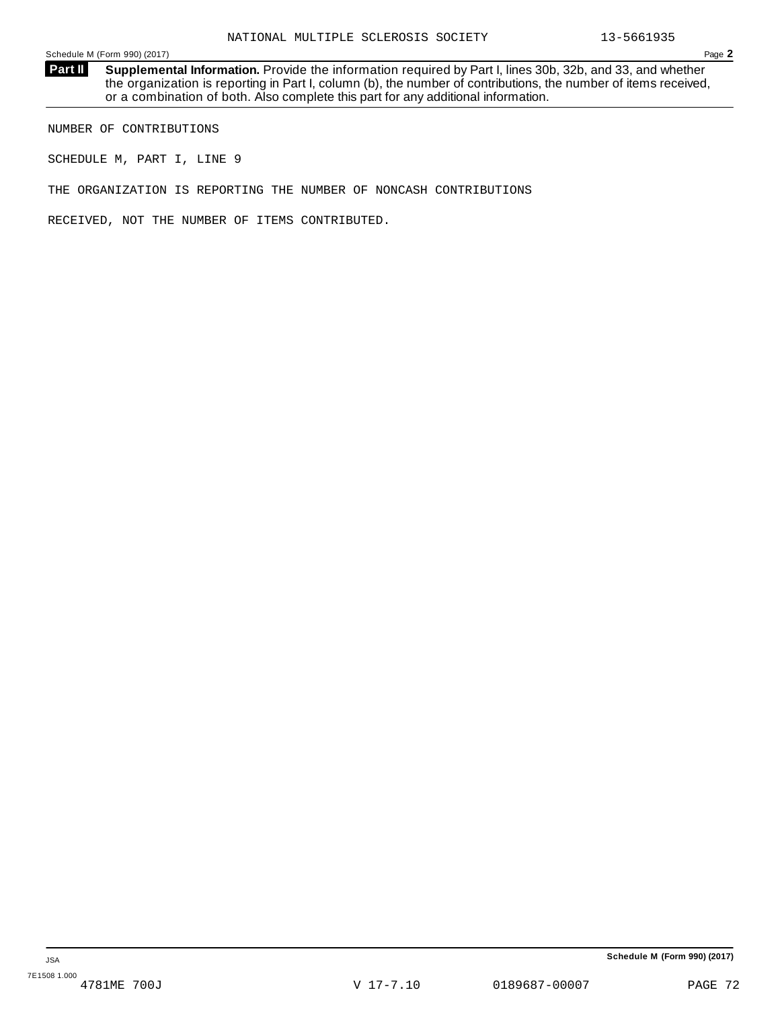**Supplemental Information.** Provide the information required by Part I, lines 30b, 32b, and 33, and whether the organization is reporting in Part I, column (b), the number of contributions, the number of items received, or a combination of both. Also complete this part for any additional information. **Part II**

NUMBER OF CONTRIBUTIONS

SCHEDULE M, PART I, LINE 9

THE ORGANIZATION IS REPORTING THE NUMBER OF NONCASH CONTRIBUTIONS

RECEIVED, NOT THE NUMBER OF ITEMS CONTRIBUTED.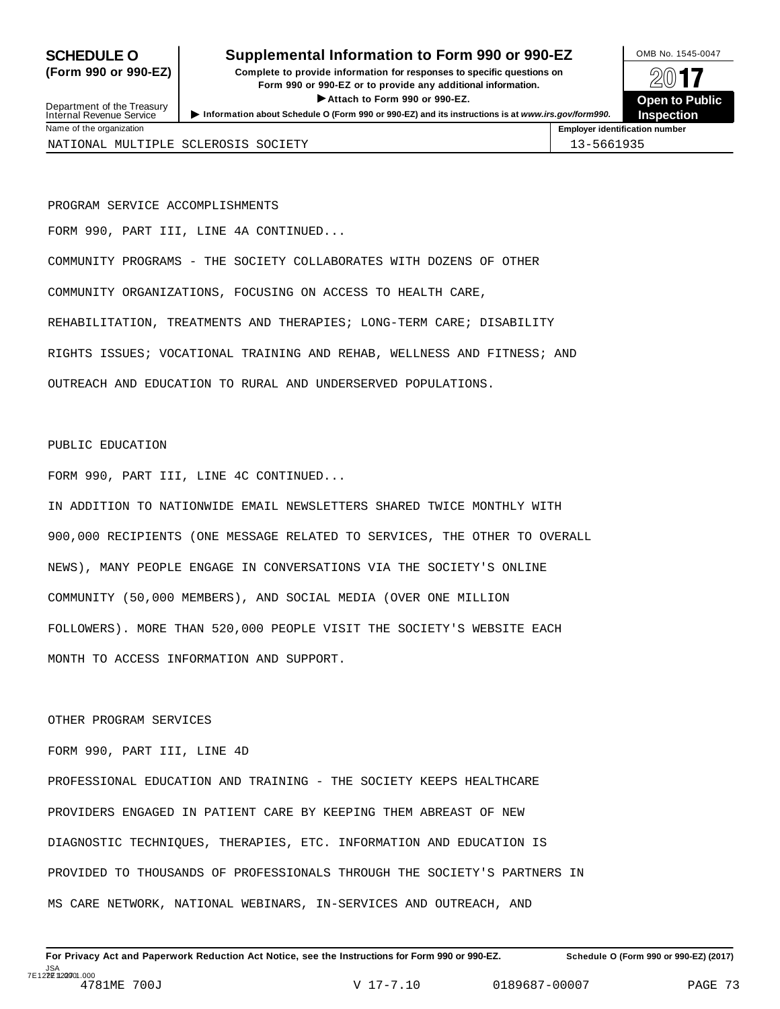Department of the Treasury<br>Internal Revenue Service

# **SCHEDULE O** Supplemental Information to Form 990 or 990-EZ DMB No. 1545-0047

**(Form 990 or 990-EZ) Complete to provide information for responses to specific questions on** plete to provide information for responses to specific questions on  $\Box$   $\Box$   $\Box$ **EXECTED TO PUBLIC 2012 CONSIDER**<br> **EXECTED CONSIDER**<br> **EXECUTED CONSIDERATION CONSIDERATION CONSIDERATION CONSIDERATION CONSIDERATION CONSIDERATION CONSIDERATION CONSIDERATION CONSIDERATION CONS** Department of the Treasury <br>Depen to Public<br>Name of the organization<br>Name of the organization<br>Name of the organization<br>Name of the organization



NATIONAL MULTIPLE SCLEROSIS SOCIETY 13-5661935

PROGRAM SERVICE ACCOMPLISHMENTS FORM 990, PART III, LINE 4A CONTINUED... COMMUNITY PROGRAMS - THE SOCIETY COLLABORATES WITH DOZENS OF OTHER COMMUNITY ORGANIZATIONS, FOCUSING ON ACCESS TO HEALTH CARE, REHABILITATION, TREATMENTS AND THERAPIES; LONG-TERM CARE; DISABILITY RIGHTS ISSUES; VOCATIONAL TRAINING AND REHAB, WELLNESS AND FITNESS; AND OUTREACH AND EDUCATION TO RURAL AND UNDERSERVED POPULATIONS.

### PUBLIC EDUCATION

FORM 990, PART III, LINE 4C CONTINUED...

IN ADDITION TO NATIONWIDE EMAIL NEWSLETTERS SHARED TWICE MONTHLY WITH 900,000 RECIPIENTS (ONE MESSAGE RELATED TO SERVICES, THE OTHER TO OVERALL NEWS), MANY PEOPLE ENGAGE IN CONVERSATIONS VIA THE SOCIETY'S ONLINE COMMUNITY (50,000 MEMBERS), AND SOCIAL MEDIA (OVER ONE MILLION FOLLOWERS). MORE THAN 520,000 PEOPLE VISIT THE SOCIETY'S WEBSITE EACH MONTH TO ACCESS INFORMATION AND SUPPORT.

## OTHER PROGRAM SERVICES

# FORM 990, PART III, LINE 4D

PROFESSIONAL EDUCATION AND TRAINING - THE SOCIETY KEEPS HEALTHCARE PROVIDERS ENGAGED IN PATIENT CARE BY KEEPING THEM ABREAST OF NEW DIAGNOSTIC TECHNIQUES, THERAPIES, ETC. INFORMATION AND EDUCATION IS PROVIDED TO THOUSANDS OF PROFESSIONALS THROUGH THE SOCIETY'S PARTNERS IN MS CARE NETWORK, NATIONAL WEBINARS, IN-SERVICES AND OUTREACH, AND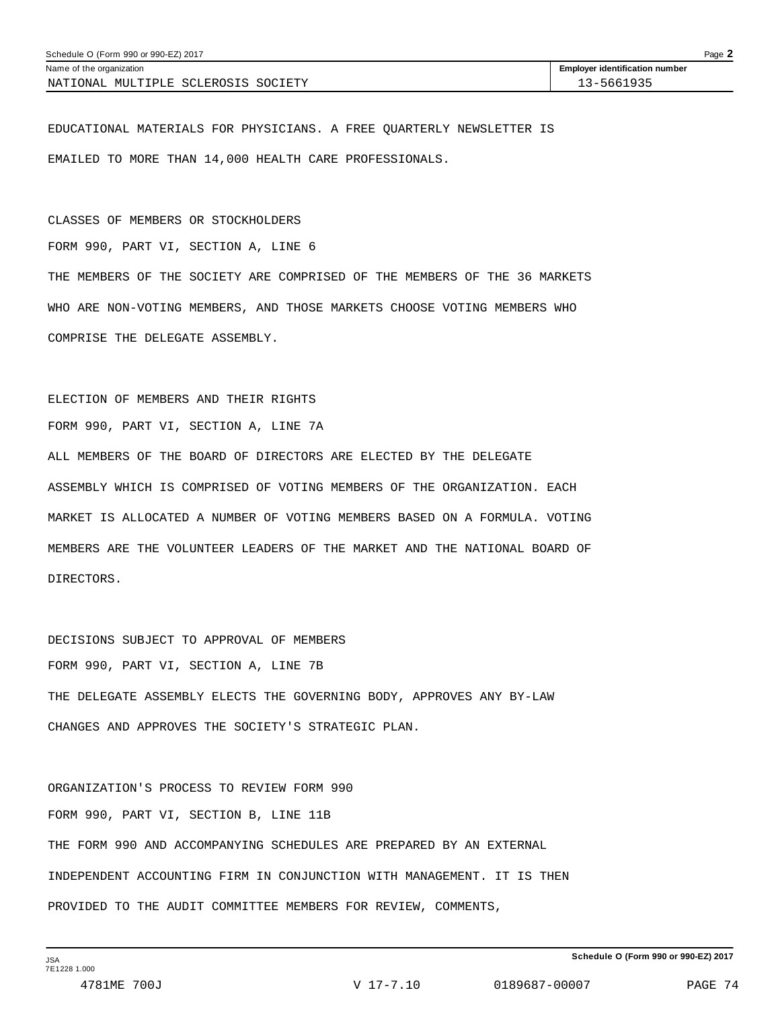| Schedule O (Form 990 or 990-EZ) 2017 | Page 2                                |  |
|--------------------------------------|---------------------------------------|--|
| Name of the organization             | <b>Employer identification number</b> |  |
| NATIONAL MULTIPLE SCLEROSIS SOCIETY  | 13-5661935                            |  |

EDUCATIONAL MATERIALS FOR PHYSICIANS. A FREE QUARTERLY NEWSLETTER IS EMAILED TO MORE THAN 14,000 HEALTH CARE PROFESSIONALS.

CLASSES OF MEMBERS OR STOCKHOLDERS FORM 990, PART VI, SECTION A, LINE 6 THE MEMBERS OF THE SOCIETY ARE COMPRISED OF THE MEMBERS OF THE 36 MARKETS WHO ARE NON-VOTING MEMBERS, AND THOSE MARKETS CHOOSE VOTING MEMBERS WHO COMPRISE THE DELEGATE ASSEMBLY.

ELECTION OF MEMBERS AND THEIR RIGHTS FORM 990, PART VI, SECTION A, LINE 7A ALL MEMBERS OF THE BOARD OF DIRECTORS ARE ELECTED BY THE DELEGATE ASSEMBLY WHICH IS COMPRISED OF VOTING MEMBERS OF THE ORGANIZATION. EACH MARKET IS ALLOCATED A NUMBER OF VOTING MEMBERS BASED ON A FORMULA. VOTING MEMBERS ARE THE VOLUNTEER LEADERS OF THE MARKET AND THE NATIONAL BOARD OF DIRECTORS.

DECISIONS SUBJECT TO APPROVAL OF MEMBERS FORM 990, PART VI, SECTION A, LINE 7B THE DELEGATE ASSEMBLY ELECTS THE GOVERNING BODY, APPROVES ANY BY-LAW CHANGES AND APPROVES THE SOCIETY'S STRATEGIC PLAN.

ORGANIZATION'S PROCESS TO REVIEW FORM 990 FORM 990, PART VI, SECTION B, LINE 11B THE FORM 990 AND ACCOMPANYING SCHEDULES ARE PREPARED BY AN EXTERNAL INDEPENDENT ACCOUNTING FIRM IN CONJUNCTION WITH MANAGEMENT. IT IS THEN PROVIDED TO THE AUDIT COMMITTEE MEMBERS FOR REVIEW, COMMENTS,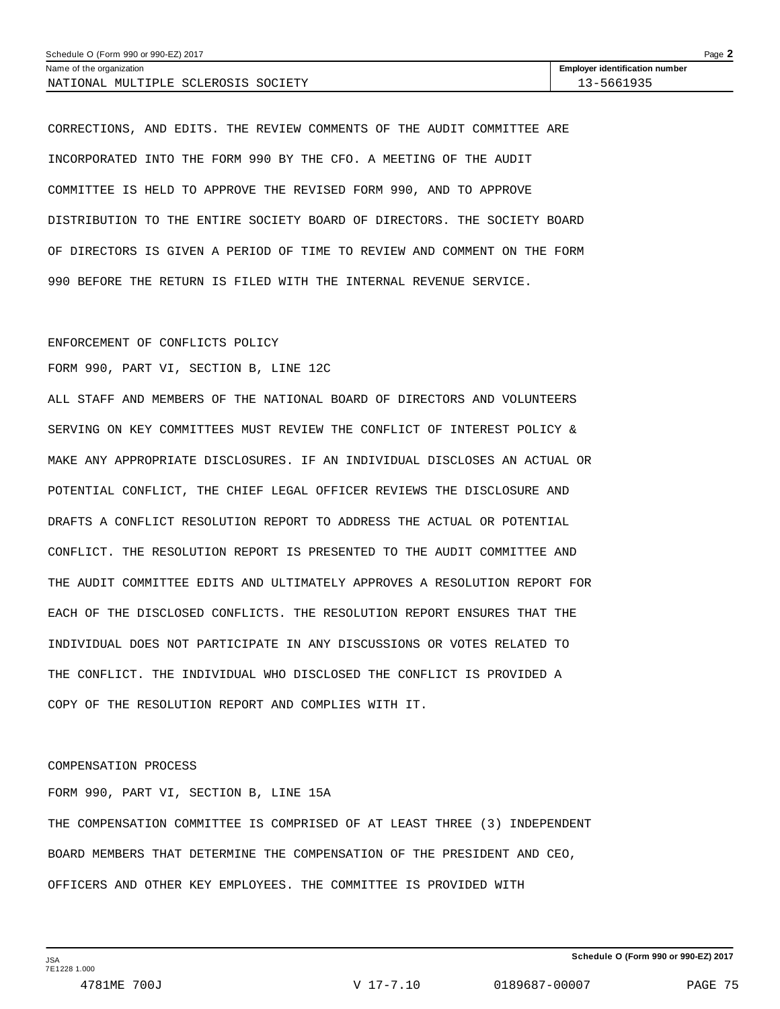| Schedule O (Form 990 or 990-EZ) 2017 |                                       | Page $\blacktriangle$ |
|--------------------------------------|---------------------------------------|-----------------------|
| Name of the organization             | <b>Employer identification number</b> |                       |
| NATIONAL MULTIPLE SCLEROSIS SOCIETY  | 13-5661935                            |                       |

CORRECTIONS, AND EDITS. THE REVIEW COMMENTS OF THE AUDIT COMMITTEE ARE INCORPORATED INTO THE FORM 990 BY THE CFO. A MEETING OF THE AUDIT COMMITTEE IS HELD TO APPROVE THE REVISED FORM 990, AND TO APPROVE DISTRIBUTION TO THE ENTIRE SOCIETY BOARD OF DIRECTORS. THE SOCIETY BOARD OF DIRECTORS IS GIVEN A PERIOD OF TIME TO REVIEW AND COMMENT ON THE FORM 990 BEFORE THE RETURN IS FILED WITH THE INTERNAL REVENUE SERVICE.

#### ENFORCEMENT OF CONFLICTS POLICY

FORM 990, PART VI, SECTION B, LINE 12C

ALL STAFF AND MEMBERS OF THE NATIONAL BOARD OF DIRECTORS AND VOLUNTEERS SERVING ON KEY COMMITTEES MUST REVIEW THE CONFLICT OF INTEREST POLICY & MAKE ANY APPROPRIATE DISCLOSURES. IF AN INDIVIDUAL DISCLOSES AN ACTUAL OR POTENTIAL CONFLICT, THE CHIEF LEGAL OFFICER REVIEWS THE DISCLOSURE AND DRAFTS A CONFLICT RESOLUTION REPORT TO ADDRESS THE ACTUAL OR POTENTIAL CONFLICT. THE RESOLUTION REPORT IS PRESENTED TO THE AUDIT COMMITTEE AND THE AUDIT COMMITTEE EDITS AND ULTIMATELY APPROVES A RESOLUTION REPORT FOR EACH OF THE DISCLOSED CONFLICTS. THE RESOLUTION REPORT ENSURES THAT THE INDIVIDUAL DOES NOT PARTICIPATE IN ANY DISCUSSIONS OR VOTES RELATED TO THE CONFLICT. THE INDIVIDUAL WHO DISCLOSED THE CONFLICT IS PROVIDED A COPY OF THE RESOLUTION REPORT AND COMPLIES WITH IT.

#### COMPENSATION PROCESS

FORM 990, PART VI, SECTION B, LINE 15A THE COMPENSATION COMMITTEE IS COMPRISED OF AT LEAST THREE (3) INDEPENDENT BOARD MEMBERS THAT DETERMINE THE COMPENSATION OF THE PRESIDENT AND CEO, OFFICERS AND OTHER KEY EMPLOYEES. THE COMMITTEE IS PROVIDED WITH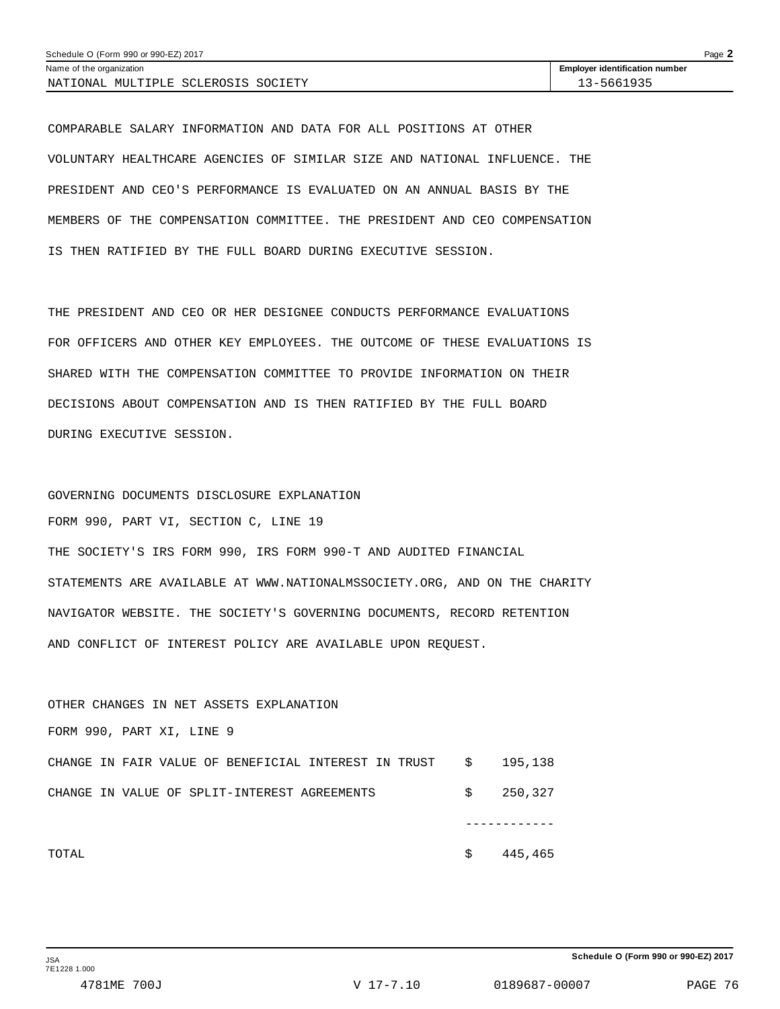COMPARABLE SALARY INFORMATION AND DATA FOR ALL POSITIONS AT OTHER VOLUNTARY HEALTHCARE AGENCIES OF SIMILAR SIZE AND NATIONAL INFLUENCE. THE PRESIDENT AND CEO'S PERFORMANCE IS EVALUATED ON AN ANNUAL BASIS BY THE MEMBERS OF THE COMPENSATION COMMITTEE. THE PRESIDENT AND CEO COMPENSATION IS THEN RATIFIED BY THE FULL BOARD DURING EXECUTIVE SESSION.

THE PRESIDENT AND CEO OR HER DESIGNEE CONDUCTS PERFORMANCE EVALUATIONS FOR OFFICERS AND OTHER KEY EMPLOYEES. THE OUTCOME OF THESE EVALUATIONS IS SHARED WITH THE COMPENSATION COMMITTEE TO PROVIDE INFORMATION ON THEIR DECISIONS ABOUT COMPENSATION AND IS THEN RATIFIED BY THE FULL BOARD DURING EXECUTIVE SESSION.

GOVERNING DOCUMENTS DISCLOSURE EXPLANATION FORM 990, PART VI, SECTION C, LINE 19 THE SOCIETY'S IRS FORM 990, IRS FORM 990-T AND AUDITED FINANCIAL STATEMENTS ARE AVAILABLE AT WWW.NATIONALMSSOCIETY.ORG, AND ON THE CHARITY NAVIGATOR WEBSITE. THE SOCIETY'S GOVERNING DOCUMENTS, RECORD RETENTION AND CONFLICT OF INTEREST POLICY ARE AVAILABLE UPON REQUEST.

OTHER CHANGES IN NET ASSETS EXPLANATION FORM 990, PART XI, LINE 9 CHANGE IN FAIR VALUE OF BENEFICIAL INTEREST IN TRUST \$ 195,138 CHANGE IN VALUE OF SPLIT-INTEREST AGREEMENTS  $$327$  ------------  $\texttt{Total} \quad \texttt{\$} \quad \texttt{445,465}$ 

**Schedule O (Form 990 or 990-EZ) 2017**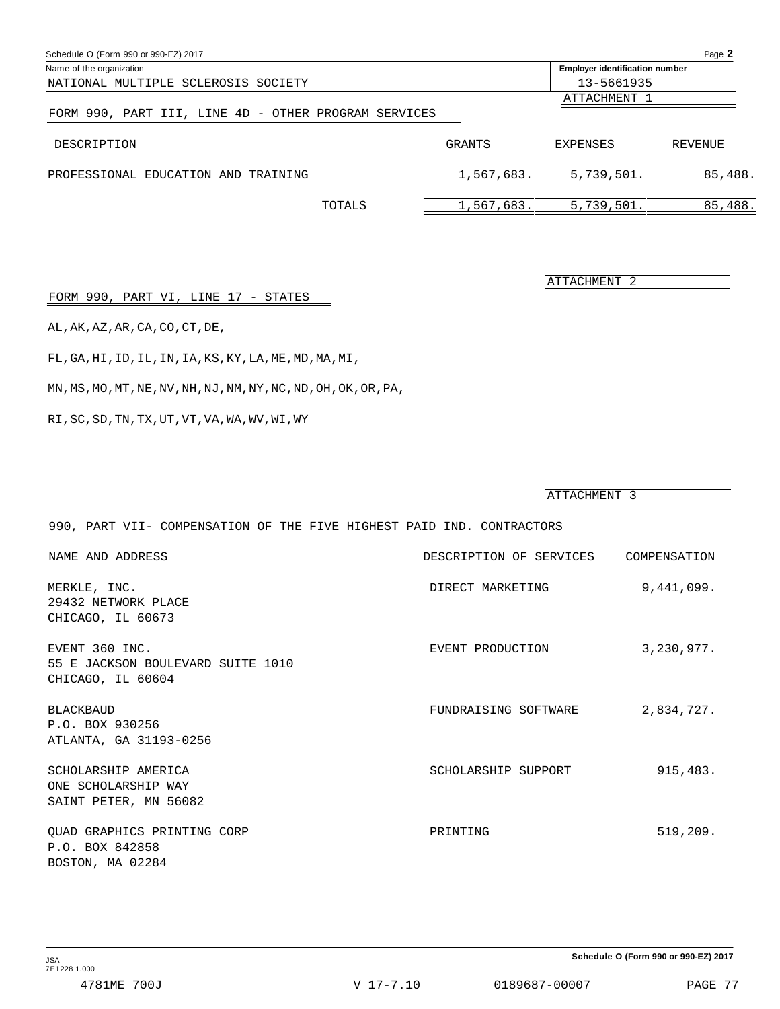| Schedule O (Form 990 or 990-EZ) 2017                 |               |                                       | Page 2  |
|------------------------------------------------------|---------------|---------------------------------------|---------|
| Name of the organization                             |               | <b>Employer identification number</b> |         |
| NATIONAL MULTIPLE SCLEROSIS SOCIETY                  |               | 13-5661935                            |         |
|                                                      |               | ATTACHMENT 1                          |         |
| FORM 990, PART III, LINE 4D - OTHER PROGRAM SERVICES |               |                                       |         |
| DESCRIPTION                                          | <b>GRANTS</b> | EXPENSES                              | REVENUE |
| PROFESSIONAL EDUCATION AND TRAINING                  | 1,567,683.    | 5,739,501.                            | 85,488. |
| TOTALS                                               | 1,567,683.    | 5,739,501.                            | 85,488. |

| FORM 990, PART VI, LINE 17 - STATES |  |
|-------------------------------------|--|
|-------------------------------------|--|

AL,AK,AZ,AR,CA,CO,CT,DE,

FL,GA,HI,ID,IL,IN,IA,KS,KY,LA,ME,MD,MA,MI,

 $\,$  MN , MS , MO , MT , NE , NV , NH , NJ , NM , NY , NC , ND , OH , OK , OR , PA ,

 $\mathbb{R} \mathbb{I}$  ,  $\mathbb{S} \mathbb{C}$  ,  $\mathbb{S} \mathbb{D}$  ,  $\mathbb{TN}$  ,  $\mathbb{TX}$  ,  $\mathbb{UT}$  ,  $\mathbb{VT}$  ,  $\mathbb{V} \mathbb{A}$  ,  $\mathbb{W} \mathbb{A}$  ,  $\mathbb{W} \mathbb{V}$  ,  $\mathbb{W} \mathbb{I}$  ,  $\mathbb{W} \mathbb{Y}$ 

ATTACHMENT 3

ATTACHMENT 2

| 990, PART VII- COMPENSATION OF THE FIVE HIGHEST PAID IND. CONTRACTORS    |                         |              |
|--------------------------------------------------------------------------|-------------------------|--------------|
| NAME AND ADDRESS                                                         | DESCRIPTION OF SERVICES | COMPENSATION |
| MERKLE, INC.<br>29432 NETWORK PLACE                                      | DIRECT MARKETING        | 9,441,099.   |
| CHICAGO, IL 60673                                                        |                         |              |
| EVENT 360 INC.<br>55 E JACKSON BOULEVARD SUITE 1010<br>CHICAGO, IL 60604 | EVENT PRODUCTION        | 3,230,977.   |
| <b>BLACKBAUD</b><br>P.O. BOX 930256<br>ATLANTA, GA 31193-0256            | FUNDRAISING SOFTWARE    | 2,834,727.   |
| SCHOLARSHIP AMERICA<br>ONE SCHOLARSHIP WAY<br>SAINT PETER, MN 56082      | SCHOLARSHIP SUPPORT     | 915,483.     |
| QUAD GRAPHICS PRINTING CORP<br>P.O. BOX 842858<br>BOSTON, MA 02284       | PRINTING                | 519,209.     |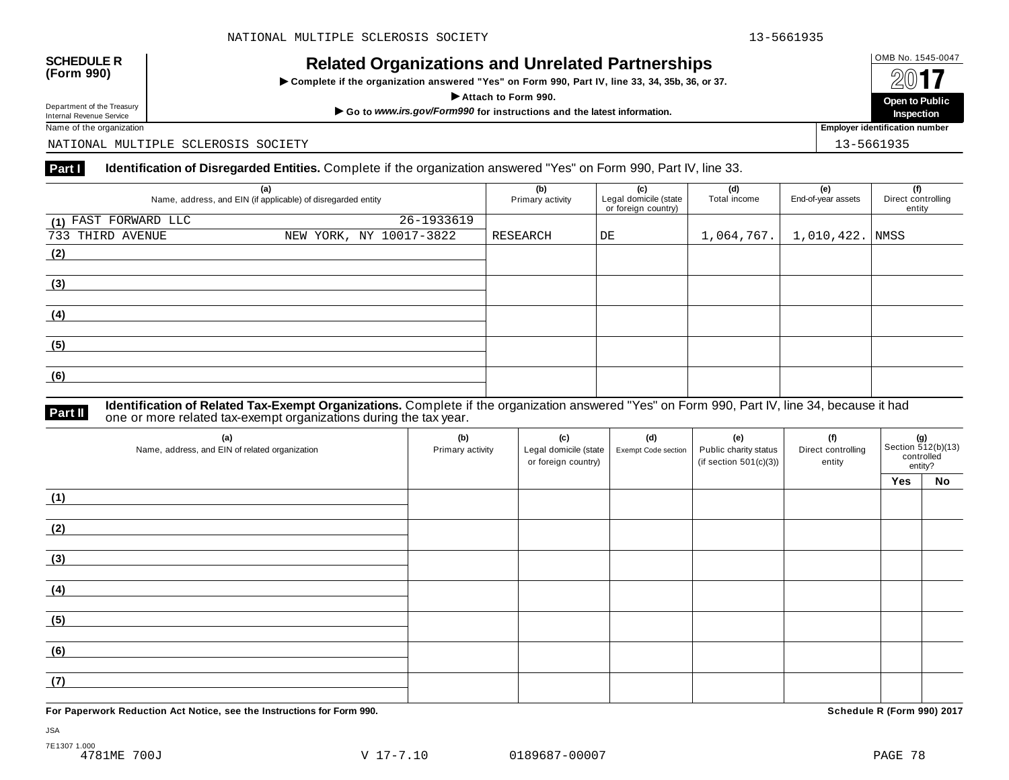# OMB No. 1545-0047 **SCHEDULE R (Form 990) Related Organizations and Unrelated Partnerships**

 $\triangleright$  Complete if the organization answered "Yes" on Form 990, Part IV, line 33, 34, 35b, 36, or 37.



Department of the Treasury<br>Internal Revenue Service

NATIONAL MULTIPLE SCLEROSIS SOCIETY 13-5661935

### **Part I Identification of Disregarded Entities.** Complete if the organization answered "Yes" on Form 990, Part IV, line 33.

| (a)<br>Name, address, and EIN (if applicable) of disregarded entity | (b)<br>Primary activity | (c)<br>Legal domicile (state<br>or foreign country) | (d)<br>Total income | (e)<br>End-of-year assets | (f)<br>Direct controlling<br>entity |  |
|---------------------------------------------------------------------|-------------------------|-----------------------------------------------------|---------------------|---------------------------|-------------------------------------|--|
| (1) FAST FORWARD LLC                                                | $26 - 1933619$          |                                                     |                     |                           |                                     |  |
| 733 THIRD AVENUE                                                    | NEW YORK, NY 10017-3822 | RESEARCH                                            | DE                  | 1,064,767.                | $1,010,422.$ NMSS                   |  |
| (2)                                                                 |                         |                                                     |                     |                           |                                     |  |
|                                                                     |                         |                                                     |                     |                           |                                     |  |
| (3)                                                                 |                         |                                                     |                     |                           |                                     |  |
|                                                                     |                         |                                                     |                     |                           |                                     |  |
| (4)                                                                 |                         |                                                     |                     |                           |                                     |  |
|                                                                     |                         |                                                     |                     |                           |                                     |  |
| (5)                                                                 |                         |                                                     |                     |                           |                                     |  |
|                                                                     |                         |                                                     |                     |                           |                                     |  |
| (6)                                                                 |                         |                                                     |                     |                           |                                     |  |
|                                                                     |                         |                                                     |                     |                           |                                     |  |

### **Identification of Related Tax-Exempt Organizations.** Complete if the organization answered "Yes" on Form 990, Part IV, line 34, because it had **Part II** one or more related tax-exempt organizations during the tax year.

| (a)<br>Name, address, and EIN of related organization | (b)<br>Primary activity | (c)<br>Legal domicile (state<br>or foreign country) | (d)<br>Exempt Code section | (e)<br>Public charity status<br>(if section $501(c)(3)$ ) | (f)<br>Direct controlling<br>entity | <b>(g)</b><br>Section 512(b)(13)<br>controlled<br>entity? |    |
|-------------------------------------------------------|-------------------------|-----------------------------------------------------|----------------------------|-----------------------------------------------------------|-------------------------------------|-----------------------------------------------------------|----|
|                                                       |                         |                                                     |                            |                                                           |                                     | Yes                                                       | No |
| (1)                                                   |                         |                                                     |                            |                                                           |                                     |                                                           |    |
| (2)                                                   |                         |                                                     |                            |                                                           |                                     |                                                           |    |
| (3)                                                   |                         |                                                     |                            |                                                           |                                     |                                                           |    |
| (4)                                                   |                         |                                                     |                            |                                                           |                                     |                                                           |    |
| (5)                                                   |                         |                                                     |                            |                                                           |                                     |                                                           |    |
| (6)                                                   |                         |                                                     |                            |                                                           |                                     |                                                           |    |
| (7)                                                   |                         |                                                     |                            |                                                           |                                     |                                                           |    |

**For Paperwork Reduction Act Notice, see the Instructions for Form 990. Schedule R (Form 990) 2017**

JSA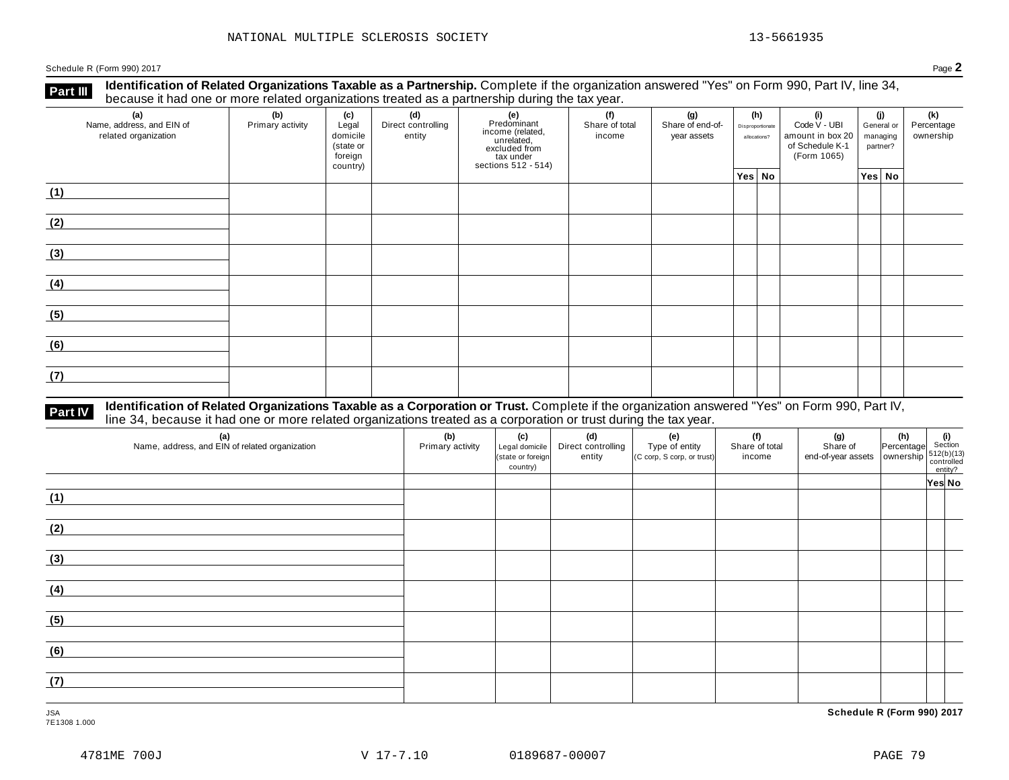Schedule <sup>R</sup> (Form 990) <sup>2017</sup> Page **2**

**Part III** Identification of Related Organizations Taxable as a Partnership. Complete if the organization answered "Yes" on Form 990, Part IV, line 34,<br>because it had one or more related organizations treated as a partners

| (a)<br>Name, address, and EIN of<br>related organization | ັ<br>(b)<br>Primary activity | (c)<br>Legal<br>domicile<br>(state or<br>foreign<br>country) | .<br>(d)<br>Direct controlling<br>entity | ັ<br>(e)<br>Predominant<br>Frecomman<br>income (related,<br>unrelated,<br>sccluded from<br>sections 512 - 514) | (f)<br>Share of total<br>income |  | (g)<br>Share of end-of-<br>year assets |  | (h)<br>Disproportionate<br>allocations? |  |        |  | (i)<br>Code V - UBI<br>amount in box 20<br>of Schedule K-1<br>(Form 1065) | (j)<br>General or<br>managing<br>partner? |  | (k)<br>Percentage<br>ownership |
|----------------------------------------------------------|------------------------------|--------------------------------------------------------------|------------------------------------------|----------------------------------------------------------------------------------------------------------------|---------------------------------|--|----------------------------------------|--|-----------------------------------------|--|--------|--|---------------------------------------------------------------------------|-------------------------------------------|--|--------------------------------|
|                                                          |                              |                                                              |                                          |                                                                                                                |                                 |  | Yes No                                 |  |                                         |  | Yes No |  |                                                                           |                                           |  |                                |
| (1)                                                      |                              |                                                              |                                          |                                                                                                                |                                 |  |                                        |  |                                         |  |        |  |                                                                           |                                           |  |                                |
| (2)                                                      |                              |                                                              |                                          |                                                                                                                |                                 |  |                                        |  |                                         |  |        |  |                                                                           |                                           |  |                                |
| (3)                                                      |                              |                                                              |                                          |                                                                                                                |                                 |  |                                        |  |                                         |  |        |  |                                                                           |                                           |  |                                |
| (4)                                                      |                              |                                                              |                                          |                                                                                                                |                                 |  |                                        |  |                                         |  |        |  |                                                                           |                                           |  |                                |
| (5)                                                      |                              |                                                              |                                          |                                                                                                                |                                 |  |                                        |  |                                         |  |        |  |                                                                           |                                           |  |                                |
| (6)                                                      |                              |                                                              |                                          |                                                                                                                |                                 |  |                                        |  |                                         |  |        |  |                                                                           |                                           |  |                                |
| (7)                                                      |                              |                                                              |                                          |                                                                                                                |                                 |  |                                        |  |                                         |  |        |  |                                                                           |                                           |  |                                |

# **Part IV** Identification of Related Organizations Taxable as a Corporation or Trust. Complete if the organization answered "Yes" on Form 990, Part IV,<br>line 34, because it had one or more related organizations treated as a

| (a)<br>Name, address, and EIN of related organization | (b)<br>Primary activity | (c)<br>Legal domicile<br>(state or foreign<br>country) | (d)<br>Direct controlling<br>entity | (e)<br>Type of entity<br>(C corp, S corp, or trust) | (f)<br>Share of total<br>income | (g) $\left\{\n\begin{array}{ccc}\n\text{(g)} & \text{(h)} & \text{(i)} \\ \text{Share of } & \text{Percentage} & \text{Section} \\ \text{end-of-year assets} & \text{ ownership} & \text{controlled} \\ \text{contribution} & \text{entity?} \\ \end{array}\n\right.$ |        |
|-------------------------------------------------------|-------------------------|--------------------------------------------------------|-------------------------------------|-----------------------------------------------------|---------------------------------|-----------------------------------------------------------------------------------------------------------------------------------------------------------------------------------------------------------------------------------------------------------------------|--------|
|                                                       |                         |                                                        |                                     |                                                     |                                 |                                                                                                                                                                                                                                                                       | Yes No |
| (1)                                                   |                         |                                                        |                                     |                                                     |                                 |                                                                                                                                                                                                                                                                       |        |
| (2)                                                   |                         |                                                        |                                     |                                                     |                                 |                                                                                                                                                                                                                                                                       |        |
| (3)                                                   |                         |                                                        |                                     |                                                     |                                 |                                                                                                                                                                                                                                                                       |        |
| (4)                                                   |                         |                                                        |                                     |                                                     |                                 |                                                                                                                                                                                                                                                                       |        |
| (5)                                                   |                         |                                                        |                                     |                                                     |                                 |                                                                                                                                                                                                                                                                       |        |
| (6)                                                   |                         |                                                        |                                     |                                                     |                                 |                                                                                                                                                                                                                                                                       |        |
| (7)                                                   |                         |                                                        |                                     |                                                     |                                 |                                                                                                                                                                                                                                                                       |        |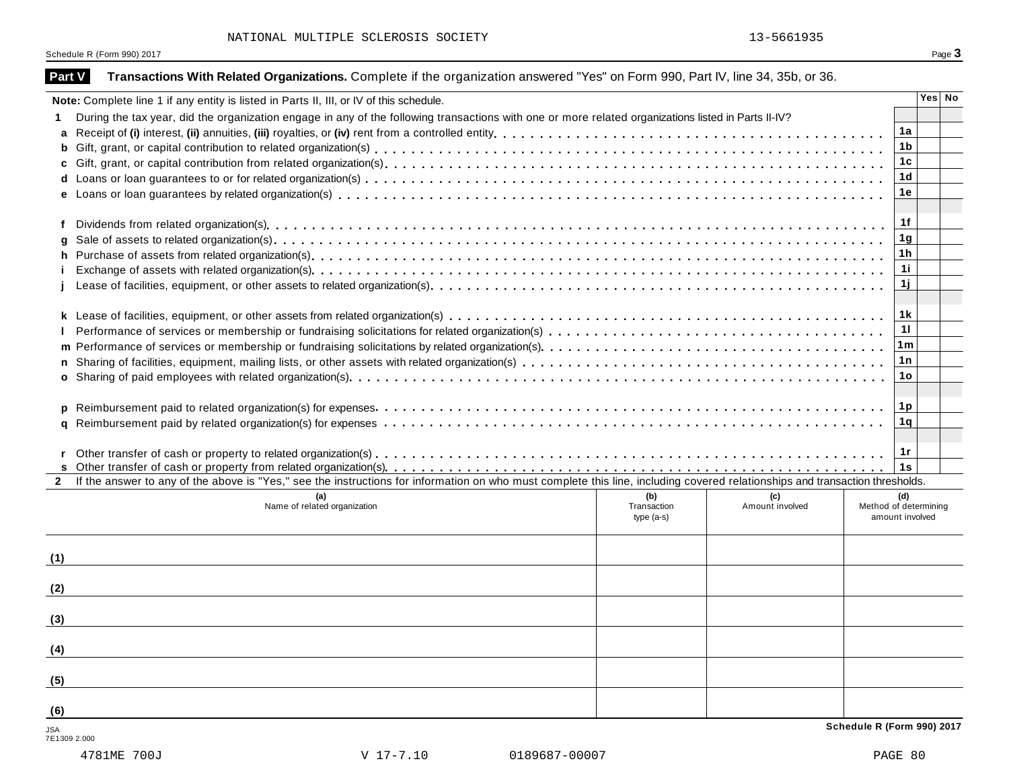Schedule R (Form 990) 2017 Page 3

| Part V              | Transactions With Related Organizations. Complete if the organization answered "Yes" on Form 990, Part IV, line 34, 35b, or 36.                                              |                                   |                        |                                                 |        |
|---------------------|------------------------------------------------------------------------------------------------------------------------------------------------------------------------------|-----------------------------------|------------------------|-------------------------------------------------|--------|
|                     | Note: Complete line 1 if any entity is listed in Parts II, III, or IV of this schedule.                                                                                      |                                   |                        |                                                 | Yes No |
|                     | During the tax year, did the organization engage in any of the following transactions with one or more related organizations listed in Parts II-IV?                          |                                   |                        |                                                 |        |
| a                   |                                                                                                                                                                              |                                   |                        | 1a                                              |        |
| b                   |                                                                                                                                                                              |                                   |                        | 1 <sub>b</sub>                                  |        |
|                     |                                                                                                                                                                              |                                   |                        | 1c                                              |        |
|                     |                                                                                                                                                                              |                                   |                        | 1d                                              |        |
|                     |                                                                                                                                                                              |                                   |                        | 1e                                              |        |
| f                   |                                                                                                                                                                              |                                   |                        | 1f                                              |        |
|                     |                                                                                                                                                                              |                                   |                        | 1 <sub>g</sub>                                  |        |
| h.                  |                                                                                                                                                                              |                                   |                        | 1h                                              |        |
|                     |                                                                                                                                                                              |                                   |                        | 11                                              |        |
|                     |                                                                                                                                                                              |                                   |                        | 1j                                              |        |
|                     |                                                                                                                                                                              |                                   |                        | 1 k                                             |        |
|                     |                                                                                                                                                                              |                                   |                        | 11                                              |        |
| m                   |                                                                                                                                                                              |                                   |                        | 1 <sub>m</sub>                                  |        |
|                     |                                                                                                                                                                              |                                   |                        | 1 n                                             |        |
|                     |                                                                                                                                                                              |                                   |                        | 1o                                              |        |
| a                   |                                                                                                                                                                              |                                   |                        | 1 <sub>p</sub><br>1q<br>1r                      |        |
|                     |                                                                                                                                                                              |                                   |                        | 1s                                              |        |
| $2^{\circ}$         | If the answer to any of the above is "Yes," see the instructions for information on who must complete this line, including covered relationships and transaction thresholds. |                                   |                        |                                                 |        |
|                     | Name of related organization                                                                                                                                                 | (b)<br>Transaction<br>$type(a-s)$ | (c)<br>Amount involved | (d)<br>Method of determining<br>amount involved |        |
| (1)                 |                                                                                                                                                                              |                                   |                        |                                                 |        |
| (2)                 |                                                                                                                                                                              |                                   |                        |                                                 |        |
| (3)                 |                                                                                                                                                                              |                                   |                        |                                                 |        |
| (4)                 |                                                                                                                                                                              |                                   |                        |                                                 |        |
| (5)                 |                                                                                                                                                                              |                                   |                        |                                                 |        |
| (6)                 |                                                                                                                                                                              |                                   |                        |                                                 |        |
| JSA<br>7E1309 2.000 |                                                                                                                                                                              |                                   |                        | Schedule R (Form 990) 2017                      |        |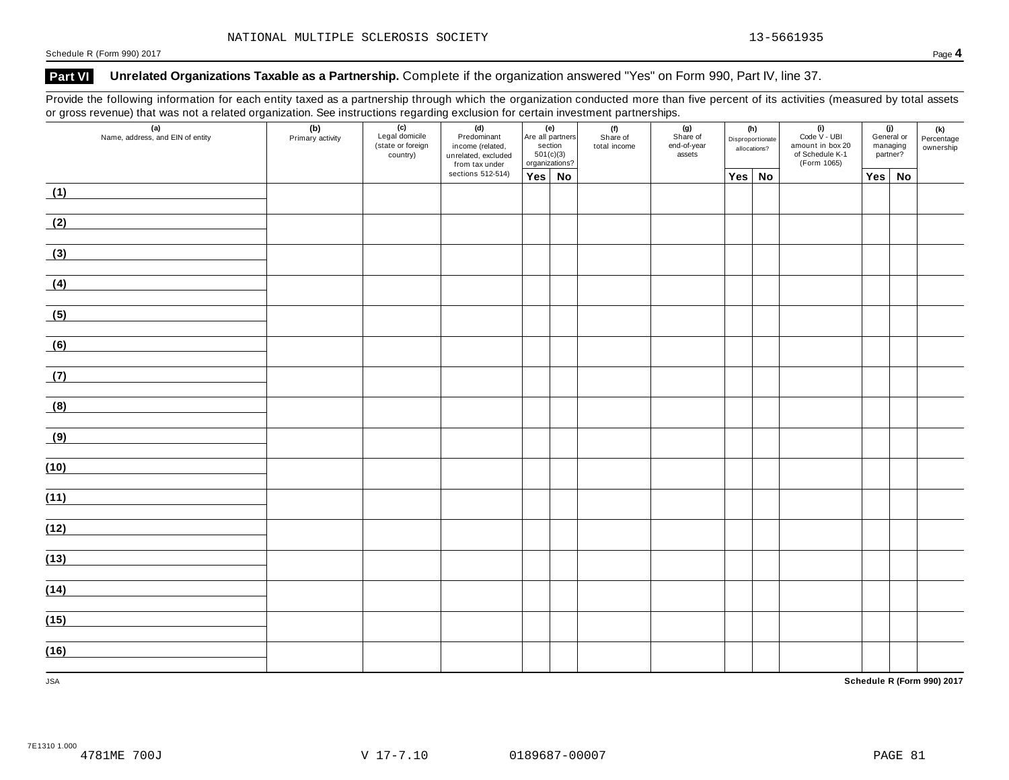## **Part VI Unrelated Organizations Taxable as a Partnership.** Complete if the organization answered "Yes" on Form 990, Part IV, line 37.

Provide the following information for each entity taxed as a partnership through which the organization conducted more than five percent of its activities (measured by total assets or gross revenue) that was not a related organization. See instructions regarding exclusion for certain investment partnerships.

| ັ<br>$\mathbf{z}$<br>(a)<br>Name, address, and EIN of entity | ັ<br>(b)<br>Primary activity | ັ<br>(c)<br>Legal domicile<br>(state or foreign<br>country) | ັ<br>(d)<br>Predominant<br>income (related,<br>unrelated, excluded<br>from tax under |        | (e)<br>(f)<br>Are all partners<br>Share of<br>section<br>total income<br>501(c)(3)<br>organizations? |  | . .<br>(g)<br>Share of<br>end-of-year<br>assets | $(i)$<br>Code $\vee$ - UBI<br>(h)<br>Disproportionate<br>amount in box 20<br>allocations?<br>of Schedule K-1<br>(Form 1065) |  |     | (j)<br>General or<br>managing<br>partner? | (k)<br>Percentage<br>ownership |
|--------------------------------------------------------------|------------------------------|-------------------------------------------------------------|--------------------------------------------------------------------------------------|--------|------------------------------------------------------------------------------------------------------|--|-------------------------------------------------|-----------------------------------------------------------------------------------------------------------------------------|--|-----|-------------------------------------------|--------------------------------|
|                                                              |                              |                                                             | sections 512-514)                                                                    | Yes No |                                                                                                      |  |                                                 | Yes No                                                                                                                      |  | Yes | No                                        |                                |
| (1)                                                          |                              |                                                             |                                                                                      |        |                                                                                                      |  |                                                 |                                                                                                                             |  |     |                                           |                                |
| (2)                                                          |                              |                                                             |                                                                                      |        |                                                                                                      |  |                                                 |                                                                                                                             |  |     |                                           |                                |
| (3)                                                          |                              |                                                             |                                                                                      |        |                                                                                                      |  |                                                 |                                                                                                                             |  |     |                                           |                                |
| (4)                                                          |                              |                                                             |                                                                                      |        |                                                                                                      |  |                                                 |                                                                                                                             |  |     |                                           |                                |
| (5)                                                          |                              |                                                             |                                                                                      |        |                                                                                                      |  |                                                 |                                                                                                                             |  |     |                                           |                                |
| (6)                                                          |                              |                                                             |                                                                                      |        |                                                                                                      |  |                                                 |                                                                                                                             |  |     |                                           |                                |
| (7)                                                          |                              |                                                             |                                                                                      |        |                                                                                                      |  |                                                 |                                                                                                                             |  |     |                                           |                                |
| (8)                                                          |                              |                                                             |                                                                                      |        |                                                                                                      |  |                                                 |                                                                                                                             |  |     |                                           |                                |
| (9)                                                          |                              |                                                             |                                                                                      |        |                                                                                                      |  |                                                 |                                                                                                                             |  |     |                                           |                                |
| (10)                                                         |                              |                                                             |                                                                                      |        |                                                                                                      |  |                                                 |                                                                                                                             |  |     |                                           |                                |
| (11)                                                         |                              |                                                             |                                                                                      |        |                                                                                                      |  |                                                 |                                                                                                                             |  |     |                                           |                                |
| (12)                                                         |                              |                                                             |                                                                                      |        |                                                                                                      |  |                                                 |                                                                                                                             |  |     |                                           |                                |
| (13)                                                         |                              |                                                             |                                                                                      |        |                                                                                                      |  |                                                 |                                                                                                                             |  |     |                                           |                                |
| (14)                                                         |                              |                                                             |                                                                                      |        |                                                                                                      |  |                                                 |                                                                                                                             |  |     |                                           |                                |
| (15)                                                         |                              |                                                             |                                                                                      |        |                                                                                                      |  |                                                 |                                                                                                                             |  |     |                                           |                                |
| (16)                                                         |                              |                                                             |                                                                                      |        |                                                                                                      |  |                                                 |                                                                                                                             |  |     |                                           |                                |
| <b>JSA</b>                                                   |                              |                                                             |                                                                                      |        |                                                                                                      |  |                                                 |                                                                                                                             |  |     |                                           | Schedule R (Form 990) 2017     |